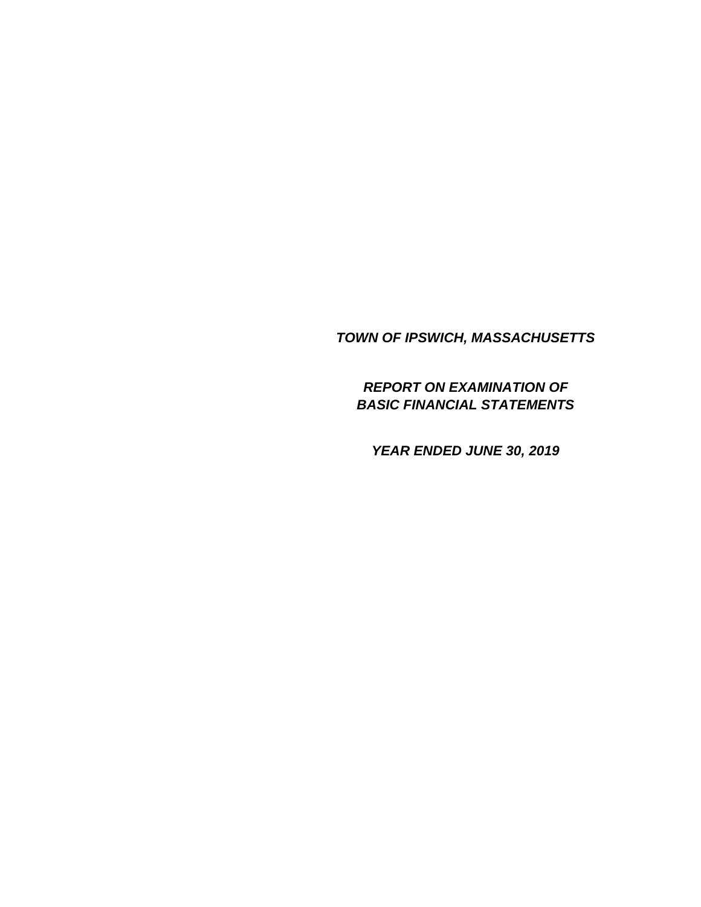*TOWN OF IPSWICH, MASSACHUSETTS* 

*REPORT ON EXAMINATION OF BASIC FINANCIAL STATEMENTS* 

*YEAR ENDED JUNE 30, 2019*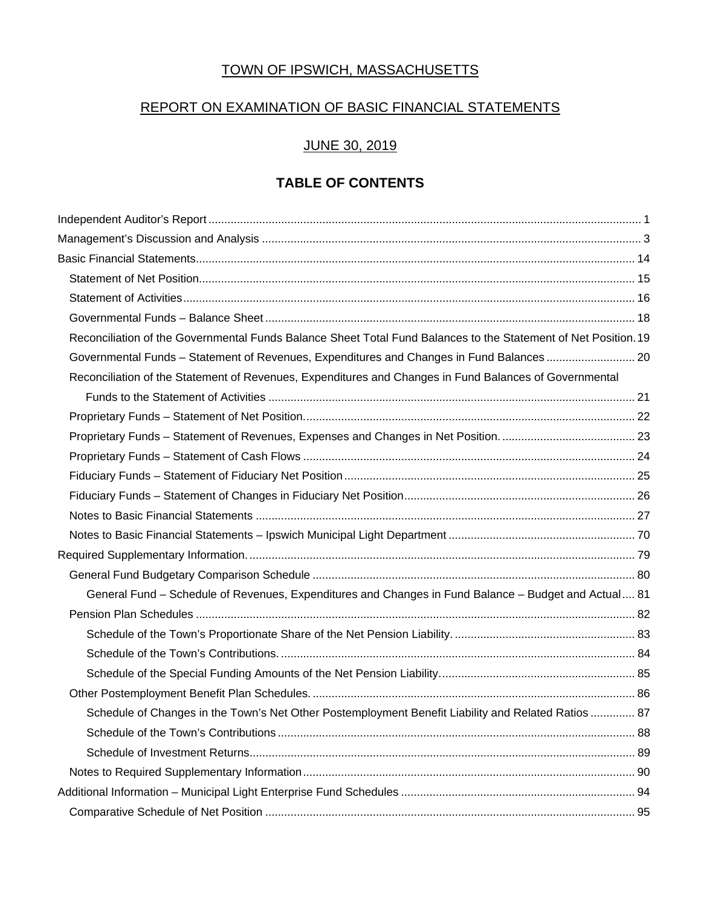# TOWN OF IPSWICH, MASSACHUSETTS

# REPORT ON EXAMINATION OF BASIC FINANCIAL STATEMENTS

# JUNE 30, 2019

# **TABLE OF CONTENTS**

| Reconciliation of the Governmental Funds Balance Sheet Total Fund Balances to the Statement of Net Position. 19 |  |
|-----------------------------------------------------------------------------------------------------------------|--|
| Governmental Funds - Statement of Revenues, Expenditures and Changes in Fund Balances  20                       |  |
| Reconciliation of the Statement of Revenues, Expenditures and Changes in Fund Balances of Governmental          |  |
|                                                                                                                 |  |
|                                                                                                                 |  |
|                                                                                                                 |  |
|                                                                                                                 |  |
|                                                                                                                 |  |
|                                                                                                                 |  |
|                                                                                                                 |  |
|                                                                                                                 |  |
|                                                                                                                 |  |
|                                                                                                                 |  |
| General Fund - Schedule of Revenues, Expenditures and Changes in Fund Balance - Budget and Actual 81            |  |
|                                                                                                                 |  |
|                                                                                                                 |  |
|                                                                                                                 |  |
|                                                                                                                 |  |
|                                                                                                                 |  |
| Schedule of Changes in the Town's Net Other Postemployment Benefit Liability and Related Ratios  87             |  |
|                                                                                                                 |  |
|                                                                                                                 |  |
|                                                                                                                 |  |
|                                                                                                                 |  |
|                                                                                                                 |  |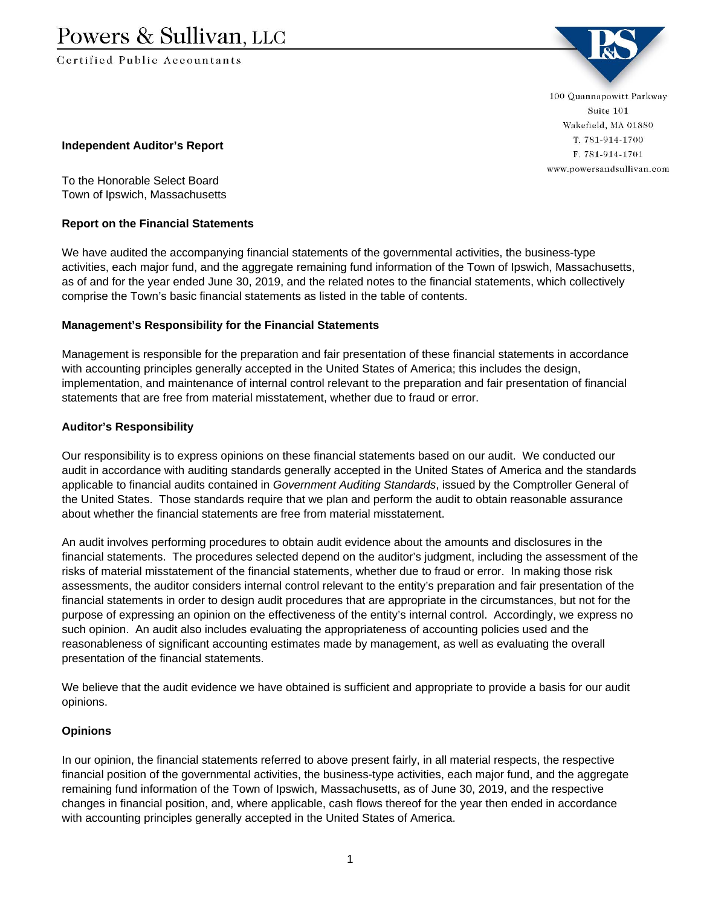# Powers & Sullivan, LLC

Certified Public Accountants



100 Quannapowitt Parkway Suite 101 Wakefield, MA 01880 T. 781-914-1700 F. 781-914-1701 www.powersandsullivan.com

#### **Independent Auditor's Report**

To the Honorable Select Board Town of Ipswich, Massachusetts

#### **Report on the Financial Statements**

We have audited the accompanying financial statements of the governmental activities, the business-type activities, each major fund, and the aggregate remaining fund information of the Town of Ipswich, Massachusetts, as of and for the year ended June 30, 2019, and the related notes to the financial statements, which collectively comprise the Town's basic financial statements as listed in the table of contents.

#### **Management's Responsibility for the Financial Statements**

Management is responsible for the preparation and fair presentation of these financial statements in accordance with accounting principles generally accepted in the United States of America; this includes the design, implementation, and maintenance of internal control relevant to the preparation and fair presentation of financial statements that are free from material misstatement, whether due to fraud or error.

#### **Auditor's Responsibility**

Our responsibility is to express opinions on these financial statements based on our audit. We conducted our audit in accordance with auditing standards generally accepted in the United States of America and the standards applicable to financial audits contained in *Government Auditing Standards*, issued by the Comptroller General of the United States. Those standards require that we plan and perform the audit to obtain reasonable assurance about whether the financial statements are free from material misstatement.

An audit involves performing procedures to obtain audit evidence about the amounts and disclosures in the financial statements. The procedures selected depend on the auditor's judgment, including the assessment of the risks of material misstatement of the financial statements, whether due to fraud or error. In making those risk assessments, the auditor considers internal control relevant to the entity's preparation and fair presentation of the financial statements in order to design audit procedures that are appropriate in the circumstances, but not for the purpose of expressing an opinion on the effectiveness of the entity's internal control. Accordingly, we express no such opinion. An audit also includes evaluating the appropriateness of accounting policies used and the reasonableness of significant accounting estimates made by management, as well as evaluating the overall presentation of the financial statements.

We believe that the audit evidence we have obtained is sufficient and appropriate to provide a basis for our audit opinions.

### **Opinions**

In our opinion, the financial statements referred to above present fairly, in all material respects, the respective financial position of the governmental activities, the business-type activities, each major fund, and the aggregate remaining fund information of the Town of Ipswich, Massachusetts, as of June 30, 2019, and the respective changes in financial position, and, where applicable, cash flows thereof for the year then ended in accordance with accounting principles generally accepted in the United States of America.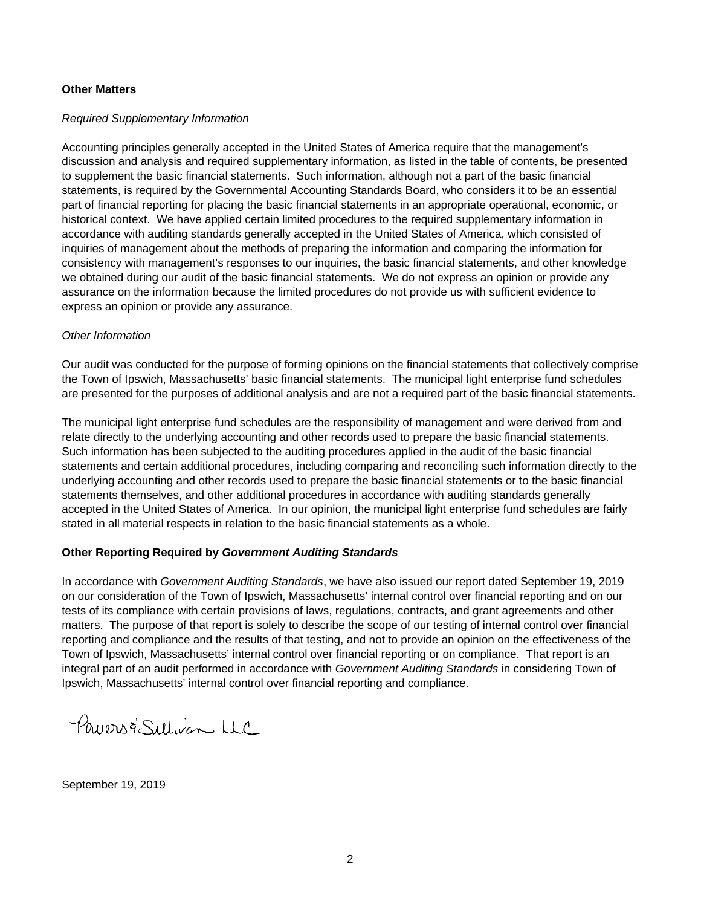#### **Other Matters**

#### *Required Supplementary Information*

Accounting principles generally accepted in the United States of America require that the management's discussion and analysis and required supplementary information, as listed in the table of contents, be presented to supplement the basic financial statements. Such information, although not a part of the basic financial statements, is required by the Governmental Accounting Standards Board, who considers it to be an essential part of financial reporting for placing the basic financial statements in an appropriate operational, economic, or historical context. We have applied certain limited procedures to the required supplementary information in accordance with auditing standards generally accepted in the United States of America, which consisted of inquiries of management about the methods of preparing the information and comparing the information for consistency with management's responses to our inquiries, the basic financial statements, and other knowledge we obtained during our audit of the basic financial statements. We do not express an opinion or provide any assurance on the information because the limited procedures do not provide us with sufficient evidence to express an opinion or provide any assurance.

#### *Other Information*

Our audit was conducted for the purpose of forming opinions on the financial statements that collectively comprise the Town of Ipswich, Massachusetts' basic financial statements. The municipal light enterprise fund schedules are presented for the purposes of additional analysis and are not a required part of the basic financial statements.

The municipal light enterprise fund schedules are the responsibility of management and were derived from and relate directly to the underlying accounting and other records used to prepare the basic financial statements. Such information has been subjected to the auditing procedures applied in the audit of the basic financial statements and certain additional procedures, including comparing and reconciling such information directly to the underlying accounting and other records used to prepare the basic financial statements or to the basic financial statements themselves, and other additional procedures in accordance with auditing standards generally accepted in the United States of America. In our opinion, the municipal light enterprise fund schedules are fairly stated in all material respects in relation to the basic financial statements as a whole.

#### **Other Reporting Required by** *Government Auditing Standards*

In accordance with *Government Auditing Standards*, we have also issued our report dated September 19, 2019 on our consideration of the Town of Ipswich, Massachusetts' internal control over financial reporting and on our tests of its compliance with certain provisions of laws, regulations, contracts, and grant agreements and other matters. The purpose of that report is solely to describe the scope of our testing of internal control over financial reporting and compliance and the results of that testing, and not to provide an opinion on the effectiveness of the Town of Ipswich, Massachusetts' internal control over financial reporting or on compliance. That report is an integral part of an audit performed in accordance with *Government Auditing Standards* in considering Town of Ipswich, Massachusetts' internal control over financial reporting and compliance.

Powers & Sullivan LLC

September 19, 2019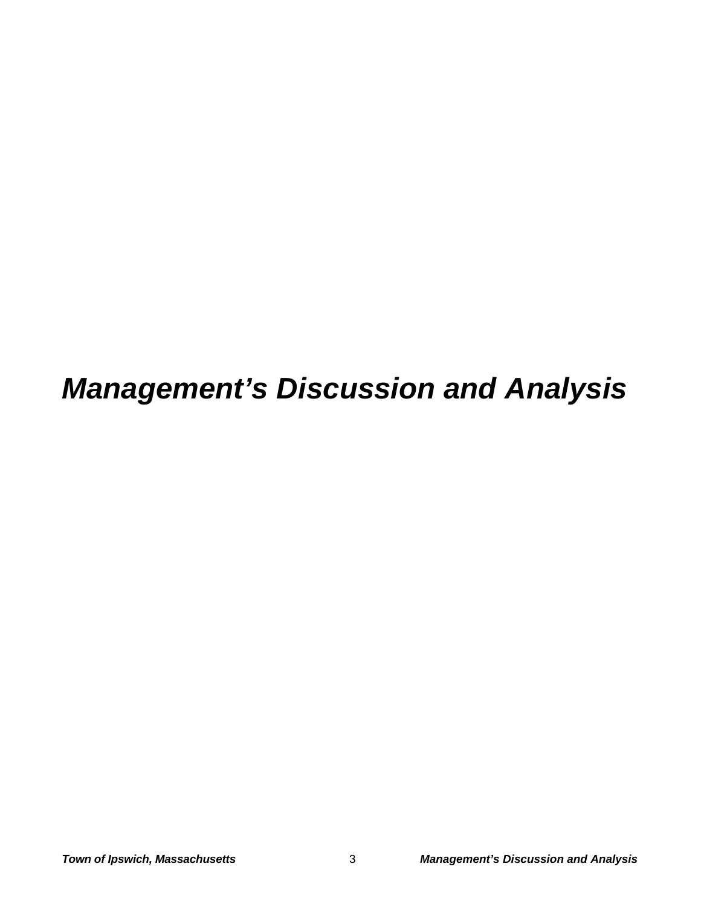# *Management's Discussion and Analysis*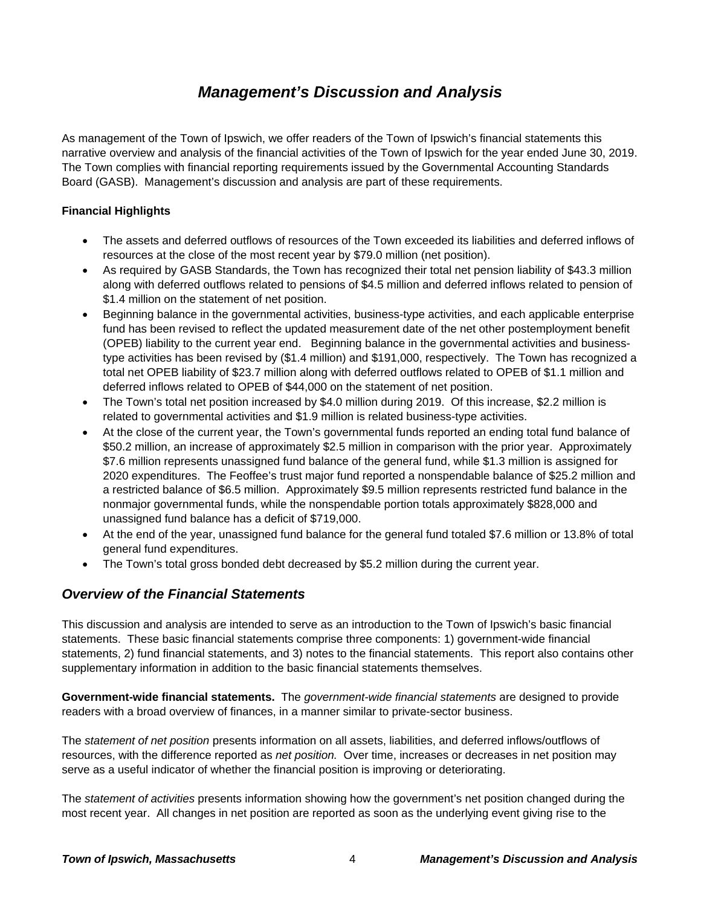# *Management's Discussion and Analysis*

As management of the Town of Ipswich, we offer readers of the Town of Ipswich's financial statements this narrative overview and analysis of the financial activities of the Town of Ipswich for the year ended June 30, 2019. The Town complies with financial reporting requirements issued by the Governmental Accounting Standards Board (GASB). Management's discussion and analysis are part of these requirements.

# **Financial Highlights**

- The assets and deferred outflows of resources of the Town exceeded its liabilities and deferred inflows of resources at the close of the most recent year by \$79.0 million (net position).
- As required by GASB Standards, the Town has recognized their total net pension liability of \$43.3 million along with deferred outflows related to pensions of \$4.5 million and deferred inflows related to pension of \$1.4 million on the statement of net position.
- Beginning balance in the governmental activities, business-type activities, and each applicable enterprise fund has been revised to reflect the updated measurement date of the net other postemployment benefit (OPEB) liability to the current year end. Beginning balance in the governmental activities and businesstype activities has been revised by (\$1.4 million) and \$191,000, respectively. The Town has recognized a total net OPEB liability of \$23.7 million along with deferred outflows related to OPEB of \$1.1 million and deferred inflows related to OPEB of \$44,000 on the statement of net position.
- The Town's total net position increased by \$4.0 million during 2019. Of this increase, \$2.2 million is related to governmental activities and \$1.9 million is related business-type activities.
- At the close of the current year, the Town's governmental funds reported an ending total fund balance of \$50.2 million, an increase of approximately \$2.5 million in comparison with the prior year. Approximately \$7.6 million represents unassigned fund balance of the general fund, while \$1.3 million is assigned for 2020 expenditures. The Feoffee's trust major fund reported a nonspendable balance of \$25.2 million and a restricted balance of \$6.5 million. Approximately \$9.5 million represents restricted fund balance in the nonmajor governmental funds, while the nonspendable portion totals approximately \$828,000 and unassigned fund balance has a deficit of \$719,000.
- At the end of the year, unassigned fund balance for the general fund totaled \$7.6 million or 13.8% of total general fund expenditures.
- The Town's total gross bonded debt decreased by \$5.2 million during the current year.

# *Overview of the Financial Statements*

This discussion and analysis are intended to serve as an introduction to the Town of Ipswich's basic financial statements. These basic financial statements comprise three components: 1) government-wide financial statements, 2) fund financial statements, and 3) notes to the financial statements. This report also contains other supplementary information in addition to the basic financial statements themselves.

**Government-wide financial statements.** The *government-wide financial statements* are designed to provide readers with a broad overview of finances, in a manner similar to private-sector business.

The *statement of net position* presents information on all assets, liabilities, and deferred inflows/outflows of resources, with the difference reported as *net position.* Over time, increases or decreases in net position may serve as a useful indicator of whether the financial position is improving or deteriorating.

The *statement of activities* presents information showing how the government's net position changed during the most recent year. All changes in net position are reported as soon as the underlying event giving rise to the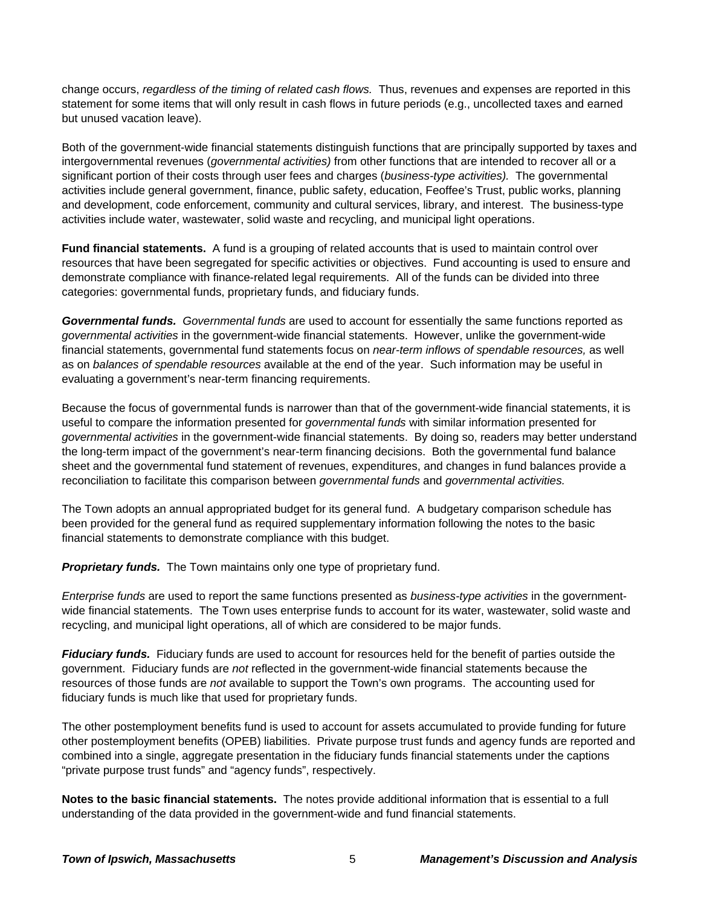change occurs, *regardless of the timing of related cash flows.* Thus, revenues and expenses are reported in this statement for some items that will only result in cash flows in future periods (e.g., uncollected taxes and earned but unused vacation leave).

Both of the government-wide financial statements distinguish functions that are principally supported by taxes and intergovernmental revenues (*governmental activities)* from other functions that are intended to recover all or a significant portion of their costs through user fees and charges (*business-type activities).* The governmental activities include general government, finance, public safety, education, Feoffee's Trust, public works, planning and development, code enforcement, community and cultural services, library, and interest. The business-type activities include water, wastewater, solid waste and recycling, and municipal light operations.

**Fund financial statements.** A fund is a grouping of related accounts that is used to maintain control over resources that have been segregated for specific activities or objectives. Fund accounting is used to ensure and demonstrate compliance with finance-related legal requirements. All of the funds can be divided into three categories: governmental funds, proprietary funds, and fiduciary funds.

*Governmental funds. Governmental funds* are used to account for essentially the same functions reported as *governmental activities* in the government-wide financial statements. However, unlike the government-wide financial statements, governmental fund statements focus on *near-term inflows of spendable resources,* as well as on *balances of spendable resources* available at the end of the year. Such information may be useful in evaluating a government's near-term financing requirements.

Because the focus of governmental funds is narrower than that of the government-wide financial statements, it is useful to compare the information presented for *governmental funds* with similar information presented for *governmental activities* in the government-wide financial statements. By doing so, readers may better understand the long-term impact of the government's near-term financing decisions. Both the governmental fund balance sheet and the governmental fund statement of revenues, expenditures, and changes in fund balances provide a reconciliation to facilitate this comparison between *governmental funds* and *governmental activities.*

The Town adopts an annual appropriated budget for its general fund. A budgetary comparison schedule has been provided for the general fund as required supplementary information following the notes to the basic financial statements to demonstrate compliance with this budget.

*Proprietary funds.* The Town maintains only one type of proprietary fund.

*Enterprise funds* are used to report the same functions presented as *business-type activities* in the governmentwide financial statements. The Town uses enterprise funds to account for its water, wastewater, solid waste and recycling, and municipal light operations, all of which are considered to be major funds.

*Fiduciary funds.* Fiduciary funds are used to account for resources held for the benefit of parties outside the government. Fiduciary funds are *not* reflected in the government-wide financial statements because the resources of those funds are *not* available to support the Town's own programs. The accounting used for fiduciary funds is much like that used for proprietary funds.

The other postemployment benefits fund is used to account for assets accumulated to provide funding for future other postemployment benefits (OPEB) liabilities. Private purpose trust funds and agency funds are reported and combined into a single, aggregate presentation in the fiduciary funds financial statements under the captions "private purpose trust funds" and "agency funds", respectively.

**Notes to the basic financial statements.** The notes provide additional information that is essential to a full understanding of the data provided in the government-wide and fund financial statements.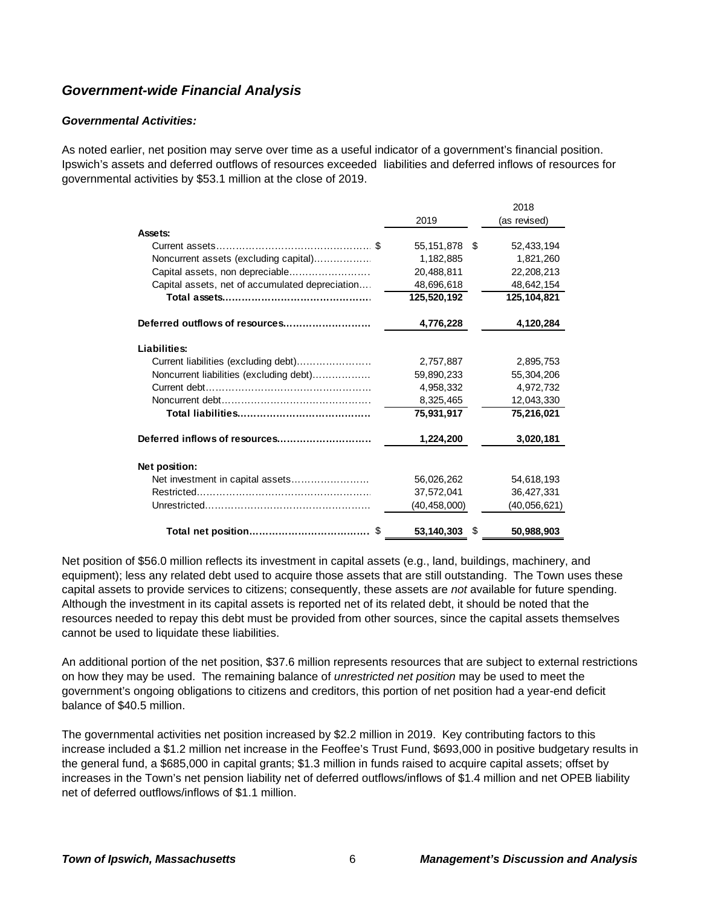# *Government-wide Financial Analysis*

#### *Governmental Activities:*

As noted earlier, net position may serve over time as a useful indicator of a government's financial position. Ipswich's assets and deferred outflows of resources exceeded liabilities and deferred inflows of resources for governmental activities by \$53.1 million at the close of 2019.

|                                                 |                |      | 2018         |
|-------------------------------------------------|----------------|------|--------------|
|                                                 | 2019           |      | (as revised) |
| Assets:                                         |                |      |              |
|                                                 | 55, 151, 878   | - \$ | 52,433,194   |
| Noncurrent assets (excluding capital)           | 1,182,885      |      | 1,821,260    |
| Capital assets, non depreciable                 | 20,488,811     |      | 22,208,213   |
| Capital assets, net of accumulated depreciation | 48,696,618     |      | 48,642,154   |
|                                                 | 125,520,192    |      | 125,104,821  |
| Deferred outflows of resources                  | 4,776,228      |      | 4,120,284    |
| Liabilities:                                    |                |      |              |
| Current liabilities (excluding debt)            | 2,757,887      |      | 2,895,753    |
| Noncurrent liabilities (excluding debt)         | 59,890,233     |      | 55,304,206   |
|                                                 | 4,958,332      |      | 4,972,732    |
|                                                 | 8,325,465      |      | 12,043,330   |
|                                                 | 75,931,917     |      | 75,216,021   |
|                                                 | 1,224,200      |      | 3,020,181    |
| Net position:                                   |                |      |              |
| Net investment in capital assets                | 56,026,262     |      | 54,618,193   |
|                                                 | 37,572,041     |      | 36,427,331   |
|                                                 | (40, 458, 000) |      | (40,056,621) |
| \$.                                             | 53,140,303     | \$.  | 50,988,903   |

Net position of \$56.0 million reflects its investment in capital assets (e.g., land, buildings, machinery, and equipment); less any related debt used to acquire those assets that are still outstanding. The Town uses these capital assets to provide services to citizens; consequently, these assets are *not* available for future spending. Although the investment in its capital assets is reported net of its related debt, it should be noted that the resources needed to repay this debt must be provided from other sources, since the capital assets themselves cannot be used to liquidate these liabilities.

An additional portion of the net position, \$37.6 million represents resources that are subject to external restrictions on how they may be used. The remaining balance of *unrestricted net position* may be used to meet the government's ongoing obligations to citizens and creditors, this portion of net position had a year-end deficit balance of \$40.5 million.

The governmental activities net position increased by \$2.2 million in 2019. Key contributing factors to this increase included a \$1.2 million net increase in the Feoffee's Trust Fund, \$693,000 in positive budgetary results in the general fund, a \$685,000 in capital grants; \$1.3 million in funds raised to acquire capital assets; offset by increases in the Town's net pension liability net of deferred outflows/inflows of \$1.4 million and net OPEB liability net of deferred outflows/inflows of \$1.1 million.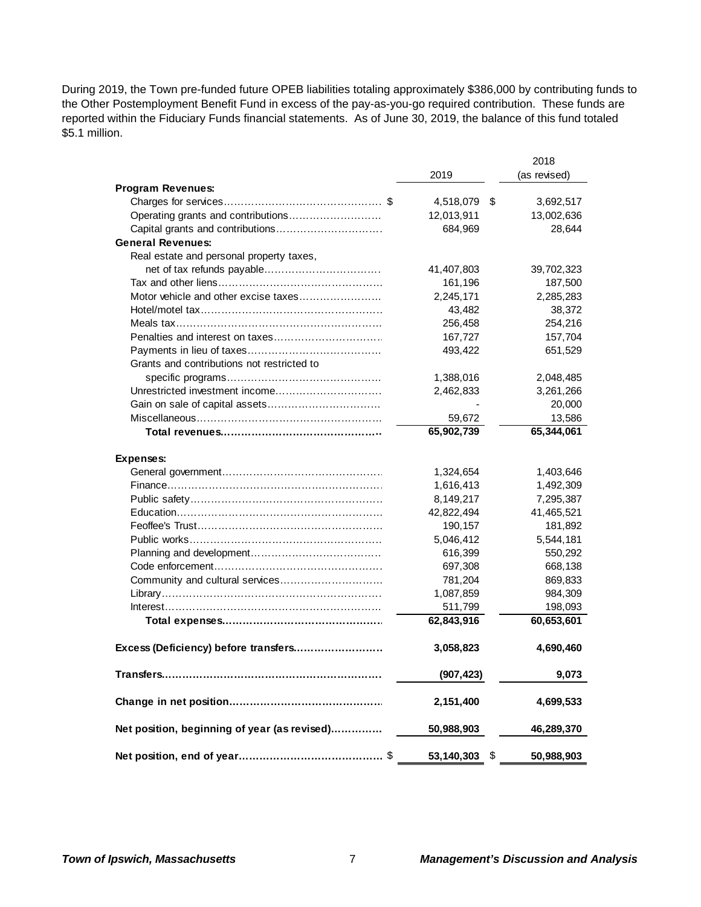During 2019, the Town pre-funded future OPEB liabilities totaling approximately \$386,000 by contributing funds to the Other Postemployment Benefit Fund in excess of the pay-as-you-go required contribution. These funds are reported within the Fiduciary Funds financial statements. As of June 30, 2019, the balance of this fund totaled \$5.1 million.

|                                              |               | 2018            |
|----------------------------------------------|---------------|-----------------|
|                                              | 2019          | (as revised)    |
| <b>Program Revenues:</b>                     |               |                 |
|                                              | 4,518,079     | 3,692,517<br>\$ |
| Operating grants and contributions           | 12,013,911    | 13,002,636      |
|                                              | 684,969       | 28,644          |
| <b>General Revenues:</b>                     |               |                 |
| Real estate and personal property taxes,     |               |                 |
|                                              | 41,407,803    | 39,702,323      |
|                                              | 161,196       | 187,500         |
| Motor vehicle and other excise taxes         | 2,245,171     | 2,285,283       |
|                                              | 43,482        | 38,372          |
|                                              | 256,458       | 254,216         |
|                                              | 167,727       | 157,704         |
|                                              | 493,422       | 651,529         |
| Grants and contributions not restricted to   |               |                 |
|                                              | 1,388,016     | 2,048,485       |
|                                              | 2,462,833     | 3,261,266       |
|                                              |               | 20,000          |
|                                              | 59,672        | 13,586          |
|                                              | 65,902,739    | 65,344,061      |
|                                              |               |                 |
| Expenses:                                    |               |                 |
|                                              | 1,324,654     | 1,403,646       |
|                                              | 1,616,413     | 1,492,309       |
|                                              | 8,149,217     | 7,295,387       |
|                                              | 42,822,494    | 41,465,521      |
|                                              | 190,157       | 181,892         |
|                                              | 5,046,412     | 5,544,181       |
|                                              | 616,399       | 550,292         |
|                                              | 697,308       | 668,138         |
| Community and cultural services              | 781,204       | 869,833         |
|                                              | 1,087,859     | 984,309         |
|                                              | 511,799       | 198,093         |
|                                              | 62,843,916    | 60,653,601      |
| Excess (Deficiency) before transfers         | 3,058,823     | 4,690,460       |
|                                              | (907, 423)    | 9,073           |
|                                              | 2,151,400     | 4,699,533       |
| Net position, beginning of year (as revised) | 50,988,903    | 46,289,370      |
|                                              | 53,140,303 \$ | 50,988,903      |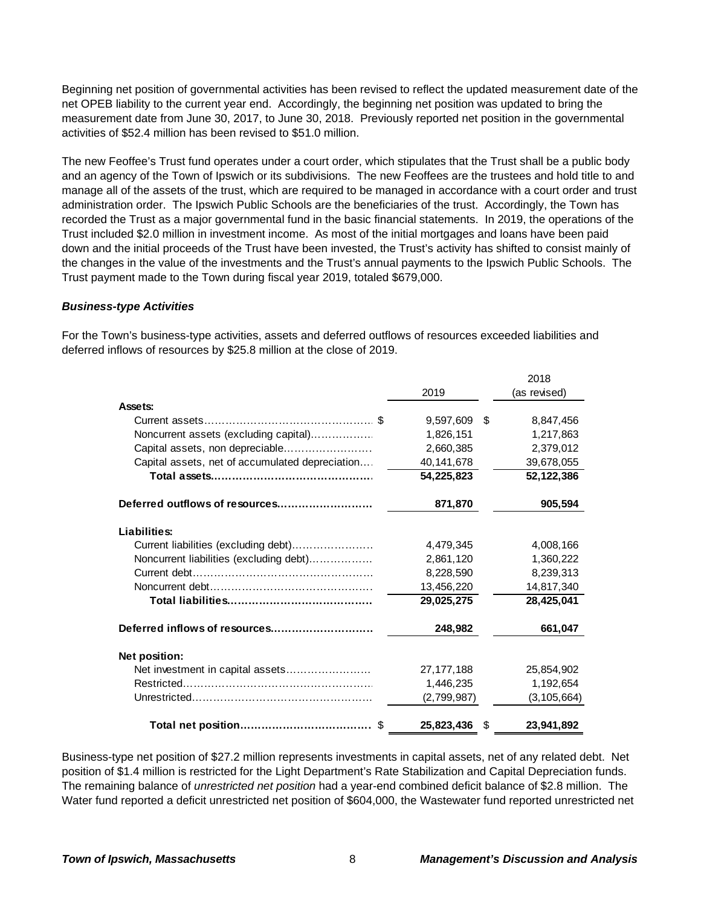Beginning net position of governmental activities has been revised to reflect the updated measurement date of the net OPEB liability to the current year end. Accordingly, the beginning net position was updated to bring the measurement date from June 30, 2017, to June 30, 2018. Previously reported net position in the governmental activities of \$52.4 million has been revised to \$51.0 million.

The new Feoffee's Trust fund operates under a court order, which stipulates that the Trust shall be a public body and an agency of the Town of Ipswich or its subdivisions. The new Feoffees are the trustees and hold title to and manage all of the assets of the trust, which are required to be managed in accordance with a court order and trust administration order. The Ipswich Public Schools are the beneficiaries of the trust. Accordingly, the Town has recorded the Trust as a major governmental fund in the basic financial statements. In 2019, the operations of the Trust included \$2.0 million in investment income. As most of the initial mortgages and loans have been paid down and the initial proceeds of the Trust have been invested, the Trust's activity has shifted to consist mainly of the changes in the value of the investments and the Trust's annual payments to the Ipswich Public Schools. The Trust payment made to the Town during fiscal year 2019, totaled \$679,000.

#### *Business-type Activities*

For the Town's business-type activities, assets and deferred outflows of resources exceeded liabilities and deferred inflows of resources by \$25.8 million at the close of 2019.

|                                                 |              |    | 2010          |
|-------------------------------------------------|--------------|----|---------------|
|                                                 | 2019         |    | (as revised)  |
| <b>Assets:</b>                                  |              |    |               |
|                                                 | 9,597,609    | \$ | 8,847,456     |
| Noncurrent assets (excluding capital)           | 1,826,151    |    | 1,217,863     |
| Capital assets, non depreciable                 | 2,660,385    |    | 2,379,012     |
| Capital assets, net of accumulated depreciation | 40,141,678   |    | 39,678,055    |
|                                                 | 54,225,823   |    | 52,122,386    |
| Deferred outflows of resources                  | 871,870      |    | 905,594       |
| Liabilities:                                    |              |    |               |
| Current liabilities (excluding debt)            | 4,479,345    |    | 4,008,166     |
| Noncurrent liabilities (excluding debt)         | 2,861,120    |    | 1,360,222     |
|                                                 | 8,228,590    |    | 8,239,313     |
|                                                 | 13,456,220   |    | 14,817,340    |
|                                                 | 29,025,275   |    | 28,425,041    |
|                                                 | 248,982      |    | 661,047       |
| Net position:                                   |              |    |               |
| Net investment in capital assets                | 27, 177, 188 |    | 25,854,902    |
|                                                 | 1,446,235    |    | 1,192,654     |
|                                                 | (2,799,987)  |    | (3, 105, 664) |
| \$                                              | 25,823,436   | S  | 23,941,892    |

Business-type net position of \$27.2 million represents investments in capital assets, net of any related debt. Net position of \$1.4 million is restricted for the Light Department's Rate Stabilization and Capital Depreciation funds. The remaining balance of *unrestricted net position* had a year-end combined deficit balance of \$2.8 million. The Water fund reported a deficit unrestricted net position of \$604,000, the Wastewater fund reported unrestricted net

 $2010$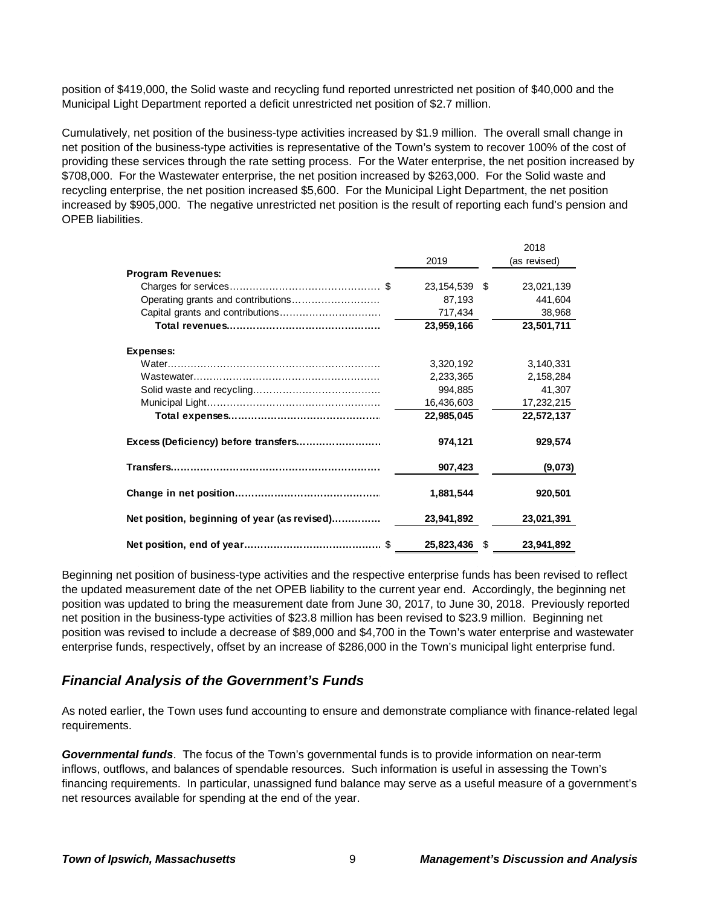position of \$419,000, the Solid waste and recycling fund reported unrestricted net position of \$40,000 and the Municipal Light Department reported a deficit unrestricted net position of \$2.7 million.

Cumulatively, net position of the business-type activities increased by \$1.9 million. The overall small change in net position of the business-type activities is representative of the Town's system to recover 100% of the cost of providing these services through the rate setting process. For the Water enterprise, the net position increased by \$708,000. For the Wastewater enterprise, the net position increased by \$263,000. For the Solid waste and recycling enterprise, the net position increased \$5,600. For the Municipal Light Department, the net position increased by \$905,000. The negative unrestricted net position is the result of reporting each fund's pension and OPEB liabilities.

|                                              |               |      | 2018         |
|----------------------------------------------|---------------|------|--------------|
|                                              | 2019          |      | (as revised) |
| <b>Program Revenues:</b>                     |               |      |              |
|                                              | 23, 154, 539  | - \$ | 23,021,139   |
|                                              | 87,193        |      | 441,604      |
|                                              | 717,434       |      | 38,968       |
|                                              | 23,959,166    |      | 23,501,711   |
| Expenses:                                    |               |      |              |
|                                              | 3,320,192     |      | 3,140,331    |
|                                              | 2.233.365     |      | 2,158,284    |
|                                              | 994,885       |      | 41,307       |
|                                              | 16,436,603    |      | 17,232,215   |
|                                              | 22,985,045    |      | 22,572,137   |
|                                              | 974,121       |      | 929,574      |
|                                              | 907,423       |      | (9,073)      |
|                                              | 1,881,544     |      | 920,501      |
| Net position, beginning of year (as revised) | 23,941,892    |      | 23,021,391   |
|                                              | 25,823,436 \$ |      | 23,941,892   |

Beginning net position of business-type activities and the respective enterprise funds has been revised to reflect the updated measurement date of the net OPEB liability to the current year end. Accordingly, the beginning net position was updated to bring the measurement date from June 30, 2017, to June 30, 2018. Previously reported net position in the business-type activities of \$23.8 million has been revised to \$23.9 million. Beginning net position was revised to include a decrease of \$89,000 and \$4,700 in the Town's water enterprise and wastewater enterprise funds, respectively, offset by an increase of \$286,000 in the Town's municipal light enterprise fund.

# *Financial Analysis of the Government's Funds*

As noted earlier, the Town uses fund accounting to ensure and demonstrate compliance with finance-related legal requirements.

*Governmental funds*. The focus of the Town's governmental funds is to provide information on near-term inflows, outflows, and balances of spendable resources. Such information is useful in assessing the Town's financing requirements. In particular, unassigned fund balance may serve as a useful measure of a government's net resources available for spending at the end of the year.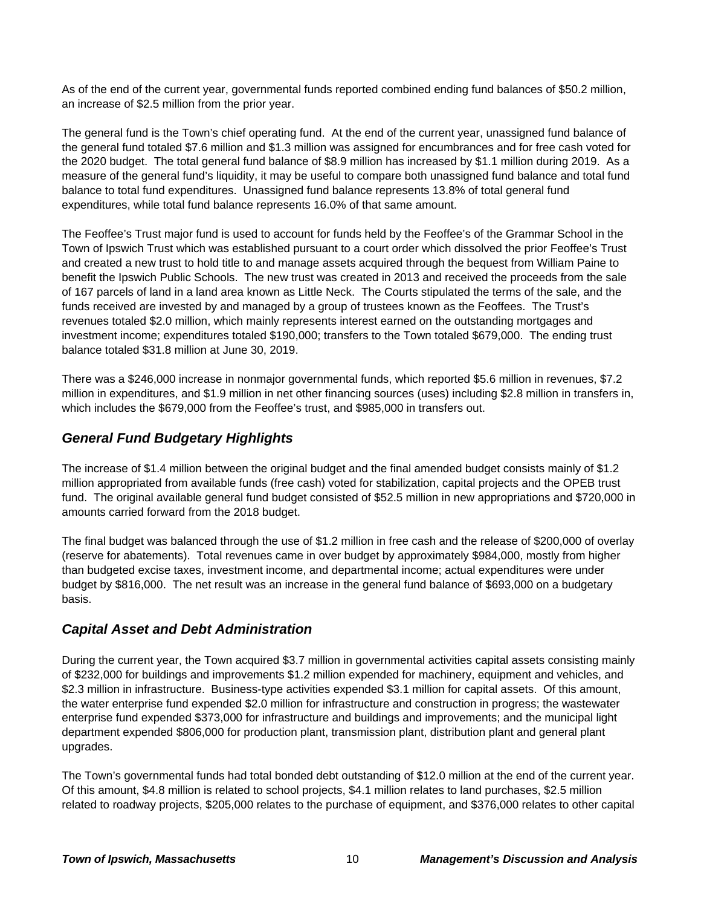As of the end of the current year, governmental funds reported combined ending fund balances of \$50.2 million, an increase of \$2.5 million from the prior year.

The general fund is the Town's chief operating fund. At the end of the current year, unassigned fund balance of the general fund totaled \$7.6 million and \$1.3 million was assigned for encumbrances and for free cash voted for the 2020 budget. The total general fund balance of \$8.9 million has increased by \$1.1 million during 2019. As a measure of the general fund's liquidity, it may be useful to compare both unassigned fund balance and total fund balance to total fund expenditures. Unassigned fund balance represents 13.8% of total general fund expenditures, while total fund balance represents 16.0% of that same amount.

The Feoffee's Trust major fund is used to account for funds held by the Feoffee's of the Grammar School in the Town of Ipswich Trust which was established pursuant to a court order which dissolved the prior Feoffee's Trust and created a new trust to hold title to and manage assets acquired through the bequest from William Paine to benefit the Ipswich Public Schools. The new trust was created in 2013 and received the proceeds from the sale of 167 parcels of land in a land area known as Little Neck. The Courts stipulated the terms of the sale, and the funds received are invested by and managed by a group of trustees known as the Feoffees. The Trust's revenues totaled \$2.0 million, which mainly represents interest earned on the outstanding mortgages and investment income; expenditures totaled \$190,000; transfers to the Town totaled \$679,000. The ending trust balance totaled \$31.8 million at June 30, 2019.

There was a \$246,000 increase in nonmajor governmental funds, which reported \$5.6 million in revenues, \$7.2 million in expenditures, and \$1.9 million in net other financing sources (uses) including \$2.8 million in transfers in, which includes the \$679,000 from the Feoffee's trust, and \$985,000 in transfers out.

# *General Fund Budgetary Highlights*

The increase of \$1.4 million between the original budget and the final amended budget consists mainly of \$1.2 million appropriated from available funds (free cash) voted for stabilization, capital projects and the OPEB trust fund. The original available general fund budget consisted of \$52.5 million in new appropriations and \$720,000 in amounts carried forward from the 2018 budget.

The final budget was balanced through the use of \$1.2 million in free cash and the release of \$200,000 of overlay (reserve for abatements). Total revenues came in over budget by approximately \$984,000, mostly from higher than budgeted excise taxes, investment income, and departmental income; actual expenditures were under budget by \$816,000. The net result was an increase in the general fund balance of \$693,000 on a budgetary basis.

# *Capital Asset and Debt Administration*

During the current year, the Town acquired \$3.7 million in governmental activities capital assets consisting mainly of \$232,000 for buildings and improvements \$1.2 million expended for machinery, equipment and vehicles, and \$2.3 million in infrastructure. Business-type activities expended \$3.1 million for capital assets. Of this amount, the water enterprise fund expended \$2.0 million for infrastructure and construction in progress; the wastewater enterprise fund expended \$373,000 for infrastructure and buildings and improvements; and the municipal light department expended \$806,000 for production plant, transmission plant, distribution plant and general plant upgrades.

The Town's governmental funds had total bonded debt outstanding of \$12.0 million at the end of the current year. Of this amount, \$4.8 million is related to school projects, \$4.1 million relates to land purchases, \$2.5 million related to roadway projects, \$205,000 relates to the purchase of equipment, and \$376,000 relates to other capital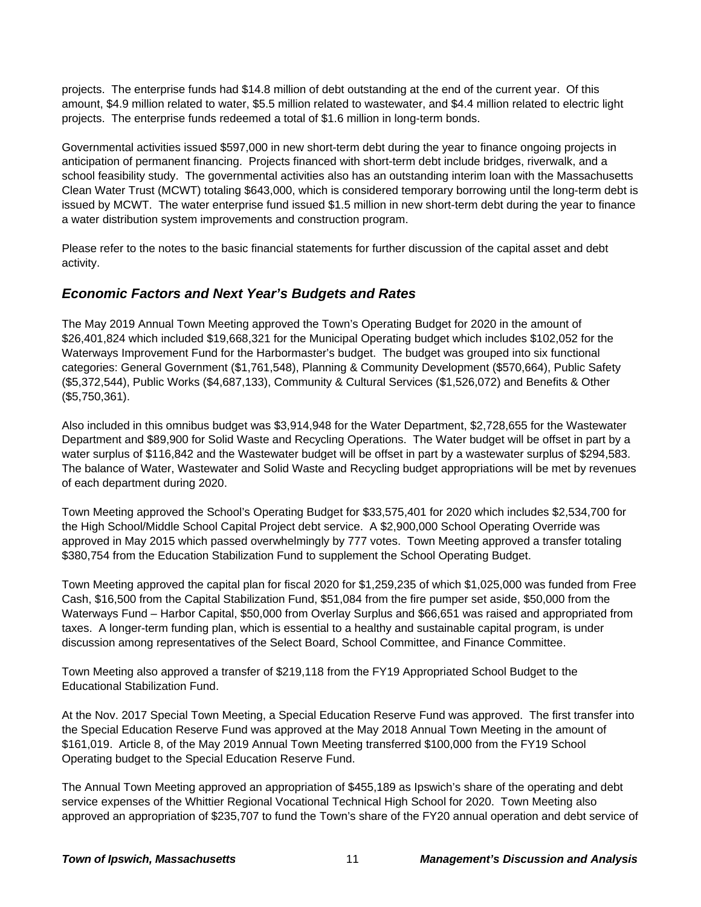projects. The enterprise funds had \$14.8 million of debt outstanding at the end of the current year. Of this amount, \$4.9 million related to water, \$5.5 million related to wastewater, and \$4.4 million related to electric light projects. The enterprise funds redeemed a total of \$1.6 million in long-term bonds.

Governmental activities issued \$597,000 in new short-term debt during the year to finance ongoing projects in anticipation of permanent financing. Projects financed with short-term debt include bridges, riverwalk, and a school feasibility study. The governmental activities also has an outstanding interim loan with the Massachusetts Clean Water Trust (MCWT) totaling \$643,000, which is considered temporary borrowing until the long-term debt is issued by MCWT. The water enterprise fund issued \$1.5 million in new short-term debt during the year to finance a water distribution system improvements and construction program.

Please refer to the notes to the basic financial statements for further discussion of the capital asset and debt activity.

# *Economic Factors and Next Year's Budgets and Rates*

The May 2019 Annual Town Meeting approved the Town's Operating Budget for 2020 in the amount of \$26,401,824 which included \$19,668,321 for the Municipal Operating budget which includes \$102,052 for the Waterways Improvement Fund for the Harbormaster's budget. The budget was grouped into six functional categories: General Government (\$1,761,548), Planning & Community Development (\$570,664), Public Safety (\$5,372,544), Public Works (\$4,687,133), Community & Cultural Services (\$1,526,072) and Benefits & Other (\$5,750,361).

Also included in this omnibus budget was \$3,914,948 for the Water Department, \$2,728,655 for the Wastewater Department and \$89,900 for Solid Waste and Recycling Operations. The Water budget will be offset in part by a water surplus of \$116,842 and the Wastewater budget will be offset in part by a wastewater surplus of \$294,583. The balance of Water, Wastewater and Solid Waste and Recycling budget appropriations will be met by revenues of each department during 2020.

Town Meeting approved the School's Operating Budget for \$33,575,401 for 2020 which includes \$2,534,700 for the High School/Middle School Capital Project debt service. A \$2,900,000 School Operating Override was approved in May 2015 which passed overwhelmingly by 777 votes. Town Meeting approved a transfer totaling \$380,754 from the Education Stabilization Fund to supplement the School Operating Budget.

Town Meeting approved the capital plan for fiscal 2020 for \$1,259,235 of which \$1,025,000 was funded from Free Cash, \$16,500 from the Capital Stabilization Fund, \$51,084 from the fire pumper set aside, \$50,000 from the Waterways Fund – Harbor Capital, \$50,000 from Overlay Surplus and \$66,651 was raised and appropriated from taxes. A longer-term funding plan, which is essential to a healthy and sustainable capital program, is under discussion among representatives of the Select Board, School Committee, and Finance Committee.

Town Meeting also approved a transfer of \$219,118 from the FY19 Appropriated School Budget to the Educational Stabilization Fund.

At the Nov. 2017 Special Town Meeting, a Special Education Reserve Fund was approved. The first transfer into the Special Education Reserve Fund was approved at the May 2018 Annual Town Meeting in the amount of \$161,019. Article 8, of the May 2019 Annual Town Meeting transferred \$100,000 from the FY19 School Operating budget to the Special Education Reserve Fund.

The Annual Town Meeting approved an appropriation of \$455,189 as Ipswich's share of the operating and debt service expenses of the Whittier Regional Vocational Technical High School for 2020. Town Meeting also approved an appropriation of \$235,707 to fund the Town's share of the FY20 annual operation and debt service of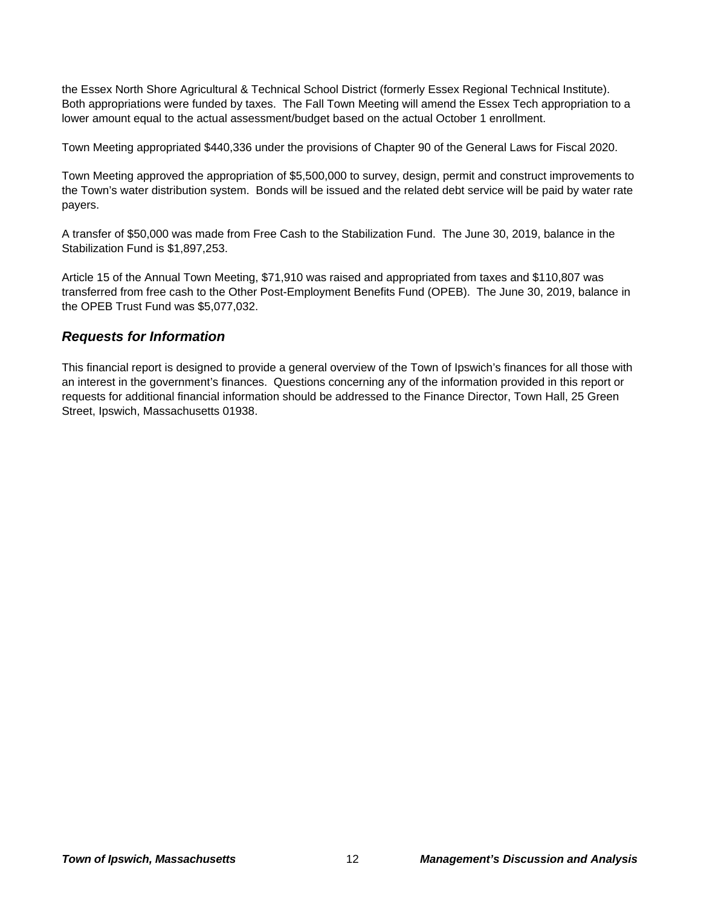the Essex North Shore Agricultural & Technical School District (formerly Essex Regional Technical Institute). Both appropriations were funded by taxes. The Fall Town Meeting will amend the Essex Tech appropriation to a lower amount equal to the actual assessment/budget based on the actual October 1 enrollment.

Town Meeting appropriated \$440,336 under the provisions of Chapter 90 of the General Laws for Fiscal 2020.

Town Meeting approved the appropriation of \$5,500,000 to survey, design, permit and construct improvements to the Town's water distribution system. Bonds will be issued and the related debt service will be paid by water rate payers.

A transfer of \$50,000 was made from Free Cash to the Stabilization Fund. The June 30, 2019, balance in the Stabilization Fund is \$1,897,253.

Article 15 of the Annual Town Meeting, \$71,910 was raised and appropriated from taxes and \$110,807 was transferred from free cash to the Other Post-Employment Benefits Fund (OPEB). The June 30, 2019, balance in the OPEB Trust Fund was \$5,077,032.

# *Requests for Information*

This financial report is designed to provide a general overview of the Town of Ipswich's finances for all those with an interest in the government's finances. Questions concerning any of the information provided in this report or requests for additional financial information should be addressed to the Finance Director, Town Hall, 25 Green Street, Ipswich, Massachusetts 01938.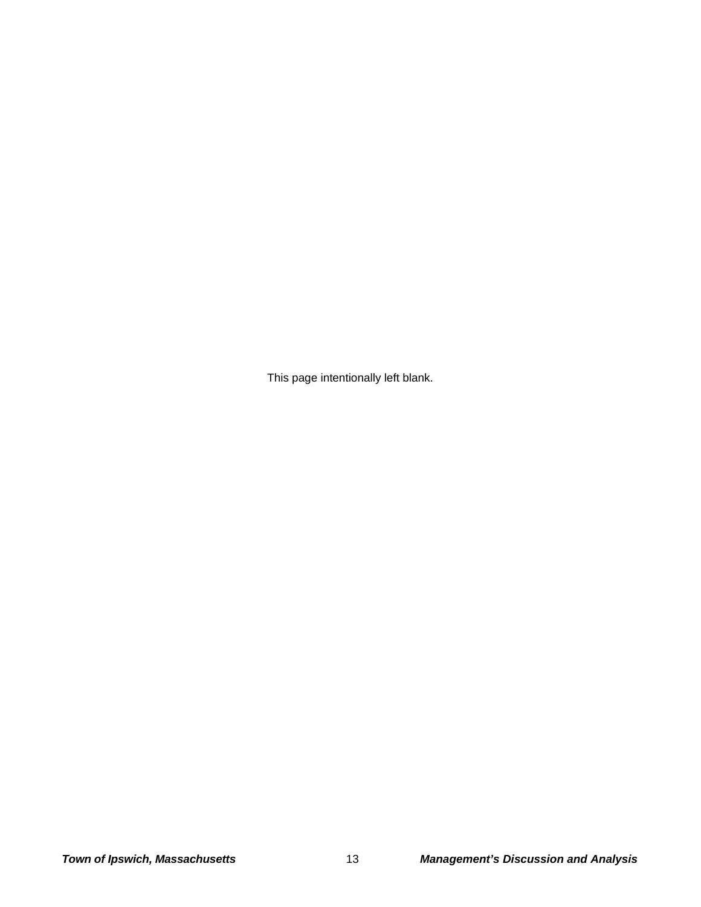This page intentionally left blank.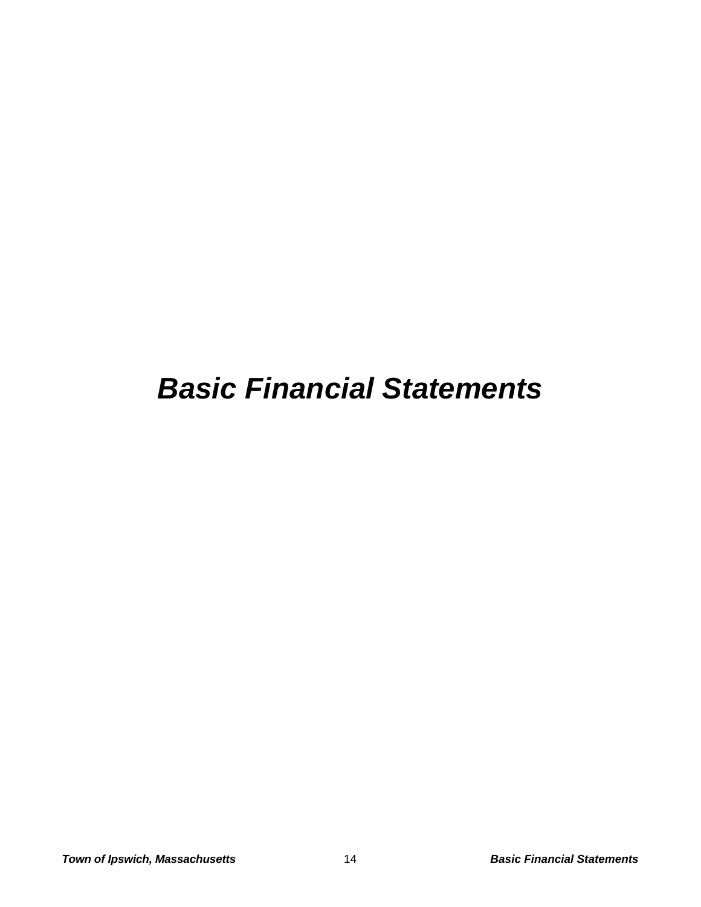# *Basic Financial Statements*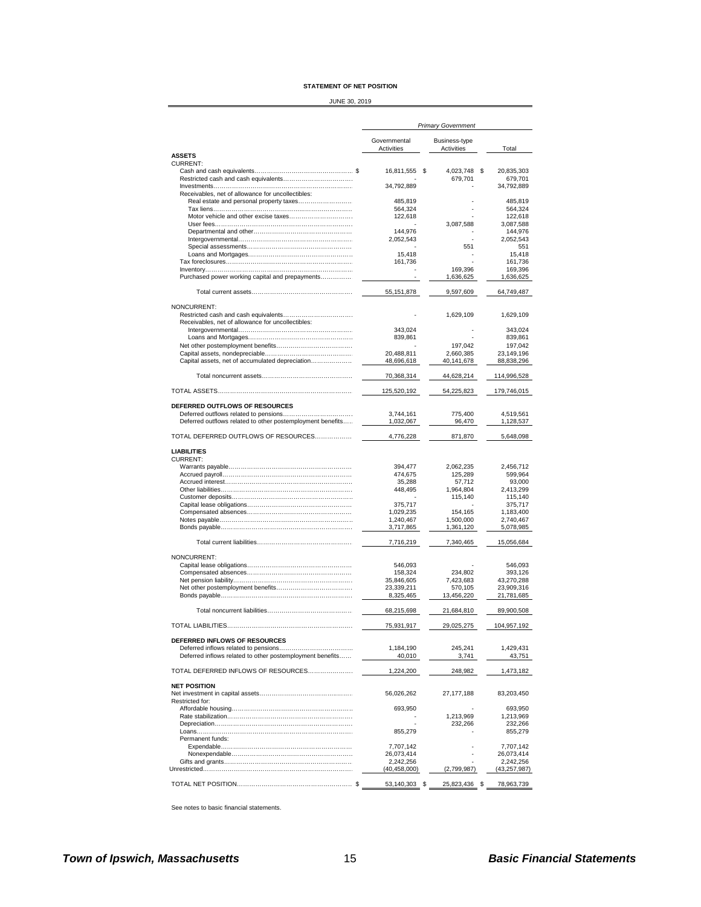#### **STATEMENT OF NET POSITION**

JUNE 30, 2019

|                                                            | Primary Government         |                             |                          |  |  |
|------------------------------------------------------------|----------------------------|-----------------------------|--------------------------|--|--|
|                                                            | Governmental<br>Activities | Business-type<br>Activities | Total                    |  |  |
| <b>ASSETS</b><br><b>CURRENT:</b>                           |                            |                             |                          |  |  |
|                                                            | 16,811,555 \$              | 4,023,748                   | -S<br>20,835,303         |  |  |
|                                                            | 34,792,889                 | 679,701                     | 679,701<br>34,792,889    |  |  |
| Receivables, net of allowance for uncollectibles:          |                            |                             |                          |  |  |
|                                                            | 485,819                    |                             | 485,819                  |  |  |
|                                                            | 564,324<br>122,618         |                             | 564,324<br>122,618       |  |  |
|                                                            |                            | 3,087,588                   | 3,087,588                |  |  |
|                                                            | 144.976                    |                             | 144,976                  |  |  |
|                                                            | 2,052,543                  | 551                         | 2,052,543<br>551         |  |  |
|                                                            | 15.418                     |                             | 15,418                   |  |  |
|                                                            | 161,736                    |                             | 161,736                  |  |  |
| Purchased power working capital and prepayments            | $\overline{\phantom{a}}$   | 169,396<br>1,636,625        | 169,396<br>1,636,625     |  |  |
|                                                            |                            |                             |                          |  |  |
|                                                            | 55, 151, 878               | 9,597,609                   | 64,749,487               |  |  |
| NONCURRENT:                                                |                            |                             |                          |  |  |
| Receivables, net of allowance for uncollectibles:          |                            | 1,629,109                   | 1,629,109                |  |  |
|                                                            | 343,024                    |                             | 343,024                  |  |  |
|                                                            | 839,861                    |                             | 839,861                  |  |  |
|                                                            | 20,488,811                 | 197,042<br>2,660,385        | 197,042<br>23,149,196    |  |  |
| Capital assets, net of accumulated depreciation            | 48,696,618                 | 40,141,678                  | 88,838,296               |  |  |
|                                                            | 70,368,314                 | 44,628,214                  | 114,996,528              |  |  |
|                                                            | 125,520,192                | 54,225,823                  | 179,746,015              |  |  |
| DEFERRED OUTFLOWS OF RESOURCES                             |                            |                             |                          |  |  |
|                                                            | 3,744,161                  | 775,400                     | 4,519,561                |  |  |
| Deferred outflows related to other postemployment benefits | 1,032,067                  | 96,470                      | 1,128,537                |  |  |
| TOTAL DEFERRED OUTFLOWS OF RESOURCES                       | 4,776,228                  | 871,870                     | 5,648,098                |  |  |
|                                                            |                            |                             |                          |  |  |
| <b>LIABILITIES</b><br><b>CURRENT:</b>                      |                            |                             |                          |  |  |
|                                                            | 394,477                    | 2,062,235                   | 2,456,712                |  |  |
|                                                            | 474,675                    | 125,289                     | 599,964                  |  |  |
|                                                            | 35,288<br>448,495          | 57,712<br>1,964,804         | 93,000<br>2,413,299      |  |  |
|                                                            |                            | 115,140                     | 115,140                  |  |  |
|                                                            | 375,717                    |                             | 375,717                  |  |  |
|                                                            | 1,029,235<br>1,240,467     | 154,165<br>1,500,000        | 1,183,400<br>2,740,467   |  |  |
|                                                            | 3,717,865                  | 1,361,120                   | 5,078,985                |  |  |
|                                                            | 7,716,219                  | 7,340,465                   | 15,056,684               |  |  |
| NONCURRENT:                                                |                            |                             |                          |  |  |
|                                                            | 546,093                    |                             | 546,093                  |  |  |
|                                                            | 158,324                    | 234,802                     | 393,126                  |  |  |
|                                                            | 35,846,605<br>23,339,211   | 7,423,683<br>570,105        | 43,270,288<br>23,909,316 |  |  |
|                                                            | 8,325,465                  | 13,456,220                  | 21,781,685               |  |  |
|                                                            | 68,215,698                 | 21,684,810                  | 89,900,508               |  |  |
|                                                            | 75,931,917                 | 29,025,275                  | 104,957,192              |  |  |
|                                                            |                            |                             |                          |  |  |
| DEFERRED INFLOWS OF RESOURCES                              | 1,184,190                  | 245,241                     | 1,429,431                |  |  |
| Deferred inflows related to other postemployment benefits  | 40,010                     | 3,741                       | 43,751                   |  |  |
| TOTAL DEFERRED INFLOWS OF RESOURCES                        | 1,224,200                  | 248,982                     | 1,473,182                |  |  |
| <b>NET POSITION</b>                                        |                            |                             |                          |  |  |
|                                                            | 56,026,262                 | 27,177,188                  | 83,203,450               |  |  |
| Restricted for:                                            | 693.950                    |                             | 693,950                  |  |  |
|                                                            |                            | 1,213,969                   | 1,213,969                |  |  |
|                                                            |                            | 232,266                     | 232,266                  |  |  |
| Permanent funds:                                           | 855,279                    |                             | 855,279                  |  |  |
|                                                            | 7,707,142                  |                             | 7,707,142                |  |  |
|                                                            | 26,073,414                 |                             | 26,073,414               |  |  |
|                                                            | 2,242,256                  |                             | 2,242,256                |  |  |
|                                                            | (40, 458, 000)             | (2,799,987)                 | (43,257,987)             |  |  |
|                                                            | 53,140,303 \$              | 25,823,436                  | 78,963,739               |  |  |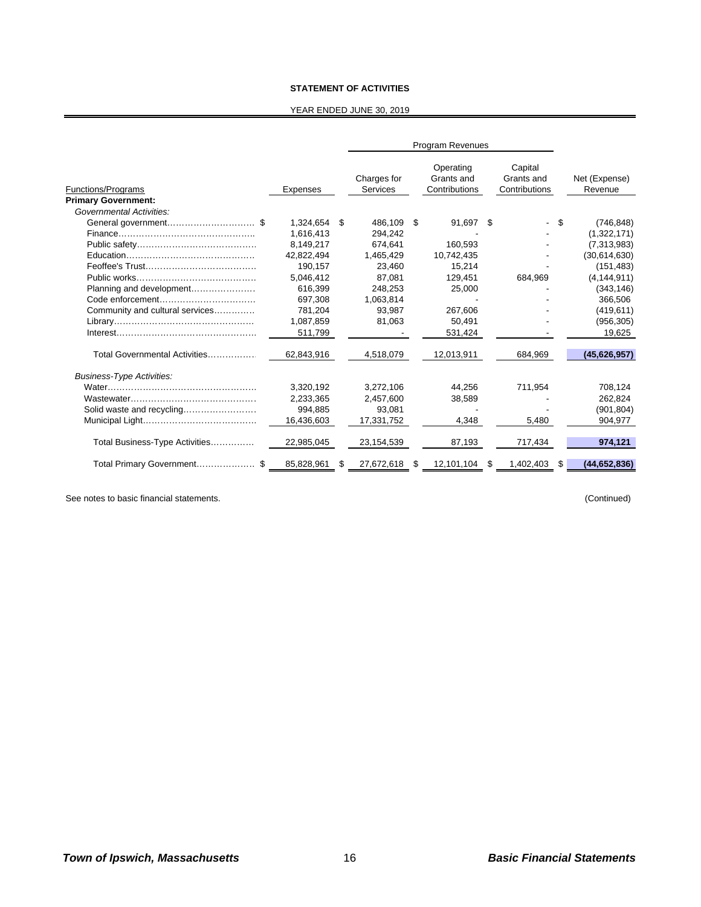#### **STATEMENT OF ACTIVITIES**

#### YEAR ENDED JUNE 30, 2019

|                                  |            | <b>Program Revenues</b> |                         |      |                                          |    |                                        |                          |
|----------------------------------|------------|-------------------------|-------------------------|------|------------------------------------------|----|----------------------------------------|--------------------------|
| Functions/Programs               | Expenses   |                         | Charges for<br>Services |      | Operating<br>Grants and<br>Contributions |    | Capital<br>Grants and<br>Contributions | Net (Expense)<br>Revenue |
| <b>Primary Government:</b>       |            |                         |                         |      |                                          |    |                                        |                          |
| Governmental Activities:         |            |                         |                         |      |                                          |    |                                        |                          |
| General government\$             | 1,324,654  | \$                      | 486.109                 | - \$ | 91,697 \$                                |    |                                        | \$<br>(746, 848)         |
|                                  | 1,616,413  |                         | 294.242                 |      |                                          |    |                                        | (1,322,171)              |
|                                  | 8.149.217  |                         | 674.641                 |      | 160.593                                  |    |                                        | (7,313,983)              |
|                                  | 42,822,494 |                         | 1,465,429               |      | 10,742,435                               |    |                                        | (30,614,630)             |
|                                  | 190,157    |                         | 23.460                  |      | 15.214                                   |    |                                        | (151, 483)               |
|                                  | 5,046,412  |                         | 87,081                  |      | 129,451                                  |    | 684,969                                | (4, 144, 911)            |
| Planning and development         | 616,399    |                         | 248,253                 |      | 25,000                                   |    |                                        | (343, 146)               |
|                                  | 697,308    |                         | 1,063,814               |      |                                          |    |                                        | 366,506                  |
| Community and cultural services  | 781,204    |                         | 93,987                  |      | 267,606                                  |    |                                        | (419, 611)               |
|                                  | 1,087,859  |                         | 81,063                  |      | 50,491                                   |    |                                        | (956, 305)               |
|                                  | 511,799    |                         |                         |      | 531,424                                  |    |                                        | 19,625                   |
| Total Governmental Activities    | 62,843,916 |                         | 4,518,079               |      | 12,013,911                               |    | 684,969                                | (45, 626, 957)           |
| <b>Business-Type Activities:</b> |            |                         |                         |      |                                          |    |                                        |                          |
|                                  | 3,320,192  |                         | 3,272,106               |      | 44,256                                   |    | 711,954                                | 708,124                  |
|                                  | 2,233,365  |                         | 2,457,600               |      | 38,589                                   |    |                                        | 262,824                  |
| Solid waste and recycling        | 994,885    |                         | 93.081                  |      |                                          |    |                                        | (901, 804)               |
|                                  | 16,436,603 |                         | 17,331,752              |      | 4,348                                    |    | 5,480                                  | 904,977                  |
| Total Business-Type Activities   | 22,985,045 |                         | 23,154,539              |      | 87,193                                   |    | 717,434                                | 974,121                  |
| Total Primary Government\$       | 85,828,961 | S.                      | 27,672,618              | \$   | 12,101,104                               | \$ | 1,402,403                              | \$<br>(44, 652, 836)     |

See notes to basic financial statements. (Continued)  $(Continued)$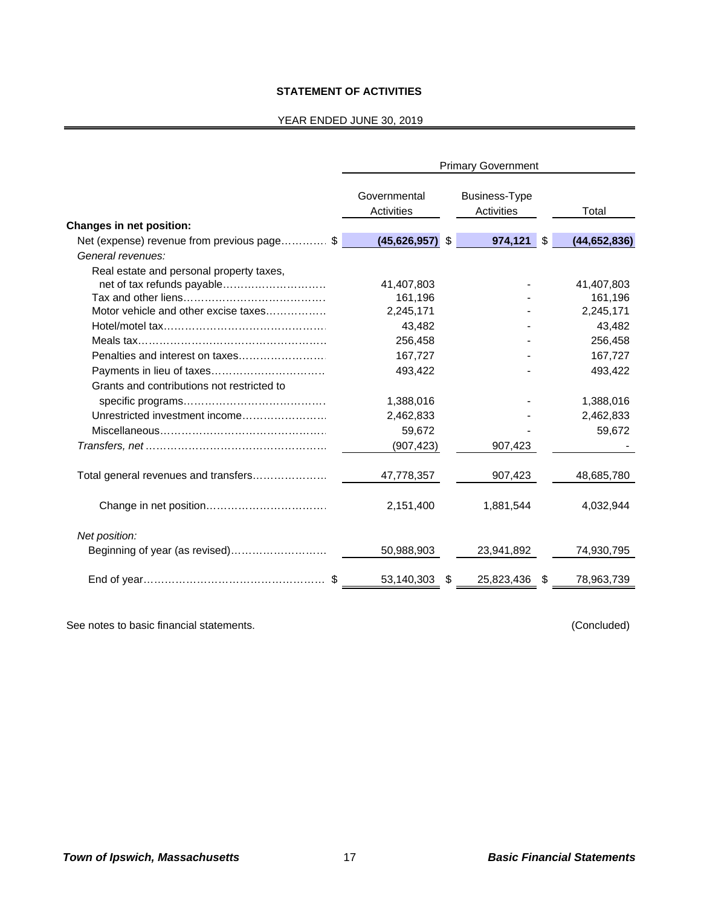#### **STATEMENT OF ACTIVITIES**

# YEAR ENDED JUNE 30, 2019

|                                            | <b>Primary Government</b>  |                                    |                |  |  |  |  |  |
|--------------------------------------------|----------------------------|------------------------------------|----------------|--|--|--|--|--|
|                                            | Governmental<br>Activities | <b>Business-Type</b><br>Activities | Total          |  |  |  |  |  |
| <b>Changes in net position:</b>            |                            |                                    |                |  |  |  |  |  |
| Net (expense) revenue from previous page\$ | $(45,626,957)$ \$          | 974,121<br>\$                      | (44, 652, 836) |  |  |  |  |  |
| General revenues:                          |                            |                                    |                |  |  |  |  |  |
| Real estate and personal property taxes,   |                            |                                    |                |  |  |  |  |  |
| net of tax refunds payable                 | 41,407,803                 |                                    | 41,407,803     |  |  |  |  |  |
|                                            | 161,196                    |                                    | 161,196        |  |  |  |  |  |
| Motor vehicle and other excise taxes       | 2,245,171                  |                                    | 2,245,171      |  |  |  |  |  |
|                                            | 43,482                     |                                    | 43,482         |  |  |  |  |  |
|                                            | 256,458                    |                                    | 256,458        |  |  |  |  |  |
|                                            | 167,727                    |                                    | 167,727        |  |  |  |  |  |
|                                            | 493,422                    |                                    | 493,422        |  |  |  |  |  |
| Grants and contributions not restricted to |                            |                                    |                |  |  |  |  |  |
|                                            | 1,388,016                  |                                    | 1,388,016      |  |  |  |  |  |
| Unrestricted investment income             | 2,462,833                  |                                    | 2,462,833      |  |  |  |  |  |
|                                            | 59,672                     |                                    | 59,672         |  |  |  |  |  |
|                                            | (907, 423)                 | 907,423                            |                |  |  |  |  |  |
| Total general revenues and transfers       | 47,778,357                 | 907,423                            | 48,685,780     |  |  |  |  |  |
|                                            | 2,151,400                  | 1,881,544                          | 4,032,944      |  |  |  |  |  |
| Net position:                              |                            |                                    |                |  |  |  |  |  |
|                                            | 50,988,903                 | 23,941,892                         | 74,930,795     |  |  |  |  |  |
|                                            | 53,140,303 \$              | 25,823,436 \$                      | 78,963,739     |  |  |  |  |  |

See notes to basic financial statements. **Example 20** (Concluded) (Concluded)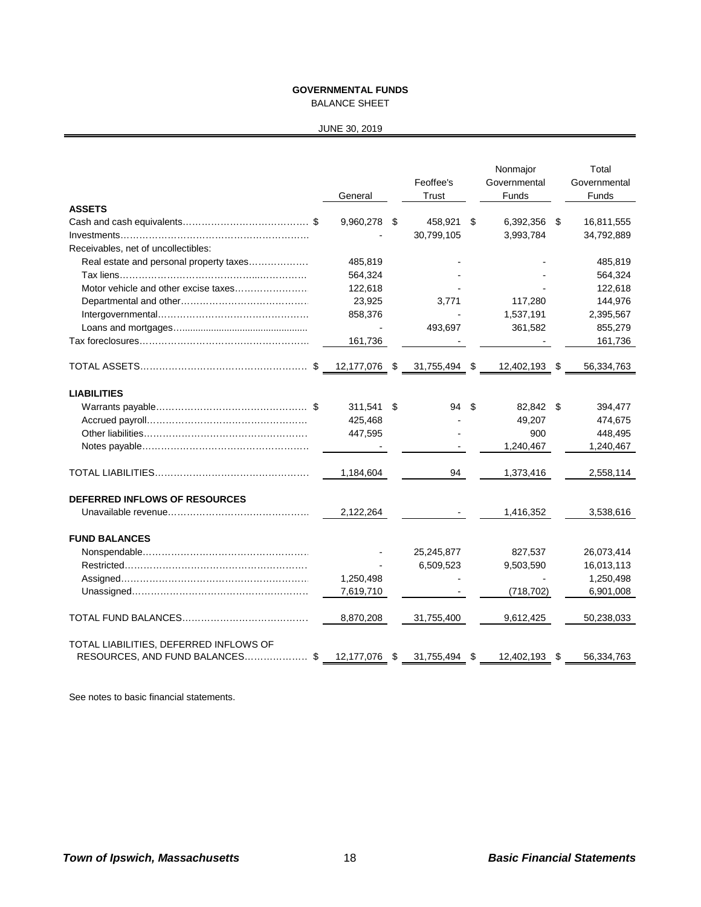#### **GOVERNMENTAL FUNDS** BALANCE SHEET

|                                         |               |     |               |      | Nonmajor      | Total            |
|-----------------------------------------|---------------|-----|---------------|------|---------------|------------------|
|                                         |               |     | Feoffee's     |      | Governmental  | Governmental     |
|                                         | General       |     | Trust         |      | Funds         | Funds            |
| <b>ASSETS</b>                           |               |     |               |      |               |                  |
|                                         | 9,960,278     | -\$ | 458,921       | -\$  | 6,392,356     | \$<br>16,811,555 |
|                                         |               |     | 30,799,105    |      | 3,993,784     | 34,792,889       |
| Receivables, net of uncollectibles:     |               |     |               |      |               |                  |
| Real estate and personal property taxes | 485,819       |     |               |      |               | 485,819          |
|                                         | 564,324       |     |               |      |               | 564,324          |
| Motor vehicle and other excise taxes    | 122,618       |     |               |      |               | 122,618          |
|                                         | 23,925        |     | 3,771         |      | 117,280       | 144,976          |
|                                         | 858,376       |     |               |      | 1,537,191     | 2,395,567        |
|                                         |               |     | 493,697       |      | 361,582       | 855,279          |
|                                         | 161,736       |     |               |      |               | 161,736          |
|                                         | 12,177,076 \$ |     | 31,755,494 \$ |      | 12,402,193 \$ | 56,334,763       |
| <b>LIABILITIES</b>                      |               |     |               |      |               |                  |
|                                         | 311,541       | -\$ | 94            | - \$ | 82,842 \$     | 394,477          |
|                                         | 425,468       |     |               |      | 49,207        | 474,675          |
|                                         | 447,595       |     |               |      | 900           | 448,495          |
|                                         |               |     |               |      | 1,240,467     | 1,240,467        |
|                                         | 1,184,604     |     | 94            |      | 1,373,416     | 2,558,114        |
| DEFERRED INFLOWS OF RESOURCES           |               |     |               |      |               |                  |
|                                         | 2,122,264     |     |               |      | 1,416,352     | 3,538,616        |
| <b>FUND BALANCES</b>                    |               |     |               |      |               |                  |
|                                         |               |     | 25,245,877    |      | 827,537       | 26,073,414       |
|                                         |               |     | 6,509,523     |      | 9,503,590     | 16,013,113       |
|                                         | 1,250,498     |     |               |      |               | 1,250,498        |
|                                         | 7,619,710     |     |               |      | (718, 702)    | 6,901,008        |
|                                         | 8,870,208     |     | 31,755,400    |      | 9,612,425     | 50,238,033       |
| TOTAL LIABILITIES, DEFERRED INFLOWS OF  |               |     |               |      |               |                  |
| RESOURCES, AND FUND BALANCES\$          | 12,177,076 \$ |     | 31,755,494 \$ |      | 12,402,193 \$ | 56,334,763       |

See notes to basic financial statements.

*Town of Ipswich, Massachusetts* 18 *Basic Financial Statements*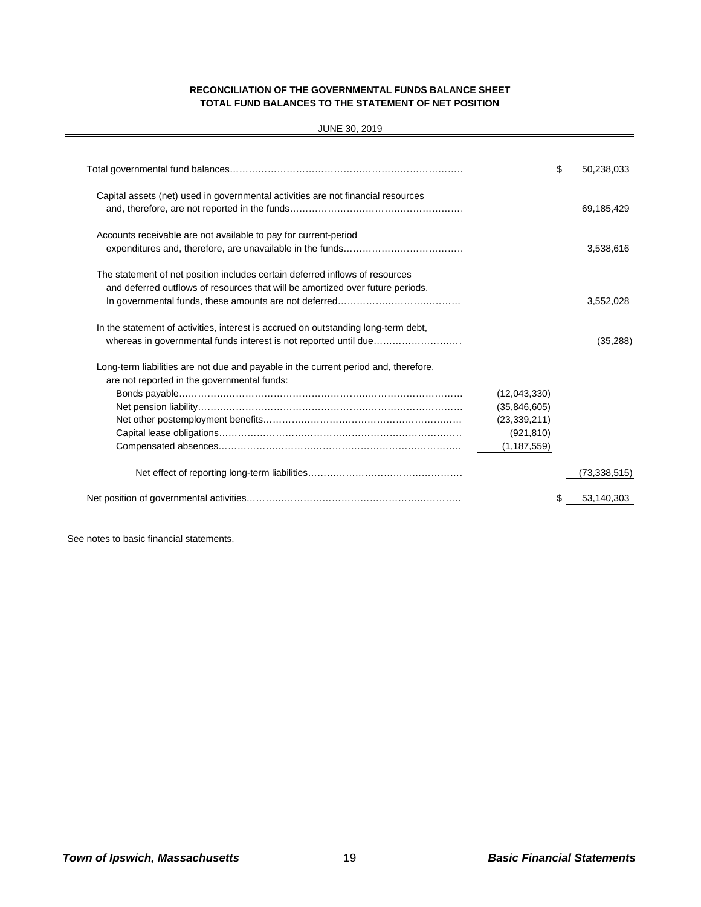#### **RECONCILIATION OF THE GOVERNMENTAL FUNDS BALANCE SHEET TOTAL FUND BALANCES TO THE STATEMENT OF NET POSITION**

#### JUNE 30, 2019

|                                                                                                                                                                |                | \$<br>50,238,033 |
|----------------------------------------------------------------------------------------------------------------------------------------------------------------|----------------|------------------|
| Capital assets (net) used in governmental activities are not financial resources                                                                               |                | 69,185,429       |
| Accounts receivable are not available to pay for current-period                                                                                                |                | 3,538,616        |
| The statement of net position includes certain deferred inflows of resources<br>and deferred outflows of resources that will be amortized over future periods. |                | 3,552,028        |
| In the statement of activities, interest is accrued on outstanding long-term debt,<br>whereas in governmental funds interest is not reported until due         |                | (35, 288)        |
| Long-term liabilities are not due and payable in the current period and, therefore,<br>are not reported in the governmental funds:                             |                |                  |
|                                                                                                                                                                | (12,043,330)   |                  |
|                                                                                                                                                                | (35,846,605)   |                  |
|                                                                                                                                                                | (23, 339, 211) |                  |
|                                                                                                                                                                | (921, 810)     |                  |
|                                                                                                                                                                | (1, 187, 559)  |                  |
|                                                                                                                                                                |                | (73, 338, 515)   |
|                                                                                                                                                                |                | 53,140,303<br>\$ |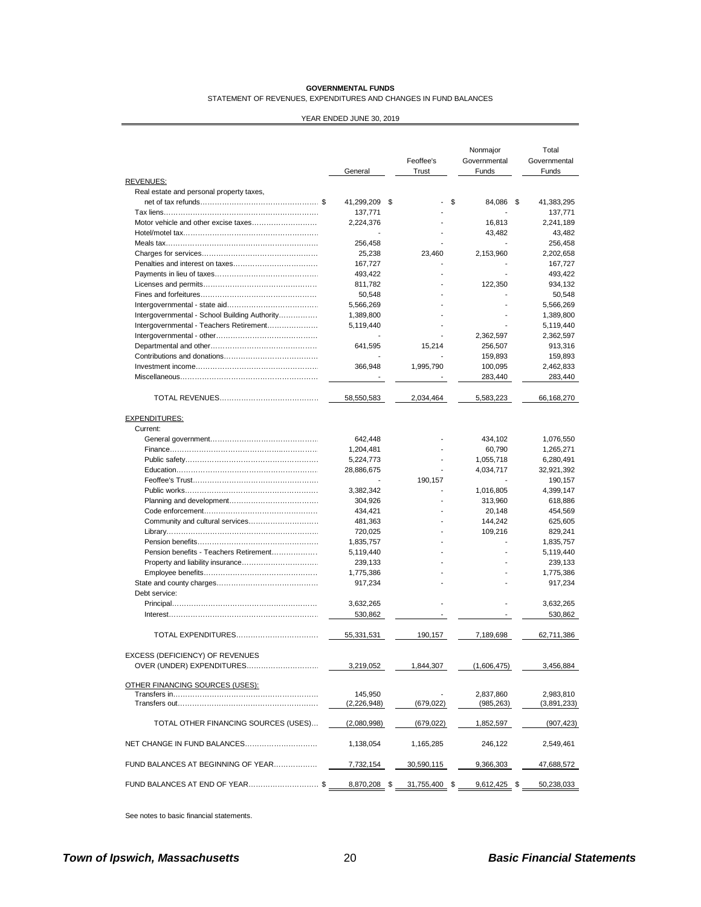#### **GOVERNMENTAL FUNDS**

STATEMENT OF REVENUES, EXPENDITURES AND CHANGES IN FUND BALANCES

#### YEAR ENDED JUNE 30, 2019

|                                               | General       | Feoffee's<br>Trust | Nonmajor<br>Governmental<br>Funds |           | Total<br>Governmental<br>Funds |  |
|-----------------------------------------------|---------------|--------------------|-----------------------------------|-----------|--------------------------------|--|
| <b>REVENUES:</b>                              |               |                    |                                   |           |                                |  |
| Real estate and personal property taxes,      |               |                    |                                   |           |                                |  |
|                                               | 41,299,209 \$ |                    | \$<br>84,086                      | - \$      | 41,383,295                     |  |
|                                               | 137,771       |                    |                                   |           | 137,771                        |  |
| Motor vehicle and other excise taxes          | 2,224,376     |                    | 16,813                            |           | 2,241,189                      |  |
|                                               |               |                    | 43,482                            |           | 43,482                         |  |
|                                               | 256,458       |                    |                                   |           | 256,458                        |  |
|                                               | 25,238        | 23,460             | 2,153,960                         |           | 2,202,658                      |  |
|                                               | 167,727       |                    |                                   |           | 167,727                        |  |
|                                               | 493,422       |                    |                                   |           | 493,422                        |  |
|                                               | 811,782       |                    | 122,350                           |           | 934,132                        |  |
|                                               | 50,548        |                    |                                   |           | 50,548                         |  |
|                                               | 5,566,269     |                    |                                   |           | 5,566,269                      |  |
| Intergovernmental - School Building Authority | 1,389,800     |                    |                                   |           | 1,389,800                      |  |
| Intergovernmental - Teachers Retirement       | 5,119,440     |                    |                                   |           | 5,119,440                      |  |
|                                               |               |                    | 2,362,597                         |           | 2,362,597                      |  |
|                                               | 641,595       | 15,214             | 256,507                           |           | 913,316                        |  |
|                                               |               |                    | 159,893                           |           | 159,893                        |  |
|                                               | 366,948       | 1,995,790          | 100,095                           |           | 2,462,833                      |  |
|                                               |               |                    | 283,440                           |           | 283,440                        |  |
|                                               | 58,550,583    | 2,034,464          | 5,583,223                         |           | 66,168,270                     |  |
| <b>EXPENDITURES:</b>                          |               |                    |                                   |           |                                |  |
| Current:                                      |               |                    |                                   |           |                                |  |
|                                               | 642,448       |                    | 434,102                           |           | 1,076,550                      |  |
|                                               | 1,204,481     |                    | 60,790                            |           | 1,265,271                      |  |
|                                               | 5,224,773     |                    | 1,055,718                         |           | 6,280,491                      |  |
|                                               | 28,886,675    |                    | 4,034,717                         |           | 32,921,392                     |  |
|                                               |               | 190,157            |                                   |           | 190,157                        |  |
|                                               | 3,382,342     |                    | 1,016,805                         |           | 4,399,147                      |  |
|                                               | 304,926       |                    | 313,960                           |           | 618,886                        |  |
|                                               | 434,421       |                    | 20,148                            |           | 454,569                        |  |
|                                               | 481,363       |                    | 144,242                           |           | 625,605                        |  |
|                                               | 720,025       |                    | 109,216                           |           | 829,241                        |  |
|                                               | 1,835,757     |                    |                                   |           | 1,835,757                      |  |
| Pension benefits - Teachers Retirement        | 5,119,440     |                    |                                   | 5,119,440 |                                |  |
|                                               | 239,133       |                    |                                   | 239,133   |                                |  |
|                                               | 1,775,386     |                    |                                   |           | 1,775,386                      |  |
|                                               | 917,234       |                    |                                   |           | 917,234                        |  |
| Debt service:                                 |               |                    |                                   |           |                                |  |
|                                               | 3,632,265     |                    |                                   |           | 3,632,265                      |  |
|                                               | 530,862       |                    |                                   |           | 530,862                        |  |
| TOTAL EXPENDITURES                            | 55,331,531    | 190,157            | 7,189,698                         |           | 62,711,386                     |  |
| EXCESS (DEFICIENCY) OF REVENUES               |               |                    |                                   |           |                                |  |
| OVER (UNDER) EXPENDITURES                     | 3,219,052     | 1,844,307          | (1,606,475)                       |           | 3,456,884                      |  |
| OTHER FINANCING SOURCES (USES):               |               |                    |                                   |           |                                |  |
| Transfers in                                  | 145,950       |                    | 2,837,860                         |           | 2,983,810                      |  |
|                                               | (2, 226, 948) | (679, 022)         | (985,263)                         |           | (3,891,233)                    |  |
| TOTAL OTHER FINANCING SOURCES (USES)          | (2,080,998)   | (679, 022)         | 1,852,597                         |           | (907, 423)                     |  |
| NET CHANGE IN FUND BALANCES                   | 1,138,054     | 1,165,285          | 246,122                           |           | 2,549,461                      |  |
| FUND BALANCES AT BEGINNING OF YEAR            | 7,732,154     | 30,590,115         | 9,366,303                         |           | 47,688,572                     |  |
| FUND BALANCES AT END OF YEAR\$                | 8,870,208 \$  | 31,755,400 \$      | 9,612,425 \$                      |           | 50,238,033                     |  |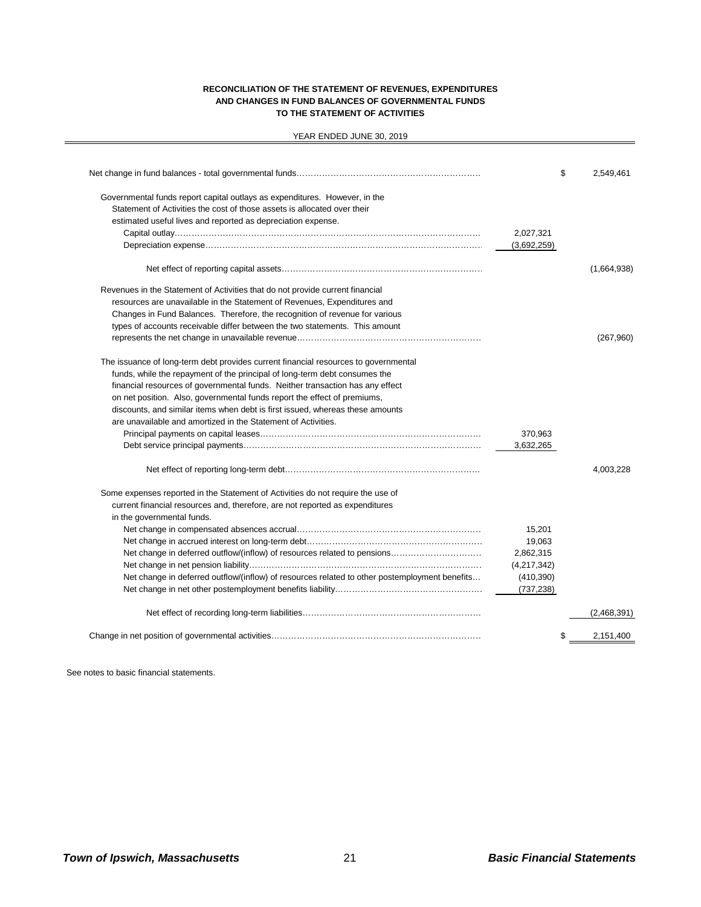#### **RECONCILIATION OF THE STATEMENT OF REVENUES, EXPENDITURES AND CHANGES IN FUND BALANCES OF GOVERNMENTAL FUNDS TO THE STATEMENT OF ACTIVITIES**

#### YEAR ENDED JUNE 30, 2019

|                                                                                                             | S | 2,549,461   |
|-------------------------------------------------------------------------------------------------------------|---|-------------|
| Governmental funds report capital outlays as expenditures. However, in the                                  |   |             |
| Statement of Activities the cost of those assets is allocated over their                                    |   |             |
| estimated useful lives and reported as depreciation expense.                                                |   |             |
| 2,027,321                                                                                                   |   |             |
| (3,692,259)                                                                                                 |   |             |
|                                                                                                             |   | (1,664,938) |
| Revenues in the Statement of Activities that do not provide current financial                               |   |             |
| resources are unavailable in the Statement of Revenues, Expenditures and                                    |   |             |
| Changes in Fund Balances. Therefore, the recognition of revenue for various                                 |   |             |
| types of accounts receivable differ between the two statements. This amount                                 |   |             |
|                                                                                                             |   | (267,960)   |
| The issuance of long-term debt provides current financial resources to governmental                         |   |             |
| funds, while the repayment of the principal of long-term debt consumes the                                  |   |             |
| financial resources of governmental funds. Neither transaction has any effect                               |   |             |
| on net position. Also, governmental funds report the effect of premiums,                                    |   |             |
| discounts, and similar items when debt is first issued, whereas these amounts                               |   |             |
| are unavailable and amortized in the Statement of Activities.                                               |   |             |
| 370,963                                                                                                     |   |             |
| 3,632,265                                                                                                   |   |             |
|                                                                                                             |   | 4,003,228   |
| Some expenses reported in the Statement of Activities do not require the use of                             |   |             |
| current financial resources and, therefore, are not reported as expenditures                                |   |             |
| in the governmental funds.                                                                                  |   |             |
| 15,201                                                                                                      |   |             |
| 19,063                                                                                                      |   |             |
| 2,862,315<br>Net change in deferred outflow/(inflow) of resources related to pensions                       |   |             |
| (4,217,342)                                                                                                 |   |             |
| Net change in deferred outflow/(inflow) of resources related to other postemployment benefits<br>(410, 390) |   |             |
| (737, 238)                                                                                                  |   |             |
|                                                                                                             |   | (2,468,391) |
|                                                                                                             |   | 2.151.400   |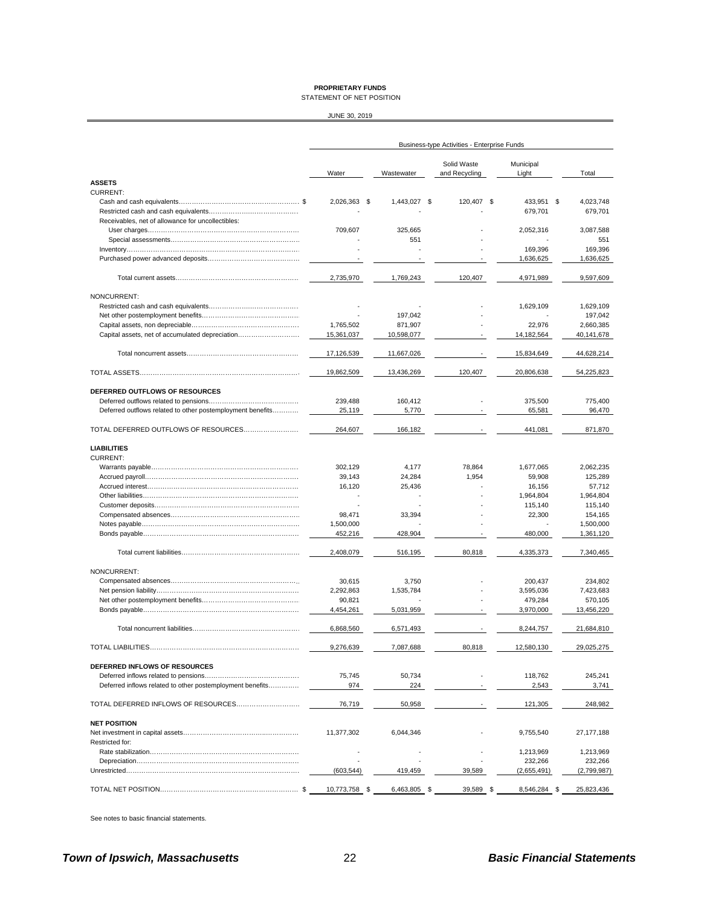#### **PROPRIETARY FUNDS**

#### STATEMENT OF NET POSITION

JUNE 30, 2019

|                                                            | Business-type Activities - Enterprise Funds |              |                              |                    |              |  |  |
|------------------------------------------------------------|---------------------------------------------|--------------|------------------------------|--------------------|--------------|--|--|
|                                                            | Water                                       | Wastewater   | Solid Waste<br>and Recycling | Municipal<br>Light | Total        |  |  |
| <b>ASSETS</b>                                              |                                             |              |                              |                    |              |  |  |
| <b>CURRENT:</b>                                            |                                             |              |                              |                    |              |  |  |
|                                                            | 2,026,363 \$                                | 1,443,027 \$ | 120,407 \$                   | 433,951 \$         | 4,023,748    |  |  |
|                                                            |                                             |              |                              | 679,701            | 679,701      |  |  |
| Receivables, net of allowance for uncollectibles:          |                                             |              |                              |                    |              |  |  |
|                                                            | 709,607                                     | 325,665      |                              | 2,052,316          | 3,087,588    |  |  |
|                                                            |                                             | 551          |                              |                    | 551          |  |  |
|                                                            |                                             |              |                              | 169,396            | 169,396      |  |  |
|                                                            |                                             |              |                              | 1,636,625          | 1,636,625    |  |  |
|                                                            | 2,735,970                                   | 1,769,243    | 120,407                      | 4,971,989          | 9,597,609    |  |  |
| NONCURRENT:                                                |                                             |              |                              |                    |              |  |  |
|                                                            |                                             |              |                              | 1,629,109          | 1,629,109    |  |  |
|                                                            |                                             | 197,042      |                              |                    | 197,042      |  |  |
|                                                            | 1,765,502                                   | 871,907      |                              | 22,976             | 2,660,385    |  |  |
| Capital assets, net of accumulated depreciation            | 15,361,037                                  | 10,598,077   |                              | 14, 182, 564       | 40,141,678   |  |  |
|                                                            | 17,126,539                                  | 11,667,026   |                              | 15,834,649         | 44,628,214   |  |  |
|                                                            | 19,862,509                                  | 13,436,269   | 120.407                      | 20,806,638         | 54,225,823   |  |  |
|                                                            |                                             |              |                              |                    |              |  |  |
| DEFERRED OUTFLOWS OF RESOURCES                             |                                             |              |                              |                    |              |  |  |
|                                                            | 239,488                                     | 160,412      |                              | 375,500            | 775,400      |  |  |
| Deferred outflows related to other postemployment benefits | 25,119                                      | 5,770        |                              | 65,581             | 96,470       |  |  |
| TOTAL DEFERRED OUTFLOWS OF RESOURCES                       | 264,607                                     | 166,182      |                              | 441,081            | 871,870      |  |  |
|                                                            |                                             |              |                              |                    |              |  |  |
| <b>LIABILITIES</b>                                         |                                             |              |                              |                    |              |  |  |
| <b>CURRENT:</b>                                            |                                             |              |                              |                    |              |  |  |
|                                                            | 302,129                                     | 4,177        | 78,864                       | 1,677,065          | 2,062,235    |  |  |
|                                                            | 39,143                                      | 24,284       | 1,954                        | 59,908             | 125,289      |  |  |
|                                                            | 16,120                                      | 25,436       |                              | 16,156             | 57,712       |  |  |
|                                                            |                                             |              |                              | 1,964,804          | 1,964,804    |  |  |
|                                                            |                                             |              |                              | 115,140            | 115,140      |  |  |
|                                                            | 98,471                                      | 33,394       |                              | 22,300             | 154,165      |  |  |
|                                                            | 1,500,000                                   |              |                              |                    | 1,500,000    |  |  |
|                                                            | 452,216                                     | 428,904      |                              | 480,000            | 1,361,120    |  |  |
|                                                            | 2,408,079                                   | 516,195      | 80,818                       | 4,335,373          | 7,340,465    |  |  |
| NONCURRENT:                                                |                                             |              |                              |                    |              |  |  |
|                                                            | 30,615                                      | 3,750        |                              | 200,437            | 234,802      |  |  |
|                                                            | 2,292,863                                   | 1,535,784    |                              | 3,595,036          | 7,423,683    |  |  |
|                                                            | 90,821                                      |              |                              | 479,284            | 570,105      |  |  |
|                                                            | 4,454,261                                   | 5,031,959    |                              | 3,970,000          | 13,456,220   |  |  |
|                                                            | 6,868,560                                   | 6,571,493    |                              | 8,244,757          | 21,684,810   |  |  |
|                                                            | 9,276,639                                   | 7,087,688    | 80,818                       | 12,580,130         | 29,025,275   |  |  |
|                                                            |                                             |              |                              |                    |              |  |  |
| DEFERRED INFLOWS OF RESOURCES                              |                                             |              |                              |                    |              |  |  |
|                                                            | 75,745                                      | 50,734       |                              | 118,762            | 245,241      |  |  |
| Deferred inflows related to other postemployment benefits  | 974                                         | 224          |                              | 2,543              | 3,741        |  |  |
| TOTAL DEFERRED INFLOWS OF RESOURCES                        | 76,719                                      | 50,958       |                              | 121,305            | 248,982      |  |  |
| <b>NET POSITION</b>                                        |                                             |              |                              |                    |              |  |  |
|                                                            | 11,377,302                                  | 6,044,346    |                              | 9,755,540          | 27, 177, 188 |  |  |
| Restricted for:                                            |                                             |              |                              |                    |              |  |  |
|                                                            |                                             |              |                              | 1,213,969          | 1,213,969    |  |  |
|                                                            |                                             |              |                              | 232,266            | 232,266      |  |  |
|                                                            | (603, 544)                                  | 419,459      | 39,589                       | (2,655,491)        | (2,799,987)  |  |  |
| - \$                                                       | 10,773,758 \$                               | 6,463,805 \$ | 39,589 \$                    | 8,546,284 \$       | 25,823,436   |  |  |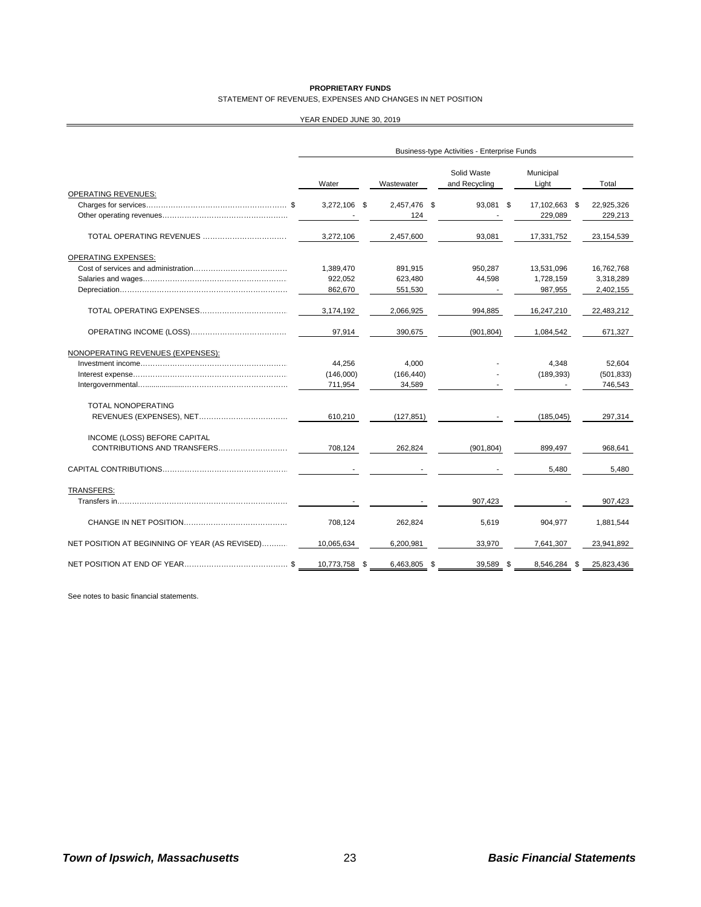#### **PROPRIETARY FUNDS** STATEMENT OF REVENUES, EXPENSES AND CHANGES IN NET POSITION

|                                                | Business-type Activities - Enterprise Funds |                     |                              |                          |                       |  |  |  |
|------------------------------------------------|---------------------------------------------|---------------------|------------------------------|--------------------------|-----------------------|--|--|--|
|                                                | Water                                       | Wastewater          | Solid Waste<br>and Recycling | Municipal<br>Light       | Total                 |  |  |  |
| <b>OPERATING REVENUES:</b>                     |                                             |                     |                              |                          |                       |  |  |  |
|                                                | 3,272,106 \$                                | 2,457,476 \$<br>124 | 93,081 \$                    | 17,102,663 \$<br>229,089 | 22,925,326<br>229,213 |  |  |  |
|                                                | 3,272,106                                   | 2,457,600           | 93,081                       | 17,331,752               | 23,154,539            |  |  |  |
| <b>OPERATING EXPENSES:</b>                     |                                             |                     |                              |                          |                       |  |  |  |
|                                                | 1,389,470                                   | 891,915             | 950.287                      | 13,531,096               | 16.762.768            |  |  |  |
|                                                | 922,052                                     | 623,480             | 44,598                       | 1,728,159                | 3,318,289             |  |  |  |
|                                                | 862.670                                     | 551.530             |                              | 987,955                  | 2,402,155             |  |  |  |
|                                                | 3,174,192                                   | 2,066,925           | 994,885                      | 16,247,210               | 22,483,212            |  |  |  |
|                                                | 97,914                                      | 390,675             | (901, 804)                   | 1,084,542                | 671,327               |  |  |  |
| NONOPERATING REVENUES (EXPENSES):              |                                             |                     |                              |                          |                       |  |  |  |
|                                                | 44,256                                      | 4,000               |                              | 4,348                    | 52,604                |  |  |  |
|                                                | (146,000)                                   | (166, 440)          |                              | (189, 393)               | (501, 833)            |  |  |  |
|                                                | 711,954                                     | 34,589              |                              |                          | 746,543               |  |  |  |
| <b>TOTAL NONOPERATING</b>                      |                                             |                     |                              |                          |                       |  |  |  |
|                                                | 610,210                                     | (127, 851)          |                              | (185, 045)               | 297,314               |  |  |  |
| INCOME (LOSS) BEFORE CAPITAL                   |                                             |                     |                              |                          |                       |  |  |  |
| CONTRIBUTIONS AND TRANSFERS                    | 708.124                                     | 262,824             | (901, 804)                   | 899,497                  | 968,641               |  |  |  |
|                                                |                                             |                     |                              | 5,480                    | 5,480                 |  |  |  |
| TRANSFERS:                                     |                                             |                     |                              |                          |                       |  |  |  |
|                                                |                                             |                     | 907,423                      |                          | 907.423               |  |  |  |
|                                                | 708,124                                     | 262,824             | 5,619                        | 904,977                  | 1,881,544             |  |  |  |
| NET POSITION AT BEGINNING OF YEAR (AS REVISED) | 10,065,634                                  | 6,200,981           | 33,970                       | 7,641,307                | 23,941,892            |  |  |  |
|                                                | 10,773,758 \$                               | 6,463,805 \$        | 39,589 \$                    | 8,546,284 \$             | 25,823,436            |  |  |  |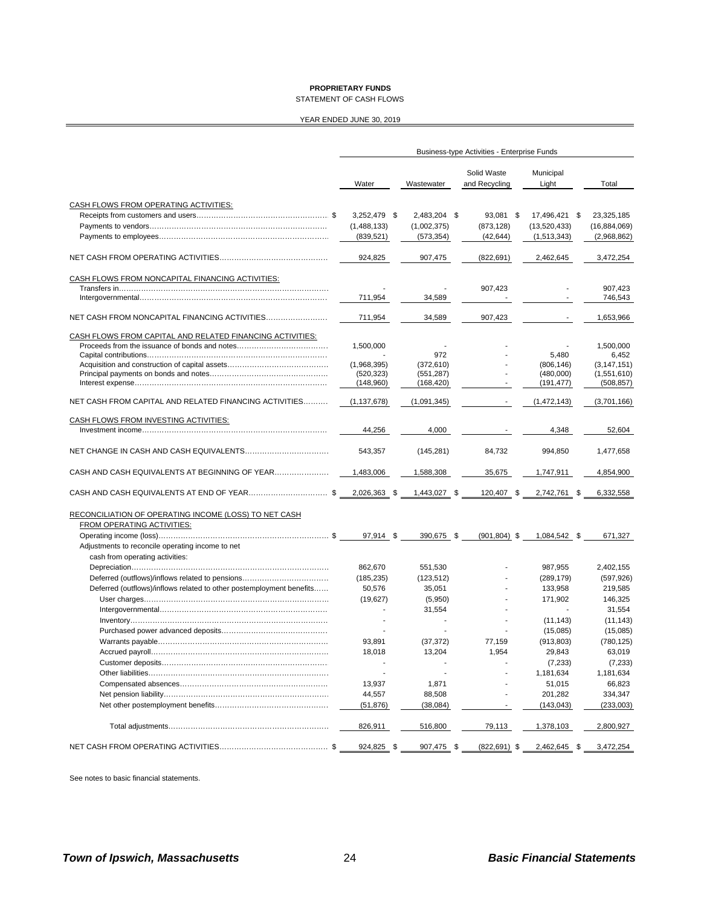#### **PROPRIETARY FUNDS**

#### STATEMENT OF CASH FLOWS

#### YEAR ENDED JUNE 30, 2019

|                                                                                            | Business-type Activities - Enterprise Funds         |  |                                                      |  |                              |  |                                                |  |                                                                  |
|--------------------------------------------------------------------------------------------|-----------------------------------------------------|--|------------------------------------------------------|--|------------------------------|--|------------------------------------------------|--|------------------------------------------------------------------|
|                                                                                            | Water                                               |  | Wastewater                                           |  | Solid Waste<br>and Recycling |  | Municipal<br>Light                             |  | Total                                                            |
| <b>CASH FLOWS FROM OPERATING ACTIVITIES:</b>                                               | 3,252,479 \$<br>(1,488,133)                         |  | 2,483,204 \$<br>(1,002,375)                          |  | 93,081 \$<br>(873, 128)      |  | 17,496,421 \$<br>(13,520,433)                  |  | 23,325,185<br>(16,884,069)                                       |
|                                                                                            | (839, 521)                                          |  | (573, 354)                                           |  | (42, 644)                    |  | (1, 513, 343)                                  |  | (2,968,862)                                                      |
|                                                                                            | 924,825                                             |  | 907,475                                              |  | (822, 691)                   |  | 2,462,645                                      |  | 3,472,254                                                        |
| CASH FLOWS FROM NONCAPITAL FINANCING ACTIVITIES:                                           | 711,954                                             |  | 34,589                                               |  | 907,423                      |  |                                                |  | 907,423<br>746,543                                               |
| NET CASH FROM NONCAPITAL FINANCING ACTIVITIES                                              | 711,954                                             |  | 34,589                                               |  | 907,423                      |  |                                                |  | 1,653,966                                                        |
| CASH FLOWS FROM CAPITAL AND RELATED FINANCING ACTIVITIES:                                  | 1,500,000<br>(1,968,395)<br>(520, 323)<br>(148,960) |  | 972<br>(372, 610)<br>(551, 287)<br>(168, 420)        |  | $\overline{\phantom{a}}$     |  | 5,480<br>(806, 146)<br>(480,000)<br>(191, 477) |  | 1,500,000<br>6,452<br>(3, 147, 151)<br>(1,551,610)<br>(508, 857) |
| NET CASH FROM CAPITAL AND RELATED FINANCING ACTIVITIES                                     | (1, 137, 678)                                       |  | (1,091,345)                                          |  |                              |  | (1,472,143)                                    |  | (3,701,166)                                                      |
| CASH FLOWS FROM INVESTING ACTIVITIES:                                                      | 44,256                                              |  | 4,000                                                |  |                              |  | 4,348                                          |  | 52,604                                                           |
|                                                                                            | 543,357                                             |  | (145, 281)                                           |  | 84,732                       |  | 994,850                                        |  | 1,477,658                                                        |
| CASH AND CASH EQUIVALENTS AT BEGINNING OF YEAR                                             | 1,483,006                                           |  | 1,588,308                                            |  | 35,675                       |  | 1,747,911                                      |  | 4,854,900                                                        |
|                                                                                            | 2,026,363 \$                                        |  | 1,443,027 \$                                         |  | 120,407 \$                   |  | 2,742,761 \$                                   |  | 6,332,558                                                        |
| RECONCILIATION OF OPERATING INCOME (LOSS) TO NET CASH<br><b>FROM OPERATING ACTIVITIES:</b> | 97,914 \$                                           |  | 390,675 \$                                           |  | $(901, 804)$ \$              |  | 1,084,542 \$                                   |  | 671,327                                                          |
| Adjustments to reconcile operating income to net<br>cash from operating activities:        |                                                     |  |                                                      |  |                              |  |                                                |  |                                                                  |
| Deferred (outflows)/inflows related to other postemployment benefits                       | 862,670<br>(185, 235)<br>50,576<br>(19,627)         |  | 551,530<br>(123, 512)<br>35,051<br>(5,950)<br>31,554 |  |                              |  | 987,955<br>(289, 179)<br>133,958<br>171,902    |  | 2,402,155<br>(597, 926)<br>219,585<br>146,325<br>31,554          |
|                                                                                            |                                                     |  |                                                      |  |                              |  | (11, 143)<br>(15,085)                          |  | (11, 143)<br>(15,085)                                            |
|                                                                                            | 93,891<br>18,018                                    |  | (37, 372)<br>13,204                                  |  | 77,159<br>1,954              |  | (913, 803)<br>29,843<br>(7, 233)               |  | (780, 125)<br>63,019<br>(7, 233)                                 |
|                                                                                            | 13,937                                              |  | 1,871                                                |  |                              |  | 1,181,634<br>51,015                            |  | 1,181,634<br>66,823                                              |
|                                                                                            | 44,557<br>(51, 876)                                 |  | 88,508<br>(38,084)                                   |  |                              |  | 201,282<br>(143, 043)                          |  | 334,347<br>(233,003)                                             |
|                                                                                            | 826,911                                             |  | 516,800                                              |  | 79,113                       |  | 1,378,103                                      |  | 2,800,927                                                        |
|                                                                                            | 924,825 \$                                          |  | 907,475 \$                                           |  | $(822, 691)$ \$              |  | 2,462,645 \$                                   |  | 3,472,254                                                        |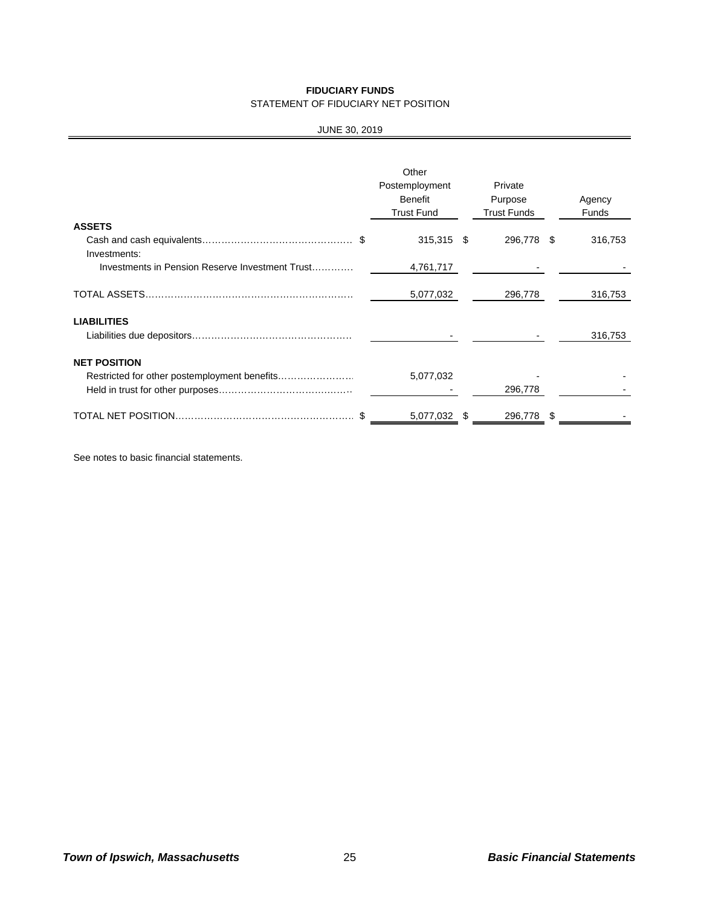#### **FIDUCIARY FUNDS** STATEMENT OF FIDUCIARY NET POSITION

#### JUNE 30, 2019

|                                                 | Other<br>Postemployment<br>Benefit<br><b>Trust Fund</b> | Private<br>Purpose<br><b>Trust Funds</b> | Agency<br><b>Funds</b> |
|-------------------------------------------------|---------------------------------------------------------|------------------------------------------|------------------------|
| <b>ASSETS</b>                                   |                                                         |                                          |                        |
| Investments:                                    | 315,315 \$                                              | 296,778 \$                               | 316,753                |
| Investments in Pension Reserve Investment Trust | 4,761,717                                               |                                          |                        |
|                                                 | 5,077,032                                               | 296,778                                  | 316,753                |
| <b>LIABILITIES</b>                              |                                                         |                                          | 316,753                |
| <b>NET POSITION</b>                             |                                                         |                                          |                        |
|                                                 | 5,077,032                                               | 296,778                                  |                        |
|                                                 | 5,077,032                                               | \$<br>296,778                            | \$                     |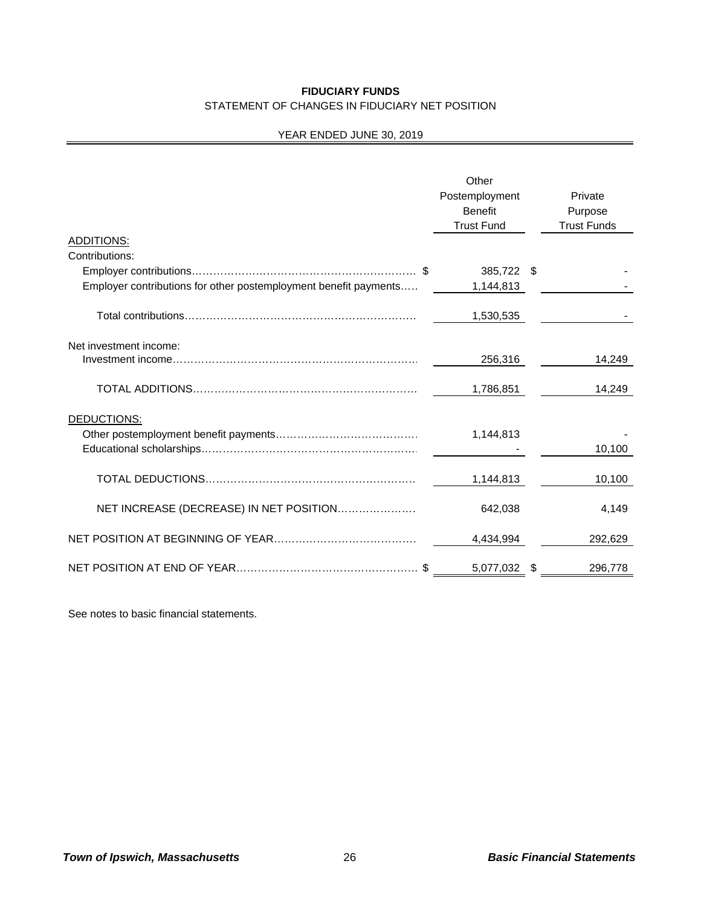# **FIDUCIARY FUNDS** STATEMENT OF CHANGES IN FIDUCIARY NET POSITION

# YEAR ENDED JUNE 30, 2019

|                                                                  | Other<br>Postemployment<br><b>Benefit</b><br><b>Trust Fund</b> |     | Private<br>Purpose<br><b>Trust Funds</b> |
|------------------------------------------------------------------|----------------------------------------------------------------|-----|------------------------------------------|
| ADDITIONS:                                                       |                                                                |     |                                          |
| Contributions:                                                   |                                                                |     |                                          |
|                                                                  | 385,722                                                        | -\$ |                                          |
| Employer contributions for other postemployment benefit payments | 1,144,813                                                      |     |                                          |
| Total contributions…………………………………………………………                        | 1,530,535                                                      |     |                                          |
| Net investment income:                                           |                                                                |     |                                          |
|                                                                  | 256,316                                                        |     | 14,249                                   |
|                                                                  | 1,786,851                                                      |     | 14,249                                   |
| DEDUCTIONS:                                                      | 1,144,813                                                      |     | 10,100                                   |
|                                                                  | 1,144,813                                                      |     | 10,100                                   |
| NET INCREASE (DECREASE) IN NET POSITION                          | 642,038                                                        |     | 4,149                                    |
|                                                                  | 4,434,994                                                      |     | 292,629                                  |
|                                                                  | 5,077,032                                                      | S   | 296,778                                  |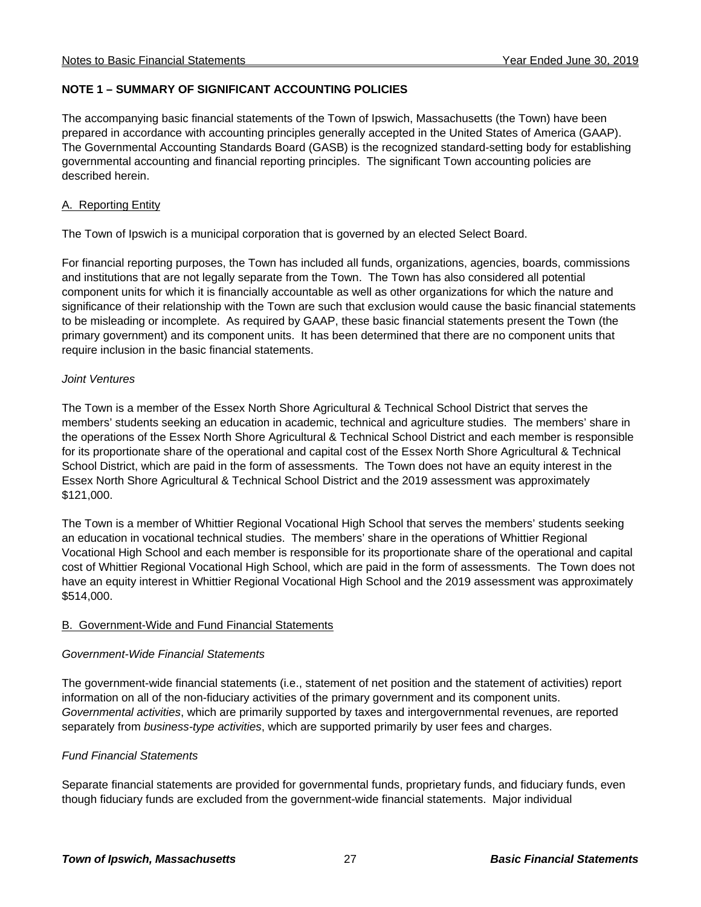# **NOTE 1 – SUMMARY OF SIGNIFICANT ACCOUNTING POLICIES**

The accompanying basic financial statements of the Town of Ipswich, Massachusetts (the Town) have been prepared in accordance with accounting principles generally accepted in the United States of America (GAAP). The Governmental Accounting Standards Board (GASB) is the recognized standard-setting body for establishing governmental accounting and financial reporting principles. The significant Town accounting policies are described herein.

### A. Reporting Entity

The Town of Ipswich is a municipal corporation that is governed by an elected Select Board.

For financial reporting purposes, the Town has included all funds, organizations, agencies, boards, commissions and institutions that are not legally separate from the Town. The Town has also considered all potential component units for which it is financially accountable as well as other organizations for which the nature and significance of their relationship with the Town are such that exclusion would cause the basic financial statements to be misleading or incomplete. As required by GAAP, these basic financial statements present the Town (the primary government) and its component units. It has been determined that there are no component units that require inclusion in the basic financial statements.

### *Joint Ventures*

The Town is a member of the Essex North Shore Agricultural & Technical School District that serves the members' students seeking an education in academic, technical and agriculture studies. The members' share in the operations of the Essex North Shore Agricultural & Technical School District and each member is responsible for its proportionate share of the operational and capital cost of the Essex North Shore Agricultural & Technical School District, which are paid in the form of assessments. The Town does not have an equity interest in the Essex North Shore Agricultural & Technical School District and the 2019 assessment was approximately \$121,000.

The Town is a member of Whittier Regional Vocational High School that serves the members' students seeking an education in vocational technical studies. The members' share in the operations of Whittier Regional Vocational High School and each member is responsible for its proportionate share of the operational and capital cost of Whittier Regional Vocational High School, which are paid in the form of assessments. The Town does not have an equity interest in Whittier Regional Vocational High School and the 2019 assessment was approximately \$514,000.

### B. Government-Wide and Fund Financial Statements

### *Government-Wide Financial Statements*

The government-wide financial statements (i.e., statement of net position and the statement of activities) report information on all of the non-fiduciary activities of the primary government and its component units. *Governmental activities*, which are primarily supported by taxes and intergovernmental revenues, are reported separately from *business-type activities*, which are supported primarily by user fees and charges.

# *Fund Financial Statements*

Separate financial statements are provided for governmental funds, proprietary funds, and fiduciary funds, even though fiduciary funds are excluded from the government-wide financial statements. Major individual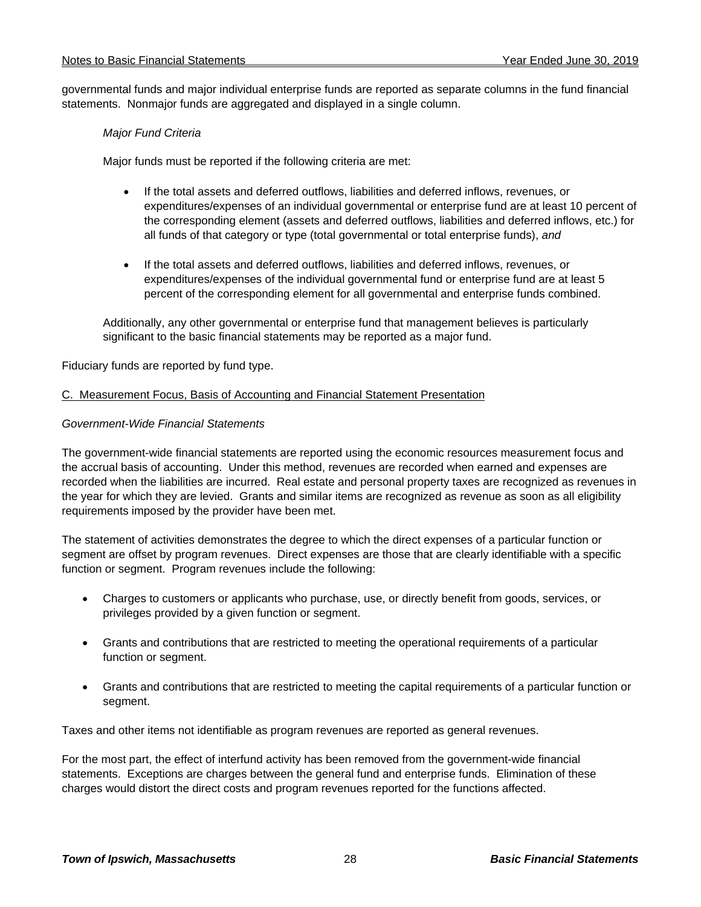governmental funds and major individual enterprise funds are reported as separate columns in the fund financial statements. Nonmajor funds are aggregated and displayed in a single column.

#### *Major Fund Criteria*

Major funds must be reported if the following criteria are met:

- If the total assets and deferred outflows, liabilities and deferred inflows, revenues, or expenditures/expenses of an individual governmental or enterprise fund are at least 10 percent of the corresponding element (assets and deferred outflows, liabilities and deferred inflows, etc.) for all funds of that category or type (total governmental or total enterprise funds), *and*
- If the total assets and deferred outflows, liabilities and deferred inflows, revenues, or expenditures/expenses of the individual governmental fund or enterprise fund are at least 5 percent of the corresponding element for all governmental and enterprise funds combined.

Additionally, any other governmental or enterprise fund that management believes is particularly significant to the basic financial statements may be reported as a major fund.

Fiduciary funds are reported by fund type.

#### C. Measurement Focus, Basis of Accounting and Financial Statement Presentation

#### *Government-Wide Financial Statements*

The government-wide financial statements are reported using the economic resources measurement focus and the accrual basis of accounting. Under this method, revenues are recorded when earned and expenses are recorded when the liabilities are incurred. Real estate and personal property taxes are recognized as revenues in the year for which they are levied. Grants and similar items are recognized as revenue as soon as all eligibility requirements imposed by the provider have been met.

The statement of activities demonstrates the degree to which the direct expenses of a particular function or segment are offset by program revenues. Direct expenses are those that are clearly identifiable with a specific function or segment. Program revenues include the following:

- Charges to customers or applicants who purchase, use, or directly benefit from goods, services, or privileges provided by a given function or segment.
- Grants and contributions that are restricted to meeting the operational requirements of a particular function or segment.
- Grants and contributions that are restricted to meeting the capital requirements of a particular function or segment.

Taxes and other items not identifiable as program revenues are reported as general revenues.

For the most part, the effect of interfund activity has been removed from the government-wide financial statements. Exceptions are charges between the general fund and enterprise funds. Elimination of these charges would distort the direct costs and program revenues reported for the functions affected.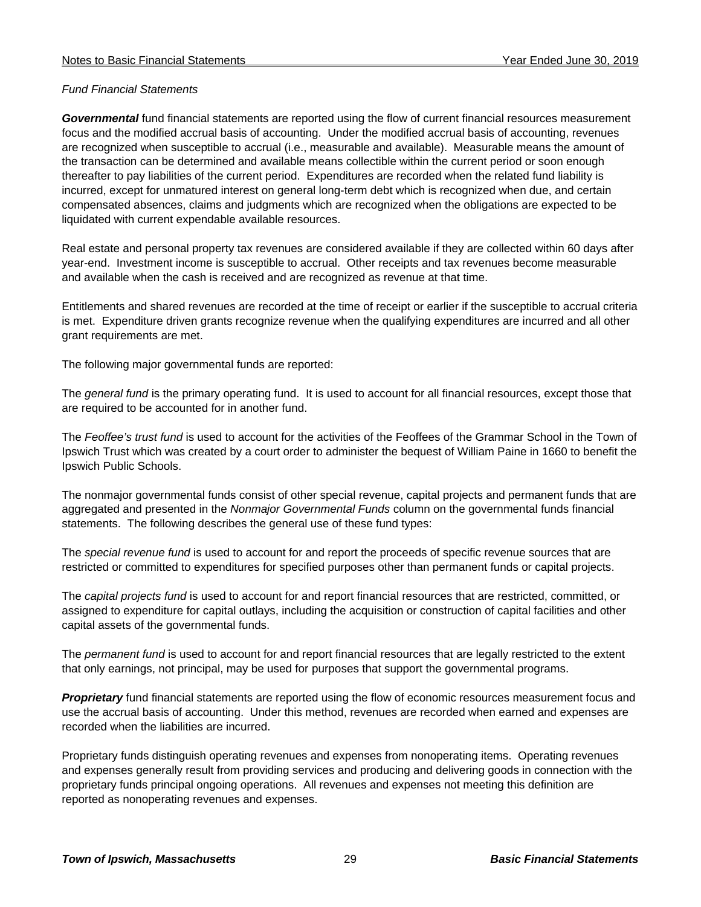# *Fund Financial Statements*

*Governmental* fund financial statements are reported using the flow of current financial resources measurement focus and the modified accrual basis of accounting. Under the modified accrual basis of accounting, revenues are recognized when susceptible to accrual (i.e., measurable and available). Measurable means the amount of the transaction can be determined and available means collectible within the current period or soon enough thereafter to pay liabilities of the current period. Expenditures are recorded when the related fund liability is incurred, except for unmatured interest on general long-term debt which is recognized when due, and certain compensated absences, claims and judgments which are recognized when the obligations are expected to be liquidated with current expendable available resources.

Real estate and personal property tax revenues are considered available if they are collected within 60 days after year-end. Investment income is susceptible to accrual. Other receipts and tax revenues become measurable and available when the cash is received and are recognized as revenue at that time.

Entitlements and shared revenues are recorded at the time of receipt or earlier if the susceptible to accrual criteria is met. Expenditure driven grants recognize revenue when the qualifying expenditures are incurred and all other grant requirements are met.

The following major governmental funds are reported:

The *general fund* is the primary operating fund. It is used to account for all financial resources, except those that are required to be accounted for in another fund.

The *Feoffee's trust fund* is used to account for the activities of the Feoffees of the Grammar School in the Town of Ipswich Trust which was created by a court order to administer the bequest of William Paine in 1660 to benefit the Ipswich Public Schools.

The nonmajor governmental funds consist of other special revenue, capital projects and permanent funds that are aggregated and presented in the *Nonmajor Governmental Funds* column on the governmental funds financial statements. The following describes the general use of these fund types:

The *special revenue fund* is used to account for and report the proceeds of specific revenue sources that are restricted or committed to expenditures for specified purposes other than permanent funds or capital projects.

The *capital projects fund* is used to account for and report financial resources that are restricted, committed, or assigned to expenditure for capital outlays, including the acquisition or construction of capital facilities and other capital assets of the governmental funds.

The *permanent fund* is used to account for and report financial resources that are legally restricted to the extent that only earnings, not principal, may be used for purposes that support the governmental programs.

*Proprietary* fund financial statements are reported using the flow of economic resources measurement focus and use the accrual basis of accounting. Under this method, revenues are recorded when earned and expenses are recorded when the liabilities are incurred.

Proprietary funds distinguish operating revenues and expenses from nonoperating items. Operating revenues and expenses generally result from providing services and producing and delivering goods in connection with the proprietary funds principal ongoing operations. All revenues and expenses not meeting this definition are reported as nonoperating revenues and expenses.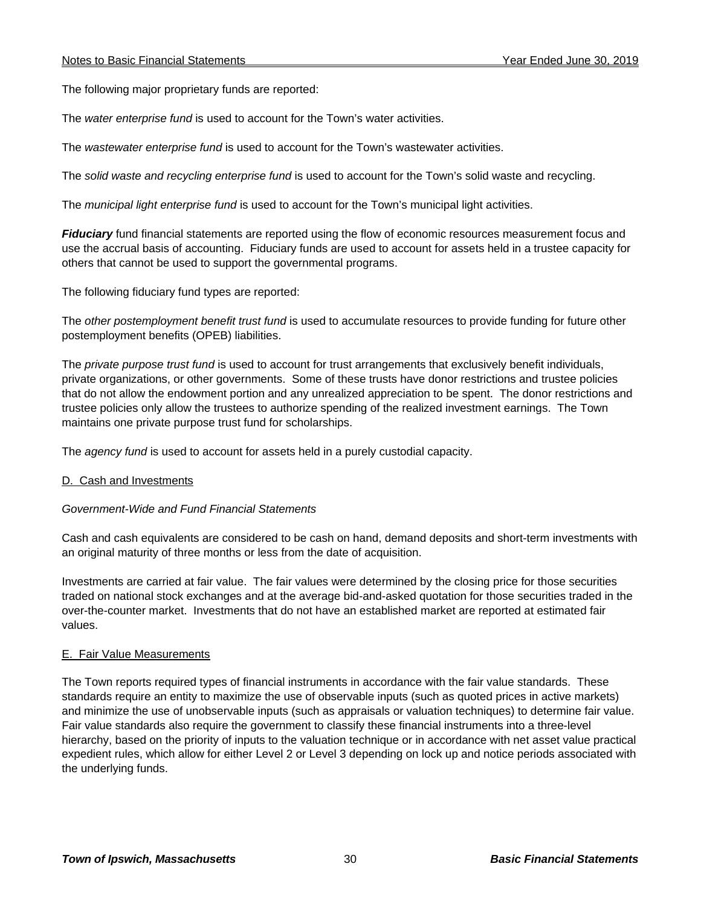The following major proprietary funds are reported:

The *water enterprise fund* is used to account for the Town's water activities.

The *wastewater enterprise fund* is used to account for the Town's wastewater activities.

The *solid waste and recycling enterprise fund* is used to account for the Town's solid waste and recycling.

The *municipal light enterprise fund* is used to account for the Town's municipal light activities.

*Fiduciary* fund financial statements are reported using the flow of economic resources measurement focus and use the accrual basis of accounting. Fiduciary funds are used to account for assets held in a trustee capacity for others that cannot be used to support the governmental programs.

The following fiduciary fund types are reported:

The *other postemployment benefit trust fund* is used to accumulate resources to provide funding for future other postemployment benefits (OPEB) liabilities.

The *private purpose trust fund* is used to account for trust arrangements that exclusively benefit individuals, private organizations, or other governments. Some of these trusts have donor restrictions and trustee policies that do not allow the endowment portion and any unrealized appreciation to be spent. The donor restrictions and trustee policies only allow the trustees to authorize spending of the realized investment earnings. The Town maintains one private purpose trust fund for scholarships.

The *agency fund* is used to account for assets held in a purely custodial capacity.

#### D. Cash and Investments

#### *Government-Wide and Fund Financial Statements*

Cash and cash equivalents are considered to be cash on hand, demand deposits and short-term investments with an original maturity of three months or less from the date of acquisition.

Investments are carried at fair value. The fair values were determined by the closing price for those securities traded on national stock exchanges and at the average bid-and-asked quotation for those securities traded in the over-the-counter market. Investments that do not have an established market are reported at estimated fair values.

#### E. Fair Value Measurements

The Town reports required types of financial instruments in accordance with the fair value standards. These standards require an entity to maximize the use of observable inputs (such as quoted prices in active markets) and minimize the use of unobservable inputs (such as appraisals or valuation techniques) to determine fair value. Fair value standards also require the government to classify these financial instruments into a three-level hierarchy, based on the priority of inputs to the valuation technique or in accordance with net asset value practical expedient rules, which allow for either Level 2 or Level 3 depending on lock up and notice periods associated with the underlying funds.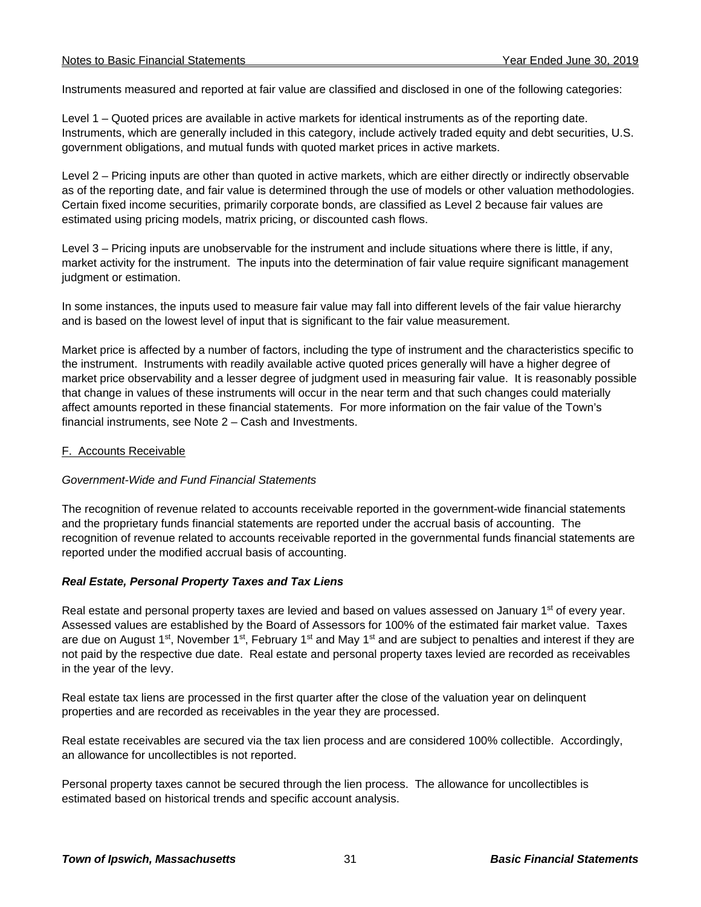Instruments measured and reported at fair value are classified and disclosed in one of the following categories:

Level 1 – Quoted prices are available in active markets for identical instruments as of the reporting date. Instruments, which are generally included in this category, include actively traded equity and debt securities, U.S. government obligations, and mutual funds with quoted market prices in active markets.

Level 2 – Pricing inputs are other than quoted in active markets, which are either directly or indirectly observable as of the reporting date, and fair value is determined through the use of models or other valuation methodologies. Certain fixed income securities, primarily corporate bonds, are classified as Level 2 because fair values are estimated using pricing models, matrix pricing, or discounted cash flows.

Level 3 – Pricing inputs are unobservable for the instrument and include situations where there is little, if any, market activity for the instrument. The inputs into the determination of fair value require significant management judgment or estimation.

In some instances, the inputs used to measure fair value may fall into different levels of the fair value hierarchy and is based on the lowest level of input that is significant to the fair value measurement.

Market price is affected by a number of factors, including the type of instrument and the characteristics specific to the instrument. Instruments with readily available active quoted prices generally will have a higher degree of market price observability and a lesser degree of judgment used in measuring fair value. It is reasonably possible that change in values of these instruments will occur in the near term and that such changes could materially affect amounts reported in these financial statements. For more information on the fair value of the Town's financial instruments, see Note 2 – Cash and Investments.

# F. Accounts Receivable

### *Government-Wide and Fund Financial Statements*

The recognition of revenue related to accounts receivable reported in the government-wide financial statements and the proprietary funds financial statements are reported under the accrual basis of accounting. The recognition of revenue related to accounts receivable reported in the governmental funds financial statements are reported under the modified accrual basis of accounting.

# *Real Estate, Personal Property Taxes and Tax Liens*

Real estate and personal property taxes are levied and based on values assessed on January 1<sup>st</sup> of every year. Assessed values are established by the Board of Assessors for 100% of the estimated fair market value. Taxes are due on August 1<sup>st</sup>, November 1<sup>st</sup>, February 1<sup>st</sup> and May 1<sup>st</sup> and are subject to penalties and interest if they are not paid by the respective due date. Real estate and personal property taxes levied are recorded as receivables in the year of the levy.

Real estate tax liens are processed in the first quarter after the close of the valuation year on delinquent properties and are recorded as receivables in the year they are processed.

Real estate receivables are secured via the tax lien process and are considered 100% collectible. Accordingly, an allowance for uncollectibles is not reported.

Personal property taxes cannot be secured through the lien process. The allowance for uncollectibles is estimated based on historical trends and specific account analysis.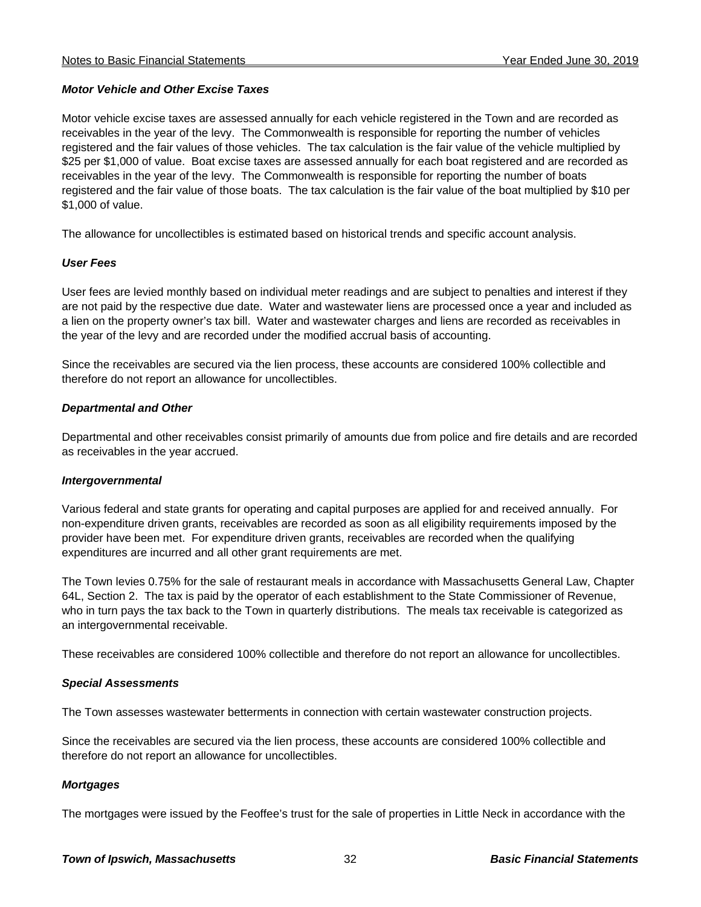### *Motor Vehicle and Other Excise Taxes*

Motor vehicle excise taxes are assessed annually for each vehicle registered in the Town and are recorded as receivables in the year of the levy. The Commonwealth is responsible for reporting the number of vehicles registered and the fair values of those vehicles. The tax calculation is the fair value of the vehicle multiplied by \$25 per \$1,000 of value. Boat excise taxes are assessed annually for each boat registered and are recorded as receivables in the year of the levy. The Commonwealth is responsible for reporting the number of boats registered and the fair value of those boats. The tax calculation is the fair value of the boat multiplied by \$10 per \$1,000 of value.

The allowance for uncollectibles is estimated based on historical trends and specific account analysis.

#### *User Fees*

User fees are levied monthly based on individual meter readings and are subject to penalties and interest if they are not paid by the respective due date. Water and wastewater liens are processed once a year and included as a lien on the property owner's tax bill. Water and wastewater charges and liens are recorded as receivables in the year of the levy and are recorded under the modified accrual basis of accounting.

Since the receivables are secured via the lien process, these accounts are considered 100% collectible and therefore do not report an allowance for uncollectibles.

#### *Departmental and Other*

Departmental and other receivables consist primarily of amounts due from police and fire details and are recorded as receivables in the year accrued.

#### *Intergovernmental*

Various federal and state grants for operating and capital purposes are applied for and received annually. For non-expenditure driven grants, receivables are recorded as soon as all eligibility requirements imposed by the provider have been met. For expenditure driven grants, receivables are recorded when the qualifying expenditures are incurred and all other grant requirements are met.

The Town levies 0.75% for the sale of restaurant meals in accordance with Massachusetts General Law, Chapter 64L, Section 2. The tax is paid by the operator of each establishment to the State Commissioner of Revenue, who in turn pays the tax back to the Town in quarterly distributions. The meals tax receivable is categorized as an intergovernmental receivable.

These receivables are considered 100% collectible and therefore do not report an allowance for uncollectibles.

#### *Special Assessments*

The Town assesses wastewater betterments in connection with certain wastewater construction projects.

Since the receivables are secured via the lien process, these accounts are considered 100% collectible and therefore do not report an allowance for uncollectibles.

### *Mortgages*

The mortgages were issued by the Feoffee's trust for the sale of properties in Little Neck in accordance with the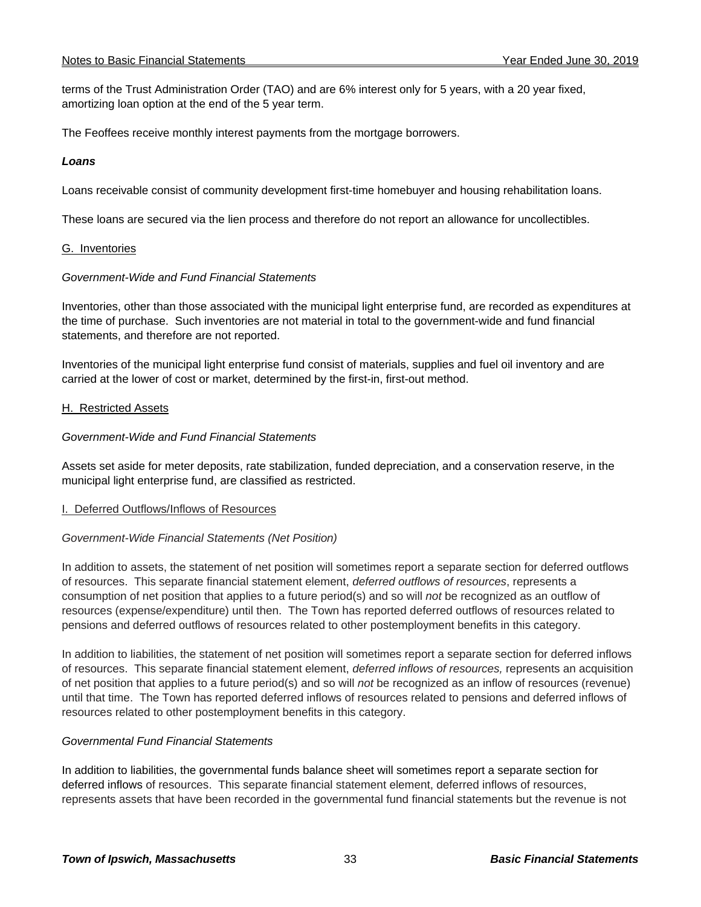terms of the Trust Administration Order (TAO) and are 6% interest only for 5 years, with a 20 year fixed, amortizing loan option at the end of the 5 year term.

The Feoffees receive monthly interest payments from the mortgage borrowers.

#### *Loans*

Loans receivable consist of community development first-time homebuyer and housing rehabilitation loans.

These loans are secured via the lien process and therefore do not report an allowance for uncollectibles.

#### G. Inventories

#### *Government-Wide and Fund Financial Statements*

Inventories, other than those associated with the municipal light enterprise fund, are recorded as expenditures at the time of purchase. Such inventories are not material in total to the government-wide and fund financial statements, and therefore are not reported.

Inventories of the municipal light enterprise fund consist of materials, supplies and fuel oil inventory and are carried at the lower of cost or market, determined by the first-in, first-out method.

#### H. Restricted Assets

#### *Government-Wide and Fund Financial Statements*

Assets set aside for meter deposits, rate stabilization, funded depreciation, and a conservation reserve, in the municipal light enterprise fund, are classified as restricted.

#### I. Deferred Outflows/Inflows of Resources

### *Government-Wide Financial Statements (Net Position)*

In addition to assets, the statement of net position will sometimes report a separate section for deferred outflows of resources. This separate financial statement element, *deferred outflows of resources*, represents a consumption of net position that applies to a future period(s) and so will *not* be recognized as an outflow of resources (expense/expenditure) until then. The Town has reported deferred outflows of resources related to pensions and deferred outflows of resources related to other postemployment benefits in this category.

In addition to liabilities, the statement of net position will sometimes report a separate section for deferred inflows of resources. This separate financial statement element, *deferred inflows of resources,* represents an acquisition of net position that applies to a future period(s) and so will *not* be recognized as an inflow of resources (revenue) until that time. The Town has reported deferred inflows of resources related to pensions and deferred inflows of resources related to other postemployment benefits in this category.

#### *Governmental Fund Financial Statements*

In addition to liabilities, the governmental funds balance sheet will sometimes report a separate section for deferred inflows of resources. This separate financial statement element, deferred inflows of resources, represents assets that have been recorded in the governmental fund financial statements but the revenue is not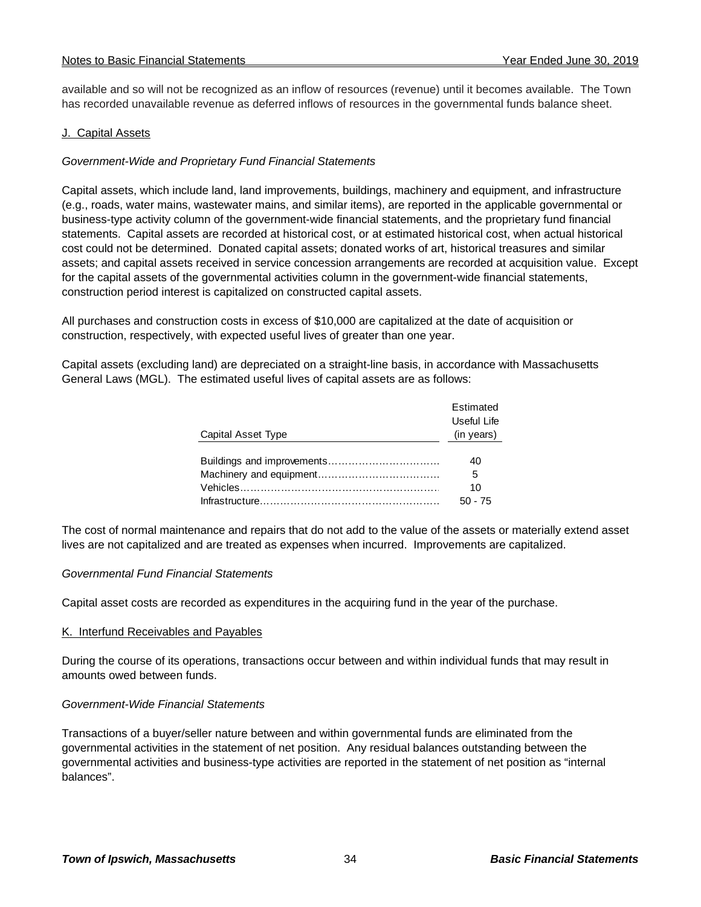available and so will not be recognized as an inflow of resources (revenue) until it becomes available. The Town has recorded unavailable revenue as deferred inflows of resources in the governmental funds balance sheet.

## J. Capital Assets

## *Government-Wide and Proprietary Fund Financial Statements*

Capital assets, which include land, land improvements, buildings, machinery and equipment, and infrastructure (e.g., roads, water mains, wastewater mains, and similar items), are reported in the applicable governmental or business-type activity column of the government-wide financial statements, and the proprietary fund financial statements. Capital assets are recorded at historical cost, or at estimated historical cost, when actual historical cost could not be determined. Donated capital assets; donated works of art, historical treasures and similar assets; and capital assets received in service concession arrangements are recorded at acquisition value. Except for the capital assets of the governmental activities column in the government-wide financial statements, construction period interest is capitalized on constructed capital assets.

All purchases and construction costs in excess of \$10,000 are capitalized at the date of acquisition or construction, respectively, with expected useful lives of greater than one year.

Capital assets (excluding land) are depreciated on a straight-line basis, in accordance with Massachusetts General Laws (MGL). The estimated useful lives of capital assets are as follows:

|                    | Estimated<br>Useful Life |
|--------------------|--------------------------|
| Capital Asset Type | (in years)               |
|                    |                          |
|                    | 40                       |
|                    | 5                        |
|                    | 10                       |
|                    | $50 - 75$                |

The cost of normal maintenance and repairs that do not add to the value of the assets or materially extend asset lives are not capitalized and are treated as expenses when incurred. Improvements are capitalized.

#### *Governmental Fund Financial Statements*

Capital asset costs are recorded as expenditures in the acquiring fund in the year of the purchase.

#### K. Interfund Receivables and Payables

During the course of its operations, transactions occur between and within individual funds that may result in amounts owed between funds.

#### *Government-Wide Financial Statements*

Transactions of a buyer/seller nature between and within governmental funds are eliminated from the governmental activities in the statement of net position. Any residual balances outstanding between the governmental activities and business-type activities are reported in the statement of net position as "internal balances".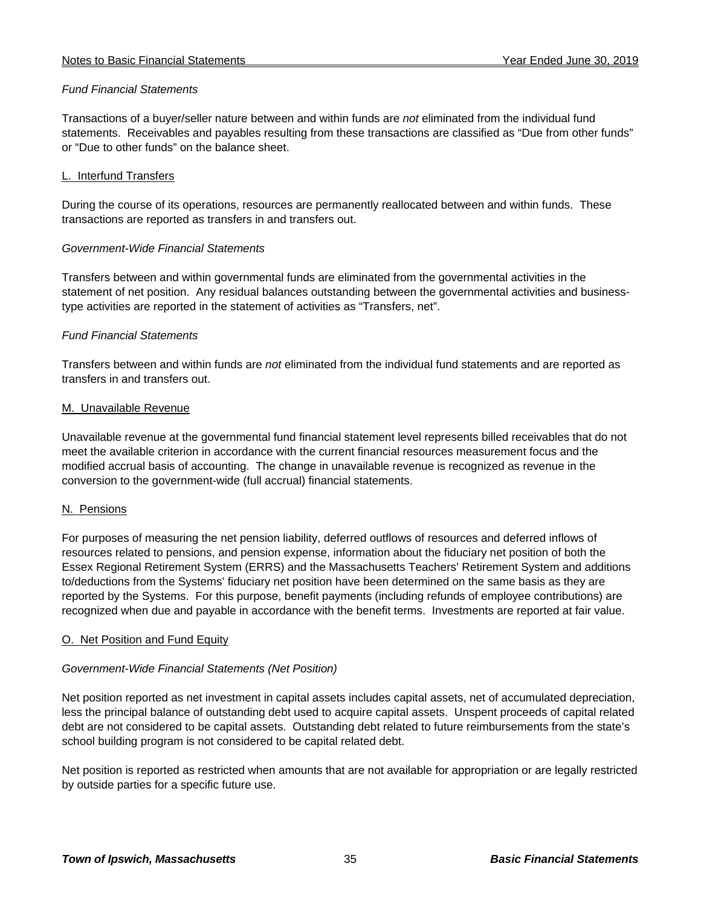## *Fund Financial Statements*

Transactions of a buyer/seller nature between and within funds are *not* eliminated from the individual fund statements. Receivables and payables resulting from these transactions are classified as "Due from other funds" or "Due to other funds" on the balance sheet.

## L. Interfund Transfers

During the course of its operations, resources are permanently reallocated between and within funds. These transactions are reported as transfers in and transfers out.

## *Government-Wide Financial Statements*

Transfers between and within governmental funds are eliminated from the governmental activities in the statement of net position. Any residual balances outstanding between the governmental activities and businesstype activities are reported in the statement of activities as "Transfers, net".

## *Fund Financial Statements*

Transfers between and within funds are *not* eliminated from the individual fund statements and are reported as transfers in and transfers out.

#### M. Unavailable Revenue

Unavailable revenue at the governmental fund financial statement level represents billed receivables that do not meet the available criterion in accordance with the current financial resources measurement focus and the modified accrual basis of accounting. The change in unavailable revenue is recognized as revenue in the conversion to the government-wide (full accrual) financial statements.

#### N. Pensions

For purposes of measuring the net pension liability, deferred outflows of resources and deferred inflows of resources related to pensions, and pension expense, information about the fiduciary net position of both the Essex Regional Retirement System (ERRS) and the Massachusetts Teachers' Retirement System and additions to/deductions from the Systems' fiduciary net position have been determined on the same basis as they are reported by the Systems. For this purpose, benefit payments (including refunds of employee contributions) are recognized when due and payable in accordance with the benefit terms. Investments are reported at fair value.

# O. Net Position and Fund Equity

# *Government-Wide Financial Statements (Net Position)*

Net position reported as net investment in capital assets includes capital assets, net of accumulated depreciation, less the principal balance of outstanding debt used to acquire capital assets. Unspent proceeds of capital related debt are not considered to be capital assets. Outstanding debt related to future reimbursements from the state's school building program is not considered to be capital related debt.

Net position is reported as restricted when amounts that are not available for appropriation or are legally restricted by outside parties for a specific future use.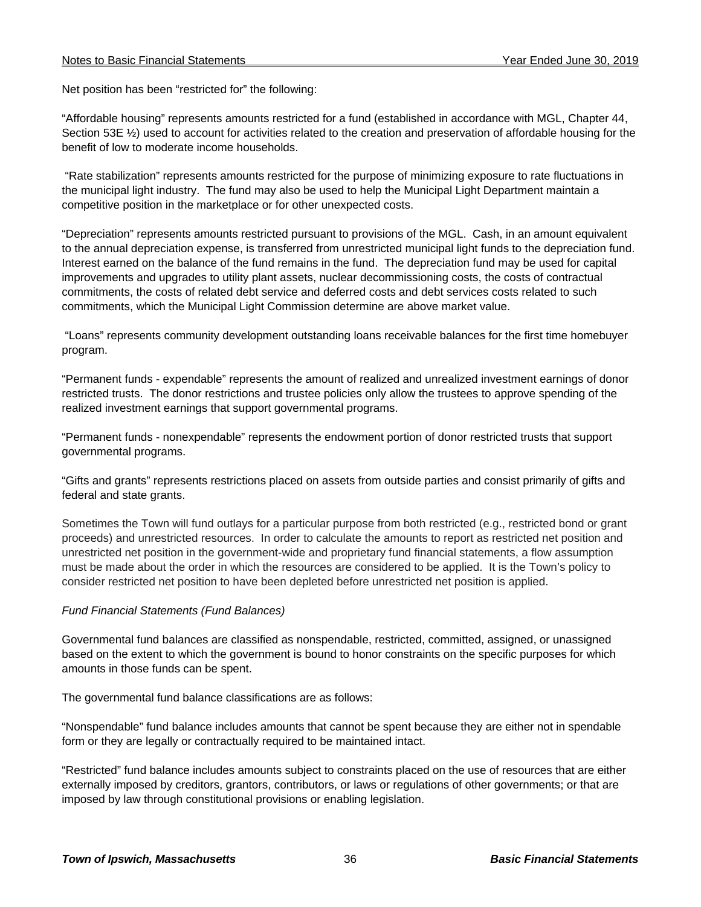Net position has been "restricted for" the following:

"Affordable housing" represents amounts restricted for a fund (established in accordance with MGL, Chapter 44, Section 53E  $\frac{1}{2}$ ) used to account for activities related to the creation and preservation of affordable housing for the benefit of low to moderate income households.

 "Rate stabilization" represents amounts restricted for the purpose of minimizing exposure to rate fluctuations in the municipal light industry. The fund may also be used to help the Municipal Light Department maintain a competitive position in the marketplace or for other unexpected costs.

"Depreciation" represents amounts restricted pursuant to provisions of the MGL. Cash, in an amount equivalent to the annual depreciation expense, is transferred from unrestricted municipal light funds to the depreciation fund. Interest earned on the balance of the fund remains in the fund. The depreciation fund may be used for capital improvements and upgrades to utility plant assets, nuclear decommissioning costs, the costs of contractual commitments, the costs of related debt service and deferred costs and debt services costs related to such commitments, which the Municipal Light Commission determine are above market value.

 "Loans" represents community development outstanding loans receivable balances for the first time homebuyer program.

"Permanent funds - expendable" represents the amount of realized and unrealized investment earnings of donor restricted trusts. The donor restrictions and trustee policies only allow the trustees to approve spending of the realized investment earnings that support governmental programs.

"Permanent funds - nonexpendable" represents the endowment portion of donor restricted trusts that support governmental programs.

"Gifts and grants" represents restrictions placed on assets from outside parties and consist primarily of gifts and federal and state grants.

Sometimes the Town will fund outlays for a particular purpose from both restricted (e.g., restricted bond or grant proceeds) and unrestricted resources. In order to calculate the amounts to report as restricted net position and unrestricted net position in the government-wide and proprietary fund financial statements, a flow assumption must be made about the order in which the resources are considered to be applied. It is the Town's policy to consider restricted net position to have been depleted before unrestricted net position is applied.

# *Fund Financial Statements (Fund Balances)*

Governmental fund balances are classified as nonspendable, restricted, committed, assigned, or unassigned based on the extent to which the government is bound to honor constraints on the specific purposes for which amounts in those funds can be spent.

The governmental fund balance classifications are as follows:

"Nonspendable" fund balance includes amounts that cannot be spent because they are either not in spendable form or they are legally or contractually required to be maintained intact.

"Restricted" fund balance includes amounts subject to constraints placed on the use of resources that are either externally imposed by creditors, grantors, contributors, or laws or regulations of other governments; or that are imposed by law through constitutional provisions or enabling legislation.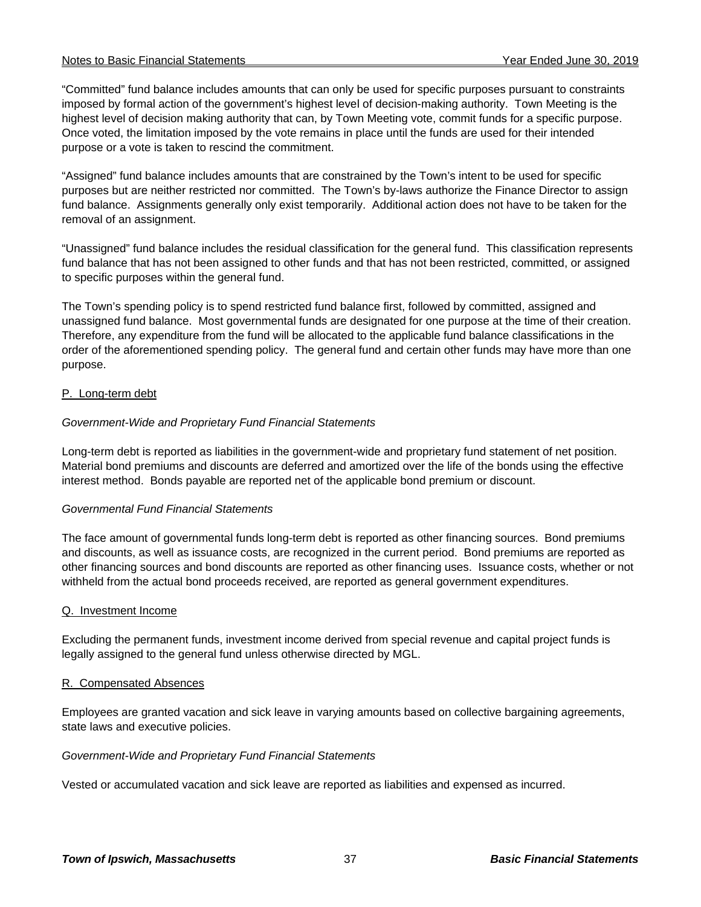"Committed" fund balance includes amounts that can only be used for specific purposes pursuant to constraints imposed by formal action of the government's highest level of decision-making authority. Town Meeting is the highest level of decision making authority that can, by Town Meeting vote, commit funds for a specific purpose. Once voted, the limitation imposed by the vote remains in place until the funds are used for their intended purpose or a vote is taken to rescind the commitment.

"Assigned" fund balance includes amounts that are constrained by the Town's intent to be used for specific purposes but are neither restricted nor committed. The Town's by-laws authorize the Finance Director to assign fund balance. Assignments generally only exist temporarily. Additional action does not have to be taken for the removal of an assignment.

"Unassigned" fund balance includes the residual classification for the general fund. This classification represents fund balance that has not been assigned to other funds and that has not been restricted, committed, or assigned to specific purposes within the general fund.

The Town's spending policy is to spend restricted fund balance first, followed by committed, assigned and unassigned fund balance. Most governmental funds are designated for one purpose at the time of their creation. Therefore, any expenditure from the fund will be allocated to the applicable fund balance classifications in the order of the aforementioned spending policy. The general fund and certain other funds may have more than one purpose.

# P. Long-term debt

## *Government-Wide and Proprietary Fund Financial Statements*

Long-term debt is reported as liabilities in the government-wide and proprietary fund statement of net position. Material bond premiums and discounts are deferred and amortized over the life of the bonds using the effective interest method. Bonds payable are reported net of the applicable bond premium or discount.

#### *Governmental Fund Financial Statements*

The face amount of governmental funds long-term debt is reported as other financing sources. Bond premiums and discounts, as well as issuance costs, are recognized in the current period. Bond premiums are reported as other financing sources and bond discounts are reported as other financing uses. Issuance costs, whether or not withheld from the actual bond proceeds received, are reported as general government expenditures.

#### Q. Investment Income

Excluding the permanent funds, investment income derived from special revenue and capital project funds is legally assigned to the general fund unless otherwise directed by MGL.

#### R. Compensated Absences

Employees are granted vacation and sick leave in varying amounts based on collective bargaining agreements, state laws and executive policies.

#### *Government-Wide and Proprietary Fund Financial Statements*

Vested or accumulated vacation and sick leave are reported as liabilities and expensed as incurred.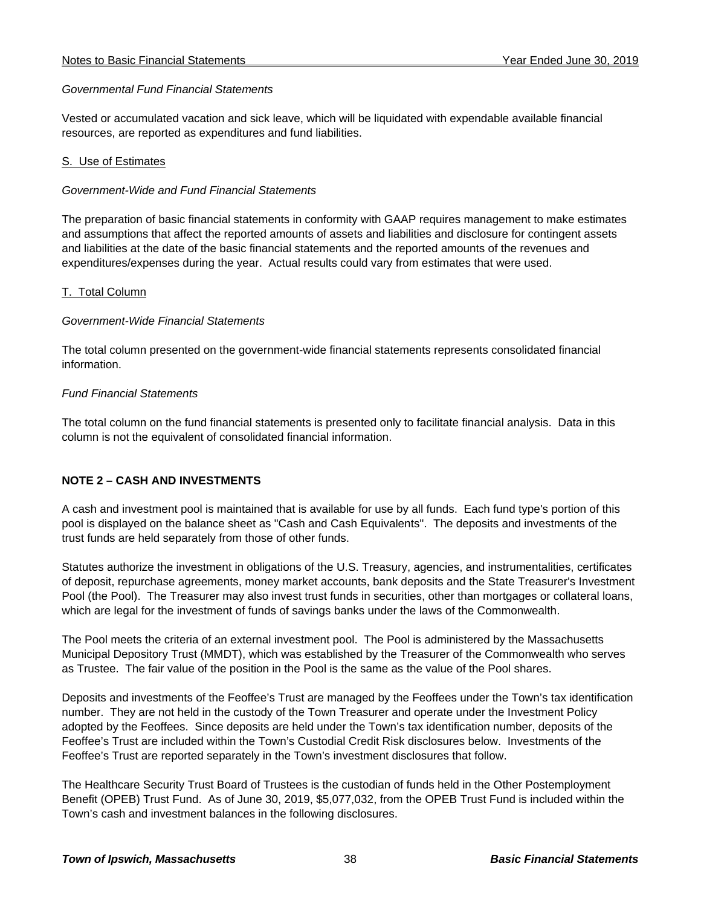## *Governmental Fund Financial Statements*

Vested or accumulated vacation and sick leave, which will be liquidated with expendable available financial resources, are reported as expenditures and fund liabilities.

#### S. Use of Estimates

#### *Government-Wide and Fund Financial Statements*

The preparation of basic financial statements in conformity with GAAP requires management to make estimates and assumptions that affect the reported amounts of assets and liabilities and disclosure for contingent assets and liabilities at the date of the basic financial statements and the reported amounts of the revenues and expenditures/expenses during the year. Actual results could vary from estimates that were used.

#### T. Total Column

## *Government-Wide Financial Statements*

The total column presented on the government-wide financial statements represents consolidated financial information.

## *Fund Financial Statements*

The total column on the fund financial statements is presented only to facilitate financial analysis. Data in this column is not the equivalent of consolidated financial information.

# **NOTE 2 – CASH AND INVESTMENTS**

A cash and investment pool is maintained that is available for use by all funds. Each fund type's portion of this pool is displayed on the balance sheet as "Cash and Cash Equivalents". The deposits and investments of the trust funds are held separately from those of other funds.

Statutes authorize the investment in obligations of the U.S. Treasury, agencies, and instrumentalities, certificates of deposit, repurchase agreements, money market accounts, bank deposits and the State Treasurer's Investment Pool (the Pool). The Treasurer may also invest trust funds in securities, other than mortgages or collateral loans, which are legal for the investment of funds of savings banks under the laws of the Commonwealth.

The Pool meets the criteria of an external investment pool. The Pool is administered by the Massachusetts Municipal Depository Trust (MMDT), which was established by the Treasurer of the Commonwealth who serves as Trustee. The fair value of the position in the Pool is the same as the value of the Pool shares.

Deposits and investments of the Feoffee's Trust are managed by the Feoffees under the Town's tax identification number. They are not held in the custody of the Town Treasurer and operate under the Investment Policy adopted by the Feoffees. Since deposits are held under the Town's tax identification number, deposits of the Feoffee's Trust are included within the Town's Custodial Credit Risk disclosures below. Investments of the Feoffee's Trust are reported separately in the Town's investment disclosures that follow.

The Healthcare Security Trust Board of Trustees is the custodian of funds held in the Other Postemployment Benefit (OPEB) Trust Fund. As of June 30, 2019, \$5,077,032, from the OPEB Trust Fund is included within the Town's cash and investment balances in the following disclosures.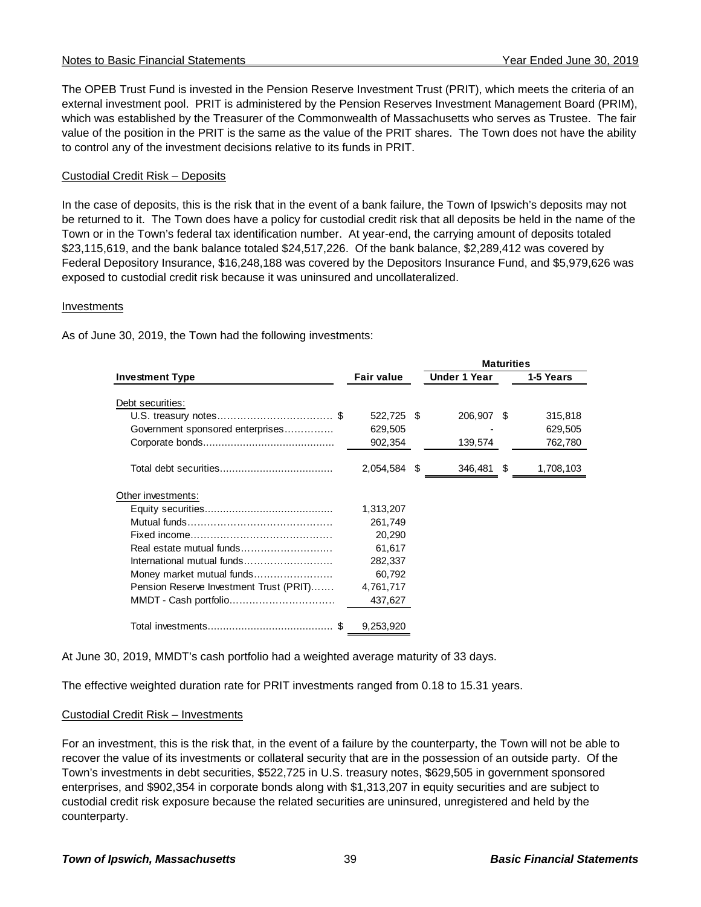#### Notes to Basic Financial Statements Year Ended June 30, 2019

The OPEB Trust Fund is invested in the Pension Reserve Investment Trust (PRIT), which meets the criteria of an external investment pool. PRIT is administered by the Pension Reserves Investment Management Board (PRIM), which was established by the Treasurer of the Commonwealth of Massachusetts who serves as Trustee. The fair value of the position in the PRIT is the same as the value of the PRIT shares. The Town does not have the ability to control any of the investment decisions relative to its funds in PRIT.

## Custodial Credit Risk – Deposits

In the case of deposits, this is the risk that in the event of a bank failure, the Town of Ipswich's deposits may not be returned to it. The Town does have a policy for custodial credit risk that all deposits be held in the name of the Town or in the Town's federal tax identification number. At year-end, the carrying amount of deposits totaled \$23,115,619, and the bank balance totaled \$24,517,226. Of the bank balance, \$2,289,412 was covered by Federal Depository Insurance, \$16,248,188 was covered by the Depositors Insurance Fund, and \$5,979,626 was exposed to custodial credit risk because it was uninsured and uncollateralized.

#### Investments

As of June 30, 2019, the Town had the following investments:

|                                         |                   |   |                     | <b>Maturities</b> |           |  |  |
|-----------------------------------------|-------------------|---|---------------------|-------------------|-----------|--|--|
| <b>Investment Type</b>                  | <b>Fair value</b> |   | <b>Under 1 Year</b> |                   | 1-5 Years |  |  |
| Debt securities:                        |                   |   |                     |                   |           |  |  |
|                                         | 522,725 \$        |   | 206,907 \$          |                   | 315,818   |  |  |
| Government sponsored enterprises        | 629,505           |   |                     |                   | 629,505   |  |  |
|                                         | 902,354           |   | 139,574             |                   | 762,780   |  |  |
|                                         | 2,054,584         | S | 346,481 \$          |                   | 1,708,103 |  |  |
| Other investments:                      |                   |   |                     |                   |           |  |  |
|                                         | 1,313,207         |   |                     |                   |           |  |  |
|                                         | 261,749           |   |                     |                   |           |  |  |
|                                         | 20,290            |   |                     |                   |           |  |  |
| Real estate mutual funds                | 61,617            |   |                     |                   |           |  |  |
| International mutual funds              | 282,337           |   |                     |                   |           |  |  |
| Money market mutual funds               | 60,792            |   |                     |                   |           |  |  |
| Pension Reserve Investment Trust (PRIT) | 4,761,717         |   |                     |                   |           |  |  |
|                                         | 437,627           |   |                     |                   |           |  |  |
|                                         | 9,253,920         |   |                     |                   |           |  |  |

At June 30, 2019, MMDT's cash portfolio had a weighted average maturity of 33 days.

The effective weighted duration rate for PRIT investments ranged from 0.18 to 15.31 years.

#### Custodial Credit Risk – Investments

For an investment, this is the risk that, in the event of a failure by the counterparty, the Town will not be able to recover the value of its investments or collateral security that are in the possession of an outside party. Of the Town's investments in debt securities, \$522,725 in U.S. treasury notes, \$629,505 in government sponsored enterprises, and \$902,354 in corporate bonds along with \$1,313,207 in equity securities and are subject to custodial credit risk exposure because the related securities are uninsured, unregistered and held by the counterparty.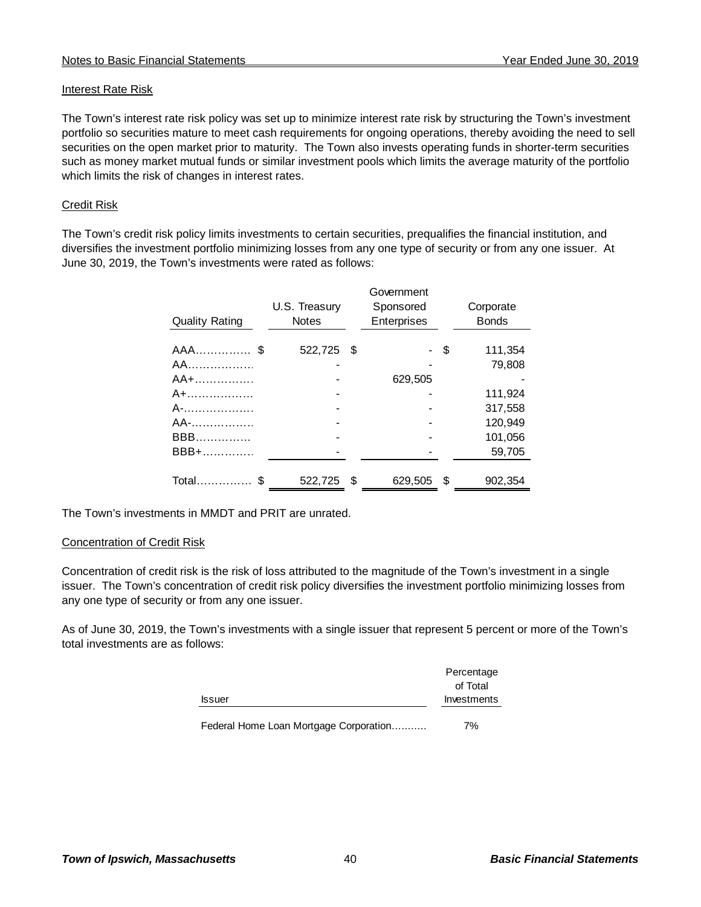#### Interest Rate Risk

The Town's interest rate risk policy was set up to minimize interest rate risk by structuring the Town's investment portfolio so securities mature to meet cash requirements for ongoing operations, thereby avoiding the need to sell securities on the open market prior to maturity. The Town also invests operating funds in shorter-term securities such as money market mutual funds or similar investment pools which limits the average maturity of the portfolio which limits the risk of changes in interest rates.

# Credit Risk

The Town's credit risk policy limits investments to certain securities, prequalifies the financial institution, and diversifies the investment portfolio minimizing losses from any one type of security or from any one issuer. At June 30, 2019, the Town's investments were rated as follows:

| <b>Quality Rating</b> | U.S. Treasury<br><b>Notes</b> |      | Government<br>Sponsored<br>Enterprises |      | Corporate<br><b>Bonds</b> |
|-----------------------|-------------------------------|------|----------------------------------------|------|---------------------------|
| AAA                   | 522,725                       | - \$ |                                        | -\$  | 111,354                   |
| AA                    |                               |      |                                        |      | 79,808                    |
| AA+                   |                               |      | 629,505                                |      |                           |
| A+                    |                               |      |                                        |      | 111,924                   |
| A-                    |                               |      |                                        |      | 317,558                   |
| AA-                   |                               |      |                                        |      | 120.949                   |
| <b>BBB</b>            |                               |      |                                        |      | 101,056                   |
| BBB+                  |                               |      |                                        |      | 59,705                    |
|                       |                               |      |                                        |      |                           |
| Total                 | 522,725                       | S    | 629,505                                | - \$ | 902,354                   |

The Town's investments in MMDT and PRIT are unrated.

# Concentration of Credit Risk

Concentration of credit risk is the risk of loss attributed to the magnitude of the Town's investment in a single issuer. The Town's concentration of credit risk policy diversifies the investment portfolio minimizing losses from any one type of security or from any one issuer.

As of June 30, 2019, the Town's investments with a single issuer that represent 5 percent or more of the Town's total investments are as follows:

|                                        | Percentage  |
|----------------------------------------|-------------|
|                                        | of Total    |
| <b>Issuer</b>                          | Investments |
|                                        |             |
| Federal Home Loan Mortgage Corporation | 7%          |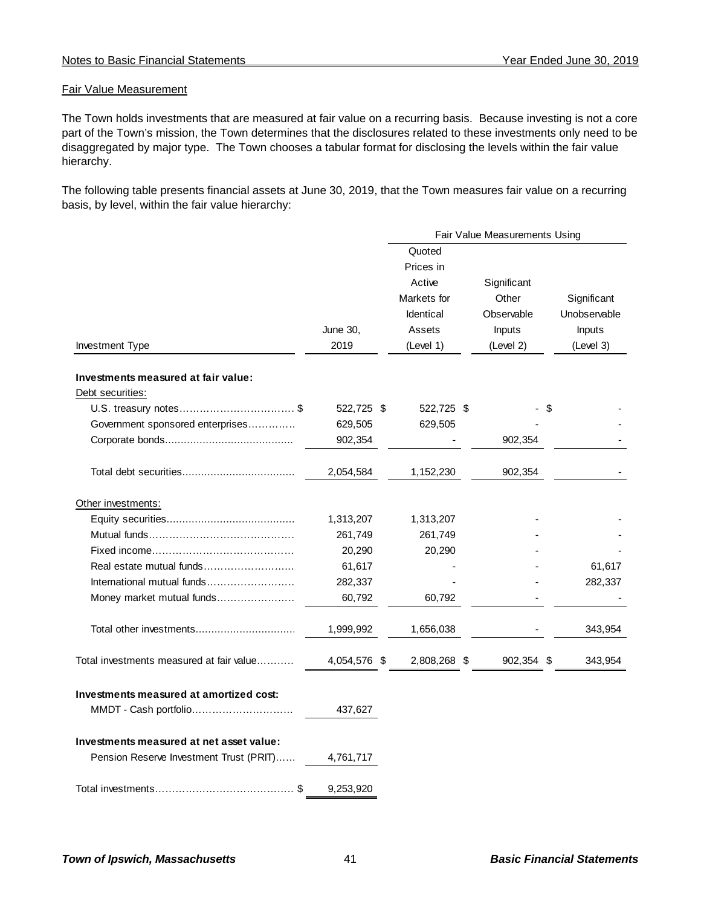#### Fair Value Measurement

The Town holds investments that are measured at fair value on a recurring basis. Because investing is not a core part of the Town's mission, the Town determines that the disclosures related to these investments only need to be disaggregated by major type. The Town chooses a tabular format for disclosing the levels within the fair value hierarchy.

The following table presents financial assets at June 30, 2019, that the Town measures fair value on a recurring basis, by level, within the fair value hierarchy:

|                                          |              | Fair Value Measurements Using |              |  |             |      |              |
|------------------------------------------|--------------|-------------------------------|--------------|--|-------------|------|--------------|
|                                          |              |                               | Quoted       |  |             |      |              |
|                                          |              |                               | Prices in    |  |             |      |              |
|                                          |              |                               | Active       |  | Significant |      |              |
|                                          |              |                               | Markets for  |  | Other       |      | Significant  |
|                                          |              |                               | Identical    |  | Observable  |      | Unobservable |
|                                          | June 30,     |                               | Assets       |  | Inputs      |      | Inputs       |
| Investment Type                          | 2019         |                               | (Level 1)    |  | (Level 2)   |      | (Level 3)    |
| Investments measured at fair value:      |              |                               |              |  |             |      |              |
| Debt securities:                         |              |                               |              |  |             |      |              |
|                                          | 522,725 \$   |                               | 522,725 \$   |  |             | - \$ |              |
| Government sponsored enterprises         | 629,505      |                               | 629,505      |  |             |      |              |
|                                          | 902,354      |                               |              |  | 902,354     |      |              |
|                                          | 2,054,584    |                               | 1,152,230    |  | 902,354     |      |              |
|                                          |              |                               |              |  |             |      |              |
| Other investments:                       |              |                               |              |  |             |      |              |
|                                          | 1,313,207    |                               | 1,313,207    |  |             |      |              |
|                                          | 261,749      |                               | 261,749      |  |             |      |              |
|                                          | 20,290       |                               | 20,290       |  |             |      |              |
| Real estate mutual funds                 | 61,617       |                               |              |  |             |      | 61,617       |
| International mutual funds               | 282,337      |                               |              |  |             |      | 282,337      |
| Money market mutual funds                | 60,792       |                               | 60,792       |  |             |      |              |
| Total other investments                  | 1,999,992    |                               | 1,656,038    |  |             |      | 343,954      |
| Total investments measured at fair value | 4,054,576 \$ |                               | 2,808,268 \$ |  | 902,354 \$  |      | 343,954      |
| Investments measured at amortized cost:  |              |                               |              |  |             |      |              |
| MMDT - Cash portfolio                    | 437,627      |                               |              |  |             |      |              |
| Investments measured at net asset value: |              |                               |              |  |             |      |              |
| Pension Reserve Investment Trust (PRIT)  | 4,761,717    |                               |              |  |             |      |              |
|                                          | 9,253,920    |                               |              |  |             |      |              |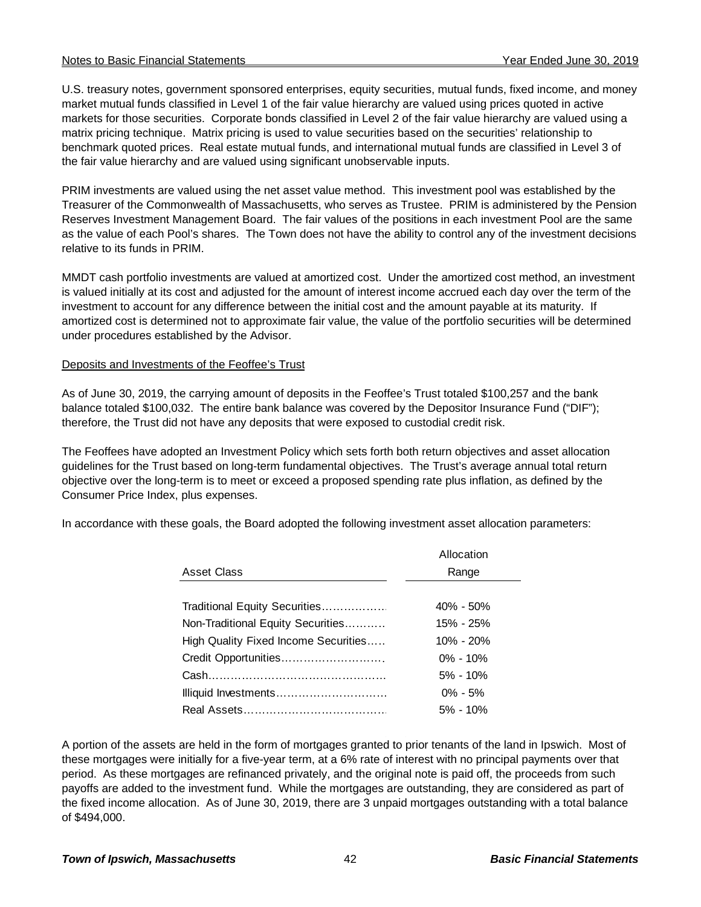U.S. treasury notes, government sponsored enterprises, equity securities, mutual funds, fixed income, and money market mutual funds classified in Level 1 of the fair value hierarchy are valued using prices quoted in active markets for those securities. Corporate bonds classified in Level 2 of the fair value hierarchy are valued using a matrix pricing technique. Matrix pricing is used to value securities based on the securities' relationship to benchmark quoted prices. Real estate mutual funds, and international mutual funds are classified in Level 3 of the fair value hierarchy and are valued using significant unobservable inputs.

PRIM investments are valued using the net asset value method. This investment pool was established by the Treasurer of the Commonwealth of Massachusetts, who serves as Trustee. PRIM is administered by the Pension Reserves Investment Management Board. The fair values of the positions in each investment Pool are the same as the value of each Pool's shares. The Town does not have the ability to control any of the investment decisions relative to its funds in PRIM.

MMDT cash portfolio investments are valued at amortized cost. Under the amortized cost method, an investment is valued initially at its cost and adjusted for the amount of interest income accrued each day over the term of the investment to account for any difference between the initial cost and the amount payable at its maturity. If amortized cost is determined not to approximate fair value, the value of the portfolio securities will be determined under procedures established by the Advisor.

## Deposits and Investments of the Feoffee's Trust

As of June 30, 2019, the carrying amount of deposits in the Feoffee's Trust totaled \$100,257 and the bank balance totaled \$100,032. The entire bank balance was covered by the Depositor Insurance Fund ("DIF"); therefore, the Trust did not have any deposits that were exposed to custodial credit risk.

The Feoffees have adopted an Investment Policy which sets forth both return objectives and asset allocation guidelines for the Trust based on long-term fundamental objectives. The Trust's average annual total return objective over the long-term is to meet or exceed a proposed spending rate plus inflation, as defined by the Consumer Price Index, plus expenses.

In accordance with these goals, the Board adopted the following investment asset allocation parameters:

|                                      | Allocation    |
|--------------------------------------|---------------|
| Asset Class                          | Range         |
|                                      |               |
| Traditional Equity Securities        | $40\% - 50\%$ |
| Non-Traditional Equity Securities    | 15% - 25%     |
| High Quality Fixed Income Securities | $10\% - 20\%$ |
| Credit Opportunities                 | $0\% - 10\%$  |
|                                      | $5% - 10%$    |
| Illiquid Investments                 | $0\% - 5\%$   |
|                                      | $5% - 10%$    |

A portion of the assets are held in the form of mortgages granted to prior tenants of the land in Ipswich. Most of these mortgages were initially for a five-year term, at a 6% rate of interest with no principal payments over that period. As these mortgages are refinanced privately, and the original note is paid off, the proceeds from such payoffs are added to the investment fund. While the mortgages are outstanding, they are considered as part of the fixed income allocation. As of June 30, 2019, there are 3 unpaid mortgages outstanding with a total balance of \$494,000.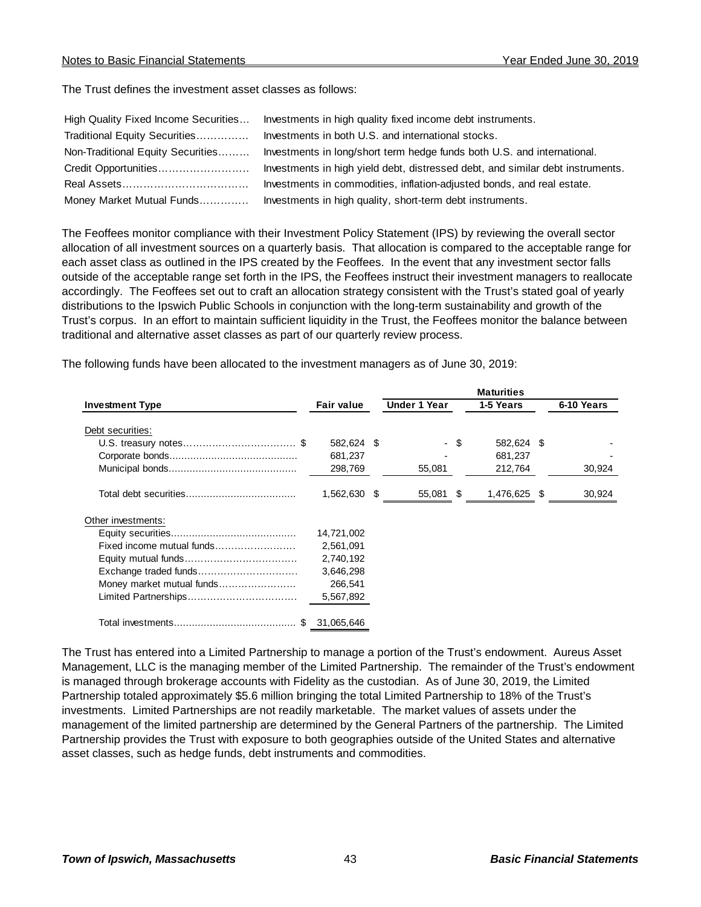The Trust defines the investment asset classes as follows:

| High Quality Fixed Income Securities | Investments in high quality fixed income debt instruments.                     |
|--------------------------------------|--------------------------------------------------------------------------------|
| Traditional Equity Securities        | Investments in both U.S. and international stocks.                             |
| Non-Traditional Equity Securities    | Investments in long/short term hedge funds both U.S. and international.        |
|                                      | Investments in high yield debt, distressed debt, and similar debt instruments. |
|                                      | Investments in commodities, inflation-adjusted bonds, and real estate.         |
| Money Market Mutual Funds            | Investments in high quality, short-term debt instruments.                      |

The Feoffees monitor compliance with their Investment Policy Statement (IPS) by reviewing the overall sector allocation of all investment sources on a quarterly basis. That allocation is compared to the acceptable range for each asset class as outlined in the IPS created by the Feoffees. In the event that any investment sector falls outside of the acceptable range set forth in the IPS, the Feoffees instruct their investment managers to reallocate accordingly. The Feoffees set out to craft an allocation strategy consistent with the Trust's stated goal of yearly distributions to the Ipswich Public Schools in conjunction with the long-term sustainability and growth of the Trust's corpus. In an effort to maintain sufficient liquidity in the Trust, the Feoffees monitor the balance between traditional and alternative asset classes as part of our quarterly review process.

The following funds have been allocated to the investment managers as of June 30, 2019:

|                           |            | <b>Maturities</b> |                     |      |              |  |            |
|---------------------------|------------|-------------------|---------------------|------|--------------|--|------------|
| <b>Investment Type</b>    | Fair value |                   | <b>Under 1 Year</b> |      | 1-5 Years    |  | 6-10 Years |
|                           |            |                   |                     |      |              |  |            |
| Debt securities:          |            |                   |                     |      |              |  |            |
|                           | 582,624 \$ |                   |                     | - \$ | 582.624 \$   |  |            |
|                           | 681,237    |                   |                     |      | 681,237      |  |            |
|                           | 298,769    |                   | 55,081              |      | 212,764      |  | 30,924     |
|                           |            |                   |                     |      |              |  |            |
|                           | 1,562,630  | S                 | 55,081 \$           |      | 1,476,625 \$ |  | 30,924     |
|                           |            |                   |                     |      |              |  |            |
| Other investments:        |            |                   |                     |      |              |  |            |
|                           | 14,721,002 |                   |                     |      |              |  |            |
| Fixed income mutual funds | 2,561,091  |                   |                     |      |              |  |            |
|                           | 2,740,192  |                   |                     |      |              |  |            |
|                           | 3,646,298  |                   |                     |      |              |  |            |
| Money market mutual funds | 266,541    |                   |                     |      |              |  |            |
|                           | 5,567,892  |                   |                     |      |              |  |            |
|                           |            |                   |                     |      |              |  |            |
|                           | 31,065,646 |                   |                     |      |              |  |            |

The Trust has entered into a Limited Partnership to manage a portion of the Trust's endowment. Aureus Asset Management, LLC is the managing member of the Limited Partnership. The remainder of the Trust's endowment is managed through brokerage accounts with Fidelity as the custodian. As of June 30, 2019, the Limited Partnership totaled approximately \$5.6 million bringing the total Limited Partnership to 18% of the Trust's investments. Limited Partnerships are not readily marketable. The market values of assets under the management of the limited partnership are determined by the General Partners of the partnership. The Limited Partnership provides the Trust with exposure to both geographies outside of the United States and alternative asset classes, such as hedge funds, debt instruments and commodities.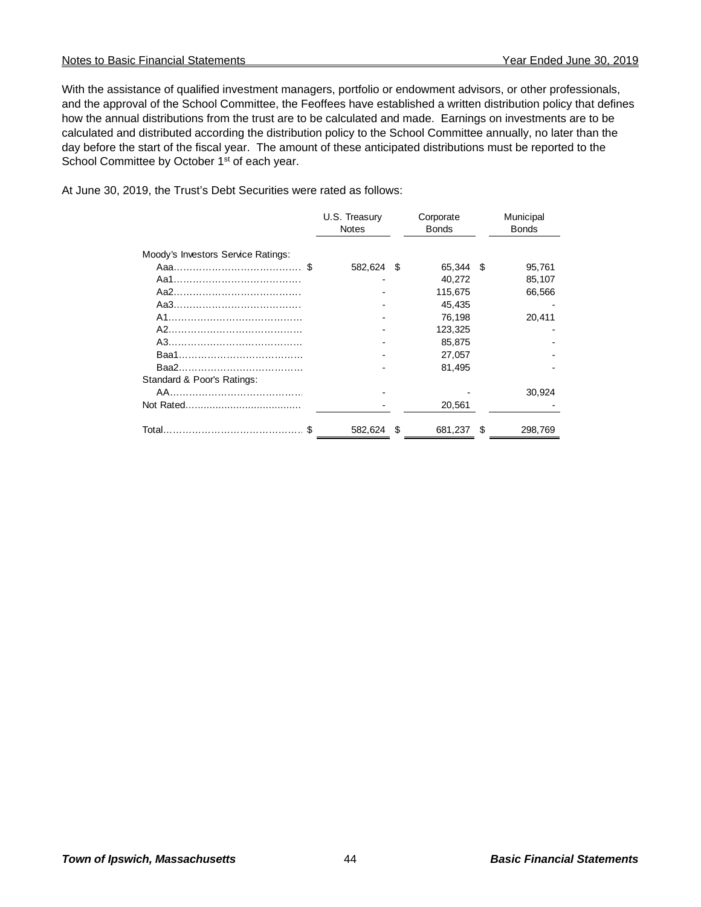With the assistance of qualified investment managers, portfolio or endowment advisors, or other professionals, and the approval of the School Committee, the Feoffees have established a written distribution policy that defines how the annual distributions from the trust are to be calculated and made. Earnings on investments are to be calculated and distributed according the distribution policy to the School Committee annually, no later than the day before the start of the fiscal year. The amount of these anticipated distributions must be reported to the School Committee by October 1<sup>st</sup> of each year.

At June 30, 2019, the Trust's Debt Securities were rated as follows:

|                                    | U.S. Treasury<br><b>Notes</b> | Corporate<br><b>Bonds</b> |           | Municipal<br><b>Bonds</b> |
|------------------------------------|-------------------------------|---------------------------|-----------|---------------------------|
| Moody's Investors Service Ratings: |                               |                           |           |                           |
| Aaa………………………………………<br>\$.          | 582,624                       | \$.                       | 65,344 \$ | 95.761                    |
|                                    |                               |                           | 40.272    | 85.107                    |
|                                    |                               |                           | 115.675   | 66,566                    |
|                                    |                               |                           | 45.435    |                           |
|                                    |                               |                           | 76.198    | 20.411                    |
|                                    |                               |                           | 123.325   |                           |
|                                    |                               |                           | 85.875    |                           |
|                                    |                               |                           | 27.057    |                           |
|                                    |                               |                           | 81.495    |                           |
| Standard & Poor's Ratings:         |                               |                           |           |                           |
|                                    |                               |                           |           | 30,924                    |
|                                    |                               |                           | 20,561    |                           |
| Total………………………………………… \$           | 582,624                       | - \$                      | 681,237   | 298,769                   |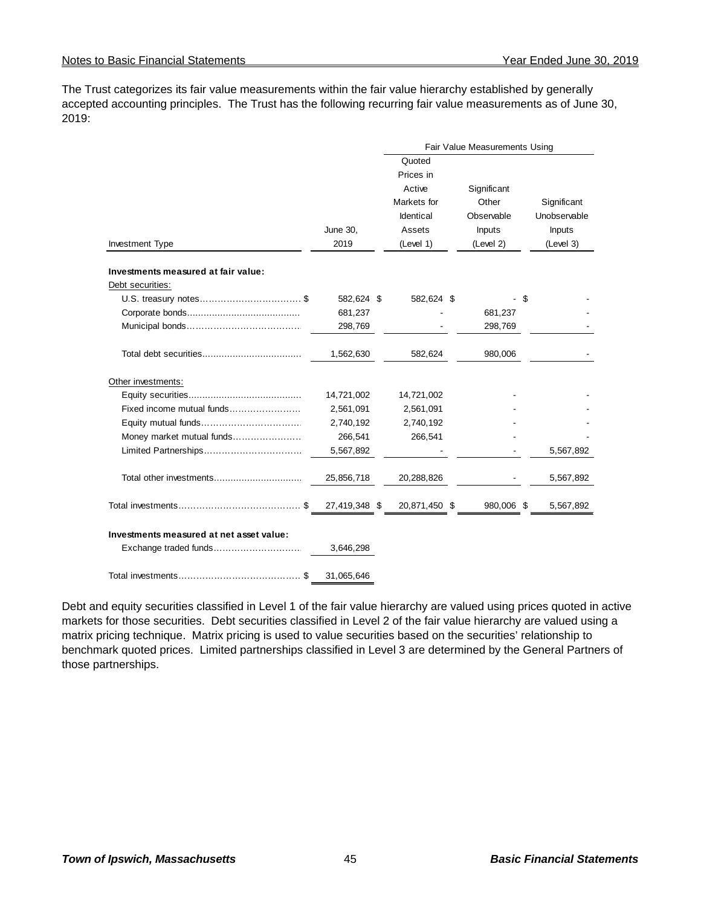The Trust categorizes its fair value measurements within the fair value hierarchy established by generally accepted accounting principles. The Trust has the following recurring fair value measurements as of June 30, 2019:

|                                          |                 | Fair Value Measurements Using |             |            |              |  |  |
|------------------------------------------|-----------------|-------------------------------|-------------|------------|--------------|--|--|
|                                          |                 | Quoted                        |             |            |              |  |  |
|                                          |                 | Prices in                     |             |            |              |  |  |
|                                          |                 | Active                        | Significant |            |              |  |  |
|                                          |                 | Markets for                   | Other       |            | Significant  |  |  |
|                                          |                 | Identical                     | Observable  |            | Unobservable |  |  |
|                                          | <b>June 30.</b> | Assets                        | Inputs      |            | Inputs       |  |  |
| Investment Type                          | 2019            | (Level 1)                     | (Level 2)   |            | (Level 3)    |  |  |
| Investments measured at fair value:      |                 |                               |             |            |              |  |  |
| Debt securities:                         |                 |                               |             |            |              |  |  |
|                                          | 582,624 \$      | 582,624 \$                    |             | - \$       |              |  |  |
|                                          | 681,237         |                               | 681,237     |            |              |  |  |
|                                          | 298,769         |                               | 298,769     |            |              |  |  |
|                                          | 1,562,630       | 582,624                       | 980,006     |            |              |  |  |
| Other investments:                       |                 |                               |             |            |              |  |  |
|                                          | 14,721,002      | 14,721,002                    |             |            |              |  |  |
| Fixed income mutual funds                | 2,561,091       | 2,561,091                     |             |            |              |  |  |
|                                          | 2,740,192       | 2,740,192                     |             |            |              |  |  |
| Money market mutual funds                | 266,541         | 266,541                       |             |            |              |  |  |
|                                          | 5,567,892       |                               |             |            | 5,567,892    |  |  |
| Total other investments                  | 25,856,718      | 20,288,826                    |             |            | 5,567,892    |  |  |
|                                          | 27,419,348 \$   | 20,871,450 \$                 |             | 980,006 \$ | 5,567,892    |  |  |
| Investments measured at net asset value: |                 |                               |             |            |              |  |  |
|                                          | 3,646,298       |                               |             |            |              |  |  |
|                                          | 31,065,646      |                               |             |            |              |  |  |

Debt and equity securities classified in Level 1 of the fair value hierarchy are valued using prices quoted in active markets for those securities. Debt securities classified in Level 2 of the fair value hierarchy are valued using a matrix pricing technique. Matrix pricing is used to value securities based on the securities' relationship to benchmark quoted prices. Limited partnerships classified in Level 3 are determined by the General Partners of those partnerships.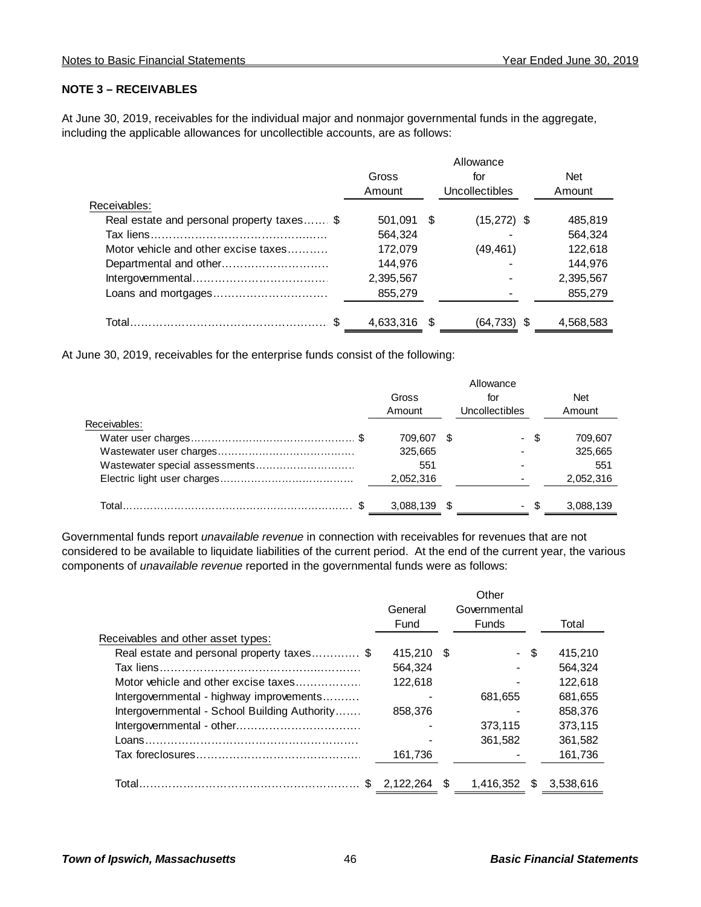## **NOTE 3 – RECEIVABLES**

At June 30, 2019, receivables for the individual major and nonmajor governmental funds in the aggregate, including the applicable allowances for uncollectible accounts, are as follows:

|                                            | Allowance |      |                |  |            |  |
|--------------------------------------------|-----------|------|----------------|--|------------|--|
|                                            | Gross     |      | for            |  | <b>Net</b> |  |
|                                            | Amount    |      | Uncollectibles |  | Amount     |  |
| Receivables:                               |           |      |                |  |            |  |
| Real estate and personal property taxes \$ | 501,091   | - \$ | $(15,272)$ \$  |  | 485,819    |  |
|                                            | 564,324   |      |                |  | 564,324    |  |
| Motor vehicle and other excise taxes       | 172,079   |      | (49, 461)      |  | 122,618    |  |
| Departmental and other                     | 144.976   |      |                |  | 144.976    |  |
|                                            | 2,395,567 |      |                |  | 2,395,567  |  |
| Loans and mortgages                        | 855,279   |      |                |  | 855,279    |  |
|                                            | 4,633,316 |      | (64,733)       |  | 4,568,583  |  |

At June 30, 2019, receivables for the enterprise funds consist of the following:

|                              |            | Allowance      |      |           |
|------------------------------|------------|----------------|------|-----------|
|                              | Gross      | for            |      | Net       |
|                              | Amount     | Uncollectibles |      | Amount    |
| Receivables:                 |            |                |      |           |
|                              | 709,607 \$ |                | - \$ | 709,607   |
|                              | 325,665    |                |      | 325,665   |
|                              | 551        |                |      | 551       |
|                              | 2,052,316  |                |      | 2,052,316 |
| Total…………………………………………………………… | 3,088,139  |                |      | 3,088,139 |

Governmental funds report *unavailable revenue* in connection with receivables for revenues that are not considered to be available to liquidate liabilities of the current period. At the end of the current year, the various components of *unavailable revenue* reported in the governmental funds were as follows:

|                                               |            | Other        |    |           |
|-----------------------------------------------|------------|--------------|----|-----------|
|                                               | General    | Governmental |    |           |
|                                               | Fund       | <b>Funds</b> |    | Total     |
| Receivables and other asset types:            |            |              |    |           |
| Real estate and personal property taxes\$     | 415,210 \$ | - \$         |    | 415.210   |
|                                               | 564.324    |              |    | 564.324   |
| Motor vehicle and other excise taxes          | 122,618    |              |    | 122,618   |
| Intergovernmental - highway improvements      |            | 681,655      |    | 681,655   |
| Intergovernmental - School Building Authority | 858,376    |              |    | 858.376   |
|                                               |            | 373.115      |    | 373.115   |
|                                               |            | 361,582      |    | 361,582   |
|                                               | 161,736    |              |    | 161,736   |
|                                               |            |              |    |           |
|                                               | 2.122.264  | 1,416,352    | S. | 3.538.616 |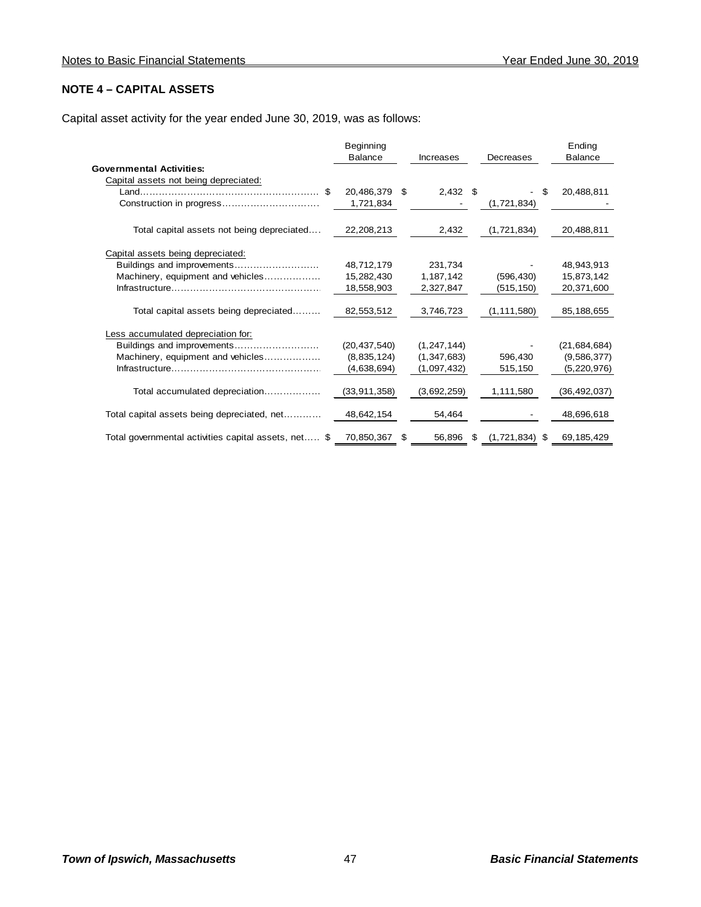# **NOTE 4 – CAPITAL ASSETS**

Capital asset activity for the year ended June 30, 2019, was as follows:

|                                                      | Beginning      |               |                        |     | Ending         |
|------------------------------------------------------|----------------|---------------|------------------------|-----|----------------|
|                                                      | <b>Balance</b> | Increases     | Decreases              |     | <b>Balance</b> |
| <b>Governmental Activities:</b>                      |                |               |                        |     |                |
| Capital assets not being depreciated:                |                |               |                        |     |                |
|                                                      | 20,486,379 \$  | $2,432$ \$    | $\sim$                 | -\$ | 20,488,811     |
| Construction in progress                             | 1,721,834      |               | (1,721,834)            |     |                |
| Total capital assets not being depreciated           | 22,208,213     | 2,432         | (1,721,834)            |     | 20,488,811     |
| Capital assets being depreciated:                    |                |               |                        |     |                |
| Buildings and improvements                           | 48,712,179     | 231,734       |                        |     | 48,943,913     |
| Machinery, equipment and vehicles                    | 15,282,430     | 1,187,142     | (596, 430)             |     | 15,873,142     |
|                                                      | 18,558,903     | 2,327,847     | (515, 150)             |     | 20,371,600     |
| Total capital assets being depreciated               | 82,553,512     | 3,746,723     | (1, 111, 580)          |     | 85,188,655     |
| Less accumulated depreciation for:                   |                |               |                        |     |                |
| Buildings and improvements                           | (20, 437, 540) | (1, 247, 144) |                        |     | (21, 684, 684) |
| Machinery, equipment and vehicles                    | (8, 835, 124)  | (1, 347, 683) | 596,430                |     | (9,586,377)    |
|                                                      | (4,638,694)    | (1,097,432)   | 515,150                |     | (5, 220, 976)  |
| Total accumulated depreciation                       | (33, 911, 358) | (3,692,259)   | 1,111,580              |     | (36, 492, 037) |
| Total capital assets being depreciated, net          | 48,642,154     | 54,464        |                        |     | 48,696,618     |
| Total governmental activities capital assets, net \$ | 70,850,367     | \$<br>56,896  | \$<br>$(1,721,834)$ \$ |     | 69,185,429     |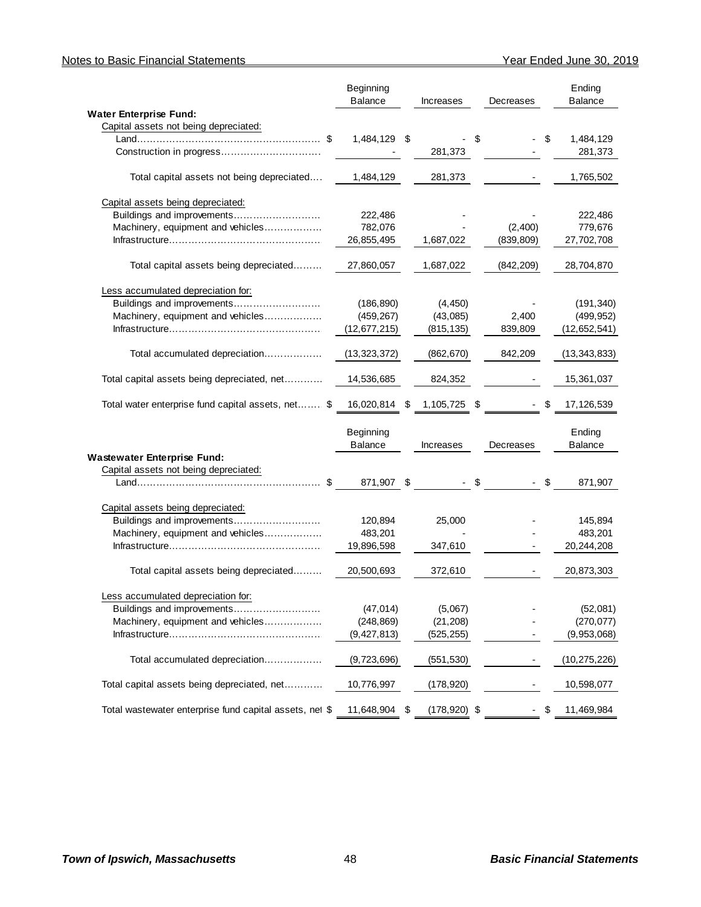# Notes to Basic Financial Statements **Year Ended June 30, 2019**

|                                                                  | Beginning<br><b>Balance</b> | <b>Increases</b>     |    | Decreases  |      | Ending<br><b>Balance</b> |
|------------------------------------------------------------------|-----------------------------|----------------------|----|------------|------|--------------------------|
| <b>Water Enterprise Fund:</b>                                    |                             |                      |    |            |      |                          |
| Capital assets not being depreciated:                            |                             |                      |    |            | \$   |                          |
|                                                                  | 1,484,129                   | \$                   | \$ |            |      | 1,484,129                |
| Construction in progress                                         |                             | 281,373              |    |            |      | 281,373                  |
| Total capital assets not being depreciated                       | 1,484,129                   | 281,373              |    |            |      | 1,765,502                |
| Capital assets being depreciated:                                |                             |                      |    |            |      |                          |
| Buildings and improvements                                       | 222,486                     |                      |    |            |      | 222,486                  |
| Machinery, equipment and vehicles                                | 782,076                     |                      |    | (2,400)    |      | 779,676                  |
|                                                                  | 26,855,495                  | 1,687,022            |    | (839, 809) |      | 27,702,708               |
| Total capital assets being depreciated                           | 27,860,057                  | 1,687,022            |    | (842, 209) |      | 28,704,870               |
|                                                                  |                             |                      |    |            |      |                          |
| Less accumulated depreciation for:<br>Buildings and improvements |                             |                      |    |            |      |                          |
| Machinery, equipment and vehicles                                | (186, 890)<br>(459, 267)    | (4, 450)<br>(43,085) |    | 2,400      |      | (191, 340)<br>(499, 952) |
|                                                                  |                             |                      |    | 839,809    |      |                          |
|                                                                  | (12, 677, 215)              | (815, 135)           |    |            |      | (12, 652, 541)           |
| Total accumulated depreciation                                   | (13, 323, 372)              | (862, 670)           |    | 842,209    |      | (13, 343, 833)           |
| Total capital assets being depreciated, net                      | 14,536,685                  | 824,352              |    |            |      | 15,361,037               |
| Total water enterprise fund capital assets, net \$               | 16,020,814                  | \$<br>1,105,725      | S  |            | S    | 17,126,539               |
|                                                                  | Beginning<br><b>Balance</b> | <b>Increases</b>     |    | Decreases  |      | Ending<br><b>Balance</b> |
| <b>Wastewater Enterprise Fund:</b>                               |                             |                      |    |            |      |                          |
| Capital assets not being depreciated:                            |                             |                      |    |            |      |                          |
| S                                                                | 871,907 \$                  | - \$                 |    |            | - \$ | 871,907                  |
| Capital assets being depreciated:                                |                             |                      |    |            |      |                          |
| Buildings and improvements                                       | 120,894                     | 25,000               |    |            |      | 145,894                  |
| Machinery, equipment and vehicles                                | 483,201                     |                      |    |            |      | 483,201                  |
|                                                                  | 19,896,598                  |                      |    |            |      | 20,244,208               |
|                                                                  |                             | 347,610              |    |            |      |                          |
| Total capital assets being depreciated                           | 20,500,693                  | 372,610              |    |            |      | 20,873,303               |
| Less accumulated depreciation for:                               |                             |                      |    |            |      |                          |
| Buildings and improvements                                       | (47, 014)                   | (5,067)              |    |            |      | (52,081)                 |
| Machinery, equipment and vehicles                                | (248, 869)                  | (21, 208)            |    |            |      | (270, 077)               |
|                                                                  | (9, 427, 813)               | (525,255)            |    |            |      | (9,953,068)              |
|                                                                  |                             |                      |    |            |      |                          |
| Total accumulated depreciation                                   | (9,723,696)                 | (551, 530)           |    |            |      | (10, 275, 226)           |
| Total capital assets being depreciated, net                      | 10,776,997                  | (178, 920)           |    |            |      | 10,598,077               |
| Total wastewater enterprise fund capital assets, net \$          | 11,648,904                  | \$<br>$(178,920)$ \$ |    |            | \$   | 11,469,984               |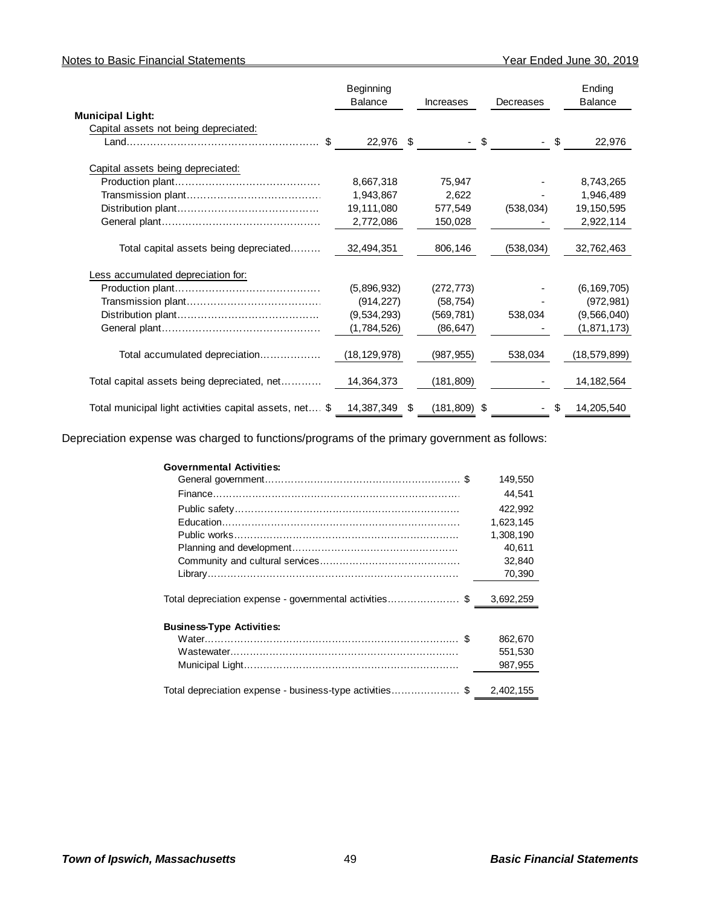# Notes to Basic Financial Statements **Year Ended June 30, 2019**

|                                                         | Beginning<br><b>Balance</b> |     | <b>Increases</b> | Decreases  | Ending<br><b>Balance</b> |
|---------------------------------------------------------|-----------------------------|-----|------------------|------------|--------------------------|
| Municipal Light:                                        |                             |     |                  |            |                          |
| Capital assets not being depreciated:                   |                             |     |                  |            |                          |
| \$                                                      | 22,976                      | \$  | $\sim$           | \$<br>۰.   | \$<br>22,976             |
| Capital assets being depreciated:                       |                             |     |                  |            |                          |
|                                                         | 8,667,318                   |     | 75,947           |            | 8,743,265                |
|                                                         | 1,943,867                   |     | 2,622            |            | 1,946,489                |
|                                                         | 19,111,080                  |     | 577,549          | (538, 034) | 19,150,595               |
|                                                         | 2,772,086                   |     | 150,028          |            | 2,922,114                |
| Total capital assets being depreciated                  | 32,494,351                  |     | 806,146          | (538, 034) | 32,762,463               |
| Less accumulated depreciation for:                      |                             |     |                  |            |                          |
|                                                         | (5,896,932)                 |     | (272, 773)       |            | (6, 169, 705)            |
|                                                         | (914, 227)                  |     | (58, 754)        |            | (972, 981)               |
|                                                         | (9,534,293)                 |     | (569, 781)       | 538,034    | (9,566,040)              |
|                                                         | (1,784,526)                 |     | (86, 647)        |            | (1,871,173)              |
| Total accumulated depreciation                          | (18, 129, 978)              |     | (987, 955)       | 538,034    | (18, 579, 899)           |
| Total capital assets being depreciated, net             | 14,364,373                  |     | (181, 809)       |            | 14,182,564               |
| Total municipal light activities capital assets, net \$ | 14,387,349                  | \$. | $(181, 809)$ \$  |            | \$<br>14,205,540         |

Depreciation expense was charged to functions/programs of the primary government as follows:

| <b>Governmental Activities:</b>                         |           |
|---------------------------------------------------------|-----------|
|                                                         | 149,550   |
|                                                         | 44.541    |
|                                                         | 422,992   |
|                                                         | 1,623,145 |
|                                                         | 1,308,190 |
|                                                         | 40.611    |
|                                                         | 32.840    |
|                                                         | 70,390    |
|                                                         |           |
| Total depreciation expense - governmental activities\$  | 3,692,259 |
| <b>Business-Type Activities:</b>                        |           |
|                                                         | 862,670   |
|                                                         | 551,530   |
|                                                         | 987,955   |
|                                                         |           |
| Total depreciation expense - business-type activities\$ | 2.402.155 |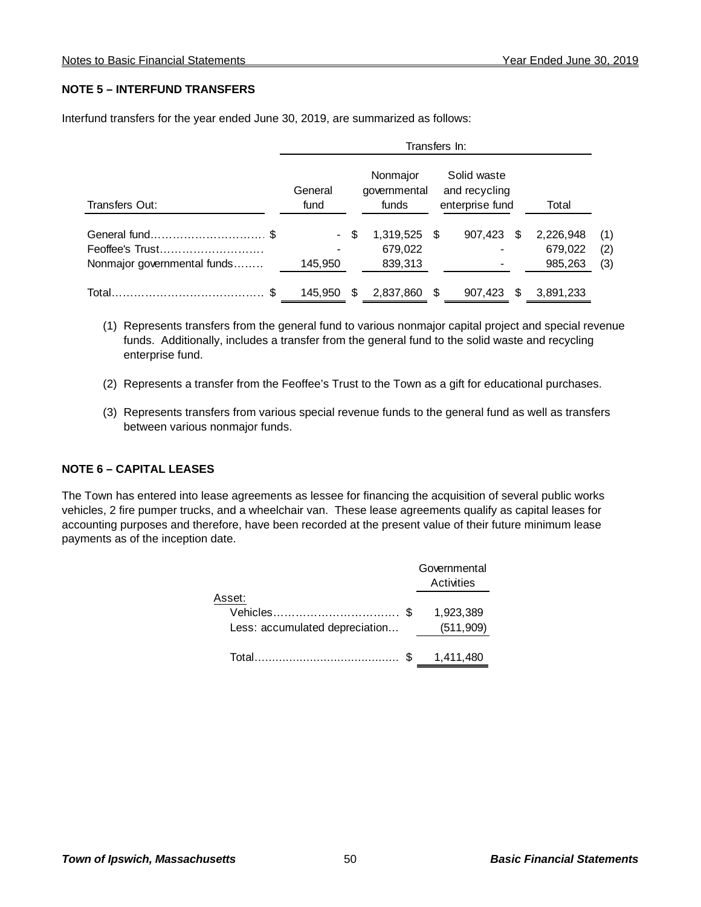#### **NOTE 5 – INTERFUND TRANSFERS**

|                             |                              |    |                                   |   | Transfers In:                                   |     |           |     |
|-----------------------------|------------------------------|----|-----------------------------------|---|-------------------------------------------------|-----|-----------|-----|
| Transfers Out:              | General<br>fund              |    | Nonmajor<br>governmental<br>funds |   | Solid waste<br>and recycling<br>enterprise fund |     | Total     |     |
| General fund\$              | - \$                         |    | 1,319,525 \$                      |   | 907,423                                         | £.  | 2,226,948 | (1) |
| Feoffee's Trust             | $\qquad \qquad \blacksquare$ |    | 679,022                           |   |                                                 |     | 679,022   | (2) |
| Nonmajor governmental funds | 145,950                      |    | 839,313                           |   |                                                 |     | 985,263   | (3) |
|                             | 145,950                      | S. | 2,837,860                         | S | 907,423                                         | \$. | 3,891,233 |     |

Interfund transfers for the year ended June 30, 2019, are summarized as follows:

- (1) Represents transfers from the general fund to various nonmajor capital project and special revenue funds. Additionally, includes a transfer from the general fund to the solid waste and recycling enterprise fund.
- (2) Represents a transfer from the Feoffee's Trust to the Town as a gift for educational purchases.
- (3) Represents transfers from various special revenue funds to the general fund as well as transfers between various nonmajor funds.

#### **NOTE 6 – CAPITAL LEASES**

The Town has entered into lease agreements as lessee for financing the acquisition of several public works vehicles, 2 fire pumper trucks, and a wheelchair van. These lease agreements qualify as capital leases for accounting purposes and therefore, have been recorded at the present value of their future minimum lease payments as of the inception date.

|                                                                     | Governmental<br>Activities |
|---------------------------------------------------------------------|----------------------------|
| Asset:<br>Vehicles……………………………… \$<br>Less: accumulated depreciation | 1,923,389<br>(511, 909)    |
| Total                                                               | 1,411,480                  |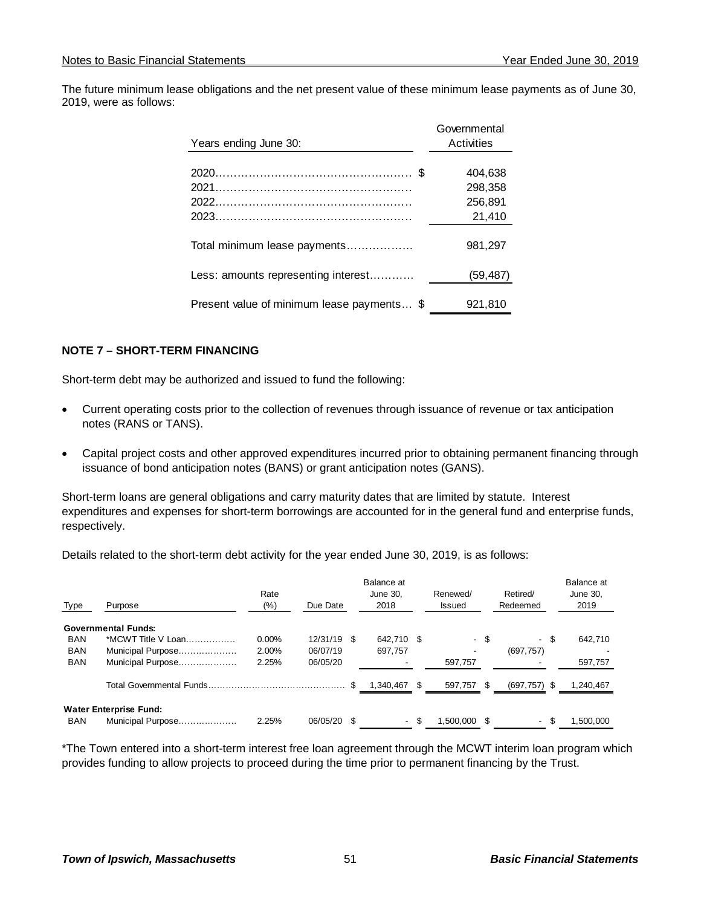The future minimum lease obligations and the net present value of these minimum lease payments as of June 30, 2019, were as follows:

| Years ending June 30:                                                             | Governmental<br>Activities              |
|-----------------------------------------------------------------------------------|-----------------------------------------|
|                                                                                   | 404.638<br>298.358<br>256.891<br>21,410 |
| Total minimum lease payments                                                      | 981.297                                 |
| Less: amounts representing interest<br>Present value of minimum lease payments \$ | (59, 487)<br>921,810                    |

#### **NOTE 7 – SHORT-TERM FINANCING**

Short-term debt may be authorized and issued to fund the following:

- Current operating costs prior to the collection of revenues through issuance of revenue or tax anticipation notes (RANS or TANS).
- Capital project costs and other approved expenditures incurred prior to obtaining permanent financing through issuance of bond anticipation notes (BANS) or grant anticipation notes (GANS).

Short-term loans are general obligations and carry maturity dates that are limited by statute. Interest expenditures and expenses for short-term borrowings are accounted for in the general fund and enterprise funds, respectively.

Details related to the short-term debt activity for the year ended June 30, 2019, is as follows:

|            |                               |          |             |     | Balance at               |      |               |      |                 | Balance at |
|------------|-------------------------------|----------|-------------|-----|--------------------------|------|---------------|------|-----------------|------------|
|            |                               | Rate     |             |     | June 30.                 |      | Renewed/      |      | Retired/        | June 30.   |
| Type       | Purpose                       | (%)      | Due Date    |     | 2018                     |      | <b>Issued</b> |      | Redeemed        | 2019       |
|            | <b>Governmental Funds:</b>    |          |             |     |                          |      |               |      |                 |            |
| <b>BAN</b> | *MCWT Title V Loan            | $0.00\%$ | 12/31/19 \$ |     | 642.710 \$               |      |               | - \$ | - \$            | 642,710    |
| <b>BAN</b> | Municipal Purpose             | 2.00%    | 06/07/19    |     | 697.757                  |      | -             |      | (697, 757)      |            |
| <b>BAN</b> | Municipal Purpose             | 2.25%    | 06/05/20    |     | $\overline{\phantom{a}}$ |      | 597.757       |      |                 | 597,757    |
|            |                               |          |             | -SG | 1,340,467                | S    | 597.757       | \$.  | $(697, 757)$ \$ | 1,240,467  |
|            | <b>Water Enterprise Fund:</b> |          |             |     |                          |      |               |      |                 |            |
| <b>BAN</b> | Municipal Purpose             | 2.25%    | 06/05/20    | S   |                          | - \$ | 1.500.000     | S    | - \$            | 1,500,000  |

\*The Town entered into a short-term interest free loan agreement through the MCWT interim loan program which provides funding to allow projects to proceed during the time prior to permanent financing by the Trust.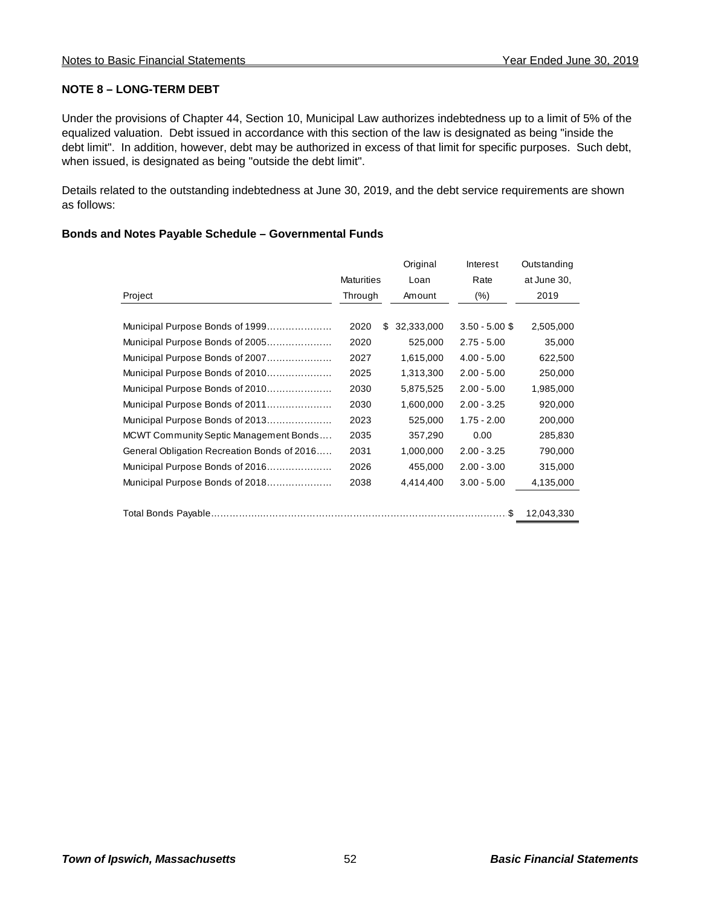## **NOTE 8 – LONG-TERM DEBT**

Under the provisions of Chapter 44, Section 10, Municipal Law authorizes indebtedness up to a limit of 5% of the equalized valuation. Debt issued in accordance with this section of the law is designated as being "inside the debt limit". In addition, however, debt may be authorized in excess of that limit for specific purposes. Such debt, when issued, is designated as being "outside the debt limit".

Details related to the outstanding indebtedness at June 30, 2019, and the debt service requirements are shown as follows:

#### **Bonds and Notes Payable Schedule – Governmental Funds**

|                                             |                   | Original   | Interest         | Outstanding |
|---------------------------------------------|-------------------|------------|------------------|-------------|
|                                             | <b>Maturities</b> | Loan       | Rate             | at June 30, |
| Project                                     | Through           | Amount     | $(\% )$          | 2019        |
|                                             |                   |            |                  |             |
| Municipal Purpose Bonds of 1999             | 2020<br>\$        | 32,333,000 | $3.50 - 5.00$ \$ | 2,505,000   |
| Municipal Purpose Bonds of 2005             | 2020              | 525,000    | $2.75 - 5.00$    | 35,000      |
| Municipal Purpose Bonds of 2007             | 2027              | 1,615,000  | $4.00 - 5.00$    | 622,500     |
| Municipal Purpose Bonds of 2010             | 2025              | 1,313,300  | $2.00 - 5.00$    | 250,000     |
| Municipal Purpose Bonds of 2010             | 2030              | 5,875,525  | $2.00 - 5.00$    | 1,985,000   |
| Municipal Purpose Bonds of 2011             | 2030              | 1,600,000  | $2.00 - 3.25$    | 920,000     |
| Municipal Purpose Bonds of 2013             | 2023              | 525,000    | $1.75 - 2.00$    | 200,000     |
| MCWT Community Septic Management Bonds      | 2035              | 357,290    | 0.00             | 285,830     |
| General Obligation Recreation Bonds of 2016 | 2031              | 1,000,000  | $2.00 - 3.25$    | 790,000     |
| Municipal Purpose Bonds of 2016             | 2026              | 455,000    | $2.00 - 3.00$    | 315,000     |
| Municipal Purpose Bonds of 2018             | 2038              | 4,414,400  | $3.00 - 5.00$    | 4,135,000   |
|                                             |                   |            |                  |             |
| Total Bonds Payable.                        |                   |            | S                | 12,043,330  |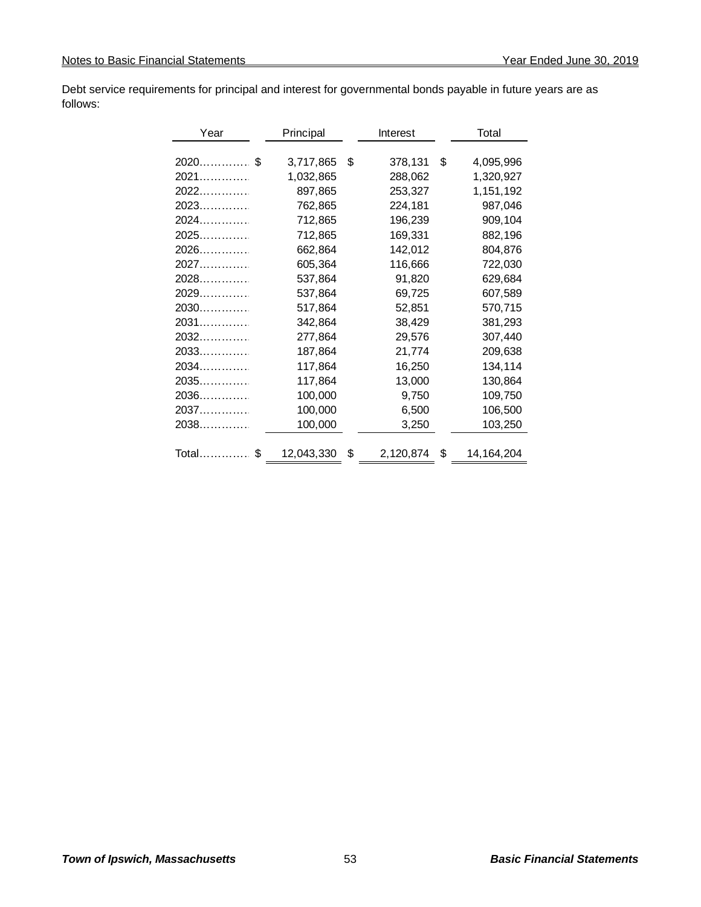Debt service requirements for principal and interest for governmental bonds payable in future years are as follows:

| Year        | Principal  | <b>Interest</b> | Total            |
|-------------|------------|-----------------|------------------|
|             |            |                 |                  |
| $2020$ \$   | 3,717,865  | \$<br>378,131   | \$<br>4,095,996  |
| $2021$      | 1,032,865  | 288,062         | 1,320,927        |
| $2022$      | 897,865    | 253,327         | 1,151,192        |
| 2023        | 762,865    | 224,181         | 987,046          |
| 2024.       | 712,865    | 196,239         | 909,104          |
| 2025        | 712,865    | 169,331         | 882,196          |
| 2026        | 662,864    | 142,012         | 804,876          |
| 2027        | 605,364    | 116,666         | 722,030          |
| $2028$      | 537,864    | 91,820          | 629,684          |
| 2029        | 537,864    | 69,725          | 607,589          |
| $2030$      | 517,864    | 52,851          | 570,715          |
| 2031        | 342,864    | 38,429          | 381,293          |
| $2032$      | 277,864    | 29,576          | 307,440          |
| 2033        | 187,864    | 21,774          | 209,638          |
| 2034        | 117,864    | 16,250          | 134,114          |
| 2035        | 117,864    | 13,000          | 130,864          |
| 2036        | 100,000    | 9,750           | 109,750          |
| 2037        | 100,000    | 6,500           | 106,500          |
| 2038        | 100,000    | 3,250           | 103,250          |
|             |            |                 |                  |
| Total<br>\$ | 12,043,330 | \$<br>2,120,874 | \$<br>14,164,204 |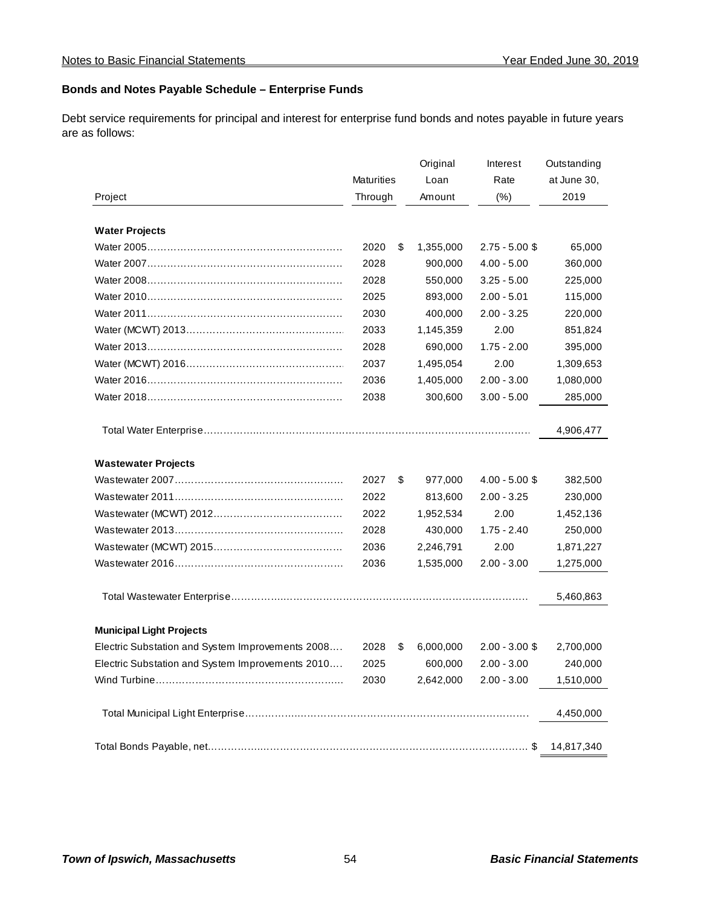# **Bonds and Notes Payable Schedule – Enterprise Funds**

Debt service requirements for principal and interest for enterprise fund bonds and notes payable in future years are as follows:

|                                                  |                   |      | Original  | Interest         | Outstanding |
|--------------------------------------------------|-------------------|------|-----------|------------------|-------------|
|                                                  | <b>Maturities</b> | Loan |           | Rate             | at June 30, |
| Project                                          | Through           |      | Amount    | (%)              | 2019        |
| <b>Water Projects</b>                            |                   |      |           |                  |             |
|                                                  | 2020              | \$   | 1,355,000 | $2.75 - 5.00$ \$ | 65,000      |
|                                                  | 2028              |      | 900,000   | $4.00 - 5.00$    | 360,000     |
|                                                  | 2028              |      | 550,000   | $3.25 - 5.00$    | 225,000     |
|                                                  | 2025              |      | 893,000   | $2.00 - 5.01$    | 115,000     |
|                                                  | 2030              |      | 400,000   | $2.00 - 3.25$    | 220,000     |
|                                                  | 2033              |      | 1,145,359 | 2.00             | 851,824     |
|                                                  | 2028              |      | 690,000   | $1.75 - 2.00$    | 395,000     |
|                                                  | 2037              |      | 1,495,054 | 2.00             | 1,309,653   |
|                                                  | 2036              |      | 1,405,000 | $2.00 - 3.00$    | 1,080,000   |
|                                                  | 2038              |      | 300,600   | $3.00 - 5.00$    | 285,000     |
|                                                  |                   |      |           |                  |             |
|                                                  |                   |      |           |                  | 4,906,477   |
|                                                  |                   |      |           |                  |             |
| <b>Wastewater Projects</b>                       |                   |      |           |                  |             |
|                                                  | 2027              | \$   | 977,000   | $4.00 - 5.00$ \$ | 382,500     |
|                                                  | 2022              |      | 813,600   | $2.00 - 3.25$    | 230,000     |
|                                                  | 2022              |      | 1,952,534 | 2.00             | 1,452,136   |
|                                                  | 2028              |      | 430,000   | $1.75 - 2.40$    | 250,000     |
|                                                  | 2036              |      | 2,246,791 | 2.00             | 1,871,227   |
|                                                  | 2036              |      | 1,535,000 | $2.00 - 3.00$    | 1,275,000   |
|                                                  |                   |      |           |                  |             |
|                                                  |                   |      |           |                  | 5,460,863   |
|                                                  |                   |      |           |                  |             |
| <b>Municipal Light Projects</b>                  |                   |      |           |                  |             |
| Electric Substation and System Improvements 2008 | 2028              | \$   | 6,000,000 | $2.00 - 3.00$ \$ | 2,700,000   |
| Electric Substation and System Improvements 2010 | 2025              |      | 600,000   | $2.00 - 3.00$    | 240,000     |
|                                                  | 2030              |      | 2,642,000 | $2.00 - 3.00$    | 1,510,000   |
|                                                  |                   |      |           |                  |             |
|                                                  |                   |      |           |                  | 4,450,000   |
|                                                  |                   |      |           |                  |             |
|                                                  |                   |      |           |                  | 14,817,340  |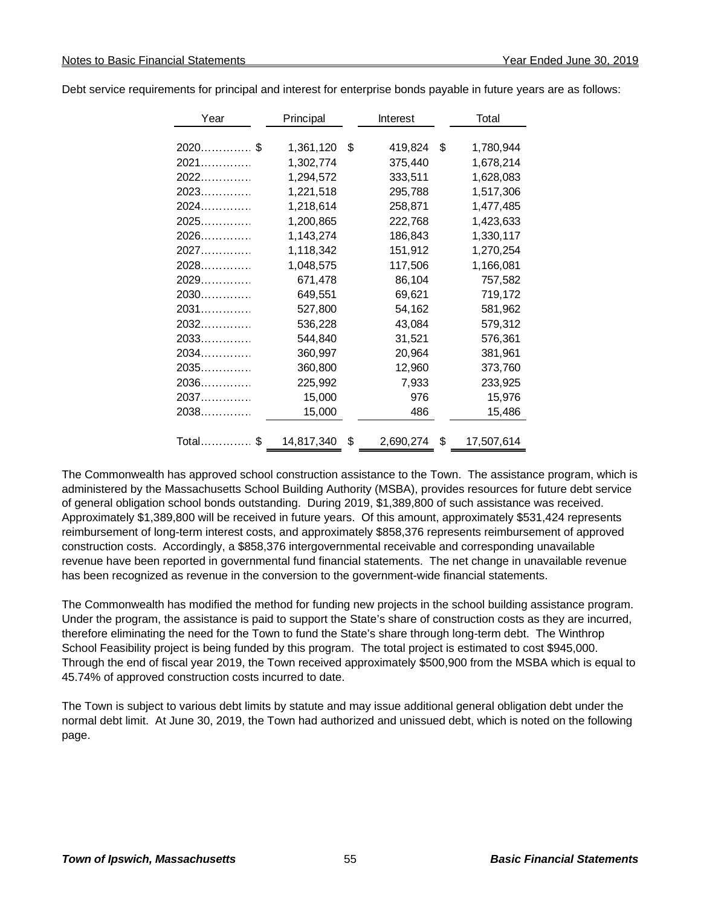| Year   | Principal        | Interest        | Total            |
|--------|------------------|-----------------|------------------|
|        |                  |                 |                  |
| 2020\$ | 1,361,120        | \$<br>419,824   | \$<br>1,780,944  |
| $2021$ | 1,302,774        | 375,440         | 1,678,214        |
| 2022   | 1,294,572        | 333,511         | 1,628,083        |
| $2023$ | 1,221,518        | 295,788         | 1,517,306        |
| $2024$ | 1,218,614        | 258,871         | 1,477,485        |
| $2025$ | 1,200,865        | 222,768         | 1,423,633        |
| $2026$ | 1,143,274        | 186,843         | 1,330,117        |
| 2027.  | 1,118,342        | 151,912         | 1,270,254        |
| $2028$ | 1,048,575        | 117,506         | 1,166,081        |
| $2029$ | 671,478          | 86,104          | 757,582          |
| 2030.  | 649,551          | 69,621          | 719,172          |
| $2031$ | 527,800          | 54,162          | 581,962          |
| $2032$ | 536,228          | 43,084          | 579,312          |
| $2033$ | 544,840          | 31,521          | 576,361          |
| $2034$ | 360,997          | 20,964          | 381,961          |
| 2035.  | 360,800          | 12,960          | 373,760          |
| 2036.  | 225,992          | 7,933           | 233,925          |
| 2037   | 15,000           | 976             | 15,976           |
| $2038$ | 15,000           | 486             | 15,486           |
|        |                  |                 |                  |
|        | 14,817,340<br>\$ | \$<br>2,690,274 | \$<br>17,507,614 |

Debt service requirements for principal and interest for enterprise bonds payable in future years are as follows:

The Commonwealth has approved school construction assistance to the Town. The assistance program, which is administered by the Massachusetts School Building Authority (MSBA), provides resources for future debt service of general obligation school bonds outstanding. During 2019, \$1,389,800 of such assistance was received. Approximately \$1,389,800 will be received in future years. Of this amount, approximately \$531,424 represents reimbursement of long-term interest costs, and approximately \$858,376 represents reimbursement of approved construction costs. Accordingly, a \$858,376 intergovernmental receivable and corresponding unavailable revenue have been reported in governmental fund financial statements. The net change in unavailable revenue has been recognized as revenue in the conversion to the government-wide financial statements.

The Commonwealth has modified the method for funding new projects in the school building assistance program. Under the program, the assistance is paid to support the State's share of construction costs as they are incurred, therefore eliminating the need for the Town to fund the State's share through long-term debt. The Winthrop School Feasibility project is being funded by this program. The total project is estimated to cost \$945,000. Through the end of fiscal year 2019, the Town received approximately \$500,900 from the MSBA which is equal to 45.74% of approved construction costs incurred to date.

The Town is subject to various debt limits by statute and may issue additional general obligation debt under the normal debt limit. At June 30, 2019, the Town had authorized and unissued debt, which is noted on the following page.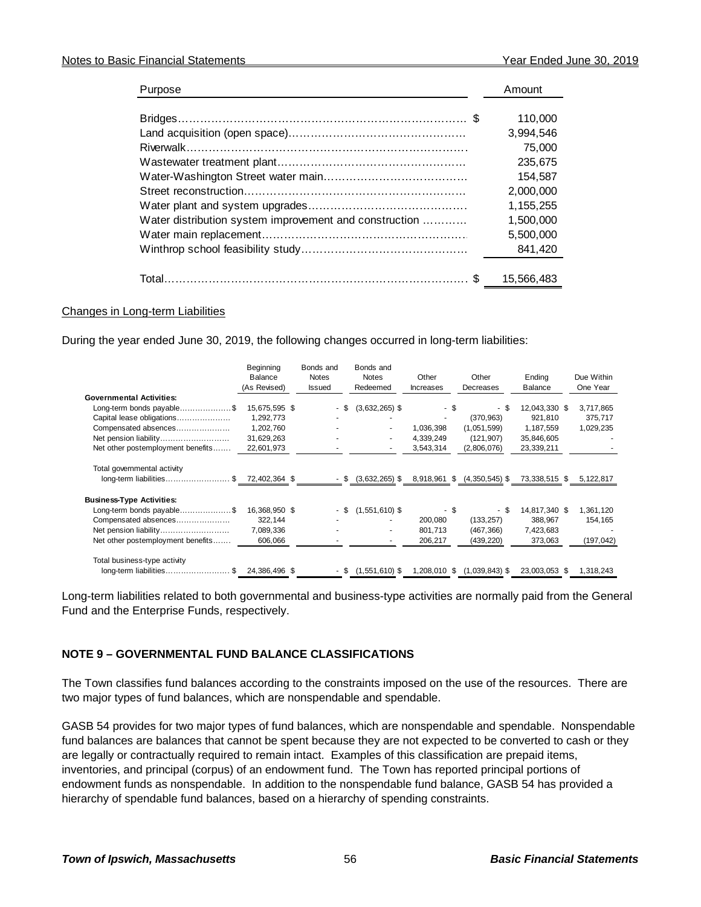| Purpose                                                | Amount     |
|--------------------------------------------------------|------------|
|                                                        | 110.000    |
|                                                        | 3,994,546  |
|                                                        | 75,000     |
|                                                        | 235.675    |
|                                                        | 154,587    |
|                                                        | 2.000.000  |
|                                                        | 1.155.255  |
| Water distribution system improvement and construction | 1.500.000  |
|                                                        | 5.500.000  |
|                                                        | 841,420    |
|                                                        | 15.566.483 |

#### Changes in Long-term Liabilities

During the year ended June 30, 2019, the following changes occurred in long-term liabilities:

|                                   | Beginning     | Bonds and             | Bonds and        |                  |                  |               |            |
|-----------------------------------|---------------|-----------------------|------------------|------------------|------------------|---------------|------------|
|                                   | Balance       | <b>Notes</b>          | <b>Notes</b>     | Other            | Other            | Ending        | Due Within |
|                                   | (As Revised)  | Issued                | Redeemed         | <b>Increases</b> | Decreases        | Balance       | One Year   |
| <b>Governmental Activities:</b>   |               |                       |                  |                  |                  |               |            |
| Long-term bonds payable\$         | 15,675,595 \$ | \$.<br>$\blacksquare$ | $(3,632,265)$ \$ | - \$             | - \$             | 12,043,330 \$ | 3,717,865  |
| Capital lease obligations         | 1,292,773     |                       |                  | ٠                | (370, 963)       | 921,810       | 375,717    |
| Compensated absences              | 1,202,760     | ۰                     | ۰.               | 1,036,398        | (1,051,599)      | 1,187,559     | 1,029,235  |
| Net pension liability             | 31,629,263    | ٠                     | ٠                | 4,339,249        | (121, 907)       | 35,846,605    |            |
| Net other postemployment benefits | 22,601,973    |                       |                  | 3,543,314        | (2,806,076)      | 23,339,211    |            |
| Total governmental activity       |               |                       |                  |                  |                  |               |            |
| long-term liabilities<br>S        | 72,402,364 \$ | -S<br>٠               | $(3,632,265)$ \$ | 8,918,961 \$     | $(4,350,545)$ \$ | 73,338,515 \$ | 5,122,817  |
| <b>Business-Type Activities:</b>  |               |                       |                  |                  |                  |               |            |
| Long-term bonds payable\$         | 16,368,950 \$ | \$.<br>٠              | $(1,551,610)$ \$ | - \$             | - \$             | 14,817,340 \$ | 1,361,120  |
| Compensated absences              | 322,144       |                       |                  | 200,080          | (133, 257)       | 388,967       | 154,165    |
|                                   | 7,089,336     | ۰                     |                  | 801,713          | (467, 366)       | 7,423,683     |            |
| Net other postemployment benefits | 606,066       |                       |                  | 206,217          | (439, 220)       | 373,063       | (197, 042) |
| Total business-type activity      |               |                       |                  |                  |                  |               |            |
| long-term liabilities\$           | 24,386,496 \$ | - \$                  | $(1,551,610)$ \$ | 1,208,010 \$     | $(1,039,843)$ \$ | 23,003,053 \$ | 1,318,243  |

Long-term liabilities related to both governmental and business-type activities are normally paid from the General Fund and the Enterprise Funds, respectively.

#### **NOTE 9 – GOVERNMENTAL FUND BALANCE CLASSIFICATIONS**

The Town classifies fund balances according to the constraints imposed on the use of the resources. There are two major types of fund balances, which are nonspendable and spendable.

GASB 54 provides for two major types of fund balances, which are nonspendable and spendable. Nonspendable fund balances are balances that cannot be spent because they are not expected to be converted to cash or they are legally or contractually required to remain intact. Examples of this classification are prepaid items, inventories, and principal (corpus) of an endowment fund. The Town has reported principal portions of endowment funds as nonspendable. In addition to the nonspendable fund balance, GASB 54 has provided a hierarchy of spendable fund balances, based on a hierarchy of spending constraints.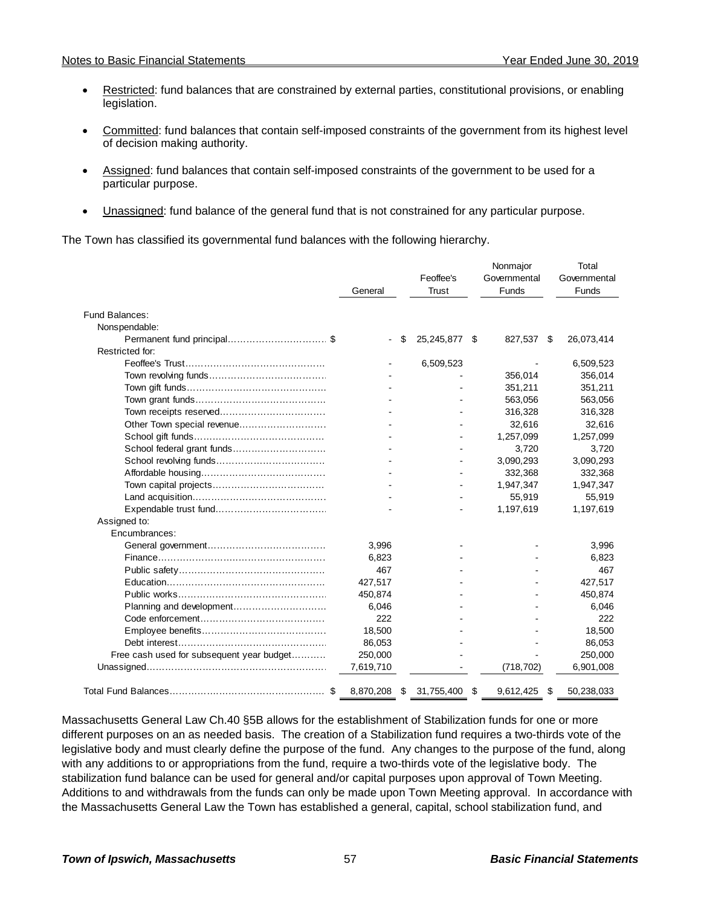- Restricted: fund balances that are constrained by external parties, constitutional provisions, or enabling legislation.
- Committed: fund balances that contain self-imposed constraints of the government from its highest level of decision making authority.
- Assigned: fund balances that contain self-imposed constraints of the government to be used for a particular purpose.
- Unassigned: fund balance of the general fund that is not constrained for any particular purpose.

The Town has classified its governmental fund balances with the following hierarchy.

|                                           | General   | Feoffee's<br>Trust | Nonmajor<br>Governmental<br>Funds | Total<br>Governmental<br>Funds |
|-------------------------------------------|-----------|--------------------|-----------------------------------|--------------------------------|
| Fund Balances:                            |           |                    |                                   |                                |
| Nonspendable:                             |           |                    |                                   |                                |
| Permanent fund principal\$                | \$        | 25, 245, 877       | 827,537<br>\$                     | 26,073,414<br>-\$              |
| Restricted for:                           |           |                    |                                   |                                |
|                                           |           | 6,509,523          |                                   | 6,509,523                      |
|                                           |           |                    | 356,014                           | 356,014                        |
|                                           |           |                    | 351,211                           | 351,211                        |
|                                           |           |                    | 563,056                           | 563,056                        |
|                                           |           |                    | 316,328                           | 316,328                        |
|                                           |           |                    | 32,616                            | 32,616                         |
|                                           |           |                    | 1,257,099                         | 1,257,099                      |
|                                           |           |                    | 3,720                             | 3,720                          |
|                                           |           |                    | 3,090,293                         | 3,090,293                      |
|                                           |           |                    | 332,368                           | 332,368                        |
|                                           |           |                    | 1,947,347                         | 1,947,347                      |
|                                           |           |                    | 55,919                            | 55,919                         |
|                                           |           |                    | 1,197,619                         | 1,197,619                      |
| Assigned to:                              |           |                    |                                   |                                |
| Encumbrances:                             |           |                    |                                   |                                |
|                                           | 3,996     |                    |                                   | 3,996                          |
|                                           | 6,823     |                    |                                   | 6,823                          |
|                                           | 467       |                    |                                   | 467                            |
|                                           | 427,517   |                    |                                   | 427,517                        |
|                                           | 450,874   |                    |                                   | 450,874                        |
| Planning and development                  | 6,046     |                    |                                   | 6,046                          |
|                                           | 222       |                    |                                   | 222                            |
|                                           | 18,500    |                    |                                   | 18,500                         |
|                                           | 86,053    |                    |                                   | 86,053                         |
| Free cash used for subsequent year budget | 250,000   |                    |                                   | 250,000                        |
|                                           | 7,619,710 |                    | (718, 702)                        | 6,901,008                      |
|                                           | 8,870,208 | 31,755,400<br>\$   | \$<br>9,612,425                   | \$<br>50,238,033               |

Massachusetts General Law Ch.40 §5B allows for the establishment of Stabilization funds for one or more different purposes on an as needed basis. The creation of a Stabilization fund requires a two-thirds vote of the legislative body and must clearly define the purpose of the fund. Any changes to the purpose of the fund, along with any additions to or appropriations from the fund, require a two-thirds vote of the legislative body. The stabilization fund balance can be used for general and/or capital purposes upon approval of Town Meeting. Additions to and withdrawals from the funds can only be made upon Town Meeting approval. In accordance with the Massachusetts General Law the Town has established a general, capital, school stabilization fund, and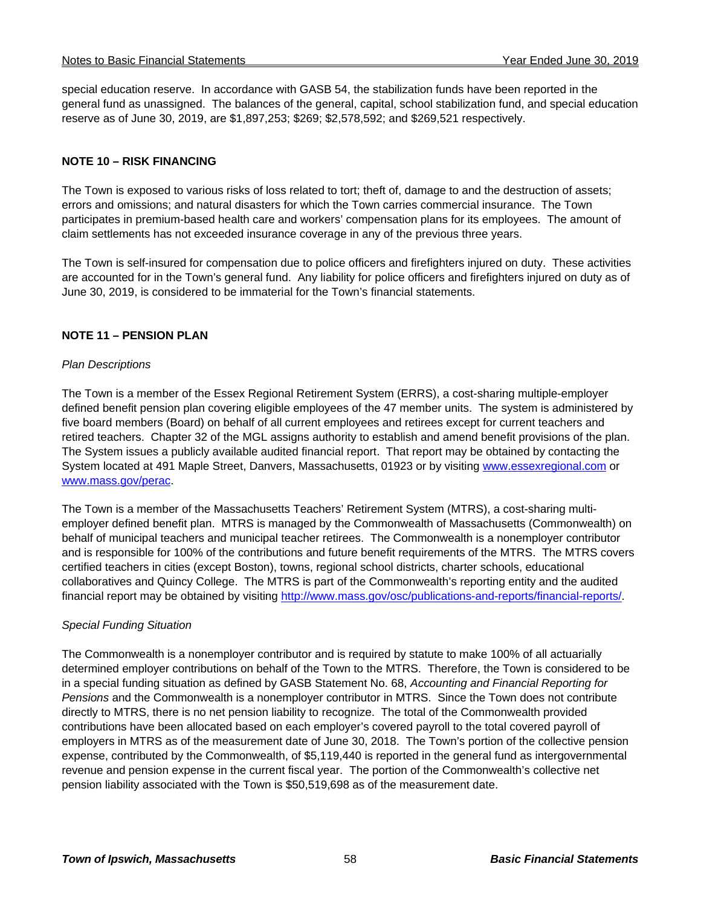special education reserve. In accordance with GASB 54, the stabilization funds have been reported in the general fund as unassigned. The balances of the general, capital, school stabilization fund, and special education reserve as of June 30, 2019, are \$1,897,253; \$269; \$2,578,592; and \$269,521 respectively.

#### **NOTE 10 – RISK FINANCING**

The Town is exposed to various risks of loss related to tort; theft of, damage to and the destruction of assets; errors and omissions; and natural disasters for which the Town carries commercial insurance. The Town participates in premium-based health care and workers' compensation plans for its employees. The amount of claim settlements has not exceeded insurance coverage in any of the previous three years.

The Town is self-insured for compensation due to police officers and firefighters injured on duty. These activities are accounted for in the Town's general fund. Any liability for police officers and firefighters injured on duty as of June 30, 2019, is considered to be immaterial for the Town's financial statements.

#### **NOTE 11 – PENSION PLAN**

#### *Plan Descriptions*

The Town is a member of the Essex Regional Retirement System (ERRS), a cost-sharing multiple-employer defined benefit pension plan covering eligible employees of the 47 member units. The system is administered by five board members (Board) on behalf of all current employees and retirees except for current teachers and retired teachers. Chapter 32 of the MGL assigns authority to establish and amend benefit provisions of the plan. The System issues a publicly available audited financial report. That report may be obtained by contacting the System located at 491 Maple Street, Danvers, Massachusetts, 01923 or by visiting www.essexregional.com or www.mass.gov/perac.

The Town is a member of the Massachusetts Teachers' Retirement System (MTRS), a cost-sharing multiemployer defined benefit plan. MTRS is managed by the Commonwealth of Massachusetts (Commonwealth) on behalf of municipal teachers and municipal teacher retirees. The Commonwealth is a nonemployer contributor and is responsible for 100% of the contributions and future benefit requirements of the MTRS. The MTRS covers certified teachers in cities (except Boston), towns, regional school districts, charter schools, educational collaboratives and Quincy College. The MTRS is part of the Commonwealth's reporting entity and the audited financial report may be obtained by visiting http://www.mass.gov/osc/publications-and-reports/financial-reports/.

#### *Special Funding Situation*

The Commonwealth is a nonemployer contributor and is required by statute to make 100% of all actuarially determined employer contributions on behalf of the Town to the MTRS. Therefore, the Town is considered to be in a special funding situation as defined by GASB Statement No. 68, *Accounting and Financial Reporting for Pensions* and the Commonwealth is a nonemployer contributor in MTRS. Since the Town does not contribute directly to MTRS, there is no net pension liability to recognize. The total of the Commonwealth provided contributions have been allocated based on each employer's covered payroll to the total covered payroll of employers in MTRS as of the measurement date of June 30, 2018. The Town's portion of the collective pension expense, contributed by the Commonwealth, of \$5,119,440 is reported in the general fund as intergovernmental revenue and pension expense in the current fiscal year. The portion of the Commonwealth's collective net pension liability associated with the Town is \$50,519,698 as of the measurement date.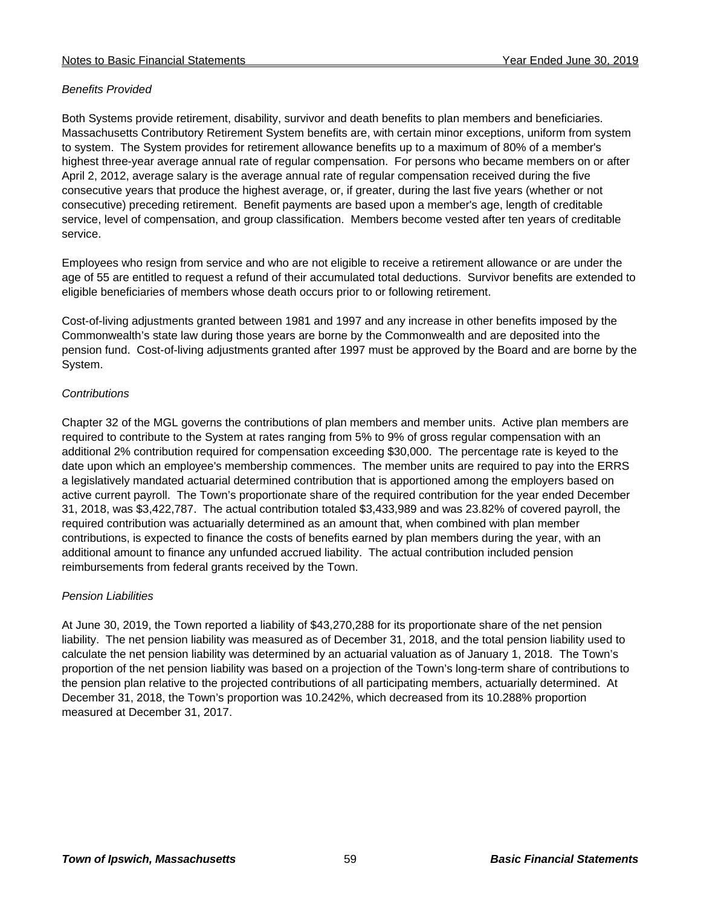## *Benefits Provided*

Both Systems provide retirement, disability, survivor and death benefits to plan members and beneficiaries. Massachusetts Contributory Retirement System benefits are, with certain minor exceptions, uniform from system to system. The System provides for retirement allowance benefits up to a maximum of 80% of a member's highest three-year average annual rate of regular compensation. For persons who became members on or after April 2, 2012, average salary is the average annual rate of regular compensation received during the five consecutive years that produce the highest average, or, if greater, during the last five years (whether or not consecutive) preceding retirement. Benefit payments are based upon a member's age, length of creditable service, level of compensation, and group classification. Members become vested after ten years of creditable service.

Employees who resign from service and who are not eligible to receive a retirement allowance or are under the age of 55 are entitled to request a refund of their accumulated total deductions. Survivor benefits are extended to eligible beneficiaries of members whose death occurs prior to or following retirement.

Cost-of-living adjustments granted between 1981 and 1997 and any increase in other benefits imposed by the Commonwealth's state law during those years are borne by the Commonwealth and are deposited into the pension fund. Cost-of-living adjustments granted after 1997 must be approved by the Board and are borne by the System.

# *Contributions*

Chapter 32 of the MGL governs the contributions of plan members and member units. Active plan members are required to contribute to the System at rates ranging from 5% to 9% of gross regular compensation with an additional 2% contribution required for compensation exceeding \$30,000. The percentage rate is keyed to the date upon which an employee's membership commences. The member units are required to pay into the ERRS a legislatively mandated actuarial determined contribution that is apportioned among the employers based on active current payroll. The Town's proportionate share of the required contribution for the year ended December 31, 2018, was \$3,422,787. The actual contribution totaled \$3,433,989 and was 23.82% of covered payroll, the required contribution was actuarially determined as an amount that, when combined with plan member contributions, is expected to finance the costs of benefits earned by plan members during the year, with an additional amount to finance any unfunded accrued liability. The actual contribution included pension reimbursements from federal grants received by the Town.

# *Pension Liabilities*

At June 30, 2019, the Town reported a liability of \$43,270,288 for its proportionate share of the net pension liability. The net pension liability was measured as of December 31, 2018, and the total pension liability used to calculate the net pension liability was determined by an actuarial valuation as of January 1, 2018. The Town's proportion of the net pension liability was based on a projection of the Town's long-term share of contributions to the pension plan relative to the projected contributions of all participating members, actuarially determined. At December 31, 2018, the Town's proportion was 10.242%, which decreased from its 10.288% proportion measured at December 31, 2017.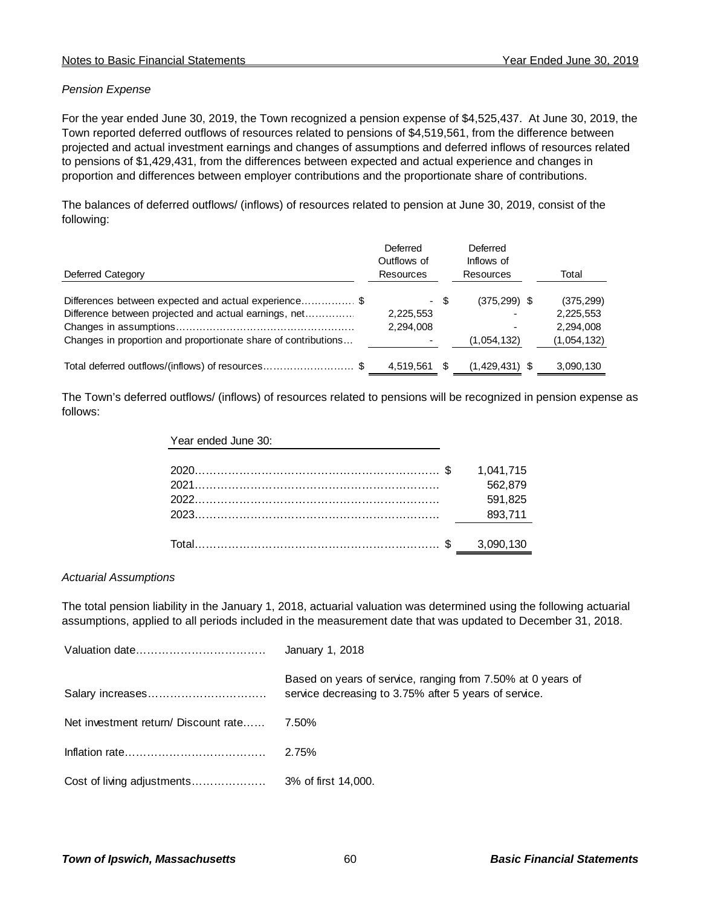## *Pension Expense*

For the year ended June 30, 2019, the Town recognized a pension expense of \$4,525,437. At June 30, 2019, the Town reported deferred outflows of resources related to pensions of \$4,519,561, from the difference between projected and actual investment earnings and changes of assumptions and deferred inflows of resources related to pensions of \$1,429,431, from the differences between expected and actual experience and changes in proportion and differences between employer contributions and the proportionate share of contributions.

The balances of deferred outflows/ (inflows) of resources related to pension at June 30, 2019, consist of the following:

| Deferred Category                                                                                                                                                               | Deferred<br>Outflows of<br><b>Resources</b> |      | Deferred<br>Inflows of<br><b>Resources</b> | Total                                               |
|---------------------------------------------------------------------------------------------------------------------------------------------------------------------------------|---------------------------------------------|------|--------------------------------------------|-----------------------------------------------------|
| Differences between expected and actual experience\$<br>Difference between projected and actual earnings, net<br>Changes in proportion and proportionate share of contributions | 2,225,553<br>2,294,008                      | - \$ | $(375, 299)$ \$<br>(1,054,132)             | (375, 299)<br>2,225,553<br>2,294,008<br>(1,054,132) |
| Total deferred outflows/(inflows) of resources\$                                                                                                                                | 4,519,561                                   | \$.  | $(1,429,431)$ \$                           | 3,090,130                                           |

The Town's deferred outflows/ (inflows) of resources related to pensions will be recognized in pension expense as follows:

| Year ended June 30: |         |
|---------------------|---------|
|                     |         |
|                     | 562,879 |
|                     | 591,825 |
|                     | 893,711 |
|                     |         |

#### *Actuarial Assumptions*

The total pension liability in the January 1, 2018, actuarial valuation was determined using the following actuarial assumptions, applied to all periods included in the measurement date that was updated to December 31, 2018.

|                                            | January 1, 2018                                                                                                      |
|--------------------------------------------|----------------------------------------------------------------------------------------------------------------------|
|                                            | Based on years of service, ranging from 7.50% at 0 years of<br>service decreasing to 3.75% after 5 years of service. |
| Net investment return/ Discount rate 7.50% |                                                                                                                      |
|                                            | 2.75%                                                                                                                |
|                                            |                                                                                                                      |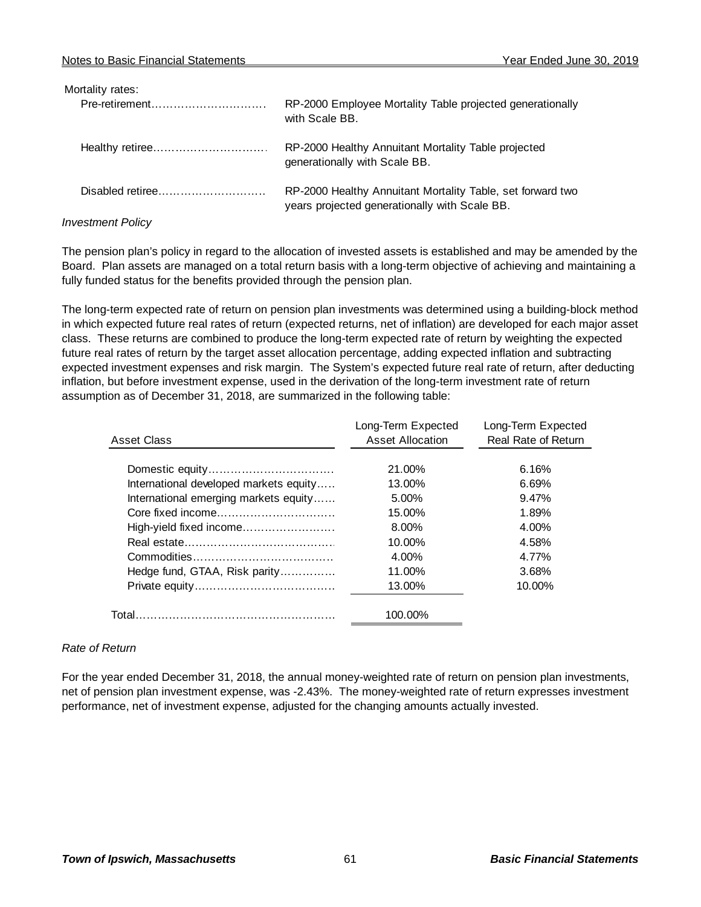Mortality rates:

| Pre-retirement           | RP-2000 Employee Mortality Table projected generationally<br>with Scale BB.                                 |
|--------------------------|-------------------------------------------------------------------------------------------------------------|
|                          | RP-2000 Healthy Annuitant Mortality Table projected<br>generationally with Scale BB.                        |
| Disabled retiree         | RP-2000 Healthy Annuitant Mortality Table, set forward two<br>years projected generationally with Scale BB. |
| <b>Investment Policy</b> |                                                                                                             |

The pension plan's policy in regard to the allocation of invested assets is established and may be amended by the Board. Plan assets are managed on a total return basis with a long-term objective of achieving and maintaining a fully funded status for the benefits provided through the pension plan.

The long-term expected rate of return on pension plan investments was determined using a building-block method in which expected future real rates of return (expected returns, net of inflation) are developed for each major asset class. These returns are combined to produce the long-term expected rate of return by weighting the expected future real rates of return by the target asset allocation percentage, adding expected inflation and subtracting expected investment expenses and risk margin. The System's expected future real rate of return, after deducting inflation, but before investment expense, used in the derivation of the long-term investment rate of return assumption as of December 31, 2018, are summarized in the following table:

| Asset Class                            | Long-Term Expected<br><b>Asset Allocation</b> | Long-Term Expected<br>Real Rate of Return |  |  |
|----------------------------------------|-----------------------------------------------|-------------------------------------------|--|--|
| International developed markets equity | 21.00%<br>13.00%                              | 6.16%<br>6.69%                            |  |  |
| International emerging markets equity  | 5.00%                                         | 9.47%                                     |  |  |
| Core fixed income                      | 15.00%                                        | 1.89%                                     |  |  |
| High-yield fixed income                | 8.00%                                         | 4.00%                                     |  |  |
|                                        | 10.00%                                        | 4.58%                                     |  |  |
|                                        | 4.00%                                         | 4.77%                                     |  |  |
| Hedge fund, GTAA, Risk parity          | 11.00%                                        | 3.68%                                     |  |  |
|                                        | 13.00%                                        | 10.00%                                    |  |  |
| Total.                                 | 100.00%                                       |                                           |  |  |

#### *Rate of Return*

For the year ended December 31, 2018, the annual money-weighted rate of return on pension plan investments, net of pension plan investment expense, was -2.43%. The money-weighted rate of return expresses investment performance, net of investment expense, adjusted for the changing amounts actually invested.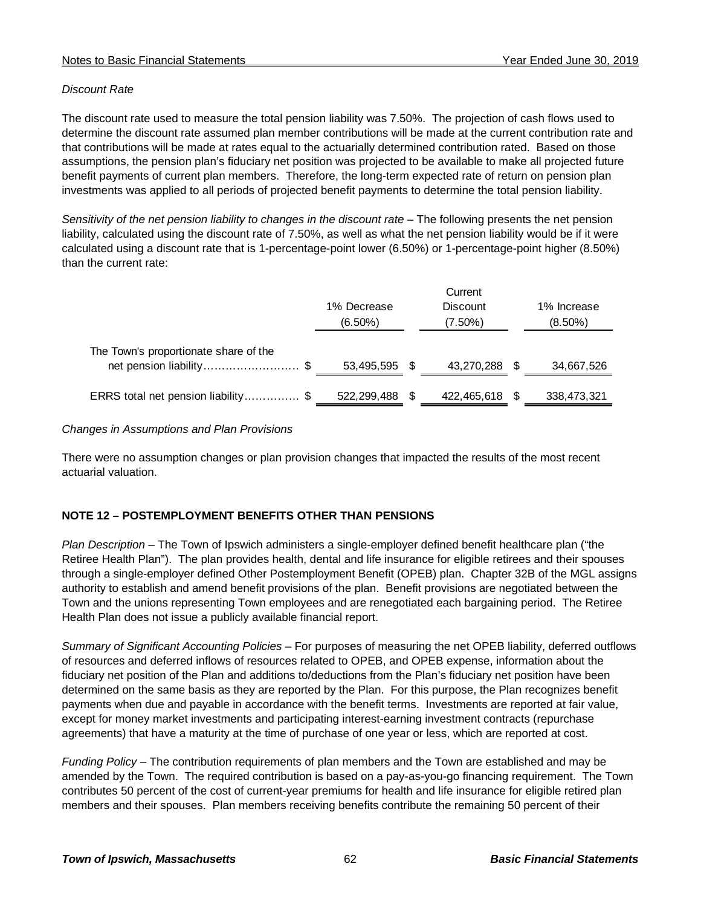## *Discount Rate*

The discount rate used to measure the total pension liability was 7.50%. The projection of cash flows used to determine the discount rate assumed plan member contributions will be made at the current contribution rate and that contributions will be made at rates equal to the actuarially determined contribution rated. Based on those assumptions, the pension plan's fiduciary net position was projected to be available to make all projected future benefit payments of current plan members. Therefore, the long-term expected rate of return on pension plan investments was applied to all periods of projected benefit payments to determine the total pension liability.

*Sensitivity of the net pension liability to changes in the discount rate* – The following presents the net pension liability, calculated using the discount rate of 7.50%, as well as what the net pension liability would be if it were calculated using a discount rate that is 1-percentage-point lower (6.50%) or 1-percentage-point higher (8.50%) than the current rate:

|                                                                  | 1% Decrease<br>$(6.50\%)$ |      | Current<br><b>Discount</b><br>$(7.50\%)$ |    | 1% Increase<br>$(8.50\%)$ |
|------------------------------------------------------------------|---------------------------|------|------------------------------------------|----|---------------------------|
| The Town's proportionate share of the<br>net pension liability\$ | 53,495,595                | - \$ | 43,270,288                               | -S | 34,667,526                |
| ERRS total net pension liability\$                               | 522,299,488               | - \$ | 422,465,618                              |    | 338,473,321               |

*Changes in Assumptions and Plan Provisions* 

There were no assumption changes or plan provision changes that impacted the results of the most recent actuarial valuation.

# **NOTE 12 – POSTEMPLOYMENT BENEFITS OTHER THAN PENSIONS**

*Plan Description* – The Town of Ipswich administers a single-employer defined benefit healthcare plan ("the Retiree Health Plan"). The plan provides health, dental and life insurance for eligible retirees and their spouses through a single-employer defined Other Postemployment Benefit (OPEB) plan. Chapter 32B of the MGL assigns authority to establish and amend benefit provisions of the plan. Benefit provisions are negotiated between the Town and the unions representing Town employees and are renegotiated each bargaining period. The Retiree Health Plan does not issue a publicly available financial report.

*Summary of Significant Accounting Policies –* For purposes of measuring the net OPEB liability, deferred outflows of resources and deferred inflows of resources related to OPEB, and OPEB expense, information about the fiduciary net position of the Plan and additions to/deductions from the Plan's fiduciary net position have been determined on the same basis as they are reported by the Plan. For this purpose, the Plan recognizes benefit payments when due and payable in accordance with the benefit terms. Investments are reported at fair value, except for money market investments and participating interest-earning investment contracts (repurchase agreements) that have a maturity at the time of purchase of one year or less, which are reported at cost.

*Funding Policy* – The contribution requirements of plan members and the Town are established and may be amended by the Town. The required contribution is based on a pay-as-you-go financing requirement. The Town contributes 50 percent of the cost of current-year premiums for health and life insurance for eligible retired plan members and their spouses. Plan members receiving benefits contribute the remaining 50 percent of their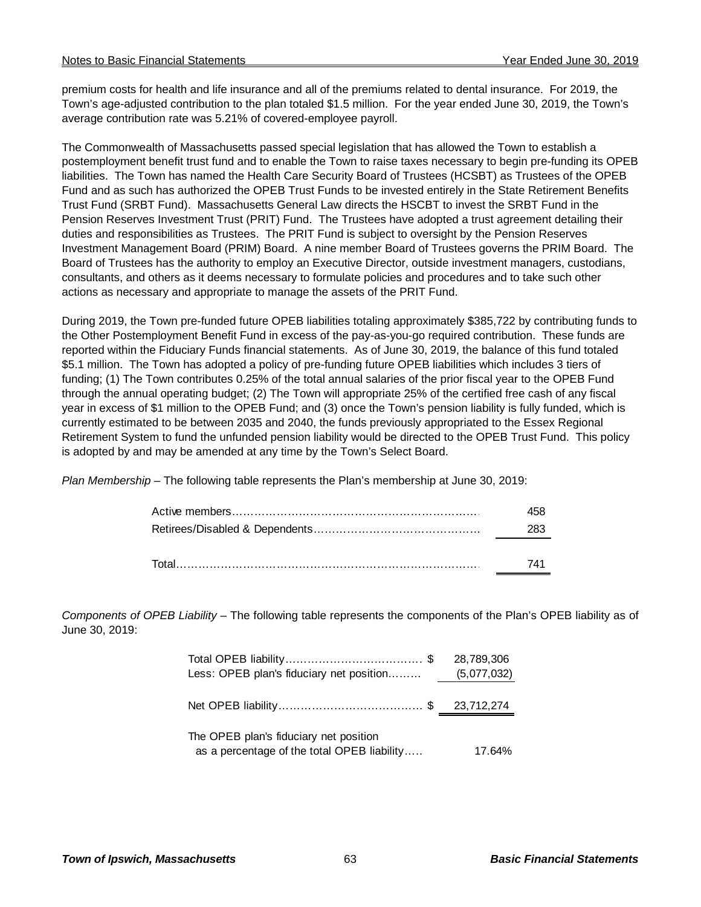premium costs for health and life insurance and all of the premiums related to dental insurance. For 2019, the Town's age-adjusted contribution to the plan totaled \$1.5 million. For the year ended June 30, 2019, the Town's average contribution rate was 5.21% of covered-employee payroll.

The Commonwealth of Massachusetts passed special legislation that has allowed the Town to establish a postemployment benefit trust fund and to enable the Town to raise taxes necessary to begin pre-funding its OPEB liabilities. The Town has named the Health Care Security Board of Trustees (HCSBT) as Trustees of the OPEB Fund and as such has authorized the OPEB Trust Funds to be invested entirely in the State Retirement Benefits Trust Fund (SRBT Fund). Massachusetts General Law directs the HSCBT to invest the SRBT Fund in the Pension Reserves Investment Trust (PRIT) Fund. The Trustees have adopted a trust agreement detailing their duties and responsibilities as Trustees. The PRIT Fund is subject to oversight by the Pension Reserves Investment Management Board (PRIM) Board. A nine member Board of Trustees governs the PRIM Board. The Board of Trustees has the authority to employ an Executive Director, outside investment managers, custodians, consultants, and others as it deems necessary to formulate policies and procedures and to take such other actions as necessary and appropriate to manage the assets of the PRIT Fund.

During 2019, the Town pre-funded future OPEB liabilities totaling approximately \$385,722 by contributing funds to the Other Postemployment Benefit Fund in excess of the pay-as-you-go required contribution. These funds are reported within the Fiduciary Funds financial statements. As of June 30, 2019, the balance of this fund totaled \$5.1 million. The Town has adopted a policy of pre-funding future OPEB liabilities which includes 3 tiers of funding; (1) The Town contributes 0.25% of the total annual salaries of the prior fiscal year to the OPEB Fund through the annual operating budget; (2) The Town will appropriate 25% of the certified free cash of any fiscal year in excess of \$1 million to the OPEB Fund; and (3) once the Town's pension liability is fully funded, which is currently estimated to be between 2035 and 2040, the funds previously appropriated to the Essex Regional Retirement System to fund the unfunded pension liability would be directed to the OPEB Trust Fund. This policy is adopted by and may be amended at any time by the Town's Select Board.

*Plan Membership* – The following table represents the Plan's membership at June 30, 2019:

| Active members………………………………………………………… | 458 |
|--------------------------------------|-----|
|                                      | 283 |
|                                      |     |
|                                      | 741 |

*Components of OPEB Liability* – The following table represents the components of the Plan's OPEB liability as of June 30, 2019:

|                                             | 28,789,306 |
|---------------------------------------------|------------|
|                                             |            |
|                                             |            |
|                                             |            |
|                                             |            |
| The OPEB plan's fiduciary net position      |            |
| as a percentage of the total OPEB liability | 17.64%     |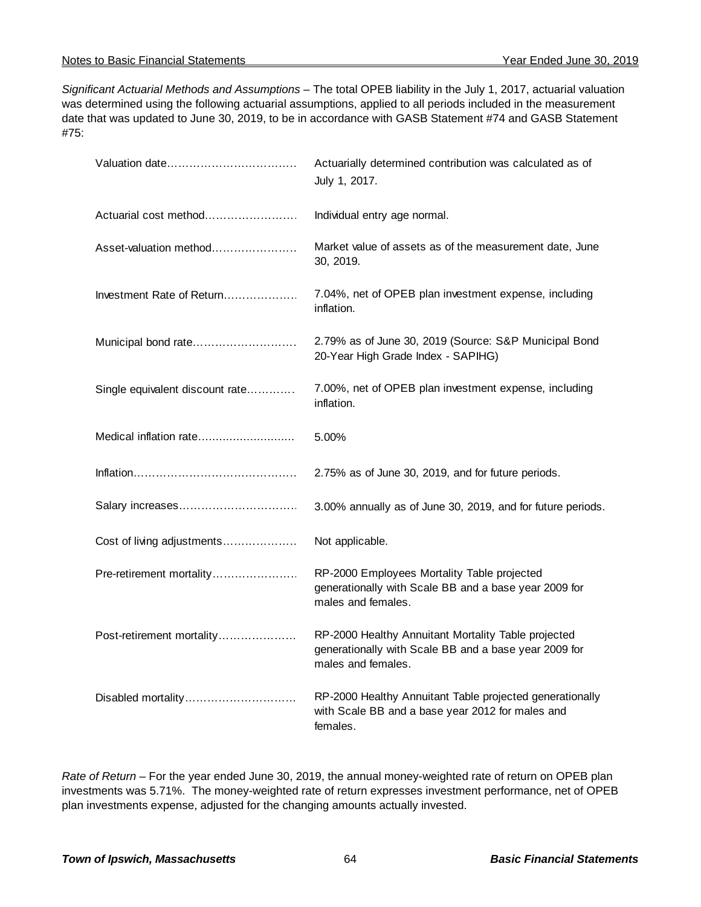*Significant Actuarial Methods and Assumptions –* The total OPEB liability in the July 1, 2017, actuarial valuation was determined using the following actuarial assumptions, applied to all periods included in the measurement date that was updated to June 30, 2019, to be in accordance with GASB Statement #74 and GASB Statement #75:

|                                 | Actuarially determined contribution was calculated as of<br>July 1, 2017.                                                          |
|---------------------------------|------------------------------------------------------------------------------------------------------------------------------------|
| Actuarial cost method           | Individual entry age normal.                                                                                                       |
| Asset-valuation method          | Market value of assets as of the measurement date, June<br>30, 2019.                                                               |
| Investment Rate of Return       | 7.04%, net of OPEB plan investment expense, including<br>inflation.                                                                |
| Municipal bond rate             | 2.79% as of June 30, 2019 (Source: S&P Municipal Bond<br>20-Year High Grade Index - SAPIHG)                                        |
| Single equivalent discount rate | 7.00%, net of OPEB plan investment expense, including<br>inflation.                                                                |
| Medical inflation rate          | 5.00%                                                                                                                              |
|                                 | 2.75% as of June 30, 2019, and for future periods.                                                                                 |
|                                 | 3.00% annually as of June 30, 2019, and for future periods.                                                                        |
| Cost of living adjustments      | Not applicable.                                                                                                                    |
| Pre-retirement mortality        | RP-2000 Employees Mortality Table projected<br>generationally with Scale BB and a base year 2009 for<br>males and females.         |
| Post-retirement mortality       | RP-2000 Healthy Annuitant Mortality Table projected<br>generationally with Scale BB and a base year 2009 for<br>males and females. |
| Disabled mortality              | RP-2000 Healthy Annuitant Table projected generationally<br>with Scale BB and a base year 2012 for males and<br>females.           |

*Rate of Return* – For the year ended June 30, 2019, the annual money-weighted rate of return on OPEB plan investments was 5.71%. The money-weighted rate of return expresses investment performance, net of OPEB plan investments expense, adjusted for the changing amounts actually invested.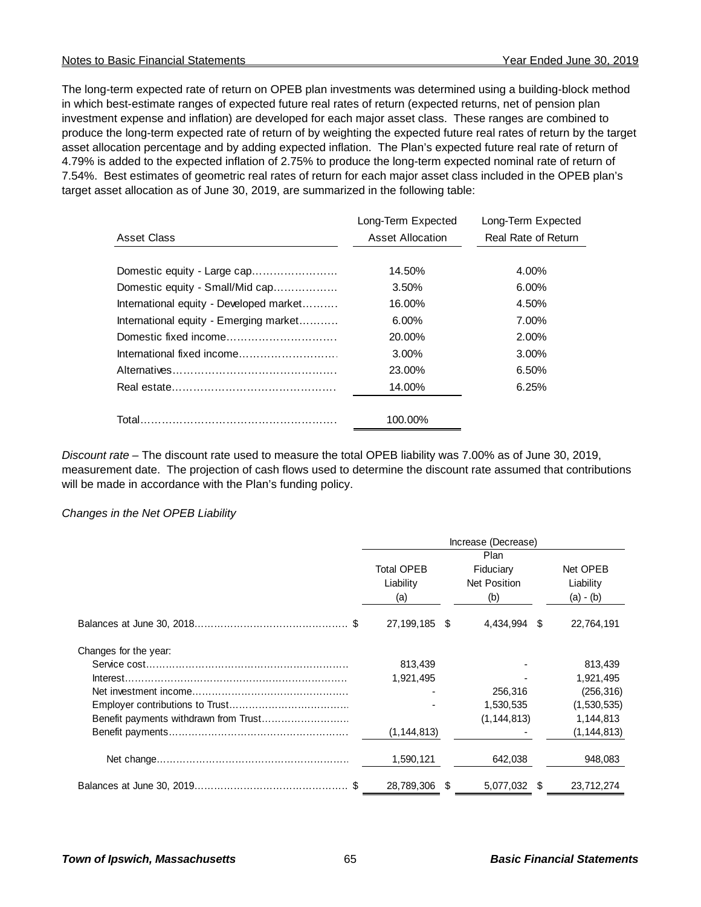The long-term expected rate of return on OPEB plan investments was determined using a building-block method in which best-estimate ranges of expected future real rates of return (expected returns, net of pension plan investment expense and inflation) are developed for each major asset class. These ranges are combined to produce the long-term expected rate of return of by weighting the expected future real rates of return by the target asset allocation percentage and by adding expected inflation. The Plan's expected future real rate of return of 4.79% is added to the expected inflation of 2.75% to produce the long-term expected nominal rate of return of 7.54%. Best estimates of geometric real rates of return for each major asset class included in the OPEB plan's target asset allocation as of June 30, 2019, are summarized in the following table:

|                                         | Long-Term Expected      | Long-Term Expected  |  |  |  |
|-----------------------------------------|-------------------------|---------------------|--|--|--|
| Asset Class                             | <b>Asset Allocation</b> | Real Rate of Return |  |  |  |
|                                         |                         |                     |  |  |  |
| Domestic equity - Large cap             | 14.50%                  | 4.00%               |  |  |  |
| Domestic equity - Small/Mid cap         | $3.50\%$                | $6.00\%$            |  |  |  |
| International equity - Developed market | 16.00%                  | 4.50%               |  |  |  |
| International equity - Emerging market  | $6.00\%$                | 7.00%               |  |  |  |
| Domestic fixed income                   | 20.00%                  | 2.00%               |  |  |  |
|                                         | $3.00\%$                | $3.00\%$            |  |  |  |
|                                         | 23.00%                  | 6.50%               |  |  |  |
|                                         | 14.00%                  | 6.25%               |  |  |  |
|                                         | 100.00%                 |                     |  |  |  |

*Discount rate –* The discount rate used to measure the total OPEB liability was 7.00% as of June 30, 2019, measurement date. The projection of cash flows used to determine the discount rate assumed that contributions will be made in accordance with the Plan's funding policy.

#### *Changes in the Net OPEB Liability*

|                       | Increase (Decrease) |  |               |  |               |  |
|-----------------------|---------------------|--|---------------|--|---------------|--|
|                       | Plan                |  |               |  |               |  |
|                       | <b>Total OPEB</b>   |  | Fiduciary     |  | Net OPEB      |  |
|                       | Liability           |  | Net Position  |  | Liability     |  |
|                       | (a)                 |  | (b)           |  | $(a) - (b)$   |  |
|                       | 27,199,185 \$       |  | 4.434.994 \$  |  | 22,764,191    |  |
| Changes for the year: |                     |  |               |  |               |  |
|                       | 813,439             |  |               |  | 813,439       |  |
|                       | 1,921,495           |  |               |  | 1,921,495     |  |
|                       |                     |  | 256,316       |  | (256, 316)    |  |
|                       |                     |  | 1,530,535     |  | (1,530,535)   |  |
|                       |                     |  | (1, 144, 813) |  | 1,144,813     |  |
|                       | (1, 144, 813)       |  |               |  | (1, 144, 813) |  |
|                       | 1,590,121           |  | 642,038       |  | 948,083       |  |
|                       | 28,789,306 \$       |  | 5,077,032 \$  |  | 23,712,274    |  |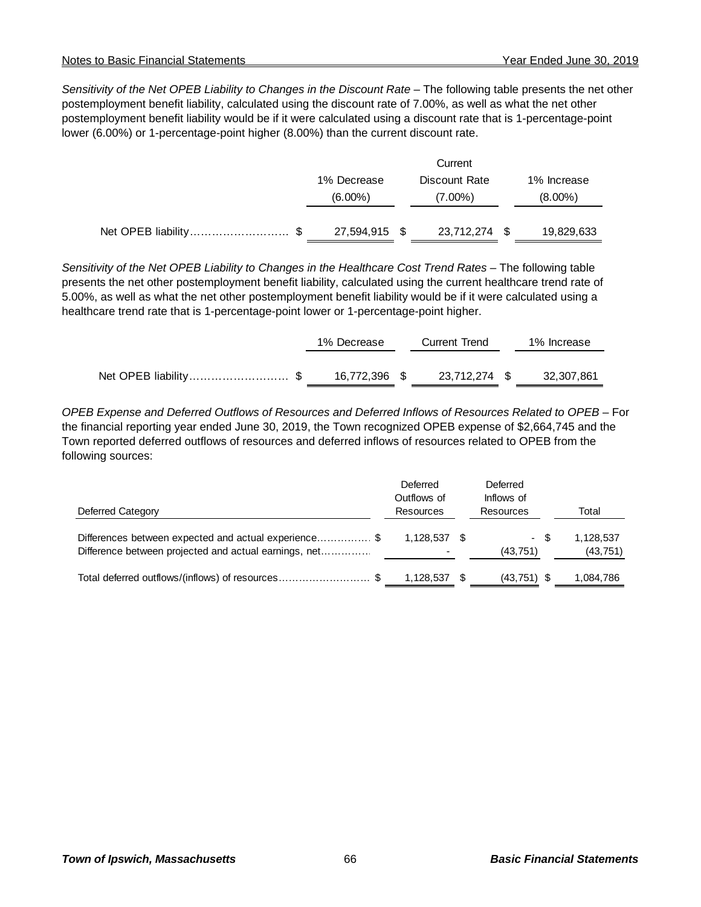*Sensitivity of the Net OPEB Liability to Changes in the Discount Rate* – The following table presents the net other postemployment benefit liability, calculated using the discount rate of 7.00%, as well as what the net other postemployment benefit liability would be if it were calculated using a discount rate that is 1-percentage-point lower (6.00%) or 1-percentage-point higher (8.00%) than the current discount rate.

|                      |               | Current       |      |             |
|----------------------|---------------|---------------|------|-------------|
|                      | 1% Decrease   | Discount Rate |      | 1% Increase |
|                      | $(6.00\%)$    | $(7.00\%)$    |      | $(8.00\%)$  |
|                      |               |               |      |             |
| Net OPEB liability\$ | 27,594,915 \$ | 23,712,274    | - \$ | 19,829,633  |

*Sensitivity of the Net OPEB Liability to Changes in the Healthcare Cost Trend Rates* – The following table presents the net other postemployment benefit liability, calculated using the current healthcare trend rate of 5.00%, as well as what the net other postemployment benefit liability would be if it were calculated using a healthcare trend rate that is 1-percentage-point lower or 1-percentage-point higher.

|                      | 1% Decrease   |  | Current Trend |  | 1% Increase |
|----------------------|---------------|--|---------------|--|-------------|
|                      |               |  |               |  |             |
| Net OPEB liability\$ | 16.772.396 \$ |  | 23.712.274 \$ |  | 32.307.861  |

*OPEB Expense and Deferred Outflows of Resources and Deferred Inflows of Resources Related to OPEB* – For the financial reporting year ended June 30, 2019, the Town recognized OPEB expense of \$2,664,745 and the Town reported deferred outflows of resources and deferred inflows of resources related to OPEB from the following sources:

| Deferred Category                                                                                             | Deferred<br>Outflows of<br>Resources     | Deferred<br>Inflows of<br>Resources | Total                  |
|---------------------------------------------------------------------------------------------------------------|------------------------------------------|-------------------------------------|------------------------|
| Differences between expected and actual experience\$<br>Difference between projected and actual earnings, net | 1,128,537 \$<br>$\overline{\phantom{a}}$ | - \$<br>(43, 751)                   | 1,128,537<br>(43, 751) |
| Total deferred outflows/(inflows) of resources \$                                                             | 1,128,537 \$                             | $(43,751)$ \$                       | 1,084,786              |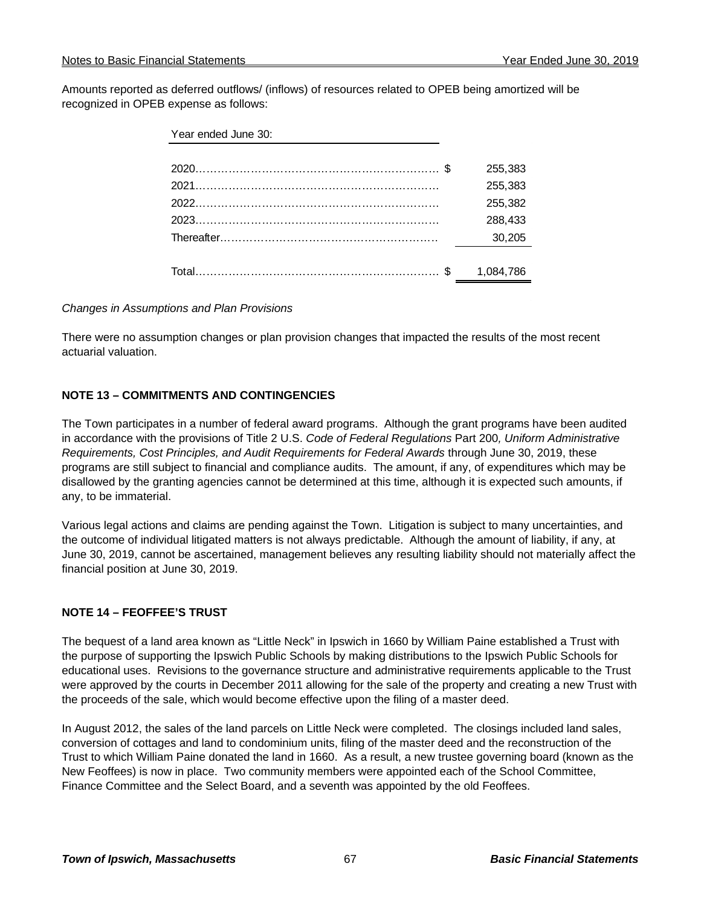Amounts reported as deferred outflows/ (inflows) of resources related to OPEB being amortized will be recognized in OPEB expense as follows:

| <u>I cal chucu Julic JV.</u> |           |
|------------------------------|-----------|
|                              | 255,383   |
|                              | 255,383   |
|                              | 255,382   |
|                              | 288,433   |
|                              | 30,205    |
|                              |           |
|                              | 1,084,786 |

#### *Changes in Assumptions and Plan Provisions*

There were no assumption changes or plan provision changes that impacted the results of the most recent actuarial valuation.

## **NOTE 13 – COMMITMENTS AND CONTINGENCIES**

Year ended June 30:

The Town participates in a number of federal award programs. Although the grant programs have been audited in accordance with the provisions of Title 2 U.S. *Code of Federal Regulations* Part 200*, Uniform Administrative Requirements, Cost Principles, and Audit Requirements for Federal Awards* through June 30, 2019, these programs are still subject to financial and compliance audits. The amount, if any, of expenditures which may be disallowed by the granting agencies cannot be determined at this time, although it is expected such amounts, if any, to be immaterial.

Various legal actions and claims are pending against the Town. Litigation is subject to many uncertainties, and the outcome of individual litigated matters is not always predictable. Although the amount of liability, if any, at June 30, 2019, cannot be ascertained, management believes any resulting liability should not materially affect the financial position at June 30, 2019.

#### **NOTE 14 – FEOFFEE'S TRUST**

The bequest of a land area known as "Little Neck" in Ipswich in 1660 by William Paine established a Trust with the purpose of supporting the Ipswich Public Schools by making distributions to the Ipswich Public Schools for educational uses. Revisions to the governance structure and administrative requirements applicable to the Trust were approved by the courts in December 2011 allowing for the sale of the property and creating a new Trust with the proceeds of the sale, which would become effective upon the filing of a master deed.

In August 2012, the sales of the land parcels on Little Neck were completed. The closings included land sales, conversion of cottages and land to condominium units, filing of the master deed and the reconstruction of the Trust to which William Paine donated the land in 1660. As a result, a new trustee governing board (known as the New Feoffees) is now in place. Two community members were appointed each of the School Committee, Finance Committee and the Select Board, and a seventh was appointed by the old Feoffees.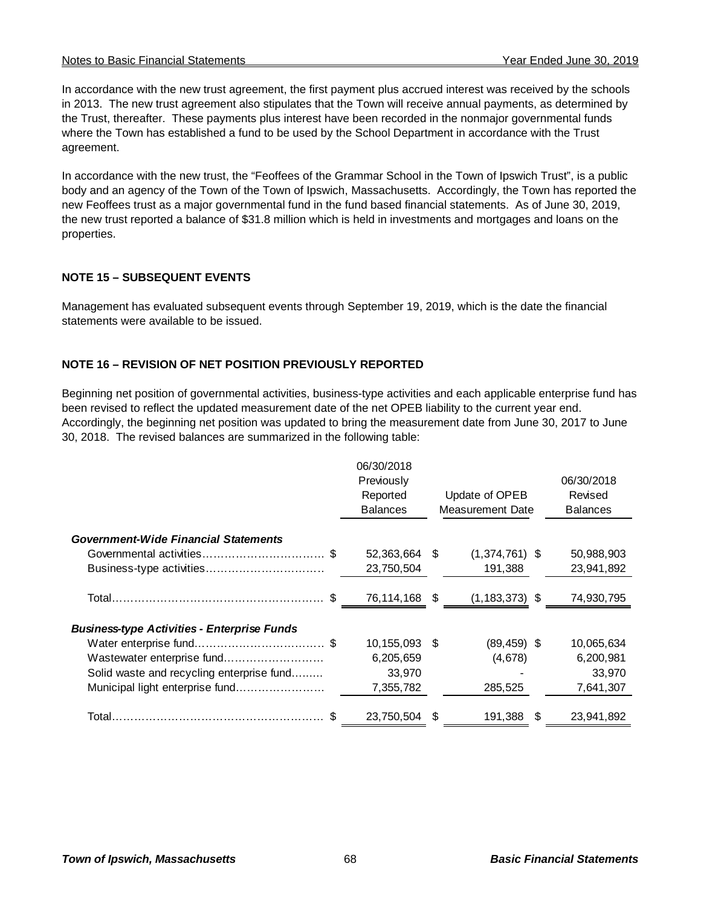In accordance with the new trust agreement, the first payment plus accrued interest was received by the schools in 2013. The new trust agreement also stipulates that the Town will receive annual payments, as determined by the Trust, thereafter. These payments plus interest have been recorded in the nonmajor governmental funds where the Town has established a fund to be used by the School Department in accordance with the Trust agreement.

In accordance with the new trust, the "Feoffees of the Grammar School in the Town of Ipswich Trust", is a public body and an agency of the Town of the Town of Ipswich, Massachusetts. Accordingly, the Town has reported the new Feoffees trust as a major governmental fund in the fund based financial statements. As of June 30, 2019, the new trust reported a balance of \$31.8 million which is held in investments and mortgages and loans on the properties.

## **NOTE 15 – SUBSEQUENT EVENTS**

Management has evaluated subsequent events through September 19, 2019, which is the date the financial statements were available to be issued.

## **NOTE 16 – REVISION OF NET POSITION PREVIOUSLY REPORTED**

Beginning net position of governmental activities, business-type activities and each applicable enterprise fund has been revised to reflect the updated measurement date of the net OPEB liability to the current year end. Accordingly, the beginning net position was updated to bring the measurement date from June 30, 2017 to June 30, 2018. The revised balances are summarized in the following table:

|                                                    | 06/30/2018<br>Previously |                          | 06/30/2018      |
|----------------------------------------------------|--------------------------|--------------------------|-----------------|
|                                                    | Reported                 | Update of OPEB           | Revised         |
|                                                    | <b>Balances</b>          | <b>Measurement Date</b>  | <b>Balances</b> |
| Government-Wide Financial Statements               |                          |                          |                 |
|                                                    | 52,363,664               | $(1,374,761)$ \$<br>- \$ | 50,988,903      |
| Business-type activities                           | 23,750,504               | 191,388                  | 23,941,892      |
| \$.                                                | 76,114,168 \$            | $(1, 183, 373)$ \$       | 74,930,795      |
| <b>Business-type Activities - Enterprise Funds</b> |                          |                          |                 |
|                                                    | 10,155,093               | $(89, 459)$ \$<br>- \$   | 10,065,634      |
| Wastewater enterprise fund                         | 6,205,659                | (4,678)                  | 6,200,981       |
| Solid waste and recycling enterprise fund          | 33,970                   |                          | 33,970          |
| Municipal light enterprise fund                    | 7,355,782                | 285,525                  | 7,641,307       |
|                                                    | 23,750,504               | 191,388 \$<br>\$.        | 23,941,892      |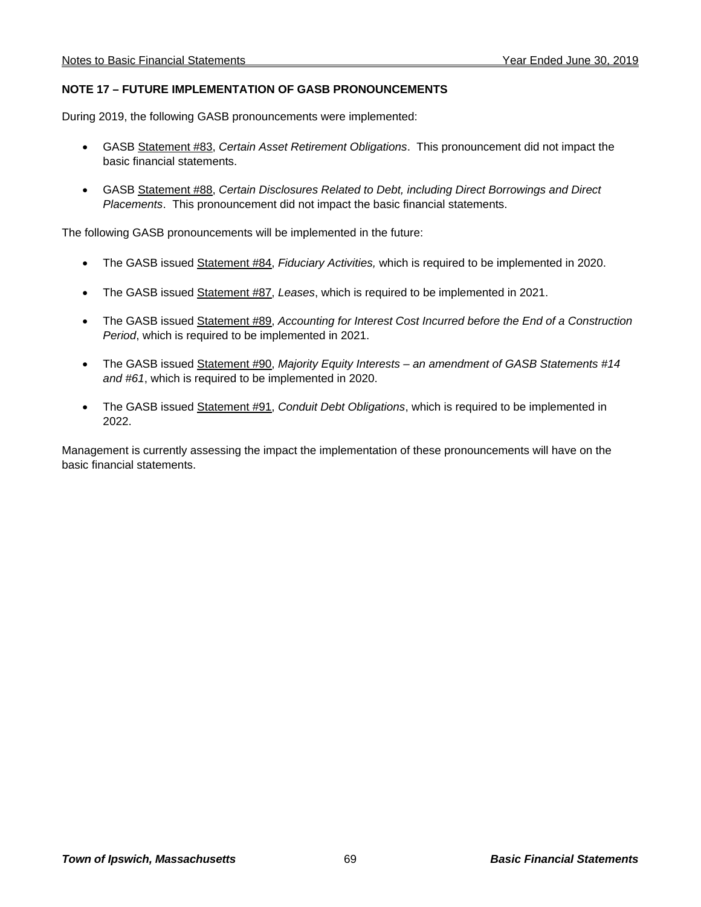#### **NOTE 17 – FUTURE IMPLEMENTATION OF GASB PRONOUNCEMENTS**

During 2019, the following GASB pronouncements were implemented:

- GASB Statement #83, *Certain Asset Retirement Obligations*. This pronouncement did not impact the basic financial statements.
- GASB Statement #88, *Certain Disclosures Related to Debt, including Direct Borrowings and Direct Placements*. This pronouncement did not impact the basic financial statements.

The following GASB pronouncements will be implemented in the future:

- The GASB issued Statement #84, *Fiduciary Activities,* which is required to be implemented in 2020.
- The GASB issued Statement #87, *Leases*, which is required to be implemented in 2021.
- The GASB issued Statement #89, *Accounting for Interest Cost Incurred before the End of a Construction Period*, which is required to be implemented in 2021.
- The GASB issued Statement #90, *Majority Equity Interests an amendment of GASB Statements #14 and #61*, which is required to be implemented in 2020.
- The GASB issued Statement #91, *Conduit Debt Obligations*, which is required to be implemented in 2022.

Management is currently assessing the impact the implementation of these pronouncements will have on the basic financial statements.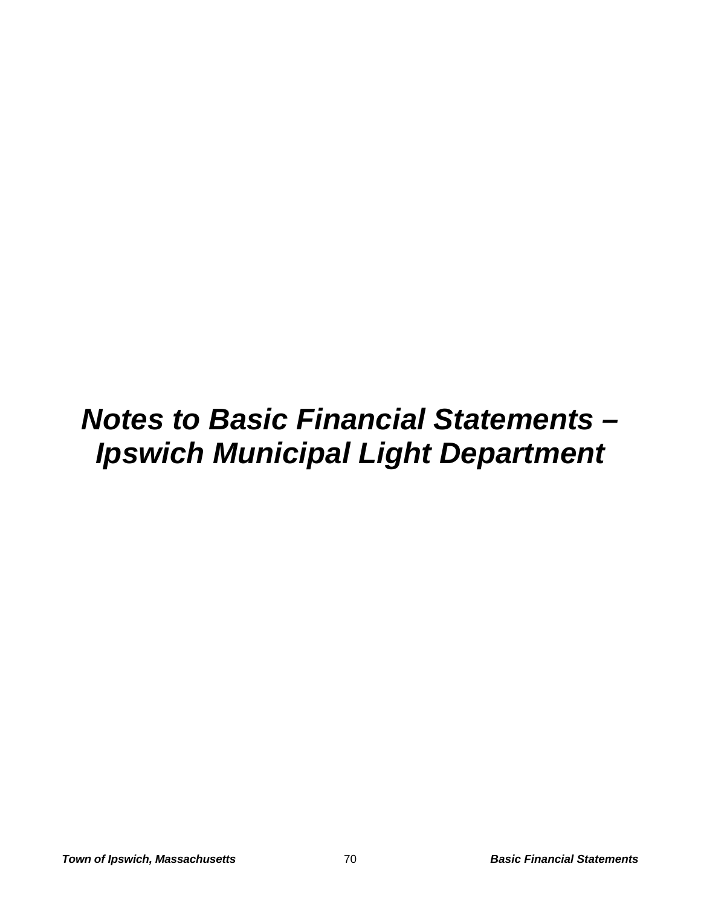# *Notes to Basic Financial Statements – Ipswich Municipal Light Department*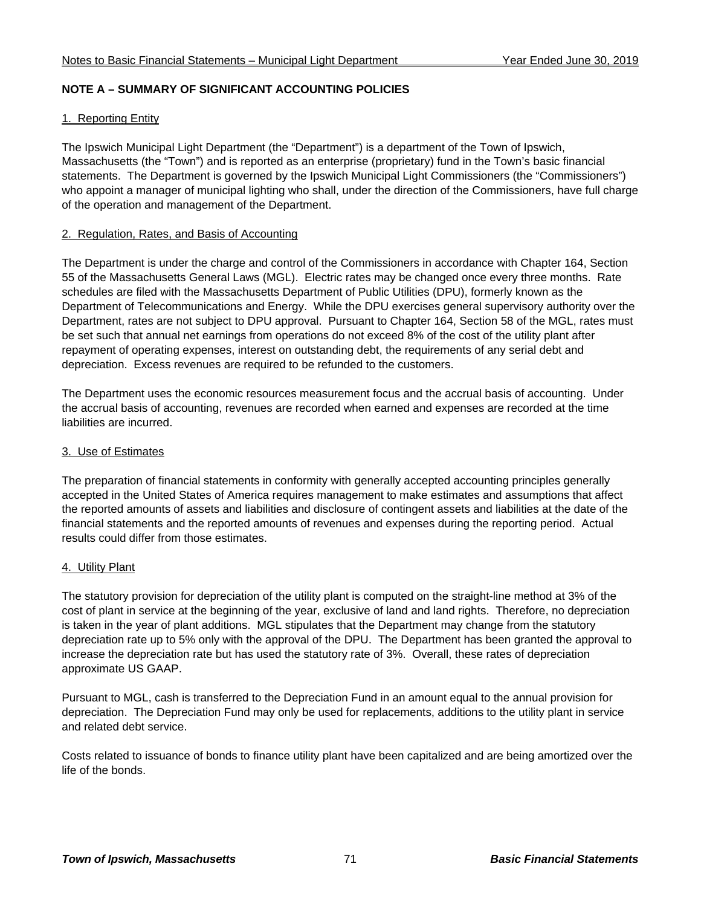### **NOTE A – SUMMARY OF SIGNIFICANT ACCOUNTING POLICIES**

#### 1. Reporting Entity

The Ipswich Municipal Light Department (the "Department") is a department of the Town of Ipswich, Massachusetts (the "Town") and is reported as an enterprise (proprietary) fund in the Town's basic financial statements. The Department is governed by the Ipswich Municipal Light Commissioners (the "Commissioners") who appoint a manager of municipal lighting who shall, under the direction of the Commissioners, have full charge of the operation and management of the Department.

#### 2. Regulation, Rates, and Basis of Accounting

The Department is under the charge and control of the Commissioners in accordance with Chapter 164, Section 55 of the Massachusetts General Laws (MGL). Electric rates may be changed once every three months. Rate schedules are filed with the Massachusetts Department of Public Utilities (DPU), formerly known as the Department of Telecommunications and Energy. While the DPU exercises general supervisory authority over the Department, rates are not subject to DPU approval. Pursuant to Chapter 164, Section 58 of the MGL, rates must be set such that annual net earnings from operations do not exceed 8% of the cost of the utility plant after repayment of operating expenses, interest on outstanding debt, the requirements of any serial debt and depreciation. Excess revenues are required to be refunded to the customers.

The Department uses the economic resources measurement focus and the accrual basis of accounting. Under the accrual basis of accounting, revenues are recorded when earned and expenses are recorded at the time liabilities are incurred.

#### 3. Use of Estimates

The preparation of financial statements in conformity with generally accepted accounting principles generally accepted in the United States of America requires management to make estimates and assumptions that affect the reported amounts of assets and liabilities and disclosure of contingent assets and liabilities at the date of the financial statements and the reported amounts of revenues and expenses during the reporting period. Actual results could differ from those estimates.

#### 4. Utility Plant

The statutory provision for depreciation of the utility plant is computed on the straight-line method at 3% of the cost of plant in service at the beginning of the year, exclusive of land and land rights. Therefore, no depreciation is taken in the year of plant additions. MGL stipulates that the Department may change from the statutory depreciation rate up to 5% only with the approval of the DPU. The Department has been granted the approval to increase the depreciation rate but has used the statutory rate of 3%. Overall, these rates of depreciation approximate US GAAP.

Pursuant to MGL, cash is transferred to the Depreciation Fund in an amount equal to the annual provision for depreciation. The Depreciation Fund may only be used for replacements, additions to the utility plant in service and related debt service.

Costs related to issuance of bonds to finance utility plant have been capitalized and are being amortized over the life of the bonds.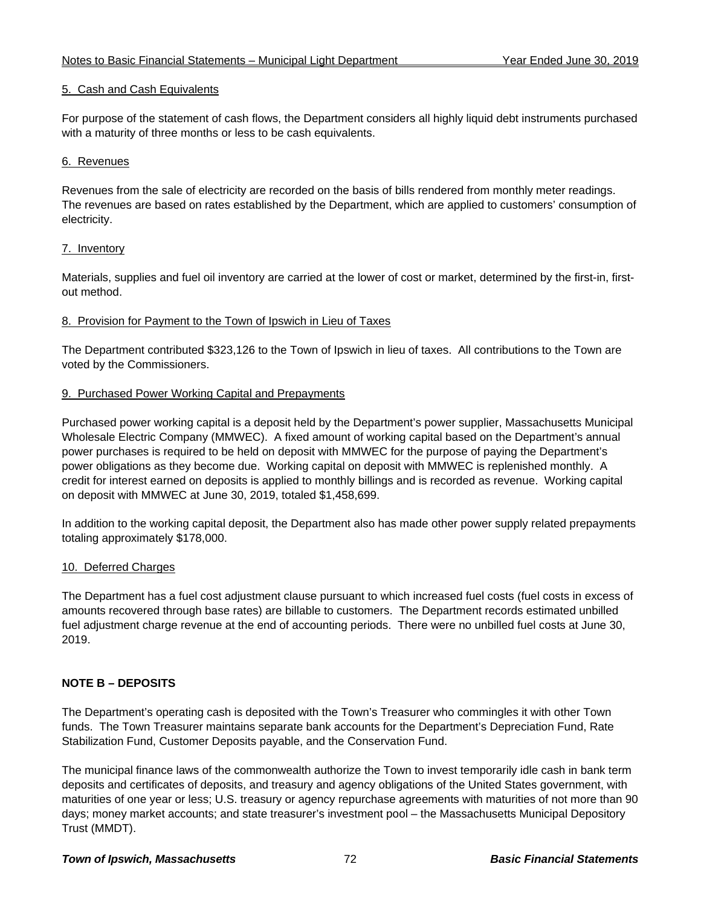#### 5. Cash and Cash Equivalents

For purpose of the statement of cash flows, the Department considers all highly liquid debt instruments purchased with a maturity of three months or less to be cash equivalents.

#### 6. Revenues

Revenues from the sale of electricity are recorded on the basis of bills rendered from monthly meter readings. The revenues are based on rates established by the Department, which are applied to customers' consumption of electricity.

#### 7. Inventory

Materials, supplies and fuel oil inventory are carried at the lower of cost or market, determined by the first-in, firstout method.

#### 8. Provision for Payment to the Town of Ipswich in Lieu of Taxes

The Department contributed \$323,126 to the Town of Ipswich in lieu of taxes. All contributions to the Town are voted by the Commissioners.

#### 9. Purchased Power Working Capital and Prepayments

Purchased power working capital is a deposit held by the Department's power supplier, Massachusetts Municipal Wholesale Electric Company (MMWEC). A fixed amount of working capital based on the Department's annual power purchases is required to be held on deposit with MMWEC for the purpose of paying the Department's power obligations as they become due. Working capital on deposit with MMWEC is replenished monthly. A credit for interest earned on deposits is applied to monthly billings and is recorded as revenue. Working capital on deposit with MMWEC at June 30, 2019, totaled \$1,458,699.

In addition to the working capital deposit, the Department also has made other power supply related prepayments totaling approximately \$178,000.

#### 10. Deferred Charges

The Department has a fuel cost adjustment clause pursuant to which increased fuel costs (fuel costs in excess of amounts recovered through base rates) are billable to customers. The Department records estimated unbilled fuel adjustment charge revenue at the end of accounting periods. There were no unbilled fuel costs at June 30, 2019.

#### **NOTE B – DEPOSITS**

The Department's operating cash is deposited with the Town's Treasurer who commingles it with other Town funds. The Town Treasurer maintains separate bank accounts for the Department's Depreciation Fund, Rate Stabilization Fund, Customer Deposits payable, and the Conservation Fund.

The municipal finance laws of the commonwealth authorize the Town to invest temporarily idle cash in bank term deposits and certificates of deposits, and treasury and agency obligations of the United States government, with maturities of one year or less; U.S. treasury or agency repurchase agreements with maturities of not more than 90 days; money market accounts; and state treasurer's investment pool – the Massachusetts Municipal Depository Trust (MMDT).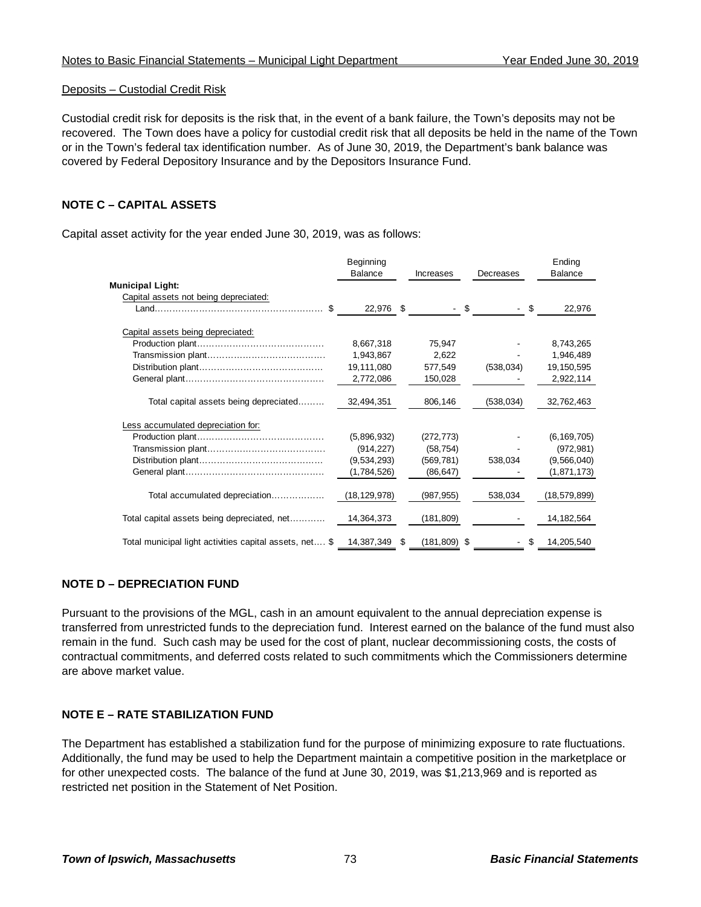#### Deposits – Custodial Credit Risk

Custodial credit risk for deposits is the risk that, in the event of a bank failure, the Town's deposits may not be recovered. The Town does have a policy for custodial credit risk that all deposits be held in the name of the Town or in the Town's federal tax identification number. As of June 30, 2019, the Department's bank balance was covered by Federal Depository Insurance and by the Depositors Insurance Fund.

#### **NOTE C – CAPITAL ASSETS**

Capital asset activity for the year ended June 30, 2019, was as follows:

|                                                         | Beginning<br><b>Balance</b> | Increases            | Decreases  | Ending<br><b>Balance</b> |
|---------------------------------------------------------|-----------------------------|----------------------|------------|--------------------------|
| Municipal Light:                                        |                             |                      |            |                          |
| Capital assets not being depreciated:                   |                             |                      |            |                          |
|                                                         | 22,976 \$                   | - \$                 | \$         | 22,976                   |
| Capital assets being depreciated:                       |                             |                      |            |                          |
|                                                         | 8,667,318                   | 75.947               |            | 8,743,265                |
|                                                         | 1,943,867                   | 2,622                |            | 1,946,489                |
|                                                         | 19,111,080                  | 577.549              | (538, 034) | 19,150,595               |
|                                                         | 2,772,086                   | 150,028              |            | 2,922,114                |
| Total capital assets being depreciated                  | 32,494,351                  | 806,146              | (538, 034) | 32,762,463               |
| Less accumulated depreciation for:                      |                             |                      |            |                          |
|                                                         | (5,896,932)                 | (272, 773)           |            | (6, 169, 705)            |
|                                                         | (914, 227)                  | (58, 754)            |            | (972, 981)               |
|                                                         | (9,534,293)                 | (569, 781)           | 538,034    | (9,566,040)              |
|                                                         | (1,784,526)                 | (86, 647)            |            | (1,871,173)              |
| Total accumulated depreciation                          | (18, 129, 978)              | (987, 955)           | 538,034    | (18, 579, 899)           |
| Total capital assets being depreciated, net             | 14,364,373                  | (181, 809)           |            | 14, 182, 564             |
| Total municipal light activities capital assets, net \$ | 14,387,349                  | $(181, 809)$ \$<br>S | \$.        | 14,205,540               |

#### **NOTE D – DEPRECIATION FUND**

Pursuant to the provisions of the MGL, cash in an amount equivalent to the annual depreciation expense is transferred from unrestricted funds to the depreciation fund. Interest earned on the balance of the fund must also remain in the fund. Such cash may be used for the cost of plant, nuclear decommissioning costs, the costs of contractual commitments, and deferred costs related to such commitments which the Commissioners determine are above market value.

#### **NOTE E – RATE STABILIZATION FUND**

The Department has established a stabilization fund for the purpose of minimizing exposure to rate fluctuations. Additionally, the fund may be used to help the Department maintain a competitive position in the marketplace or for other unexpected costs. The balance of the fund at June 30, 2019, was \$1,213,969 and is reported as restricted net position in the Statement of Net Position.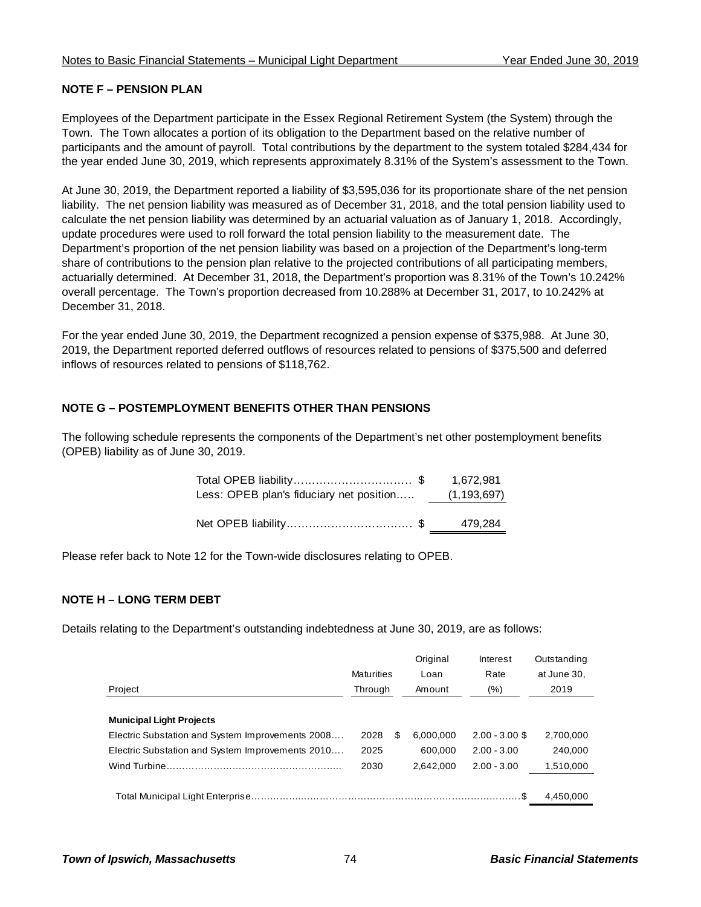#### **NOTE F – PENSION PLAN**

Employees of the Department participate in the Essex Regional Retirement System (the System) through the Town. The Town allocates a portion of its obligation to the Department based on the relative number of participants and the amount of payroll. Total contributions by the department to the system totaled \$284,434 for the year ended June 30, 2019, which represents approximately 8.31% of the System's assessment to the Town.

At June 30, 2019, the Department reported a liability of \$3,595,036 for its proportionate share of the net pension liability. The net pension liability was measured as of December 31, 2018, and the total pension liability used to calculate the net pension liability was determined by an actuarial valuation as of January 1, 2018. Accordingly, update procedures were used to roll forward the total pension liability to the measurement date. The Department's proportion of the net pension liability was based on a projection of the Department's long-term share of contributions to the pension plan relative to the projected contributions of all participating members, actuarially determined. At December 31, 2018, the Department's proportion was 8.31% of the Town's 10.242% overall percentage. The Town's proportion decreased from 10.288% at December 31, 2017, to 10.242% at December 31, 2018.

For the year ended June 30, 2019, the Department recognized a pension expense of \$375,988. At June 30, 2019, the Department reported deferred outflows of resources related to pensions of \$375,500 and deferred inflows of resources related to pensions of \$118,762.

### **NOTE G – POSTEMPLOYMENT BENEFITS OTHER THAN PENSIONS**

The following schedule represents the components of the Department's net other postemployment benefits (OPEB) liability as of June 30, 2019.

|                                          | 1.672.981   |
|------------------------------------------|-------------|
| Less: OPEB plan's fiduciary net position | (1,193,697) |
|                                          |             |
| Net OPEB liability\$ 479,284             |             |
|                                          |             |

Please refer back to Note 12 for the Town-wide disclosures relating to OPEB.

#### **NOTE H – LONG TERM DEBT**

Details relating to the Department's outstanding indebtedness at June 30, 2019, are as follows:

|                                                  |                   | Original        | Interest         | Outstanding |
|--------------------------------------------------|-------------------|-----------------|------------------|-------------|
|                                                  | <b>Maturities</b> | Loan            | Rate             | at June 30, |
| Project                                          | Through           | Amount          | $(\% )$          | 2019        |
|                                                  |                   |                 |                  |             |
| <b>Municipal Light Projects</b>                  |                   |                 |                  |             |
| Electric Substation and System Improvements 2008 | 2028              | \$<br>6,000,000 | $2.00 - 3.00$ \$ | 2,700,000   |
| Electric Substation and System Improvements 2010 | 2025              | 600,000         | $2.00 - 3.00$    | 240,000     |
|                                                  | 2030              | 2.642.000       | $2.00 - 3.00$    | 1,510,000   |
|                                                  |                   |                 |                  |             |
|                                                  |                   |                 |                  | 4,450,000   |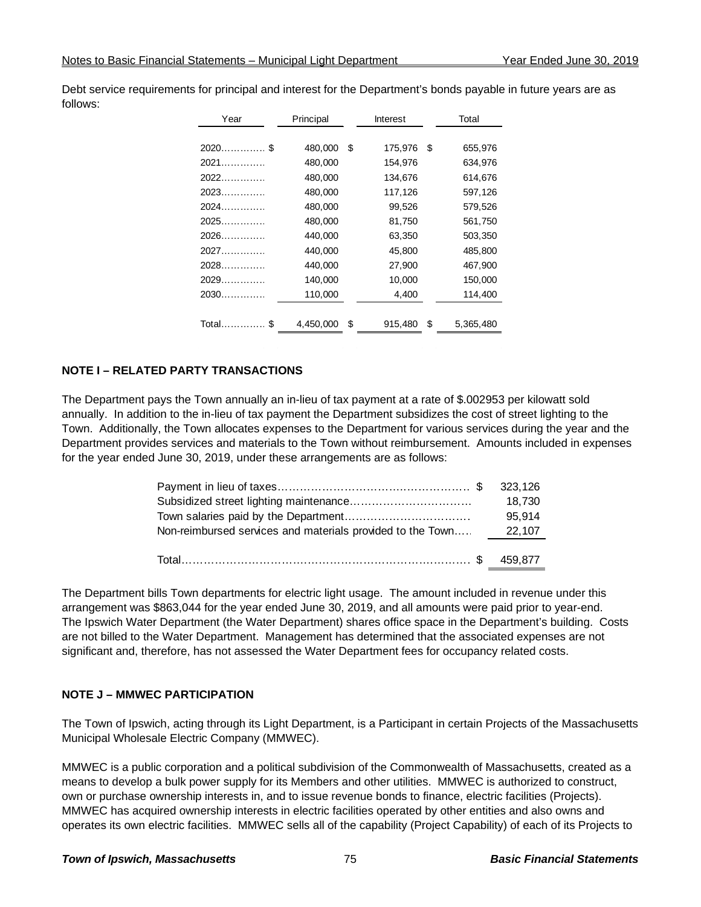| Year       | Principal |    | Interest | Total           |
|------------|-----------|----|----------|-----------------|
|            |           |    |          |                 |
| $2020$ \$  | 480,000   | \$ | 175,976  | \$<br>655,976   |
| $2021$     | 480,000   |    | 154.976  | 634,976         |
| $2022$     | 480,000   |    | 134.676  | 614,676         |
| 2023       | 480,000   |    | 117,126  | 597,126         |
| $2024$     | 480,000   |    | 99,526   | 579,526         |
| $2025$     | 480,000   |    | 81,750   | 561,750         |
| $2026$     | 440,000   |    | 63,350   | 503,350         |
| 2027       | 440,000   |    | 45,800   | 485,800         |
| $2028$     | 440,000   |    | 27,900   | 467,900         |
| 2029       | 140,000   |    | 10,000   | 150,000         |
| $2030$     | 110,000   |    | 4,400    | 114,400         |
|            |           |    |          |                 |
| Total<br>S | 4,450,000 | \$ | 915,480  | \$<br>5,365,480 |

Debt service requirements for principal and interest for the Department's bonds payable in future years are as follows:

#### **NOTE I – RELATED PARTY TRANSACTIONS**

The Department pays the Town annually an in-lieu of tax payment at a rate of \$.002953 per kilowatt sold annually. In addition to the in-lieu of tax payment the Department subsidizes the cost of street lighting to the Town. Additionally, the Town allocates expenses to the Department for various services during the year and the Department provides services and materials to the Town without reimbursement. Amounts included in expenses for the year ended June 30, 2019, under these arrangements are as follows:

|                                                            | 18,730 |
|------------------------------------------------------------|--------|
|                                                            | 95,914 |
| Non-reimbursed services and materials provided to the Town | 22,107 |
|                                                            |        |
|                                                            |        |

The Department bills Town departments for electric light usage. The amount included in revenue under this arrangement was \$863,044 for the year ended June 30, 2019, and all amounts were paid prior to year-end. The Ipswich Water Department (the Water Department) shares office space in the Department's building. Costs are not billed to the Water Department. Management has determined that the associated expenses are not significant and, therefore, has not assessed the Water Department fees for occupancy related costs.

#### **NOTE J – MMWEC PARTICIPATION**

The Town of Ipswich, acting through its Light Department, is a Participant in certain Projects of the Massachusetts Municipal Wholesale Electric Company (MMWEC).

MMWEC is a public corporation and a political subdivision of the Commonwealth of Massachusetts, created as a means to develop a bulk power supply for its Members and other utilities. MMWEC is authorized to construct, own or purchase ownership interests in, and to issue revenue bonds to finance, electric facilities (Projects). MMWEC has acquired ownership interests in electric facilities operated by other entities and also owns and operates its own electric facilities. MMWEC sells all of the capability (Project Capability) of each of its Projects to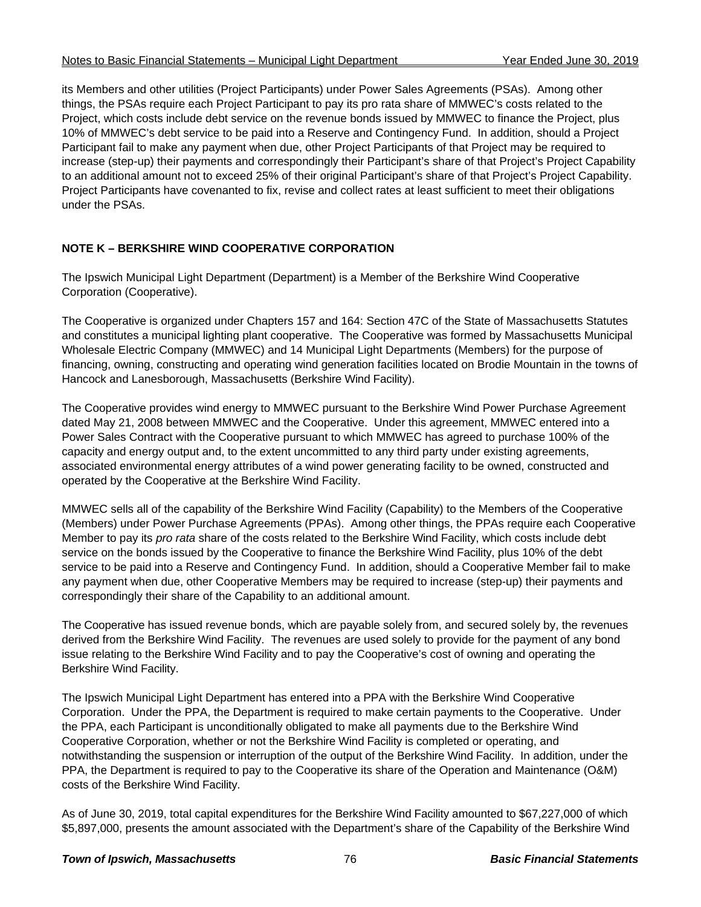its Members and other utilities (Project Participants) under Power Sales Agreements (PSAs). Among other things, the PSAs require each Project Participant to pay its pro rata share of MMWEC's costs related to the Project, which costs include debt service on the revenue bonds issued by MMWEC to finance the Project, plus 10% of MMWEC's debt service to be paid into a Reserve and Contingency Fund. In addition, should a Project Participant fail to make any payment when due, other Project Participants of that Project may be required to increase (step-up) their payments and correspondingly their Participant's share of that Project's Project Capability to an additional amount not to exceed 25% of their original Participant's share of that Project's Project Capability. Project Participants have covenanted to fix, revise and collect rates at least sufficient to meet their obligations under the PSAs.

## **NOTE K – BERKSHIRE WIND COOPERATIVE CORPORATION**

The Ipswich Municipal Light Department (Department) is a Member of the Berkshire Wind Cooperative Corporation (Cooperative).

The Cooperative is organized under Chapters 157 and 164: Section 47C of the State of Massachusetts Statutes and constitutes a municipal lighting plant cooperative. The Cooperative was formed by Massachusetts Municipal Wholesale Electric Company (MMWEC) and 14 Municipal Light Departments (Members) for the purpose of financing, owning, constructing and operating wind generation facilities located on Brodie Mountain in the towns of Hancock and Lanesborough, Massachusetts (Berkshire Wind Facility).

The Cooperative provides wind energy to MMWEC pursuant to the Berkshire Wind Power Purchase Agreement dated May 21, 2008 between MMWEC and the Cooperative. Under this agreement, MMWEC entered into a Power Sales Contract with the Cooperative pursuant to which MMWEC has agreed to purchase 100% of the capacity and energy output and, to the extent uncommitted to any third party under existing agreements, associated environmental energy attributes of a wind power generating facility to be owned, constructed and operated by the Cooperative at the Berkshire Wind Facility.

MMWEC sells all of the capability of the Berkshire Wind Facility (Capability) to the Members of the Cooperative (Members) under Power Purchase Agreements (PPAs). Among other things, the PPAs require each Cooperative Member to pay its *pro rata* share of the costs related to the Berkshire Wind Facility, which costs include debt service on the bonds issued by the Cooperative to finance the Berkshire Wind Facility, plus 10% of the debt service to be paid into a Reserve and Contingency Fund. In addition, should a Cooperative Member fail to make any payment when due, other Cooperative Members may be required to increase (step-up) their payments and correspondingly their share of the Capability to an additional amount.

The Cooperative has issued revenue bonds, which are payable solely from, and secured solely by, the revenues derived from the Berkshire Wind Facility. The revenues are used solely to provide for the payment of any bond issue relating to the Berkshire Wind Facility and to pay the Cooperative's cost of owning and operating the Berkshire Wind Facility.

The Ipswich Municipal Light Department has entered into a PPA with the Berkshire Wind Cooperative Corporation. Under the PPA, the Department is required to make certain payments to the Cooperative. Under the PPA, each Participant is unconditionally obligated to make all payments due to the Berkshire Wind Cooperative Corporation, whether or not the Berkshire Wind Facility is completed or operating, and notwithstanding the suspension or interruption of the output of the Berkshire Wind Facility. In addition, under the PPA, the Department is required to pay to the Cooperative its share of the Operation and Maintenance (O&M) costs of the Berkshire Wind Facility.

As of June 30, 2019, total capital expenditures for the Berkshire Wind Facility amounted to \$67,227,000 of which \$5,897,000, presents the amount associated with the Department's share of the Capability of the Berkshire Wind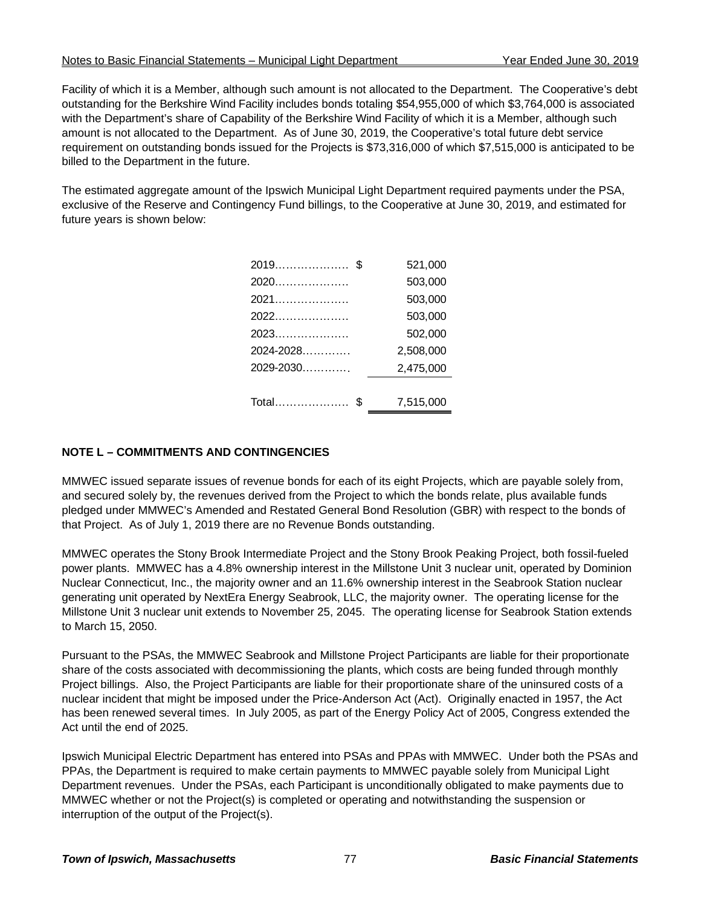#### Notes to Basic Financial Statements – Municipal Light Department Year Ended June 30, 2019

Facility of which it is a Member, although such amount is not allocated to the Department. The Cooperative's debt outstanding for the Berkshire Wind Facility includes bonds totaling \$54,955,000 of which \$3,764,000 is associated with the Department's share of Capability of the Berkshire Wind Facility of which it is a Member, although such amount is not allocated to the Department. As of June 30, 2019, the Cooperative's total future debt service requirement on outstanding bonds issued for the Projects is \$73,316,000 of which \$7,515,000 is anticipated to be billed to the Department in the future.

The estimated aggregate amount of the Ipswich Municipal Light Department required payments under the PSA, exclusive of the Reserve and Contingency Fund billings, to the Cooperative at June 30, 2019, and estimated for future years is shown below:

| $2019$ $\ldots$ $\ldots$ $\ldots$ $\ldots$ | 521,000   |
|--------------------------------------------|-----------|
| $2020$                                     | 503,000   |
| $2021$                                     | 503,000   |
| $2022$                                     | 503,000   |
| 2023                                       | 502,000   |
| $2024 - 2028$                              | 2,508,000 |
| 2029-2030                                  | 2,475,000 |
|                                            |           |
| Total \$                                   | 7,515,000 |
|                                            |           |

#### **NOTE L – COMMITMENTS AND CONTINGENCIES**

MMWEC issued separate issues of revenue bonds for each of its eight Projects, which are payable solely from, and secured solely by, the revenues derived from the Project to which the bonds relate, plus available funds pledged under MMWEC's Amended and Restated General Bond Resolution (GBR) with respect to the bonds of that Project. As of July 1, 2019 there are no Revenue Bonds outstanding.

MMWEC operates the Stony Brook Intermediate Project and the Stony Brook Peaking Project, both fossil-fueled power plants. MMWEC has a 4.8% ownership interest in the Millstone Unit 3 nuclear unit, operated by Dominion Nuclear Connecticut, Inc., the majority owner and an 11.6% ownership interest in the Seabrook Station nuclear generating unit operated by NextEra Energy Seabrook, LLC, the majority owner. The operating license for the Millstone Unit 3 nuclear unit extends to November 25, 2045. The operating license for Seabrook Station extends to March 15, 2050.

Pursuant to the PSAs, the MMWEC Seabrook and Millstone Project Participants are liable for their proportionate share of the costs associated with decommissioning the plants, which costs are being funded through monthly Project billings. Also, the Project Participants are liable for their proportionate share of the uninsured costs of a nuclear incident that might be imposed under the Price-Anderson Act (Act). Originally enacted in 1957, the Act has been renewed several times. In July 2005, as part of the Energy Policy Act of 2005, Congress extended the Act until the end of 2025.

Ipswich Municipal Electric Department has entered into PSAs and PPAs with MMWEC. Under both the PSAs and PPAs, the Department is required to make certain payments to MMWEC payable solely from Municipal Light Department revenues. Under the PSAs, each Participant is unconditionally obligated to make payments due to MMWEC whether or not the Project(s) is completed or operating and notwithstanding the suspension or interruption of the output of the Project(s).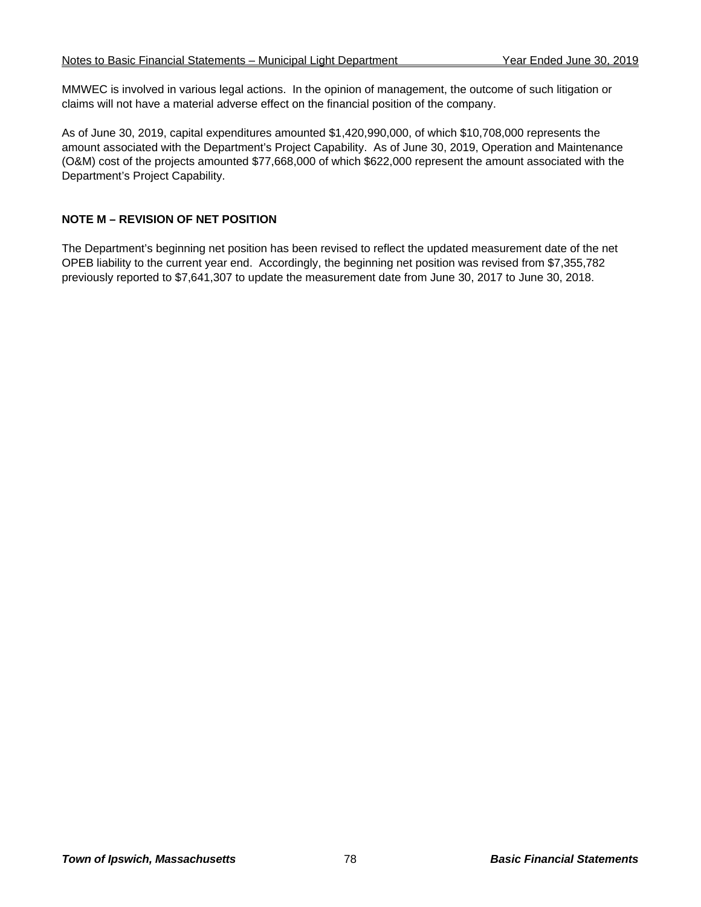MMWEC is involved in various legal actions. In the opinion of management, the outcome of such litigation or claims will not have a material adverse effect on the financial position of the company.

As of June 30, 2019, capital expenditures amounted \$1,420,990,000, of which \$10,708,000 represents the amount associated with the Department's Project Capability. As of June 30, 2019, Operation and Maintenance (O&M) cost of the projects amounted \$77,668,000 of which \$622,000 represent the amount associated with the Department's Project Capability.

#### **NOTE M – REVISION OF NET POSITION**

The Department's beginning net position has been revised to reflect the updated measurement date of the net OPEB liability to the current year end. Accordingly, the beginning net position was revised from \$7,355,782 previously reported to \$7,641,307 to update the measurement date from June 30, 2017 to June 30, 2018.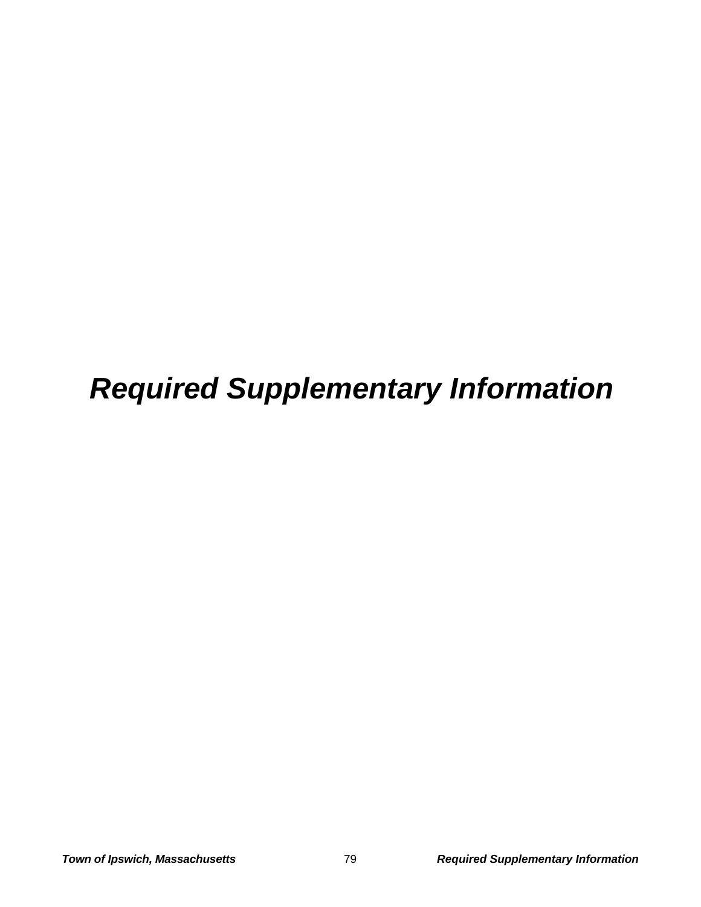*Required Supplementary Information.*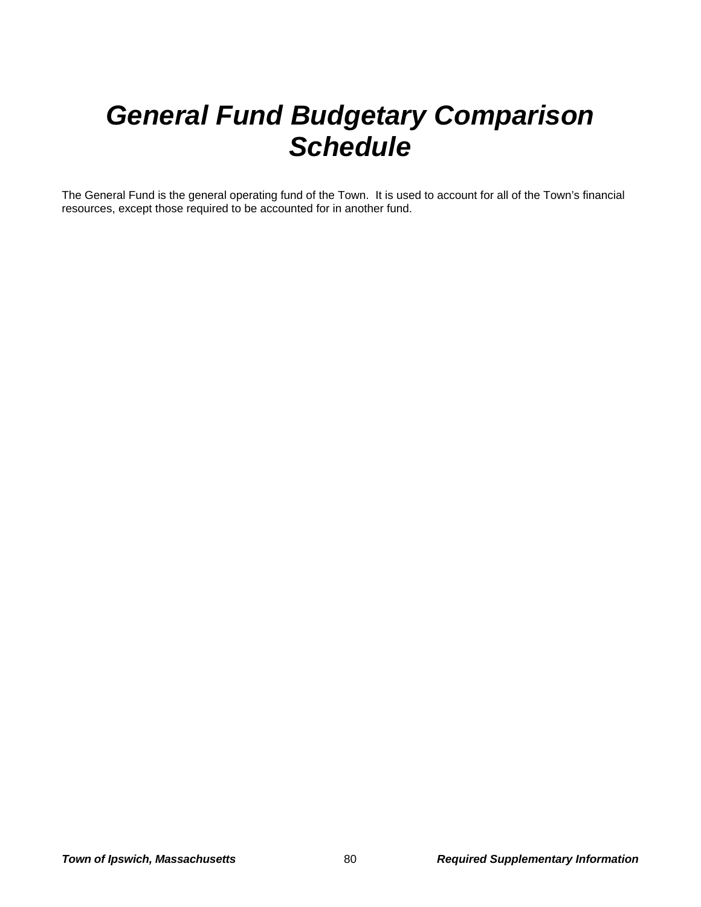## *General Fund Budgetary Comparison Schedule*

The General Fund is the general operating fund of the Town. It is used to account for all of the Town's financial resources, except those required to be accounted for in another fund.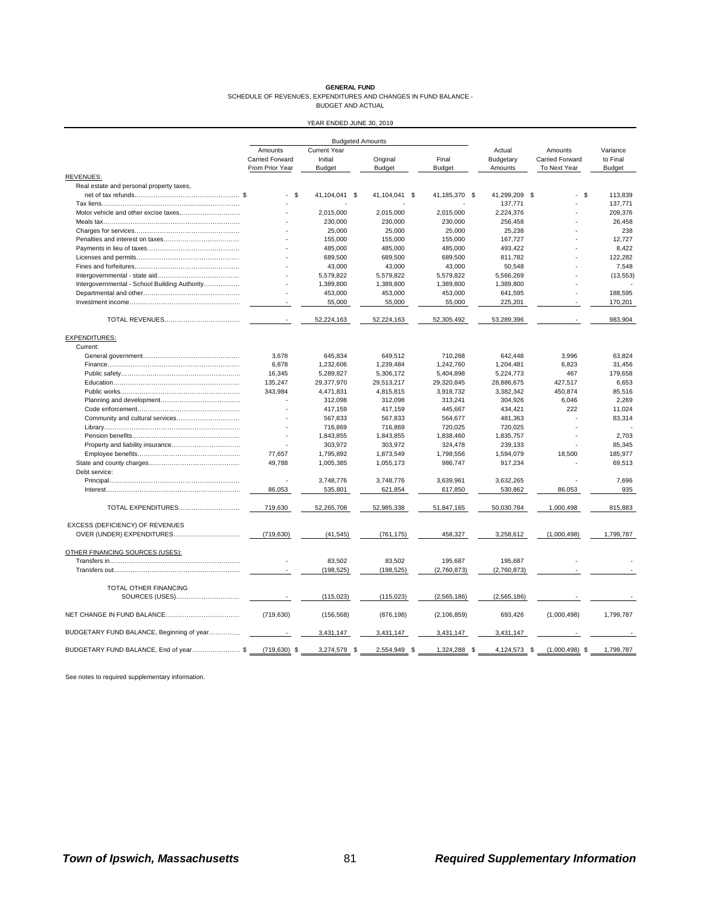## **GENERAL FUND<br>SCHEDULE OF REVENUES, EXPENDITURES AND CHANGES IN FUND BALANCE -<br>BUDGET AND ACTUAL**

|  |  | YEAR ENDED JUNE 30, 2019 |  |
|--|--|--------------------------|--|
|--|--|--------------------------|--|

|                                               |                 | <b>Budgeted Amounts</b> |                  |                 |             |                          |                      |
|-----------------------------------------------|-----------------|-------------------------|------------------|-----------------|-------------|--------------------------|----------------------|
|                                               | Amounts         | <b>Current Year</b>     |                  |                 | Actual      | Amounts                  | Variance<br>to Final |
|                                               | Carried Forward | Initial                 | Original         | Final           | Budgetary   | Carried Forward          |                      |
|                                               | From Prior Year | <b>Budget</b>           | <b>Budget</b>    | <b>Budget</b>   | Amounts     | To Next Year             | <b>Budget</b>        |
| <b>REVENUES:</b>                              |                 |                         |                  |                 |             |                          |                      |
| Real estate and personal property taxes,      |                 |                         |                  |                 |             |                          |                      |
|                                               | - \$            | 41,104,041<br>- \$      | 41.104.041<br>-S | 41,185,370 \$   | 41,299,209  | $-5$<br>- \$             | 113.839              |
|                                               |                 |                         |                  |                 | 137,771     |                          | 137,771              |
| Motor vehicle and other excise taxes          |                 | 2,015,000               | 2,015,000        | 2,015,000       | 2,224,376   |                          | 209,376              |
|                                               |                 | 230,000                 | 230,000          | 230,000         | 256,458     |                          | 26,458               |
|                                               |                 | 25,000                  | 25,000           | 25,000          | 25,238      |                          | 238                  |
|                                               |                 | 155,000                 | 155,000          | 155,000         | 167,727     |                          | 12,727               |
|                                               |                 | 485,000                 | 485,000          | 485,000         | 493,422     |                          | 8.422                |
|                                               |                 | 689,500                 | 689,500          | 689,500         | 811,782     |                          | 122.282              |
|                                               |                 | 43,000                  | 43,000           | 43,000          | 50,548      |                          | 7,548                |
|                                               |                 | 5,579,822               | 5,579,822        | 5,579,822       | 5,566,269   |                          | (13, 553)            |
| Intergovernmental - School Building Authority |                 | 1,389,800               | 1,389,800        | 1,389,800       | 1,389,800   |                          |                      |
|                                               |                 | 453,000                 | 453,000          | 453,000         | 641,595     |                          | 188,595              |
|                                               |                 | 55,000                  | 55,000           | 55,000          | 225,201     |                          | 170,201              |
|                                               |                 | 52,224,163              | 52,224,163       | 52,305,492      | 53,289,396  |                          | 983,904              |
| <b>EXPENDITURES:</b>                          |                 |                         |                  |                 |             |                          |                      |
| Current:                                      |                 |                         |                  |                 |             |                          |                      |
|                                               | 3,678           | 645,834                 | 649,512          | 710,268         | 642,448     | 3,996                    | 63,824               |
|                                               | 6,878           | 1,232,606               | 1,239,484        | 1,242,760       | 1,204,481   | 6,823                    | 31,456               |
|                                               | 16,345          | 5,289,827               | 5,306,172        | 5,404,898       | 5,224,773   | 467                      | 179,658              |
|                                               | 135,247         | 29,377,970              | 29,513,217       | 29,320,845      | 28,886,675  | 427,517                  | 6,653                |
|                                               | 343,984         | 4,471,831               | 4,815,815        | 3,918,732       | 3,382,342   | 450,874                  | 85,516               |
|                                               |                 | 312,098                 | 312,098          | 313,241         | 304,926     | 6,046                    | 2,269                |
|                                               |                 | 417,159                 | 417,159          | 445,667         | 434,421     | 222                      | 11,024               |
| Community and cultural services               |                 | 567,833                 | 567,833          | 564,677         | 481,363     |                          | 83,314               |
|                                               |                 | 716,869                 | 716,869          | 720.025         | 720,025     |                          |                      |
|                                               |                 | 1,843,855               | 1,843,855        | 1,838,460       | 1,835,757   |                          | 2,703                |
|                                               |                 | 303,972                 | 303,972          | 324,478         | 239,133     |                          | 85,345               |
|                                               | 77,657          | 1,795,892               | 1,873,549        | 1,798,556       | 1,594,079   | 18,500                   | 185,977              |
|                                               | 49,788          | 1,005,385               | 1,055,173        | 986,747         | 917,234     |                          | 69,513               |
| Debt service:                                 |                 |                         |                  |                 |             |                          |                      |
|                                               |                 | 3,748,776               | 3,748,776        | 3,639,961       | 3,632,265   |                          | 7,696                |
|                                               | 86,053          | 535,801                 | 621,854          | 617,850         | 530,862     | 86,053                   | 935                  |
| TOTAL EXPENDITURES                            | 719,630         | 52,265,708              | 52,985,338       | 51,847,165      | 50,030,784  | 1,000,498                | 815,883              |
| EXCESS (DEFICIENCY) OF REVENUES               |                 |                         |                  |                 |             |                          |                      |
|                                               | (719, 630)      | (41, 545)               | (761, 175)       | 458,327         | 3,258,612   | (1,000,498)              | 1,799,787            |
| OTHER FINANCING SOURCES (USES):               |                 |                         |                  |                 |             |                          |                      |
|                                               |                 | 83,502                  | 83,502           | 195,687         | 195,687     |                          |                      |
|                                               |                 | (198, 525)              | (198, 525)       | (2,760,873)     | (2,760,873) |                          |                      |
| TOTAL OTHER FINANCING                         |                 |                         |                  |                 |             |                          |                      |
| SOURCES (USES)                                |                 | (115, 023)              | (115, 023)       | (2,565,186)     | (2,565,186) |                          |                      |
|                                               | (719, 630)      | (156, 568)              | (876, 198)       | (2, 106, 859)   | 693,426     | (1,000,498)              | 1,799,787            |
| BUDGETARY FUND BALANCE, Beginning of year     |                 | 3,431,147               | 3,431,147        | 3,431,147       | 3,431,147   |                          |                      |
| BUDGETARY FUND BALANCE, End of year\$         | $(719, 630)$ \$ | 3,274,579 \$            | 2.554.949 \$     | 1,324,288<br>\$ | 4,124,573   | $(1,000,498)$ \$<br>- \$ | 1.799.787            |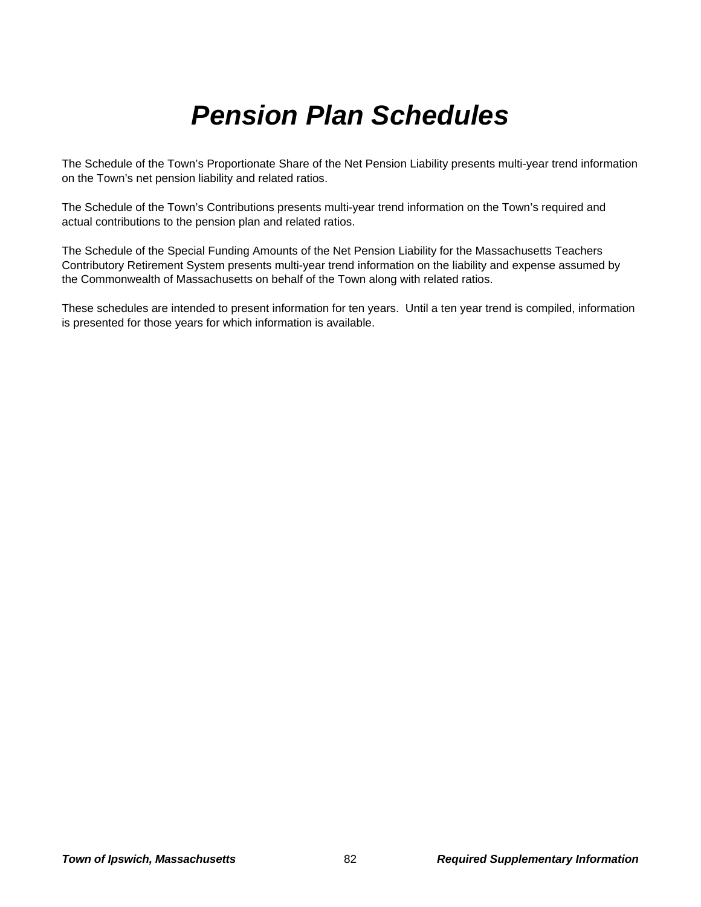## *Pension Plan Schedules*

The Schedule of the Town's Proportionate Share of the Net Pension Liability presents multi-year trend information on the Town's net pension liability and related ratios.

The Schedule of the Town's Contributions presents multi-year trend information on the Town's required and actual contributions to the pension plan and related ratios.

The Schedule of the Special Funding Amounts of the Net Pension Liability for the Massachusetts Teachers Contributory Retirement System presents multi-year trend information on the liability and expense assumed by the Commonwealth of Massachusetts on behalf of the Town along with related ratios.

These schedules are intended to present information for ten years. Until a ten year trend is compiled, information is presented for those years for which information is available.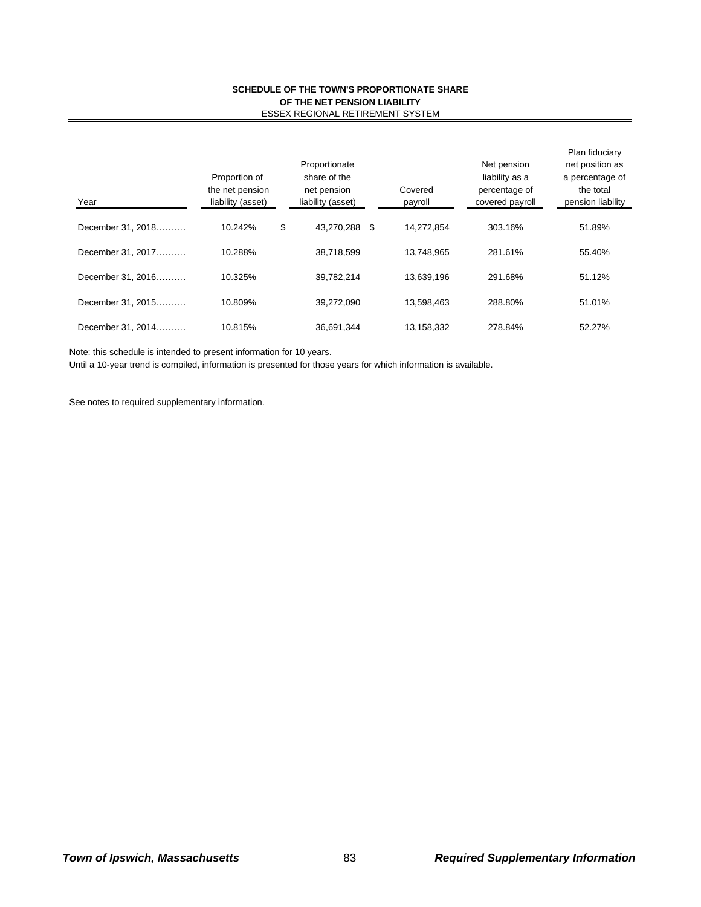#### **SCHEDULE OF THE TOWN'S PROPORTIONATE SHARE OF THE NET PENSION LIABILITY** ESSEX REGIONAL RETIREMENT SYSTEM

| Year              | Proportion of<br>the net pension<br>liability (asset) | Proportionate<br>share of the<br>net pension<br>liability (asset) | Covered<br>payroll | Net pension<br>liability as a<br>percentage of<br>covered payroll | Plan fiduciary<br>net position as<br>a percentage of<br>the total<br>pension liability |
|-------------------|-------------------------------------------------------|-------------------------------------------------------------------|--------------------|-------------------------------------------------------------------|----------------------------------------------------------------------------------------|
| December 31, 2018 | 10.242%                                               | \$<br>43,270,288 \$                                               | 14,272,854         | 303.16%                                                           | 51.89%                                                                                 |
| December 31, 2017 | 10.288%                                               | 38.718.599                                                        | 13.748.965         | 281.61%                                                           | 55.40%                                                                                 |
| December 31, 2016 | 10.325%                                               | 39,782,214                                                        | 13,639,196         | 291.68%                                                           | 51.12%                                                                                 |
| December 31, 2015 | 10.809%                                               | 39,272,090                                                        | 13,598,463         | 288.80%                                                           | 51.01%                                                                                 |
| December 31, 2014 | 10.815%                                               | 36.691.344                                                        | 13,158,332         | 278.84%                                                           | 52.27%                                                                                 |

Note: this schedule is intended to present information for 10 years.

Until a 10-year trend is compiled, information is presented for those years for which information is available.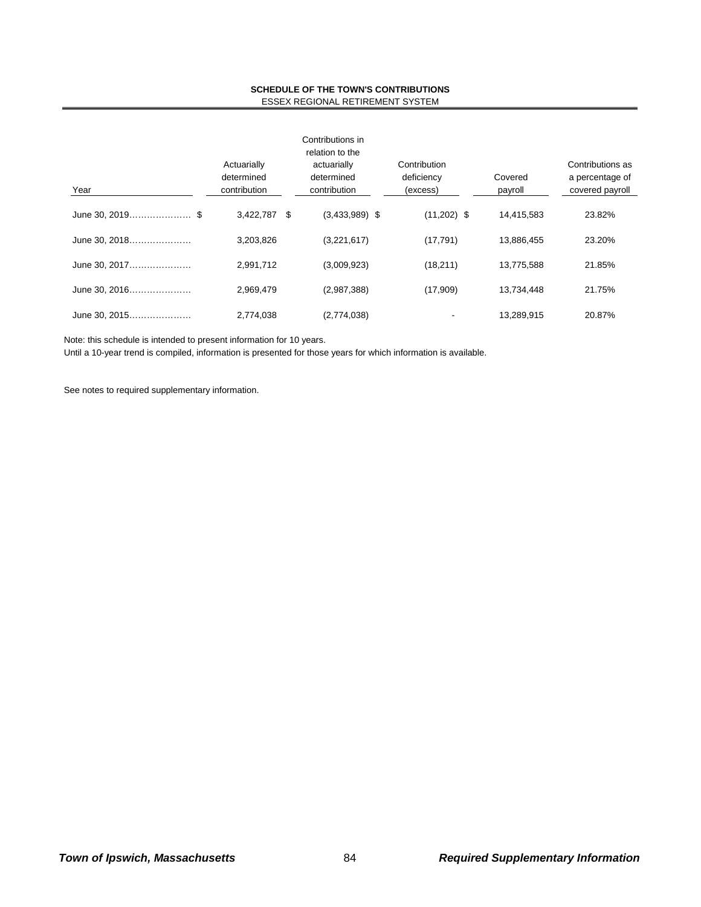#### **SCHEDULE OF THE TOWN'S CONTRIBUTIONS** ESSEX REGIONAL RETIREMENT SYSTEM

| Year          | Actuarially<br>determined<br>contribution | Contributions in<br>relation to the<br>actuarially<br>determined<br>contribution | Contribution<br>deficiency<br>(excess) | Covered<br>payroll | Contributions as<br>a percentage of<br>covered payroll |
|---------------|-------------------------------------------|----------------------------------------------------------------------------------|----------------------------------------|--------------------|--------------------------------------------------------|
|               | 3,422,787 \$                              | $(3,433,989)$ \$                                                                 | $(11,202)$ \$                          | 14,415,583         | 23.82%                                                 |
| June 30, 2018 | 3,203,826                                 | (3,221,617)                                                                      | (17, 791)                              | 13,886,455         | 23.20%                                                 |
| June 30, 2017 | 2,991,712                                 | (3,009,923)                                                                      | (18,211)                               | 13,775,588         | 21.85%                                                 |
| June 30, 2016 | 2,969,479                                 | (2,987,388)                                                                      | (17,909)                               | 13,734,448         | 21.75%                                                 |
| June 30, 2015 | 2,774,038                                 | (2,774,038)                                                                      |                                        | 13,289,915         | 20.87%                                                 |

Note: this schedule is intended to present information for 10 years.

Until a 10-year trend is compiled, information is presented for those years for which information is available.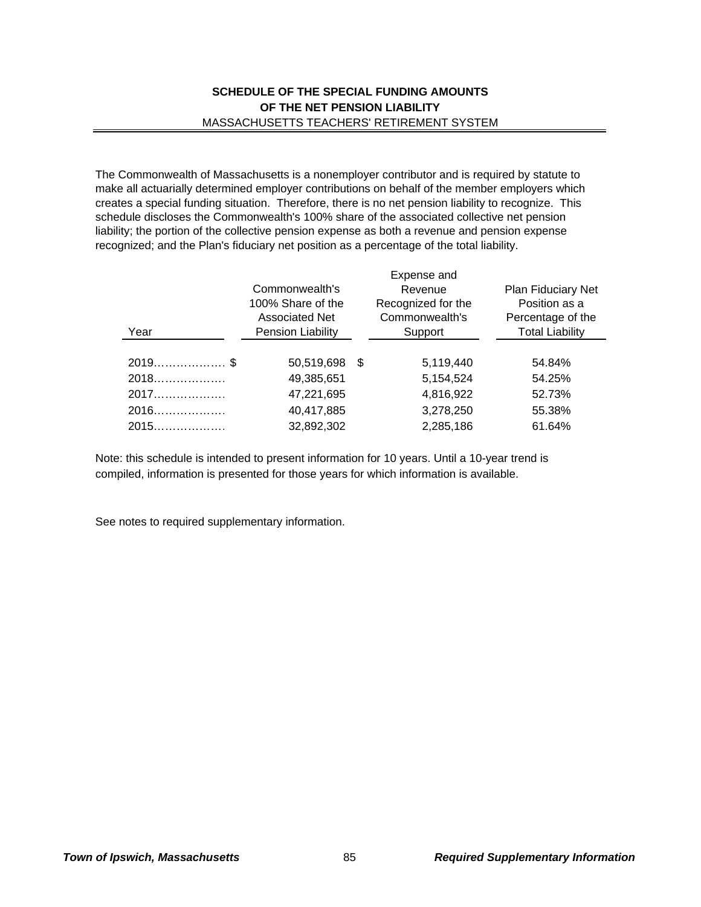The Commonwealth of Massachusetts is a nonemployer contributor and is required by statute to make all actuarially determined employer contributions on behalf of the member employers which creates a special funding situation. Therefore, there is no net pension liability to recognize. This schedule discloses the Commonwealth's 100% share of the associated collective net pension liability; the portion of the collective pension expense as both a revenue and pension expense recognized; and the Plan's fiduciary net position as a percentage of the total liability.

|           | Commonwealth's<br>100% Share of the<br>Associated Net |      | Expense and<br>Revenue<br>Recognized for the<br>Commonwealth's | <b>Plan Fiduciary Net</b><br>Position as a<br>Percentage of the |
|-----------|-------------------------------------------------------|------|----------------------------------------------------------------|-----------------------------------------------------------------|
| Year      | Pension Liability                                     |      | Support                                                        | <b>Total Liability</b>                                          |
|           |                                                       |      |                                                                |                                                                 |
| $2019$ \$ | 50,519,698                                            | - \$ | 5,119,440                                                      | 54.84%                                                          |
| $2018$    | 49,385,651                                            |      | 5,154,524                                                      | 54.25%                                                          |
| 2017      | 47,221,695                                            |      | 4,816,922                                                      | 52.73%                                                          |
| 2016      | 40,417,885                                            |      | 3,278,250                                                      | 55.38%                                                          |
| 2015      | 32,892,302                                            |      | 2,285,186                                                      | 61.64%                                                          |

Note: this schedule is intended to present information for 10 years. Until a 10-year trend is compiled, information is presented for those years for which information is available.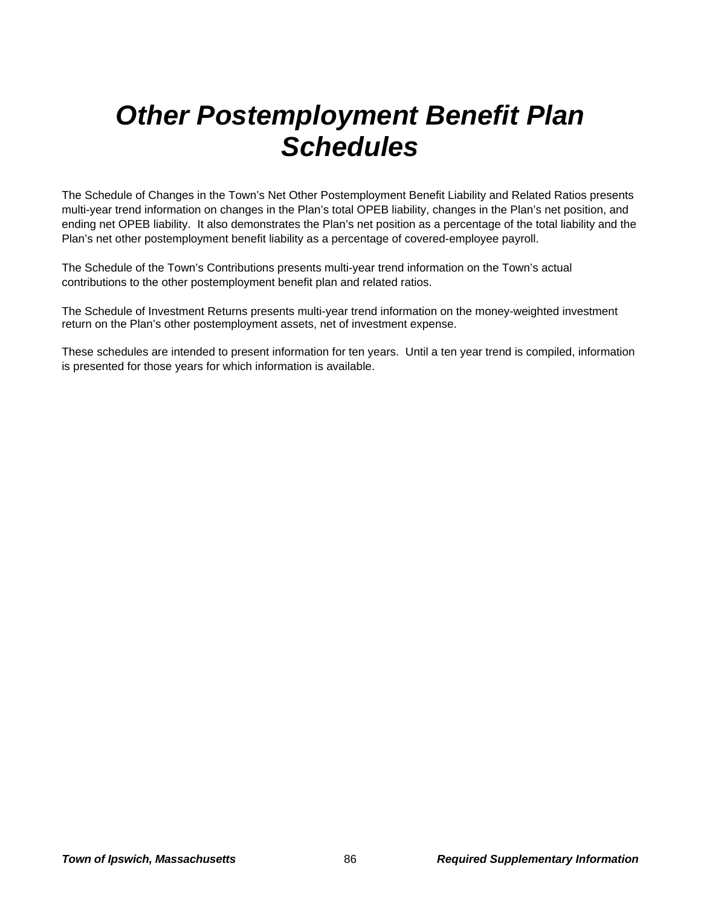## *Other Postemployment Benefit Plan Schedules*

The Schedule of Changes in the Town's Net Other Postemployment Benefit Liability and Related Ratios presents multi-year trend information on changes in the Plan's total OPEB liability, changes in the Plan's net position, and ending net OPEB liability. It also demonstrates the Plan's net position as a percentage of the total liability and the Plan's net other postemployment benefit liability as a percentage of covered-employee payroll.

The Schedule of the Town's Contributions presents multi-year trend information on the Town's actual contributions to the other postemployment benefit plan and related ratios.

The Schedule of Investment Returns presents multi-year trend information on the money-weighted investment return on the Plan's other postemployment assets, net of investment expense.

These schedules are intended to present information for ten years. Until a ten year trend is compiled, information is presented for those years for which information is available.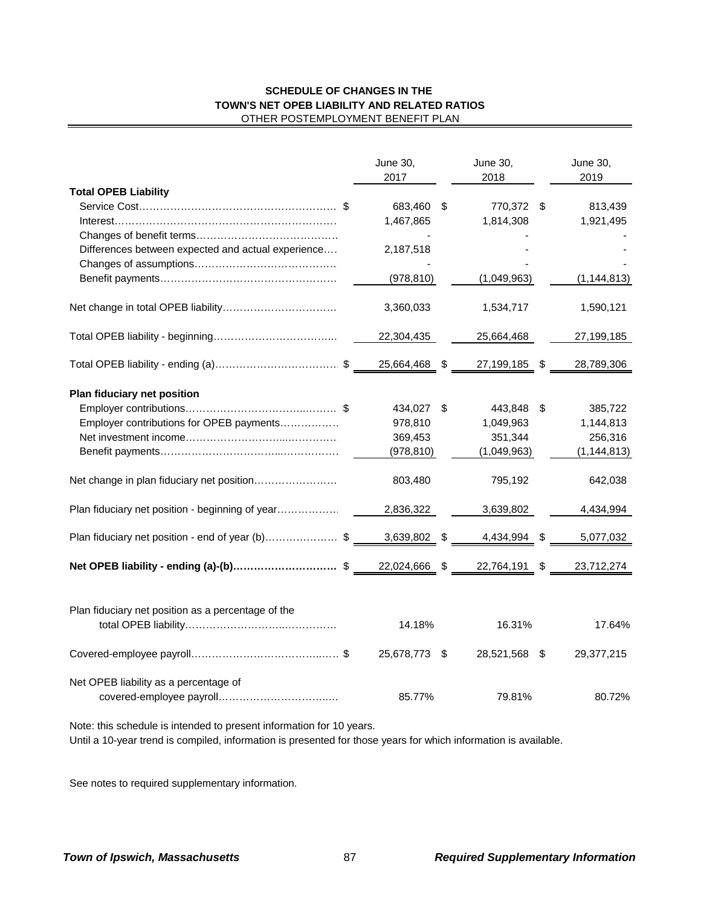#### **SCHEDULE OF CHANGES IN THE TOWN'S NET OPEB LIABILITY AND RELATED RATIOS** OTHER POSTEMPLOYMENT BENEFIT PLAN

|                                                                   | June 30,<br>2017     |      | June 30,<br>2018         |    | June 30,<br>2019     |
|-------------------------------------------------------------------|----------------------|------|--------------------------|----|----------------------|
| <b>Total OPEB Liability</b>                                       |                      |      |                          |    |                      |
|                                                                   | 683,460<br>1,467,865 | -\$  | 770,372 \$<br>1,814,308  |    | 813,439<br>1,921,495 |
|                                                                   |                      |      |                          |    |                      |
| Differences between expected and actual experience                | 2,187,518            |      |                          |    |                      |
|                                                                   |                      |      |                          |    |                      |
|                                                                   | (978, 810)           |      | (1,049,963)              |    | (1, 144, 813)        |
|                                                                   | 3,360,033            |      | 1,534,717                |    | 1,590,121            |
|                                                                   | 22,304,435           |      | 25,664,468               |    | 27,199,185           |
|                                                                   | 25,664,468 \$        |      | 27,199,185 \$            |    | 28,789,306           |
| Plan fiduciary net position                                       |                      |      |                          |    |                      |
|                                                                   | 434,027              | - \$ | 443,848                  | S  | 385,722              |
| Employer contributions for OPEB payments                          | 978,810              |      | 1,049,963                |    | 1,144,813            |
|                                                                   | 369,453              |      | 351,344                  |    | 256,316              |
|                                                                   | (978, 810)           |      | (1,049,963)              |    | (1, 144, 813)        |
| Net change in plan fiduciary net position                         | 803,480              |      | 795,192                  |    | 642,038              |
| Plan fiduciary net position - beginning of year                   | 2,836,322            |      | 3,639,802                |    | 4,434,994            |
| Plan fiduciary net position - end of year (b)\$                   |                      |      | 3,639,802 \$4,434,994 \$ |    | 5,077,032            |
| Net OPEB liability - ending (a)-(b)\$ 22,024,666 \$ 22,764,191 \$ |                      |      |                          |    | 23,712,274           |
| Plan fiduciary net position as a percentage of the                |                      |      |                          |    |                      |
|                                                                   | 14.18%               |      | 16.31%                   |    | 17.64%               |
|                                                                   | 25,678,773 \$        |      | 28,521,568               | \$ | 29,377,215           |
| Net OPEB liability as a percentage of                             | 85.77%               |      | 79.81%                   |    | 80.72%               |

Note: this schedule is intended to present information for 10 years.

Until a 10-year trend is compiled, information is presented for those years for which information is available.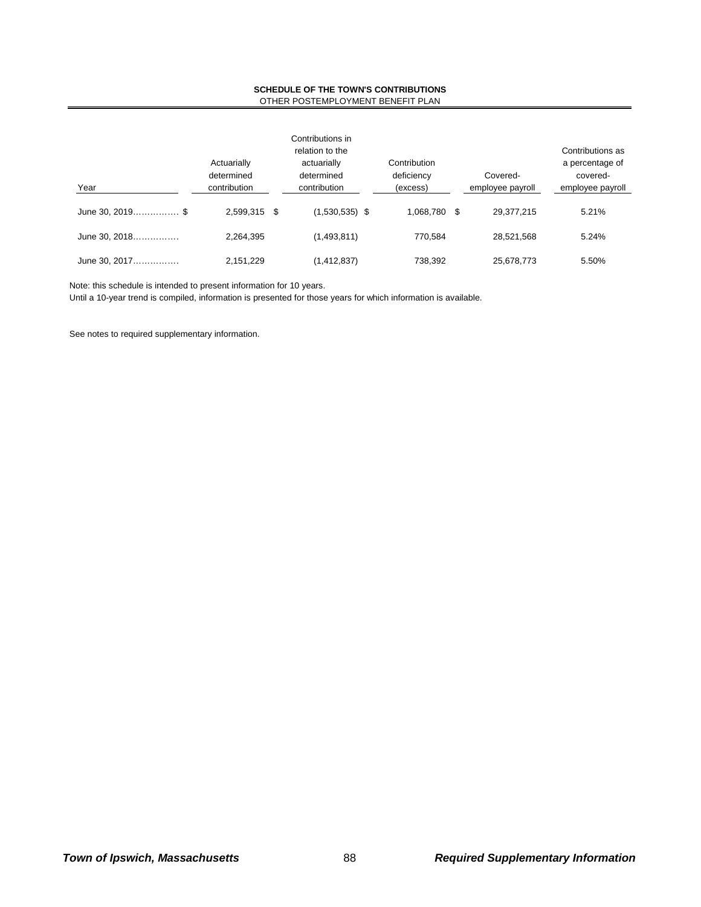#### **SCHEDULE OF THE TOWN'S CONTRIBUTIONS** OTHER POSTEMPLOYMENT BENEFIT PLAN

| Year             | Actuarially<br>determined<br>contribution | Contributions in<br>relation to the<br>actuarially<br>determined<br>contribution | Contribution<br>deficiency<br>(excess) |   | Covered-<br>employee payroll | Contributions as<br>a percentage of<br>covered-<br>employee payroll |
|------------------|-------------------------------------------|----------------------------------------------------------------------------------|----------------------------------------|---|------------------------------|---------------------------------------------------------------------|
| June 30, 2019 \$ | 2,599,315 \$                              | $(1,530,535)$ \$                                                                 | 1.068.780                              | S | 29.377.215                   | 5.21%                                                               |
| June 30, 2018    | 2,264,395                                 | (1,493,811)                                                                      | 770,584                                |   | 28,521,568                   | 5.24%                                                               |
| June 30, 2017    | 2,151,229                                 | (1, 412, 837)                                                                    | 738,392                                |   | 25,678,773                   | 5.50%                                                               |

Note: this schedule is intended to present information for 10 years.

Until a 10-year trend is compiled, information is presented for those years for which information is available.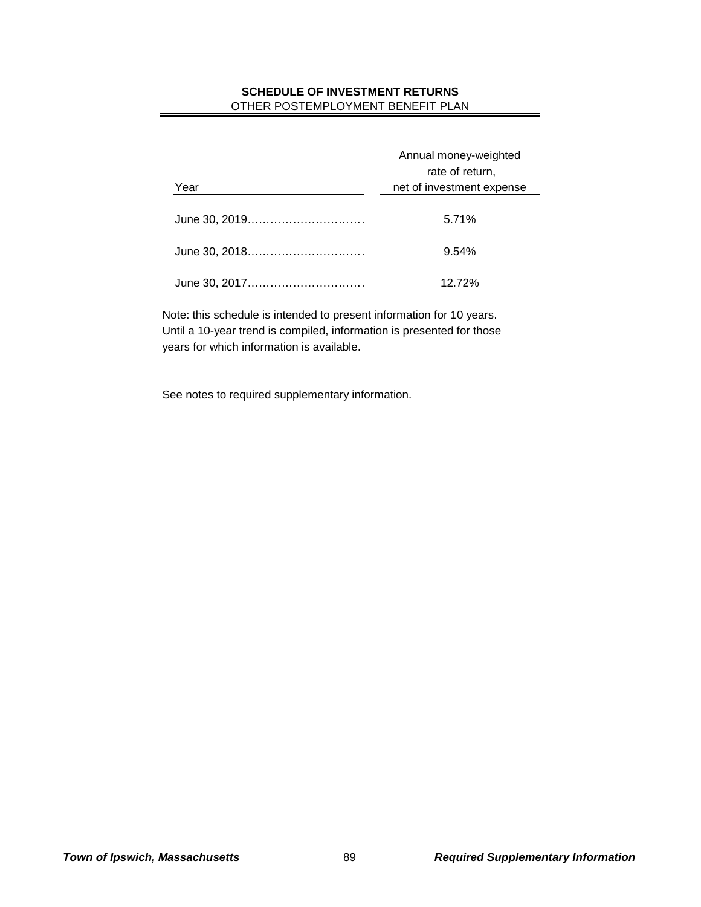#### **SCHEDULE OF INVESTMENT RETURNS** OTHER POSTEMPLOYMENT BENEFIT PLAN

|               | Annual money-weighted<br>rate of return, |
|---------------|------------------------------------------|
| Year          | net of investment expense                |
| June 30, 2019 | 5.71%                                    |
| June 30, 2018 | 9.54%                                    |
| June 30, 2017 | 12.72%                                   |

Note: this schedule is intended to present information for 10 years. Until a 10-year trend is compiled, information is presented for those years for which information is available.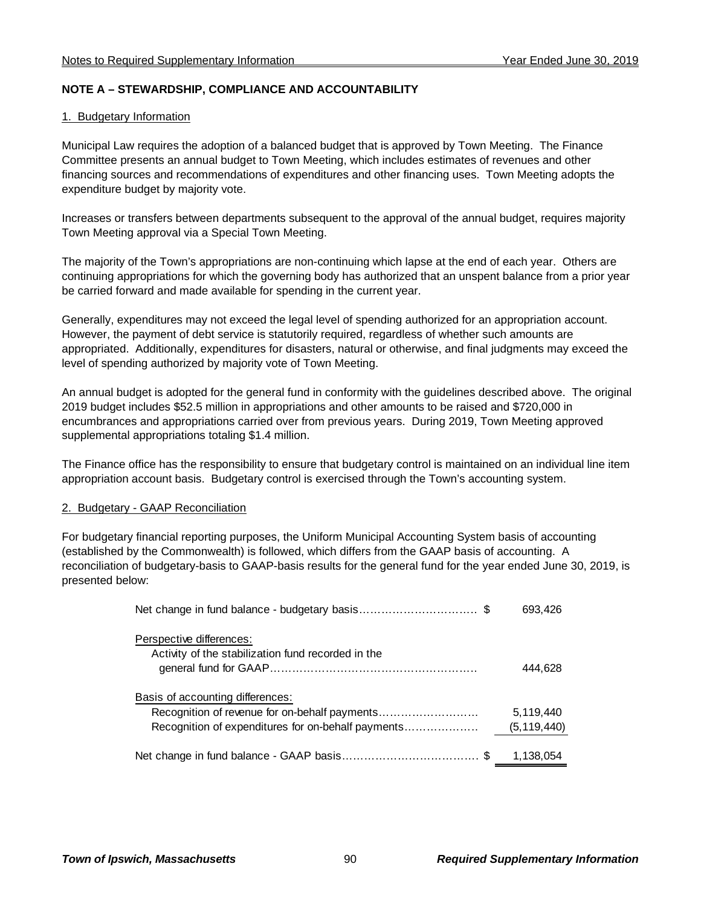### **NOTE A – STEWARDSHIP, COMPLIANCE AND ACCOUNTABILITY**

#### 1. Budgetary Information

Municipal Law requires the adoption of a balanced budget that is approved by Town Meeting. The Finance Committee presents an annual budget to Town Meeting, which includes estimates of revenues and other financing sources and recommendations of expenditures and other financing uses. Town Meeting adopts the expenditure budget by majority vote.

Increases or transfers between departments subsequent to the approval of the annual budget, requires majority Town Meeting approval via a Special Town Meeting.

The majority of the Town's appropriations are non-continuing which lapse at the end of each year. Others are continuing appropriations for which the governing body has authorized that an unspent balance from a prior year be carried forward and made available for spending in the current year.

Generally, expenditures may not exceed the legal level of spending authorized for an appropriation account. However, the payment of debt service is statutorily required, regardless of whether such amounts are appropriated. Additionally, expenditures for disasters, natural or otherwise, and final judgments may exceed the level of spending authorized by majority vote of Town Meeting.

An annual budget is adopted for the general fund in conformity with the guidelines described above. The original 2019 budget includes \$52.5 million in appropriations and other amounts to be raised and \$720,000 in encumbrances and appropriations carried over from previous years. During 2019, Town Meeting approved supplemental appropriations totaling \$1.4 million.

The Finance office has the responsibility to ensure that budgetary control is maintained on an individual line item appropriation account basis. Budgetary control is exercised through the Town's accounting system.

#### 2. Budgetary - GAAP Reconciliation

For budgetary financial reporting purposes, the Uniform Municipal Accounting System basis of accounting (established by the Commonwealth) is followed, which differs from the GAAP basis of accounting. A reconciliation of budgetary-basis to GAAP-basis results for the general fund for the year ended June 30, 2019, is presented below:

| Net change in fund balance - budgetary basis\$     | 693,426       |
|----------------------------------------------------|---------------|
| Perspective differences:                           |               |
| Activity of the stabilization fund recorded in the |               |
|                                                    | 444,628       |
| Basis of accounting differences:                   |               |
| Recognition of revenue for on-behalf payments      | 5,119,440     |
| Recognition of expenditures for on-behalf payments | (5, 119, 440) |
|                                                    |               |
|                                                    | 1,138,054     |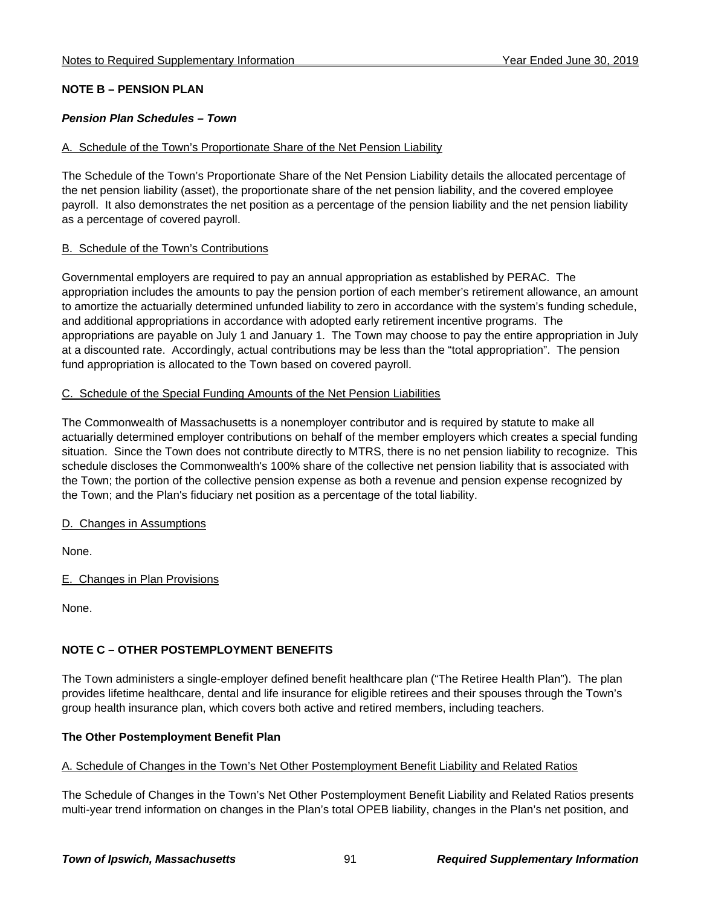#### **NOTE B – PENSION PLAN**

#### *Pension Plan Schedules – Town*

#### A. Schedule of the Town's Proportionate Share of the Net Pension Liability

The Schedule of the Town's Proportionate Share of the Net Pension Liability details the allocated percentage of the net pension liability (asset), the proportionate share of the net pension liability, and the covered employee payroll. It also demonstrates the net position as a percentage of the pension liability and the net pension liability as a percentage of covered payroll.

#### B. Schedule of the Town's Contributions

Governmental employers are required to pay an annual appropriation as established by PERAC. The appropriation includes the amounts to pay the pension portion of each member's retirement allowance, an amount to amortize the actuarially determined unfunded liability to zero in accordance with the system's funding schedule, and additional appropriations in accordance with adopted early retirement incentive programs. The appropriations are payable on July 1 and January 1. The Town may choose to pay the entire appropriation in July at a discounted rate. Accordingly, actual contributions may be less than the "total appropriation". The pension fund appropriation is allocated to the Town based on covered payroll.

#### C. Schedule of the Special Funding Amounts of the Net Pension Liabilities

The Commonwealth of Massachusetts is a nonemployer contributor and is required by statute to make all actuarially determined employer contributions on behalf of the member employers which creates a special funding situation. Since the Town does not contribute directly to MTRS, there is no net pension liability to recognize. This schedule discloses the Commonwealth's 100% share of the collective net pension liability that is associated with the Town; the portion of the collective pension expense as both a revenue and pension expense recognized by the Town; and the Plan's fiduciary net position as a percentage of the total liability.

#### D. Changes in Assumptions

None.

### E. Changes in Plan Provisions

None.

### **NOTE C – OTHER POSTEMPLOYMENT BENEFITS**

The Town administers a single-employer defined benefit healthcare plan ("The Retiree Health Plan"). The plan provides lifetime healthcare, dental and life insurance for eligible retirees and their spouses through the Town's group health insurance plan, which covers both active and retired members, including teachers.

### **The Other Postemployment Benefit Plan**

#### A. Schedule of Changes in the Town's Net Other Postemployment Benefit Liability and Related Ratios

The Schedule of Changes in the Town's Net Other Postemployment Benefit Liability and Related Ratios presents multi-year trend information on changes in the Plan's total OPEB liability, changes in the Plan's net position, and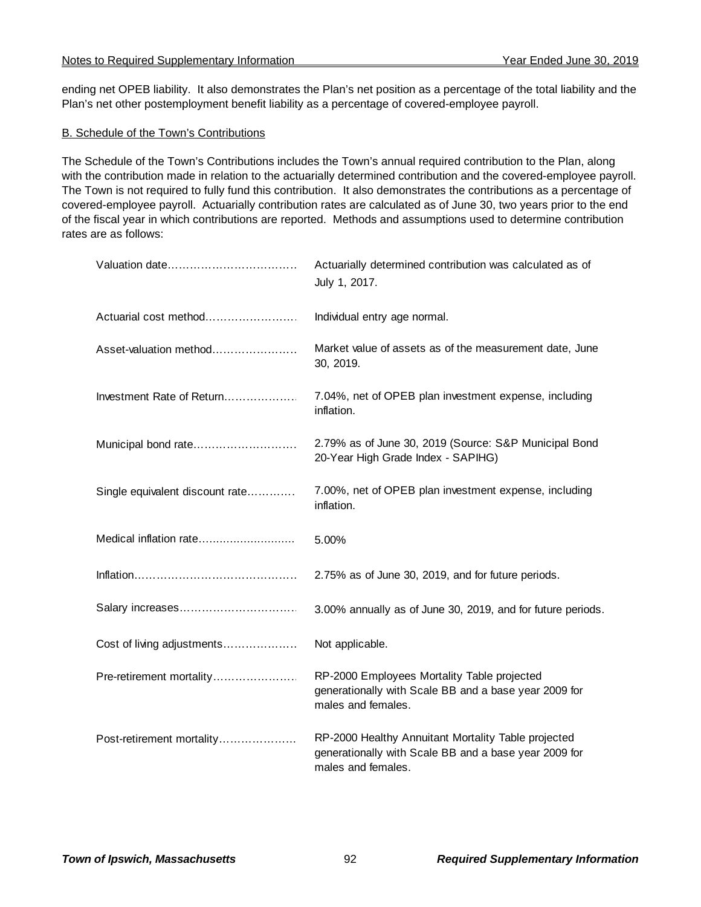ending net OPEB liability. It also demonstrates the Plan's net position as a percentage of the total liability and the Plan's net other postemployment benefit liability as a percentage of covered-employee payroll.

#### B. Schedule of the Town's Contributions

The Schedule of the Town's Contributions includes the Town's annual required contribution to the Plan, along with the contribution made in relation to the actuarially determined contribution and the covered-employee payroll. The Town is not required to fully fund this contribution. It also demonstrates the contributions as a percentage of covered-employee payroll. Actuarially contribution rates are calculated as of June 30, two years prior to the end of the fiscal year in which contributions are reported. Methods and assumptions used to determine contribution rates are as follows:

|                                 | Actuarially determined contribution was calculated as of<br>July 1, 2017.                                                          |
|---------------------------------|------------------------------------------------------------------------------------------------------------------------------------|
| Actuarial cost method           | Individual entry age normal.                                                                                                       |
| Asset-valuation method          | Market value of assets as of the measurement date, June<br>30, 2019.                                                               |
| Investment Rate of Return       | 7.04%, net of OPEB plan investment expense, including<br>inflation.                                                                |
| Municipal bond rate             | 2.79% as of June 30, 2019 (Source: S&P Municipal Bond<br>20-Year High Grade Index - SAPIHG)                                        |
| Single equivalent discount rate | 7.00%, net of OPEB plan investment expense, including<br>inflation.                                                                |
| Medical inflation rate          | 5.00%                                                                                                                              |
|                                 | 2.75% as of June 30, 2019, and for future periods.                                                                                 |
|                                 | 3.00% annually as of June 30, 2019, and for future periods.                                                                        |
| Cost of living adjustments      | Not applicable.                                                                                                                    |
| Pre-retirement mortality        | RP-2000 Employees Mortality Table projected<br>generationally with Scale BB and a base year 2009 for<br>males and females.         |
| Post-retirement mortality       | RP-2000 Healthy Annuitant Mortality Table projected<br>generationally with Scale BB and a base year 2009 for<br>males and females. |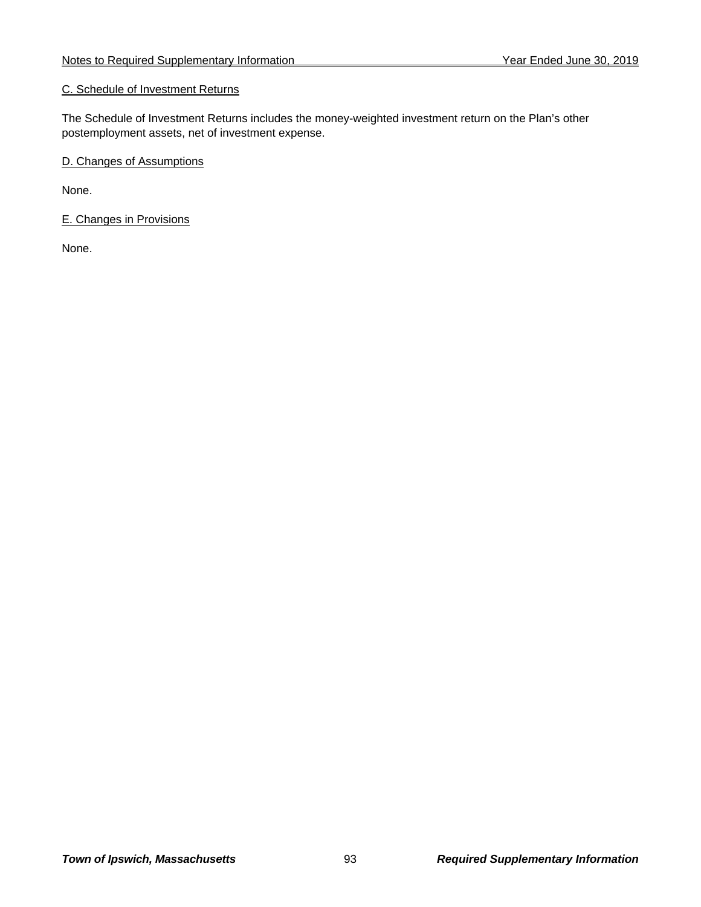### C. Schedule of Investment Returns

The Schedule of Investment Returns includes the money-weighted investment return on the Plan's other postemployment assets, net of investment expense.

#### D. Changes of Assumptions

None.

E. Changes in Provisions

None.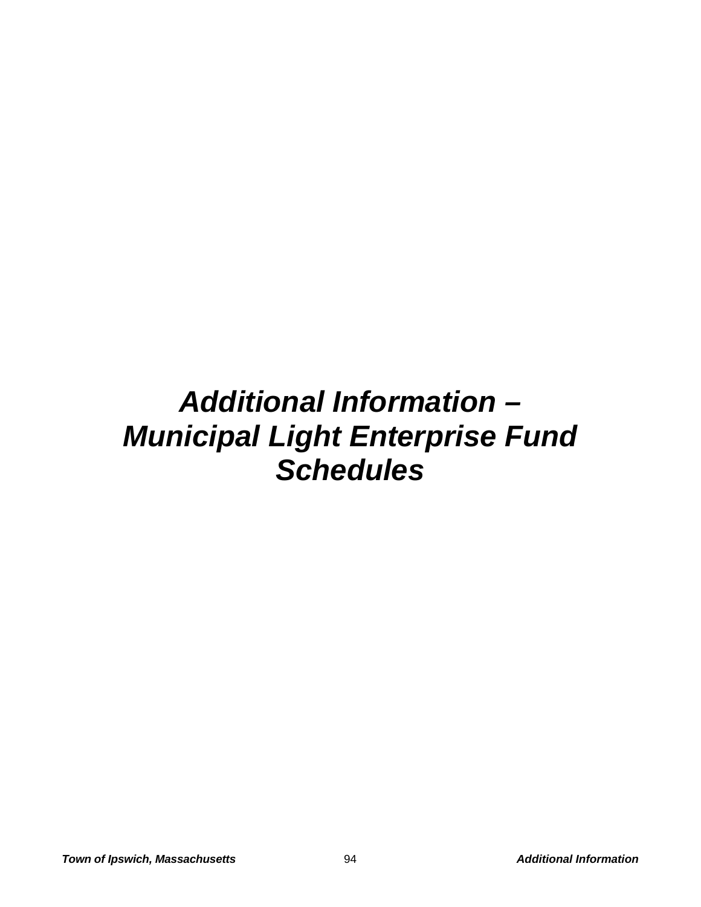# *Additional Information – Municipal Light Enterprise Fund Schedules*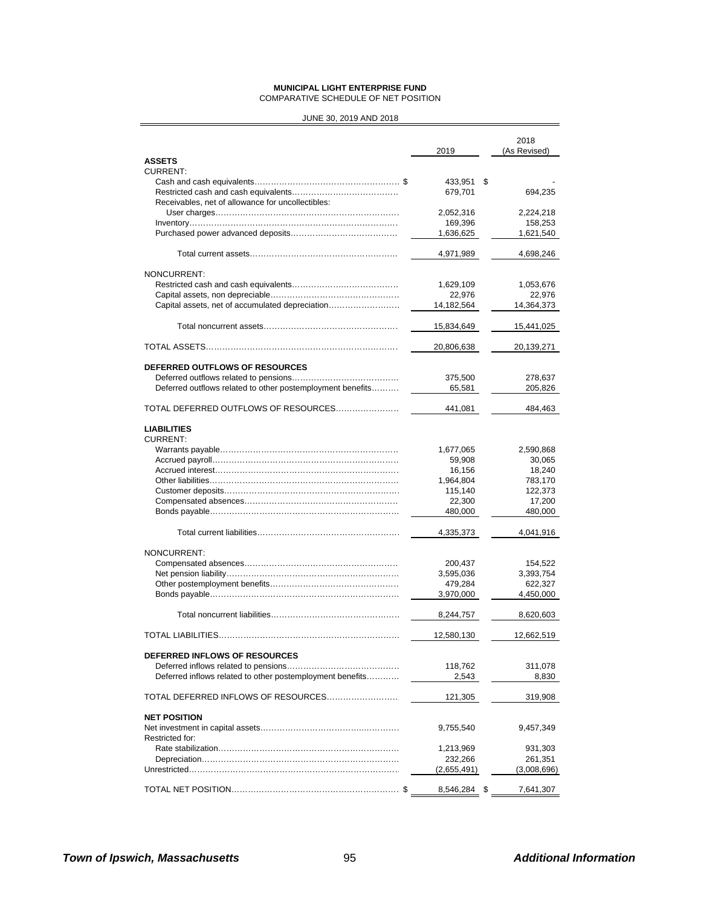#### **MUNICIPAL LIGHT ENTERPRISE FUND** COMPARATIVE SCHEDULE OF NET POSITION

#### JUNE 30, 2019 AND 2018

|                                                            | 2019                 | 2018<br>(As Revised) |
|------------------------------------------------------------|----------------------|----------------------|
| <b>ASSETS</b>                                              |                      |                      |
| <b>CURRENT:</b>                                            |                      |                      |
|                                                            | 433,951              | \$                   |
| Receivables, net of allowance for uncollectibles:          | 679,701              | 694,235              |
|                                                            | 2,052,316            | 2,224,218            |
|                                                            | 169,396              | 158,253              |
|                                                            | 1,636,625            | 1,621,540            |
|                                                            | 4,971,989            | 4,698,246            |
| NONCURRENT:                                                |                      |                      |
|                                                            | 1,629,109            | 1,053,676            |
|                                                            | 22,976               | 22,976               |
| Capital assets, net of accumulated depreciation            | 14,182,564           | 14,364,373           |
|                                                            |                      |                      |
|                                                            | 15,834,649           | 15,441,025           |
|                                                            | 20,806,638           | 20,139,271           |
| <b>DEFERRED OUTFLOWS OF RESOURCES</b>                      |                      |                      |
|                                                            | 375,500              | 278,637              |
| Deferred outflows related to other postemployment benefits | 65,581               | 205,826              |
|                                                            |                      |                      |
| TOTAL DEFERRED OUTFLOWS OF RESOURCES                       | 441,081              | 484.463              |
| <b>LIABILITIES</b>                                         |                      |                      |
| <b>CURRENT:</b>                                            |                      |                      |
|                                                            | 1,677,065            | 2,590,868            |
|                                                            | 59,908               | 30,065               |
|                                                            | 16,156               | 18,240               |
|                                                            | 1,964,804            | 783,170              |
|                                                            | 115,140              | 122,373              |
|                                                            | 22,300               | 17,200               |
|                                                            | 480,000              | 480,000              |
|                                                            | 4,335,373            | 4,041,916            |
|                                                            |                      |                      |
| NONCURRENT:                                                |                      |                      |
|                                                            | 200,437              | 154,522              |
|                                                            | 3,595,036            | 3,393,754            |
|                                                            | 479,284<br>3,970,000 | 622,327<br>4,450,000 |
|                                                            |                      |                      |
|                                                            | 8,244,757            | 8,620,603            |
| TOTAL LIABILITIES                                          | 12,580,130           | 12,662,519           |
|                                                            |                      |                      |
| <b>DEFERRED INFLOWS OF RESOURCES</b>                       |                      |                      |
|                                                            | 118,762              | 311,078              |
| Deferred inflows related to other postemployment benefits  | 2,543                | 8,830                |
| TOTAL DEFERRED INFLOWS OF RESOURCES                        | 121,305              | 319,908              |
| <b>NET POSITION</b>                                        |                      |                      |
|                                                            | 9,755,540            | 9,457,349            |
| Restricted for:                                            |                      |                      |
|                                                            | 1,213,969            | 931,303              |
|                                                            | 232,266              | 261,351              |
| Unrestricted……………………………………………………………………                     | (2,655,491)          | (3,008,696)          |
|                                                            |                      |                      |
|                                                            | 8,546,284            | \$<br>7,641,307      |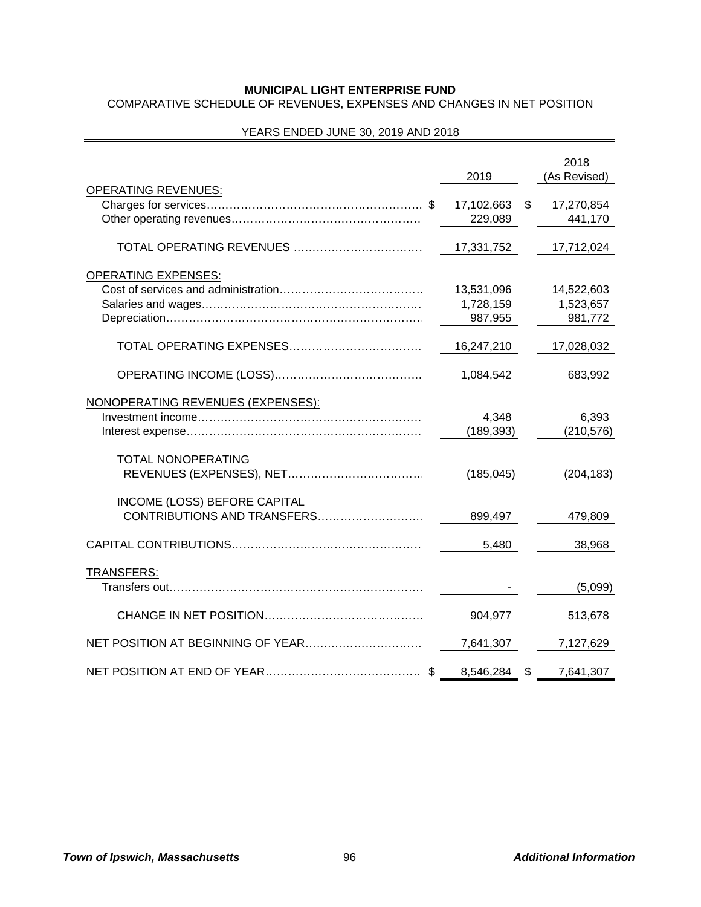#### COMPARATIVE SCHEDULE OF REVENUES, EXPENSES AND CHANGES IN NET POSITION

|                                                             | 2019                  |       | 2018<br>(As Revised)  |
|-------------------------------------------------------------|-----------------------|-------|-----------------------|
| <b>OPERATING REVENUES:</b>                                  | 17,102,663<br>229,089 | $\$\$ | 17,270,854<br>441,170 |
|                                                             | 17,331,752            |       | 17,712,024            |
| <b>OPERATING EXPENSES:</b>                                  | 13,531,096            |       | 14,522,603            |
|                                                             | 1,728,159<br>987,955  |       | 1,523,657<br>981,772  |
|                                                             | 16,247,210            |       | 17,028,032            |
|                                                             | 1,084,542             |       | 683,992               |
| NONOPERATING REVENUES (EXPENSES):                           | 4,348<br>(189, 393)   |       | 6,393<br>(210, 576)   |
| <b>TOTAL NONOPERATING</b>                                   | (185, 045)            |       | (204, 183)            |
| INCOME (LOSS) BEFORE CAPITAL<br>CONTRIBUTIONS AND TRANSFERS | 899,497               |       | 479,809               |
|                                                             | 5,480                 |       | 38,968                |
| <b>TRANSFERS:</b>                                           |                       |       | (5,099)               |
|                                                             | 904,977               |       | 513,678               |
| NET POSITION AT BEGINNING OF YEAR                           | 7,641,307             |       | 7,127,629             |
|                                                             | 8,546,284             | \$    | 7,641,307             |

#### YEARS ENDED JUNE 30, 2019 AND 2018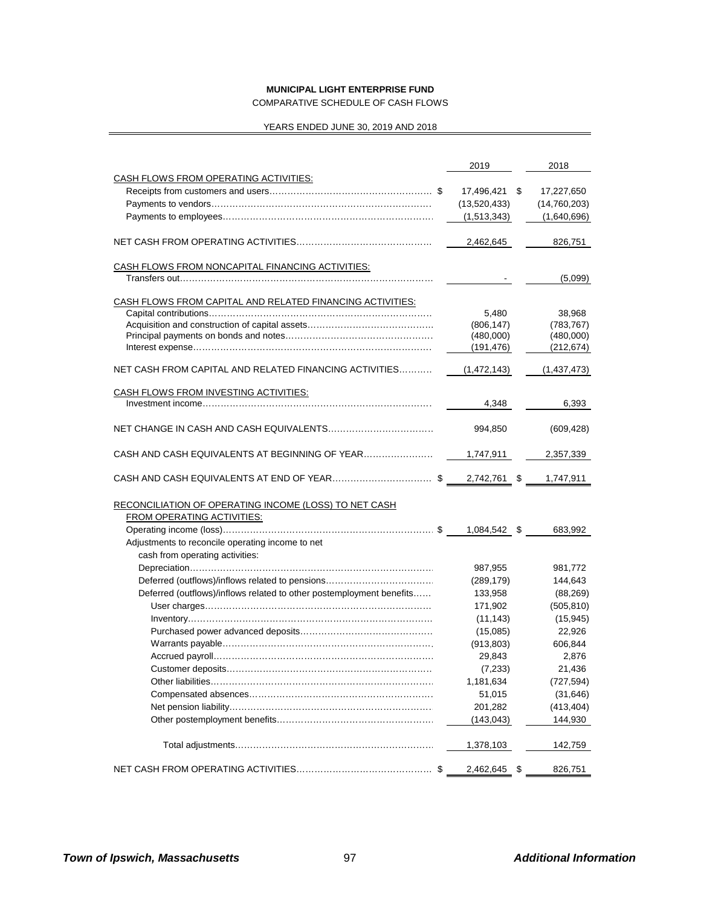COMPARATIVE SCHEDULE OF CASH FLOWS

#### YEARS ENDED JUNE 30, 2019 AND 2018

|                                                                      | 2019         |      | 2018           |
|----------------------------------------------------------------------|--------------|------|----------------|
| CASH FLOWS FROM OPERATING ACTIVITIES:                                |              |      |                |
|                                                                      | 17,496,421   | - \$ | 17,227,650     |
|                                                                      | (13,520,433) |      | (14, 760, 203) |
|                                                                      | (1,513,343)  |      | (1,640,696)    |
|                                                                      |              |      |                |
|                                                                      | 2,462,645    |      | 826,751        |
| CASH FLOWS FROM NONCAPITAL FINANCING ACTIVITIES:                     |              |      |                |
| Transfers out…………………………………………………………………………                            |              |      | (5,099)        |
| CASH FLOWS FROM CAPITAL AND RELATED FINANCING ACTIVITIES:            |              |      |                |
|                                                                      | 5,480        |      | 38,968         |
|                                                                      | (806, 147)   |      | (783, 767)     |
|                                                                      | (480,000)    |      | (480,000)      |
|                                                                      | (191,476)    |      | (212, 674)     |
| NET CASH FROM CAPITAL AND RELATED FINANCING ACTIVITIES               | (1,472,143)  |      | (1,437,473)    |
| <b>CASH FLOWS FROM INVESTING ACTIVITIES:</b>                         |              |      |                |
|                                                                      | 4,348        |      | 6,393          |
|                                                                      |              |      |                |
|                                                                      | 994,850      |      | (609, 428)     |
| CASH AND CASH EQUIVALENTS AT BEGINNING OF YEAR                       | 1,747,911    |      | 2,357,339      |
| CASH AND CASH EQUIVALENTS AT END OF YEAR\$2,742,761 \$               |              |      | 1,747,911      |
|                                                                      |              |      |                |
| RECONCILIATION OF OPERATING INCOME (LOSS) TO NET CASH                |              |      |                |
| <b>FROM OPERATING ACTIVITIES:</b>                                    |              |      |                |
|                                                                      |              |      | 683,992        |
| Adjustments to reconcile operating income to net                     |              |      |                |
| cash from operating activities:                                      |              |      |                |
|                                                                      | 987,955      |      | 981,772        |
|                                                                      | (289, 179)   |      | 144,643        |
| Deferred (outflows)/inflows related to other postemployment benefits | 133,958      |      | (88, 269)      |
|                                                                      | 171,902      |      | (505, 810)     |
|                                                                      | (11, 143)    |      | (15, 945)      |
|                                                                      | (15,085)     |      | 22,926         |
|                                                                      | (913, 803)   |      | 606,844        |
|                                                                      | 29,843       |      | 2,876          |
|                                                                      | (7, 233)     |      | 21,436         |
|                                                                      | 1,181,634    |      | (727, 594)     |
|                                                                      | 51,015       |      | (31, 646)      |
|                                                                      | 201,282      |      | (413, 404)     |
|                                                                      | (143, 043)   |      | 144,930        |
|                                                                      |              |      |                |
|                                                                      | 1,378,103    |      | 142,759        |
|                                                                      | 2,462,645    | \$   | 826,751        |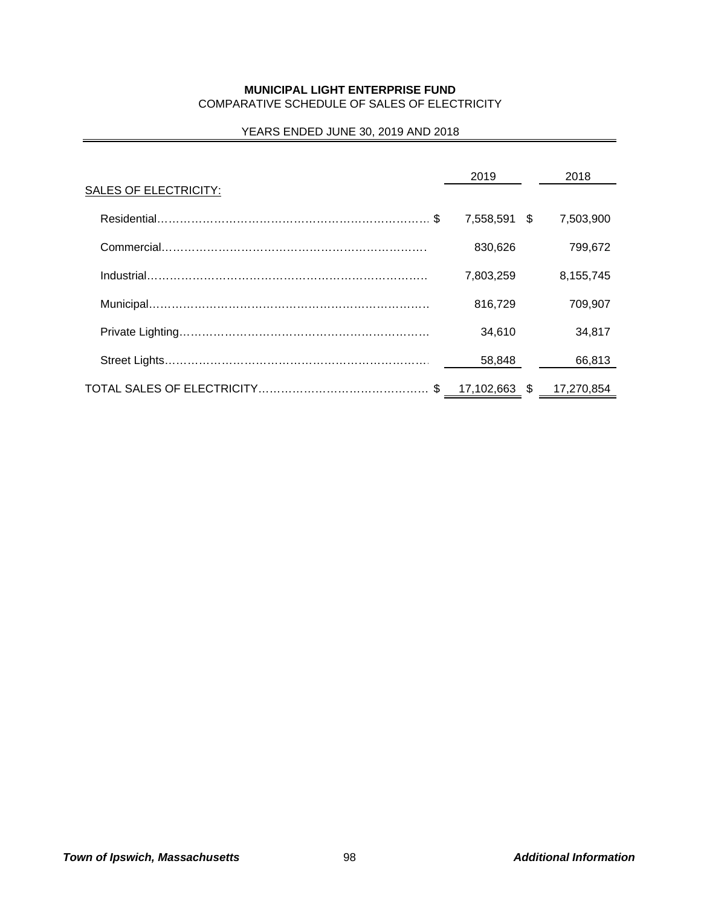COMPARATIVE SCHEDULE OF SALES OF ELECTRICITY

## YEARS ENDED JUNE 30, 2019 AND 2018

| SALES OF ELECTRICITY: | 2019          | 2018            |
|-----------------------|---------------|-----------------|
|                       | 7,558,591     | \$<br>7,503,900 |
|                       | 830,626       | 799,672         |
|                       | 7,803,259     | 8,155,745       |
|                       | 816,729       | 709,907         |
|                       | 34,610        | 34,817          |
|                       | 58,848        | 66,813          |
|                       | 17,102,663 \$ | 17,270,854      |

L,